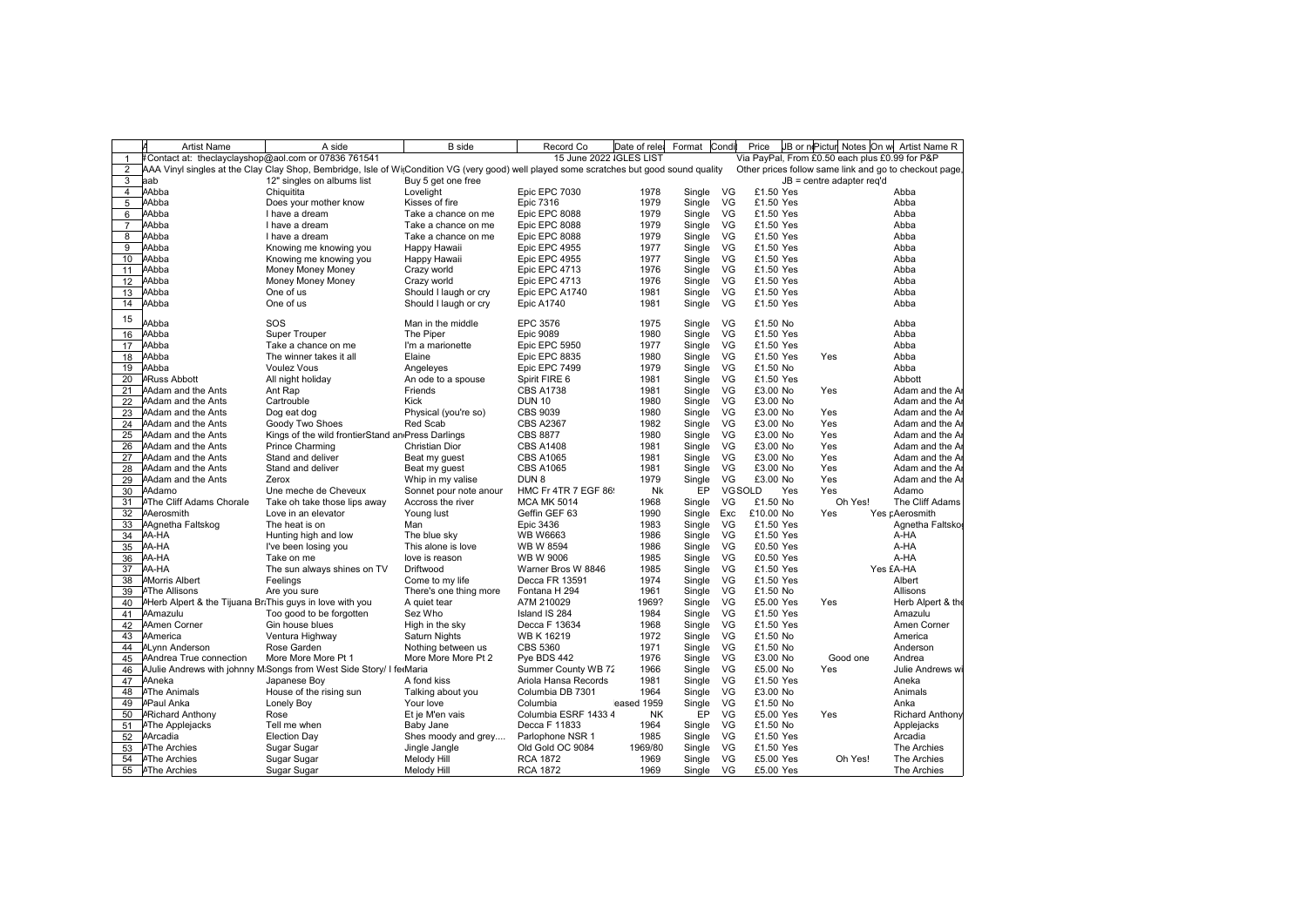|                 | <b>Artist Name</b>                                                     | A side                                                                                                                                    | <b>B</b> side          | Record Co               | Date of relei | Format | Condi  | Price     |            |                                                | JB or nePicture Notes On we Artist Name R              |
|-----------------|------------------------------------------------------------------------|-------------------------------------------------------------------------------------------------------------------------------------------|------------------------|-------------------------|---------------|--------|--------|-----------|------------|------------------------------------------------|--------------------------------------------------------|
| $\mathbf{1}$    | #Contact at: theclayclayshop@aol.com or 07836 761541                   |                                                                                                                                           |                        | 15 June 2022 IGLES LIST |               |        |        |           |            | Via PayPal, From £0.50 each plus £0.99 for P&P |                                                        |
| 2               |                                                                        | AAA Vinyl singles at the Clay Clay Shop, Bembridge, Isle of WitCondition VG (very good) well played some scratches but good sound quality |                        |                         |               |        |        |           |            |                                                | Other prices follow same link and go to checkout page, |
| 3               | aab                                                                    | 12" singles on albums list                                                                                                                | Buy 5 get one free     |                         |               |        |        |           |            | $JB = centre$ adapter reg'd                    |                                                        |
| $\overline{4}$  | AAbba                                                                  | Chiquitita                                                                                                                                | Lovelight              | Epic EPC 7030           | 1978          | Single | VG     | £1.50 Yes |            |                                                | Abba                                                   |
| 5               | AAbba                                                                  | Does your mother know                                                                                                                     | Kisses of fire         | Epic 7316               | 1979          | Single | VG     | £1.50 Yes |            |                                                | Abba                                                   |
| 6               | AAbba                                                                  | I have a dream                                                                                                                            | Take a chance on me    | Epic EPC 8088           | 1979          | Single | VG.    | £1.50 Yes |            |                                                | Abba                                                   |
| $\overline{7}$  | AAbba                                                                  | I have a dream                                                                                                                            | Take a chance on me    | Epic EPC 8088           | 1979          | Single | VG     | £1.50 Yes |            |                                                | Abba                                                   |
| 8               | AAbba                                                                  | I have a dream                                                                                                                            | Take a chance on me    | Epic EPC 8088           | 1979          | Single | VG     | £1.50 Yes |            |                                                | Abba                                                   |
| 9               | AAbba                                                                  | Knowing me knowing you                                                                                                                    | Happy Hawaii           | Epic EPC 4955           | 1977          | Single | VG     | £1.50 Yes |            |                                                | Abba                                                   |
| 10 <sup>1</sup> | AAbba                                                                  | Knowing me knowing you                                                                                                                    | Happy Hawaii           | Epic EPC 4955           | 1977          | Single | VG     | £1.50 Yes |            |                                                | Abba                                                   |
| 11              | AAbba                                                                  | Money Money Money                                                                                                                         | Crazy world            | Epic EPC 4713           | 1976          | Single | VG     | £1.50 Yes |            |                                                | Abba                                                   |
|                 | 12 Abba                                                                | Money Money Money                                                                                                                         | Crazy world            | Epic EPC 4713           | 1976          | Single | VG     | £1.50 Yes |            |                                                | Abba                                                   |
| 13              | AAbba                                                                  | One of us                                                                                                                                 | Should I laugh or cry  | Epic EPC A1740          | 1981          | Single | VG     | £1.50 Yes |            |                                                | Abba                                                   |
| 14              | AAbba                                                                  | One of us                                                                                                                                 | Should I laugh or cry  | <b>Epic A1740</b>       | 1981          | Single | VG     | £1.50 Yes |            |                                                | Abba                                                   |
| 15              |                                                                        |                                                                                                                                           |                        |                         |               |        |        |           |            |                                                |                                                        |
|                 | Abba                                                                   | SOS                                                                                                                                       | Man in the middle      | EPC 3576                | 1975          | Single | VG     | £1.50 No  |            |                                                | Abba                                                   |
| 16              | AAbba                                                                  | <b>Super Trouper</b>                                                                                                                      | The Piper              | <b>Epic 9089</b>        | 1980          | Single | VG     | £1.50 Yes |            |                                                | Abba                                                   |
| 17              | AAbba                                                                  | Take a chance on me                                                                                                                       | I'm a marionette       | Epic EPC 5950           | 1977          | Single | VG     | £1.50 Yes |            |                                                | Abba                                                   |
| 18              | AAbba                                                                  | The winner takes it all                                                                                                                   | Elaine                 | Epic EPC 8835           | 1980          | Single | VG     | £1.50 Yes | Yes        |                                                | Abba                                                   |
|                 | 19 AAbba                                                               | <b>Voulez Vous</b>                                                                                                                        | Angeleyes              | Epic EPC 7499           | 1979          | Single | VG     | £1.50 No  |            |                                                | Abba                                                   |
|                 | 20 <b>ARuss Abbott</b>                                                 | All night holiday                                                                                                                         | An ode to a spouse     | Spirit FIRE 6           | 1981          | Single | VG     | £1.50 Yes |            |                                                | Abbott                                                 |
| 21              | <b>Adam and the Ants</b>                                               | Ant Rap                                                                                                                                   | Friends                | <b>CBS A1738</b>        | 1981          | Single | VG     | £3.00 No  | Yes        |                                                | Adam and the A                                         |
| 22              | <b>Adam and the Ants</b>                                               | Cartrouble                                                                                                                                | <b>Kick</b>            | <b>DUN 10</b>           | 1980          | Single | VG     | £3.00 No  |            |                                                | Adam and the A                                         |
| 23              | <b>Adam and the Ants</b>                                               | Dog eat dog                                                                                                                               | Physical (you're so)   | <b>CBS 9039</b>         | 1980          | Single | VG     | £3.00 No  | Yes        |                                                | Adam and the A                                         |
|                 | 24 Adam and the Ants                                                   | Goody Two Shoes                                                                                                                           | Red Scab               | <b>CBS A2367</b>        | 1982          | Single | VG     | £3.00 No  | Yes        |                                                | Adam and the A                                         |
|                 | 25 <i>A</i> dam and the Ants                                           | Kings of the wild frontierStand an Press Darlings                                                                                         |                        | <b>CBS 8877</b>         | 1980          | Single | VG     | £3.00 No  | Yes        |                                                | Adam and the A                                         |
| 26              | <b>Adam and the Ants</b>                                               | <b>Prince Charming</b>                                                                                                                    | <b>Christian Dior</b>  | <b>CBS A1408</b>        | 1981          | Single | VG     | £3.00 No  | Yes        |                                                | Adam and the A                                         |
| 27              | <b>Adam and the Ants</b>                                               | Stand and deliver                                                                                                                         | Beat my guest          | <b>CBS A1065</b>        | 1981          | Single | VG     | £3.00 No  | Yes        |                                                | Adam and the A                                         |
| 28              | <b>Adam and the Ants</b>                                               | Stand and deliver                                                                                                                         | Beat my guest          | <b>CBS A1065</b>        | 1981          | Single | VG     | £3.00 No  | Yes        |                                                | Adam and the A                                         |
|                 | 29 Adam and the Ants                                                   | Zerox                                                                                                                                     | Whip in my valise      | DUN <sub>8</sub>        | 1979          | Single | VG     | £3.00 No  | Yes        |                                                | Adam and the A                                         |
|                 | 30 <i>A</i> damo                                                       | Une meche de Cheveux                                                                                                                      | Sonnet pour note anour | HMC Fr 4TR 7 EGF 86     | Nk            | EP     | VGSOLD |           | Yes<br>Yes |                                                | Adamo                                                  |
| 31              | <b>AThe Cliff Adams Chorale</b>                                        | Take oh take those lips away                                                                                                              | Accross the river      | <b>MCA MK 5014</b>      | 1968          | Single | VG     | £1.50 No  |            | Oh Yes!                                        | The Cliff Adams                                        |
| 32              | AAerosmith                                                             | Love in an elevator                                                                                                                       | Young lust             | Geffin GEF 63           | 1990          | Single | Exc    | £10.00 No | Yes        |                                                | Yes pAerosmith                                         |
| 33              | AAgnetha Faltskog                                                      | The heat is on                                                                                                                            | Man                    | Epic 3436               | 1983          | Single | VG     | £1.50 Yes |            |                                                | Agnetha Faltsko                                        |
|                 | 34 <b>A-HA</b>                                                         | Hunting high and low                                                                                                                      | The blue sky           | <b>WB W6663</b>         | 1986          | Single | VG     | £1.50 Yes |            |                                                | A-HA                                                   |
|                 | 35 AA-HA                                                               | I've been losing you                                                                                                                      | This alone is love     | <b>WB W 8594</b>        | 1986          | Single | VG     | £0.50 Yes |            |                                                | A-HA                                                   |
| 36              | AA-HA                                                                  | Take on me                                                                                                                                | love is reason         | <b>WB W 9006</b>        | 1985          | Single | VG     | £0.50 Yes |            |                                                | A-HA                                                   |
|                 | 37 AA-HA                                                               | The sun always shines on TV                                                                                                               | Driftwood              | Warner Bros W 8846      | 1985          | Single | VG     | £1.50 Yes |            |                                                | Yes £A-HA                                              |
| 38              | <b>AMorris Albert</b>                                                  | Feelings                                                                                                                                  | Come to my life        | Decca FR 13591          | 1974          | Single | VG     | £1.50 Yes |            |                                                | Albert                                                 |
| 39              | <b>AThe Allisons</b>                                                   | Are you sure                                                                                                                              | There's one thing more | Fontana H 294           | 1961          | Single | VG     | £1.50 No  |            |                                                | Allisons                                               |
|                 | 40 <i>PHerb Alpert &amp; the Tijuana BriThis guys in love with you</i> |                                                                                                                                           | A quiet tear           | A7M 210029              | 1969?         | Single | VG     | £5.00 Yes | Yes        |                                                | Herb Alpert & the                                      |
| 41              | AAmazulu                                                               | Too good to be forgotten                                                                                                                  | Sez Who                | Island IS 284           | 1984          | Single | VG     | £1.50 Yes |            |                                                | Amazulu                                                |
| 42              | <b>Amen Corner</b>                                                     | Gin house blues                                                                                                                           | High in the sky        | Decca F 13634           | 1968          | Single | VG     | £1.50 Yes |            |                                                | Amen Corner                                            |
| 43              | AAmerica                                                               | Ventura Highway                                                                                                                           | <b>Saturn Nights</b>   | WB K 16219              | 1972          | Single | VG     | £1.50 No  |            |                                                | America                                                |
| 44              | <b>ALynn Anderson</b>                                                  | Rose Garden                                                                                                                               | Nothing between us     | <b>CBS 5360</b>         | 1971          | Single | VG     | £1.50 No  |            |                                                | Anderson                                               |
| 45              | AAndrea True connection                                                | More More More Pt 1                                                                                                                       | More More More Pt 2    | Pye BDS 442             | 1976          | Single | VG     | £3.00 No  |            | Good one                                       | Andrea                                                 |
| 46              |                                                                        | A Julie Andrews with johnny M Songs from West Side Story/ I ferMaria                                                                      |                        | Summer County WB 72     | 1966          | Single | VG     | £5.00 No  | Yes        |                                                | Julie Andrews wi                                       |
| 47              | AAneka                                                                 | Japanese Boy                                                                                                                              | A fond kiss            | Ariola Hansa Records    | 1981          | Single | VG     | £1.50 Yes |            |                                                | Aneka                                                  |
| 48              | <b>AThe Animals</b>                                                    | House of the rising sun                                                                                                                   | Talking about you      | Columbia DB 7301        | 1964          | Single | VG     | £3.00 No  |            |                                                | Animals                                                |
| 49              | <b>APaul Anka</b>                                                      | Lonely Boy                                                                                                                                | Your love              | Columbia                | eased 1959    | Single | VG     | £1.50 No  |            |                                                | Anka                                                   |
|                 | 50 <b>ARichard Anthony</b>                                             | Rose                                                                                                                                      | Et je M'en vais        | Columbia ESRF 1433 4    | <b>NK</b>     | EP     | VG     | £5.00 Yes | Yes        |                                                | <b>Richard Anthony</b>                                 |
| 51              | <b>AThe Applejacks</b>                                                 | Tell me when                                                                                                                              | Baby Jane              | Decca F 11833           | 1964          | Single | VG     | £1.50 No  |            |                                                | Applejacks                                             |
|                 | 52 AArcadia                                                            | <b>Election Day</b>                                                                                                                       | Shes moody and grey    | Parlophone NSR 1        | 1985          | Single | VG     | £1.50 Yes |            |                                                | Arcadia                                                |
| 53              | <b>AThe Archies</b>                                                    | Sugar Sugar                                                                                                                               | Jingle Jangle          | Old Gold OC 9084        | 1969/80       | Single | VG     | £1.50 Yes |            |                                                | The Archies                                            |
| 54              | <b>AThe Archies</b>                                                    | Sugar Sugar                                                                                                                               | Melody Hill            | <b>RCA 1872</b>         | 1969          | Single | VG     | £5.00 Yes |            | Oh Yes!                                        | The Archies                                            |
|                 | 55 <i>A</i> The Archies                                                | Sugar Sugar                                                                                                                               | Melody Hill            | <b>RCA 1872</b>         | 1969          | Single | VG     | £5.00 Yes |            |                                                | The Archies                                            |
|                 |                                                                        |                                                                                                                                           |                        |                         |               |        |        |           |            |                                                |                                                        |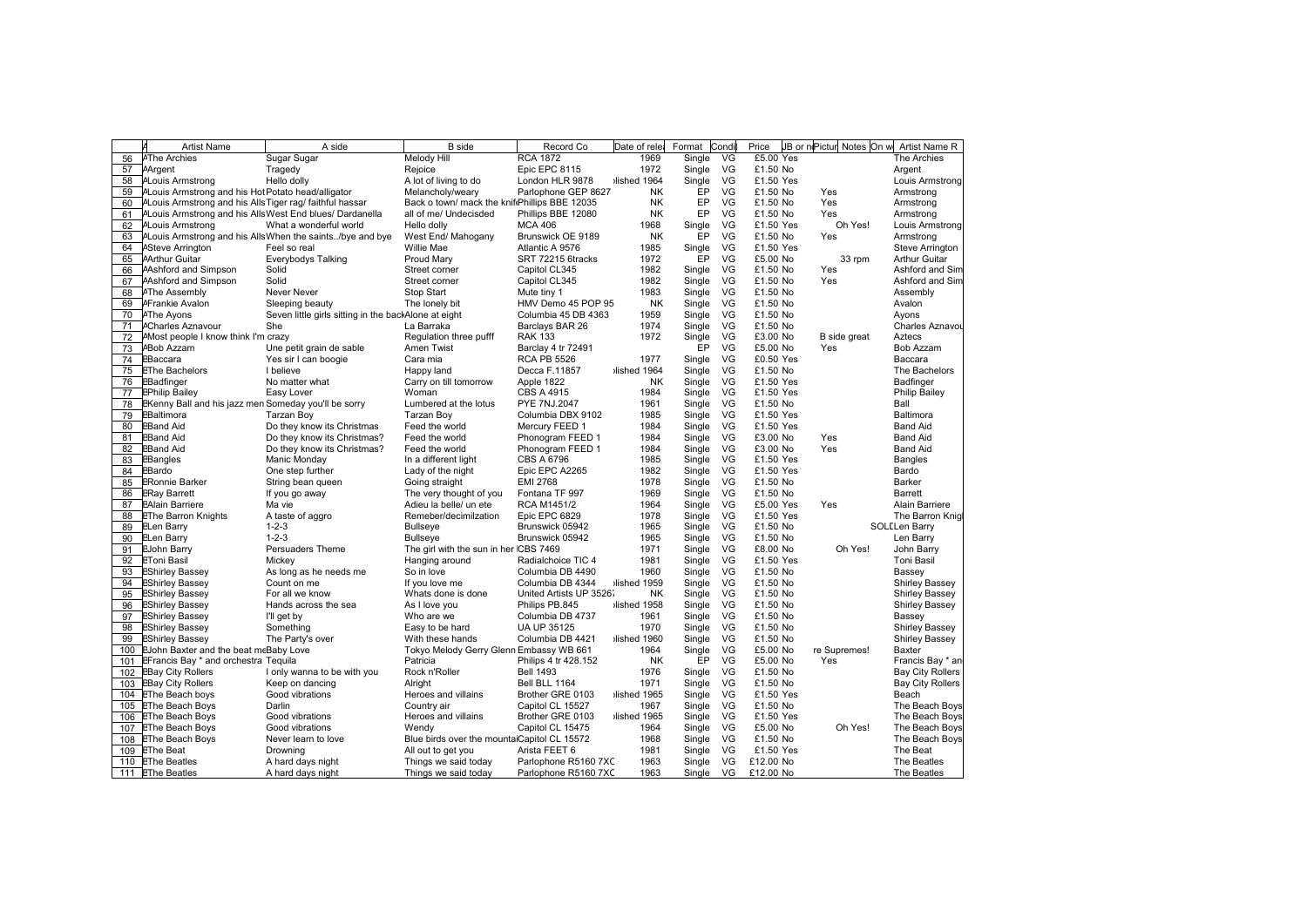|     | <b>Artist Name</b>                                       | A side                                                     | <b>B</b> side                                 | Record Co                     | Date of rele | Format | Cond | Price     | JB or nePictur Notes On w | Artist Name R             |
|-----|----------------------------------------------------------|------------------------------------------------------------|-----------------------------------------------|-------------------------------|--------------|--------|------|-----------|---------------------------|---------------------------|
| 56  | <b>AThe Archies</b>                                      | Sugar Sugar                                                | Melody Hill                                   | <b>RCA 1872</b>               | 1969         | Single | VG   | £5.00 Yes |                           | The Archies               |
| 57  | AArgent                                                  | Tragedy                                                    | Rejoice                                       | Epic EPC 8115                 | 1972         | Single | VG   | £1.50 No  |                           | Argent                    |
| 58  | <b>ALouis Armstrong</b>                                  | Hello dolly                                                | A lot of living to do                         | London HLR 9878               | Ished 1964   | Single | VG   | £1.50 Yes |                           | Louis Armstrong           |
| 59  | ALouis Armstrong and his Hot Potato head/alligator       |                                                            | Melancholy/weary                              | Parlophone GEP 8627           | <b>NK</b>    | EP     | VG   | £1.50 No  | Yes                       | Armstrong                 |
| 60  | ALouis Armstrong and his Alls Tiger rag/ faithful hassar |                                                            | Back o town/ mack the knifePhillips BBE 12035 |                               | <b>NK</b>    | EP     | VG   | £1.50 No  | Yes                       | Armstrong                 |
| 61  | ALouis Armstrong and his Alls West End blues/ Dardanella |                                                            | all of me/ Undecisded                         | Phillips BBE 12080            | NK           | EP     | VG   | £1.50 No  | Yes                       | Armstrong                 |
| 62  | <b>ALouis Armstrong</b>                                  | What a wonderful world                                     | Hello dolly                                   | <b>MCA 406</b>                | 1968         | Single | VG   | £1.50 Yes | Oh Yes!                   | Louis Armstrong           |
| 63  |                                                          | ALouis Armstrong and his AllsWhen the saints. /bye and bye | West End/ Mahogany                            | Brunswick OE 9189             | <b>NK</b>    | EP     | VG   | £1.50 No  | Yes                       | Armstrong                 |
| 64  | <b>ASteve Arrington</b>                                  | Feel so real                                               | Willie Mae                                    | Atlantic A 9576               | 1985         | Single | VG   | £1.50 Yes |                           | Steve Arrington           |
| 65  | <b>AArthur Guitar</b>                                    | Everybodys Talking                                         | Proud Mary                                    | SRT 72215 6tracks             | 1972         | EP     | VG   | £5.00 No  | 33 rpm                    | <b>Arthur Guitar</b>      |
| 66  | Ashford and Simpson                                      | Solid                                                      | Street corner                                 | Capitol CL345                 | 1982         | Single | VG   | £1.50 No  | Yes                       | Ashford and Sim           |
| 67  | Ashford and Simpson                                      | Solid                                                      | Street corner                                 | Capitol CL345                 | 1982         | Single | VG   | £1.50 No  | Yes                       | Ashford and Sim           |
| 68  | <b>AThe Assembly</b>                                     | <b>Never Never</b>                                         | Stop Start                                    | Mute tiny 1                   | 1983         | Single | VG   | £1.50 No  |                           | Assembly                  |
| 69  | <b>AFrankie Avalon</b>                                   | Sleeping beauty                                            | The lonely bit                                | HMV Demo 45 POP 95            | <b>NK</b>    | Single | VG   | £1.50 No  |                           | Avalon                    |
| 70  | <b>AThe Ayons</b>                                        | Seven little girls sitting in the backAlone at eight       |                                               | Columbia 45 DB 4363           | 1959         | Single | VG   | £1.50 No  |                           | Ayons                     |
| 71  | <b>ACharles Aznavour</b>                                 | She                                                        | La Barraka                                    | Barclays BAR 26               | 1974         | Single | VG   | £1.50 No  |                           | Charles Aznavou           |
| 72  | AMost people I know think I'm crazy                      |                                                            | Regulation three pufff                        | <b>RAK 133</b>                | 1972         | Single | VG   | £3.00 No  | B side great              | Aztecs                    |
| 73  | <b>ABob Azzam</b>                                        | Une petit grain de sable                                   | <b>Amen Twist</b>                             | Barclay 4 tr 72491            |              | EP     | VG   | £5.00 No  | Yes                       | Bob Azzam                 |
| 74  | EBaccara                                                 | Yes sir I can boogie                                       | Cara mia                                      | <b>RCA PB 5526</b>            | 1977         | Single | VG   | £0.50 Yes |                           | Baccara                   |
| 75  | <b>EThe Bachelors</b>                                    | I believe                                                  | Happy land                                    | Decca F.11857                 | Ilished 1964 | Single | VG   | £1.50 No  |                           | The Bachelors             |
| 76  | EBadfinger                                               | No matter what                                             | Carry on till tomorrow                        | Apple 1822                    | <b>NK</b>    | Single | VG   | £1.50 Yes |                           | Badfinger                 |
| 77  | <b>EPhilip Bailey</b>                                    | Easy Lover                                                 | Woman                                         | CBS A 4915                    | 1984         | Single | VG   | £1.50 Yes |                           | Philip Bailey             |
| 78  | EKenny Ball and his jazz men Someday you'll be sorry     |                                                            | Lumbered at the lotus                         | <b>PYE 7NJ.2047</b>           | 1961         | Single | VG   | £1.50 No  |                           | Ball                      |
| 79  | EBaltimora                                               | <b>Tarzan Boy</b>                                          | Tarzan Boy                                    | Columbia DBX 9102             | 1985         | Single | VG   | £1.50 Yes |                           | Baltimora                 |
| 80  | <b>EBand Aid</b>                                         | Do they know its Christmas                                 | Feed the world                                | Mercury FEED 1                | 1984         | Single | VG   | £1.50 Yes |                           | <b>Band Aid</b>           |
| 81  | <b>EBand Aid</b>                                         | Do they know its Christmas?                                | Feed the world                                | Phonogram FEED 1              | 1984         | Single | VG   | £3.00 No  | Yes                       | <b>Band Aid</b>           |
| 82  | <b>EBand Aid</b>                                         | Do they know its Christmas?                                | Feed the world                                | Phonogram FEED 1              | 1984         | Single | VG   | £3.00 No  | Yes                       | <b>Band Aid</b>           |
| 83  | EBangles                                                 | Manic Monday                                               | In a different light                          | <b>CBS A 6796</b>             | 1985         | Single | VG   | £1.50 Yes |                           | <b>Bangles</b>            |
| 84  | EBardo                                                   | One step further                                           |                                               | Epic EPC A2265                | 1982         | Single | VG   | £1.50 Yes |                           |                           |
| 85  | <b>ERonnie Barker</b>                                    | String bean queen                                          | Lady of the night<br>Going straight           | <b>EMI 2768</b>               | 1978         | Single | VG   | £1.50 No  |                           | Bardo<br>Barker           |
|     |                                                          |                                                            |                                               |                               | 1969         | Single | VG   | £1.50 No  |                           |                           |
| 86  | <b>ERay Barrett</b>                                      | If you go away<br>Ma vie                                   | The very thought of you                       | Fontana TF 997<br>RCA M1451/2 | 1964         | Single | VG   | £5.00 Yes | Yes                       | Barrett<br>Alain Barriere |
| 87  | <b>EAlain Barriere</b>                                   |                                                            | Adieu la belle/ un ete                        |                               |              |        | VG   |           |                           |                           |
| 88  | <b>EThe Barron Knights</b>                               | A taste of aggro                                           | Remeber/decimilzation                         | Epic EPC 6829                 | 1978         | Single |      | £1.50 Yes |                           | The Barron Knig           |
| 89  | <b>ELen Barry</b>                                        | $1 - 2 - 3$                                                | Bullseye                                      | Brunswick 05942               | 1965         | Single | VG   | £1.50 No  |                           | <b>SOLELen Barry</b>      |
| 90  | <b>ELen Barry</b>                                        | $1 - 2 - 3$                                                | <b>Bullseye</b>                               | Brunswick 05942               | 1965         | Single | VG   | £1.50 No  |                           | Len Barry                 |
| 91  | <b>EJohn Barry</b>                                       | Persuaders Theme                                           | The girl with the sun in her ICBS 7469        |                               | 1971         | Single | VG   | £8.00 No  | Oh Yes!                   | John Barry                |
| 92  | <b>EToni Basil</b>                                       | Mickey                                                     | Hanging around                                | Radialchoice TIC 4            | 1981         | Single | VG   | £1.50 Yes |                           | <b>Toni Basil</b>         |
| 93  | <b>EShirley Bassey</b>                                   | As long as he needs me                                     | So in love                                    | Columbia DB 4490              | 1960         | Single | VG   | £1.50 No  |                           | Bassey                    |
| 94  | <b>EShirley Bassey</b>                                   | Count on me                                                | If you love me                                | Columbia DB 4344              | Iished 1959  | Single | VG   | £1.50 No  |                           | Shirley Bassey            |
| 95  | <b>EShirley Bassey</b>                                   | For all we know                                            | Whats done is done                            | United Artists UP 35267       | <b>NK</b>    | Single | VG   | £1.50 No  |                           | <b>Shirley Bassey</b>     |
| 96  | <b>EShirley Bassey</b>                                   | Hands across the sea                                       | As I love you                                 | Philips PB.845                | lished 1958  | Single | VG   | £1.50 No  |                           | Shirley Bassey            |
| 97  | <b>EShirley Bassey</b>                                   | I'll get by                                                | Who are we                                    | Columbia DB 4737              | 1961         | Single | VG   | £1.50 No  |                           | Bassey                    |
| 98  | <b>EShirley Bassey</b>                                   | Something                                                  | Easy to be hard                               | <b>UA UP 35125</b>            | 1970         | Single | VG   | £1.50 No  |                           | Shirley Bassey            |
| 99  | <b>EShirley Bassey</b>                                   | The Party's over                                           | With these hands                              | Columbia DB 4421              | lished 1960  | Single | VG   | £1.50 No  |                           | Shirley Bassey            |
| 100 | EJohn Baxter and the beat meBaby Love                    |                                                            | Tokyo Melody Gerry Glenn Embassy WB 661       |                               | 1964         | Single | VG   | £5.00 No  | re Supremes!              | Baxter                    |
| 101 | EFrancis Bay * and orchestra Tequila                     |                                                            | Patricia                                      | Philips 4 tr 428.152          | <b>NK</b>    | EP     | VG   | £5.00 No  | Yes                       | Francis Bay * an          |
| 102 | <b>EBay City Rollers</b>                                 | I only wanna to be with you                                | Rock n'Roller                                 | <b>Bell 1493</b>              | 1976         | Single | VG   | £1.50 No  |                           | Bay City Rollers          |
| 103 | <b>EBay City Rollers</b>                                 | Keep on dancing                                            | Alright                                       | Bell BLL 1164                 | 1971         | Single | VG   | £1.50 No  |                           | <b>Bay City Rollers</b>   |
| 104 | <b>EThe Beach boys</b>                                   | Good vibrations                                            | Heroes and villains                           | Brother GRE 0103              | Ished 1965   | Single | VG   | £1.50 Yes |                           | Beach                     |
| 105 | <b>EThe Beach Boys</b>                                   | Darlin                                                     | Country air                                   | Capitol CL 15527              | 1967         | Single | VG   | £1.50 No  |                           | The Beach Boys            |
|     | 106 EThe Beach Boys                                      | Good vibrations                                            | Heroes and villains                           | Brother GRE 0103              | Ished 1965   | Single | VG   | £1.50 Yes |                           | The Beach Boys            |
|     | 107 EThe Beach Boys                                      | Good vibrations                                            | Wendy                                         | Capitol CL 15475              | 1964         | Single | VG   | £5.00 No  | Oh Yes!                   | The Beach Boys            |
| 108 | <b>EThe Beach Boys</b>                                   | Never learn to love                                        | Blue birds over the mountaiCapitol CL 15572   |                               | 1968         | Single | VG   | £1.50 No  |                           | The Beach Boys            |
| 109 | <b>EThe Beat</b>                                         | Drowning                                                   | All out to get you                            | Arista FEET 6                 | 1981         | Single | VG   | £1.50 Yes |                           | The Beat                  |
|     | 110 EThe Beatles                                         | A hard days night                                          | Things we said today                          | Parlophone R5160 7XC          | 1963         | Single | VG   | £12.00 No |                           | The Beatles               |
|     | 111 EThe Beatles                                         | A hard days night                                          | Things we said today                          | Parlophone R5160 7XC          | 1963         | Single | VG.  | £12.00 No |                           | The Beatles               |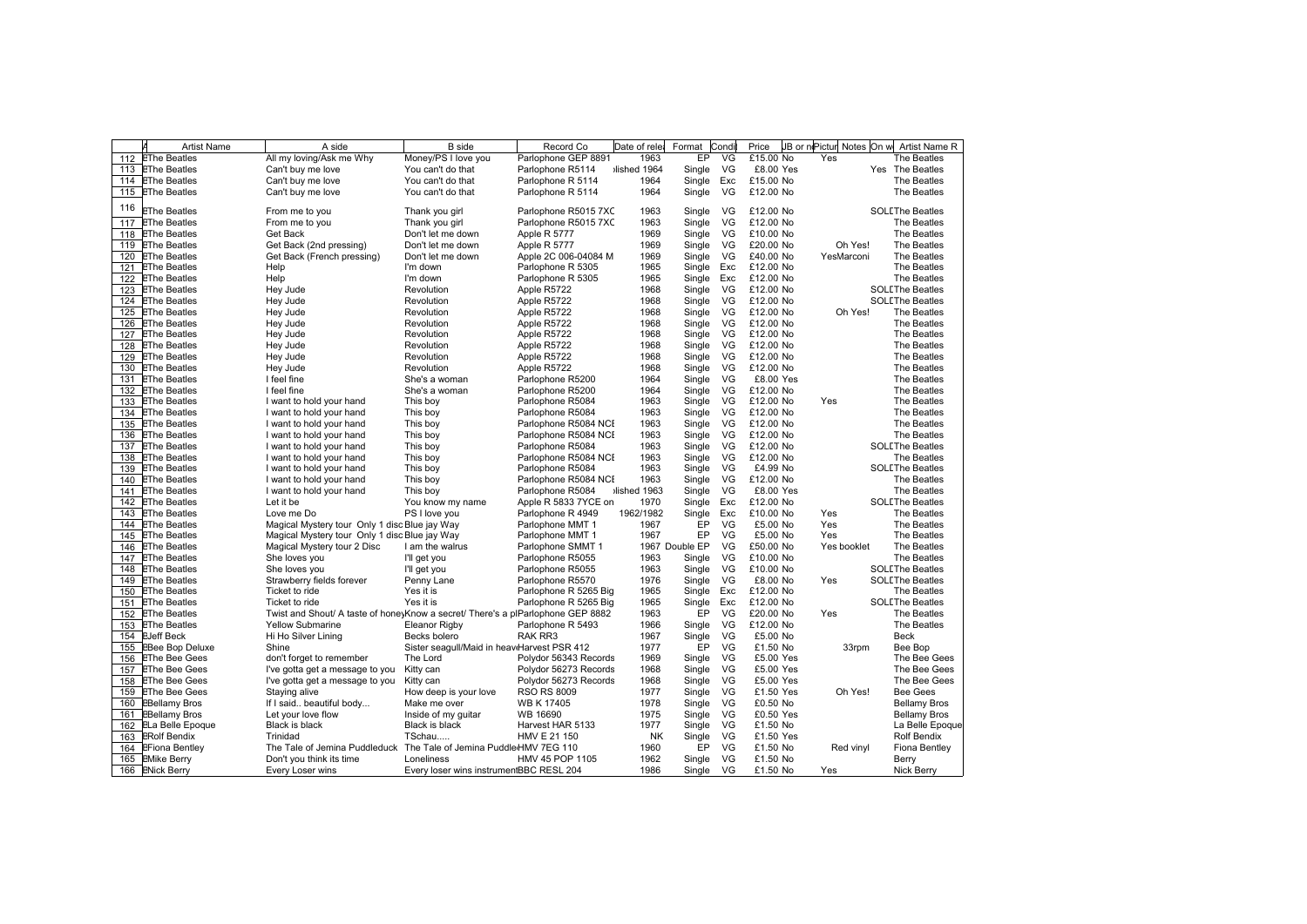|     | <b>Artist Name</b>     | A side                                                                          | <b>B</b> side                               | Record Co             | Date of rele | Format         | Condi | Price     | JB or niPictur Notes On w | Artist Name R          |
|-----|------------------------|---------------------------------------------------------------------------------|---------------------------------------------|-----------------------|--------------|----------------|-------|-----------|---------------------------|------------------------|
| 112 | <b>EThe Beatles</b>    | All my loving/Ask me Why                                                        | Money/PS I love you                         | Parlophone GEP 8891   | 1963         | EP             | VG    | £15.00 No | Yes                       | The Beatles            |
|     | 113 EThe Beatles       | Can't buy me love                                                               | You can't do that                           | Parlophone R5114      | ilished 1964 | Single         | VG    | £8.00 Yes |                           | Yes The Beatles        |
|     | 114 EThe Beatles       | Can't buy me love                                                               | You can't do that                           | Parlophone R 5114     | 1964         | Single Exc     |       | £15.00 No |                           | The Beatles            |
| 115 | <b>EThe Beatles</b>    | Can't buy me love                                                               | You can't do that                           | Parlophone R 5114     | 1964         | Single         | VG    | £12.00 No |                           | The Beatles            |
|     |                        |                                                                                 |                                             |                       |              |                |       |           |                           |                        |
| 116 | <b>EThe Beatles</b>    | From me to you                                                                  | Thank you girl                              | Parlophone R5015 7XC  | 1963         | Single         | VG    | £12.00 No |                           | <b>SOLLThe Beatles</b> |
| 117 | <b>EThe Beatles</b>    | From me to you                                                                  | Thank you girl                              | Parlophone R5015 7XC  | 1963         | Single         | VG    | £12.00 No |                           | The Beatles            |
| 118 | <b>EThe Beatles</b>    | <b>Get Back</b>                                                                 | Don't let me down                           | Apple R 5777          | 1969         | Single         | VG    | £10.00 No |                           | The Beatles            |
| 119 | <b>EThe Beatles</b>    | Get Back (2nd pressing)                                                         | Don't let me down                           | Apple R 5777          | 1969         | Single         | VG    | £20.00 No | Oh Yes!                   | The Beatles            |
| 120 | <b>EThe Beatles</b>    | Get Back (French pressing)                                                      | Don't let me down                           | Apple 2C 006-04084 M  | 1969         | Single         | VG    | £40.00 No | YesMarconi                | The Beatles            |
| 121 | <b>EThe Beatles</b>    | Help                                                                            | I'm down                                    | Parlophone R 5305     | 1965         | Single Exc     |       | £12.00 No |                           | The Beatles            |
| 122 | <b>EThe Beatles</b>    | Help                                                                            | I'm down                                    | Parlophone R 5305     | 1965         | Single Exc     |       | £12.00 No |                           | The Beatles            |
| 123 | <b>EThe Beatles</b>    | Hey Jude                                                                        | Revolution                                  | Apple R5722           | 1968         | Single         | VG    | £12.00 No |                           | <b>SOLEThe Beatles</b> |
|     | 124 EThe Beatles       | Hey Jude                                                                        | Revolution                                  | Apple R5722           | 1968         | Single         | VG    | £12.00 No |                           | <b>SOLLThe Beatles</b> |
|     | 125 EThe Beatles       | Hey Jude                                                                        | Revolution                                  | Apple R5722           | 1968         | Single         | VG    | £12.00 No | Oh Yes!                   | The Beatles            |
|     | 126 EThe Beatles       | Hey Jude                                                                        | Revolution                                  | Apple R5722           | 1968         | Single         | VG    | £12.00 No |                           | The Beatles            |
| 127 | <b>EThe Beatles</b>    | Hey Jude                                                                        | Revolution                                  | Apple R5722           | 1968         | Single         | VG    | £12.00 No |                           | The Beatles            |
|     | 128 EThe Beatles       | Hey Jude                                                                        | Revolution                                  | Apple R5722           | 1968         | Single         | VG    | £12.00 No |                           | The Beatles            |
|     | 129 EThe Beatles       | Hey Jude                                                                        | Revolution                                  | Apple R5722           | 1968         | Single         | VG    | £12.00 No |                           | The Beatles            |
| 130 | <b>EThe Beatles</b>    | Hey Jude                                                                        | Revolution                                  | Apple R5722           | 1968         | Single         | VG    | £12.00 No |                           | The Beatles            |
| 131 | <b>EThe Beatles</b>    | I feel fine                                                                     | She's a woman                               | Parlophone R5200      | 1964         | Single         | - VG  | £8.00 Yes |                           | The Beatles            |
| 132 | <b>EThe Beatles</b>    | I feel fine                                                                     | She's a woman                               | Parlophone R5200      | 1964         | Single         | VG    | £12.00 No |                           | The Beatles            |
|     | 133 EThe Beatles       | I want to hold your hand                                                        | This boy                                    | Parlophone R5084      | 1963         | Single         | VG    | £12.00 No | Yes                       | The Beatles            |
|     | 134 EThe Beatles       | I want to hold your hand                                                        | This boy                                    | Parlophone R5084      | 1963         | Single         | VG    | £12.00 No |                           | The Beatles            |
|     | 135 EThe Beatles       | I want to hold your hand                                                        | This boy                                    | Parlophone R5084 NCI  | 1963         | Single         | VG    | £12.00 No |                           | The Beatles            |
| 136 | <b>EThe Beatles</b>    | I want to hold your hand                                                        | This boy                                    | Parlophone R5084 NCI  | 1963         | Single         | VG    | £12.00 No |                           | The Beatles            |
| 137 | <b>EThe Beatles</b>    | I want to hold your hand                                                        | This boy                                    | Parlophone R5084      | 1963         | Single         | VG    | £12.00 No |                           | <b>SOLLThe Beatles</b> |
|     | 138 EThe Beatles       | I want to hold your hand                                                        | This boy                                    | Parlophone R5084 NCI  | 1963         | Single         | VG    | £12.00 No |                           | The Beatles            |
|     | 139 EThe Beatles       | I want to hold your hand                                                        | This boy                                    | Parlophone R5084      | 1963         | Single         | VG    | £4.99 No  |                           | <b>SOLLThe Beatles</b> |
| 140 | <b>EThe Beatles</b>    | I want to hold your hand                                                        | This boy                                    | Parlophone R5084 NCI  | 1963         | Single         | VG    | £12.00 No |                           | The Beatles            |
| 141 | <b>EThe Beatles</b>    | I want to hold your hand                                                        | This boy                                    | Parlophone R5084      | lished 1963  | Single         | VG    | £8.00 Yes |                           | The Beatles            |
| 142 | <b>EThe Beatles</b>    | Let it be                                                                       | You know my name                            | Apple R 5833 7YCE on  | 1970         | Single         | Exc   | £12.00 No |                           | <b>SOLLThe Beatles</b> |
|     | 143 EThe Beatles       | Love me Do                                                                      | PS I love you                               | Parlophone R 4949     | 1962/1982    | Single         | Exc   | £10.00 No | Yes                       | The Beatles            |
|     | 144 EThe Beatles       | Magical Mystery tour Only 1 disc Blue jay Way                                   |                                             | Parlophone MMT 1      | 1967         | EP             | VG    | £5.00 No  | Yes                       | The Beatles            |
| 145 | <b>EThe Beatles</b>    | Magical Mystery tour Only 1 disc Blue jay Way                                   |                                             | Parlophone MMT 1      | 1967         | EP             | VG    | £5.00 No  | Yes                       | The Beatles            |
| 146 | <b>EThe Beatles</b>    | Magical Mystery tour 2 Disc                                                     | I am the walrus                             | Parlophone SMMT 1     |              | 1967 Double EP | VG    | £50.00 No | Yes booklet               | The Beatles            |
|     | 147 EThe Beatles       | She loves you                                                                   | I'll get you                                | Parlophone R5055      | 1963         | Single         | VG    | £10.00 No |                           | The Beatles            |
| 148 | <b>EThe Beatles</b>    | She loves you                                                                   | I'll get you                                | Parlophone R5055      | 1963         | Single         | VG    | £10.00 No |                           | <b>SOLEThe Beatles</b> |
| 149 | <b>EThe Beatles</b>    | Strawberry fields forever                                                       | Penny Lane                                  | Parlophone R5570      | 1976         | Single         | VG    | £8.00 No  | Yes                       | <b>SOLLThe Beatles</b> |
| 150 | <b>EThe Beatles</b>    | Ticket to ride                                                                  | Yes it is                                   | Parlophone R 5265 Big | 1965         | Single         | Exc   | £12.00 No |                           | The Beatles            |
| 151 | <b>EThe Beatles</b>    | Ticket to ride                                                                  | Yes it is                                   | Parlophone R 5265 Big | 1965         | Single         | Exc   | £12.00 No |                           | <b>SOLLThe Beatles</b> |
|     | 152 EThe Beatles       | Twist and Shout/ A taste of hone Know a secret/ There's a plParlophone GEP 8882 |                                             |                       | 1963         | EP             | VG    | £20.00 No | Yes                       | The Beatles            |
| 153 | <b>EThe Beatles</b>    | <b>Yellow Submarine</b>                                                         | <b>Eleanor Rigby</b>                        | Parlophone R 5493     | 1966         | Single         | VG    | £12.00 No |                           | The Beatles            |
| 154 | <b>EJeff Beck</b>      | Hi Ho Silver Lining                                                             | Becks bolero                                | RAK RR3               | 1967         | Single         | VG    | £5.00 No  |                           | Beck                   |
| 155 | <b>EBee Bop Deluxe</b> | Shine                                                                           | Sister seagull/Maid in heaviHarvest PSR 412 |                       | 1977         | EP             | VG    | £1.50 No  | 33rpm                     | Bee Bop                |
| 156 | <b>EThe Bee Gees</b>   | don't forget to remember                                                        | The Lord                                    | Polydor 56343 Records | 1969         | Single         | VG    | £5.00 Yes |                           | The Bee Gees           |
|     | 157 EThe Bee Gees      | I've gotta get a message to you                                                 | Kitty can                                   | Polydor 56273 Records | 1968         | Single         | VG    | £5.00 Yes |                           | The Bee Gees           |
|     | 158 EThe Bee Gees      | I've gotta get a message to you                                                 | Kitty can                                   | Polydor 56273 Records | 1968         | Single         | VG    | £5.00 Yes |                           | The Bee Gees           |
| 159 | <b>EThe Bee Gees</b>   | Staying alive                                                                   | How deep is your love                       | <b>RSO RS 8009</b>    | 1977         | Single         | VG    | £1.50 Yes | Oh Yes!                   | <b>Bee Gees</b>        |
| 160 | <b>EBellamy Bros</b>   | If I said beautiful body                                                        | Make me over                                | <b>WB K 17405</b>     | 1978         | Single         | VG    | £0.50 No  |                           | <b>Bellamy Bros</b>    |
| 161 | <b>EBellamy Bros</b>   | Let your love flow                                                              | Inside of my guitar                         | WB 16690              | 1975         | Single         | VG    | £0.50 Yes |                           | <b>Bellamy Bros</b>    |
| 162 | ELa Belle Epoque       | Black is black                                                                  | <b>Black is black</b>                       | Harvest HAR 5133      | 1977         | Single         | VG    | £1.50 No  |                           | La Belle Epoque        |
| 163 | <b>ERolf Bendix</b>    | Trinidad                                                                        | TSchau                                      | HMV E 21 150          | <b>NK</b>    | Single         | VG    | £1.50 Yes |                           | <b>Rolf Bendix</b>     |
| 164 | <b>EFiona Bentley</b>  | The Tale of Jemina Puddleduck                                                   | The Tale of Jemina Puddle HMV 7EG 110       |                       | 1960         | EP             | VG    | £1.50 No  | Red vinyl                 | Fiona Bentley          |
|     | 165 EMike Berry        | Don't you think its time                                                        | Loneliness                                  | HMV 45 POP 1105       | 1962         | Single         | VG    | £1.50 No  |                           | Berry                  |
|     | 166 ENick Berry        | Every Loser wins                                                                | Every loser wins instrumentBBC RESL 204     |                       | 1986         | Single         | VG    | £1.50 No  | Yes                       | Nick Berry             |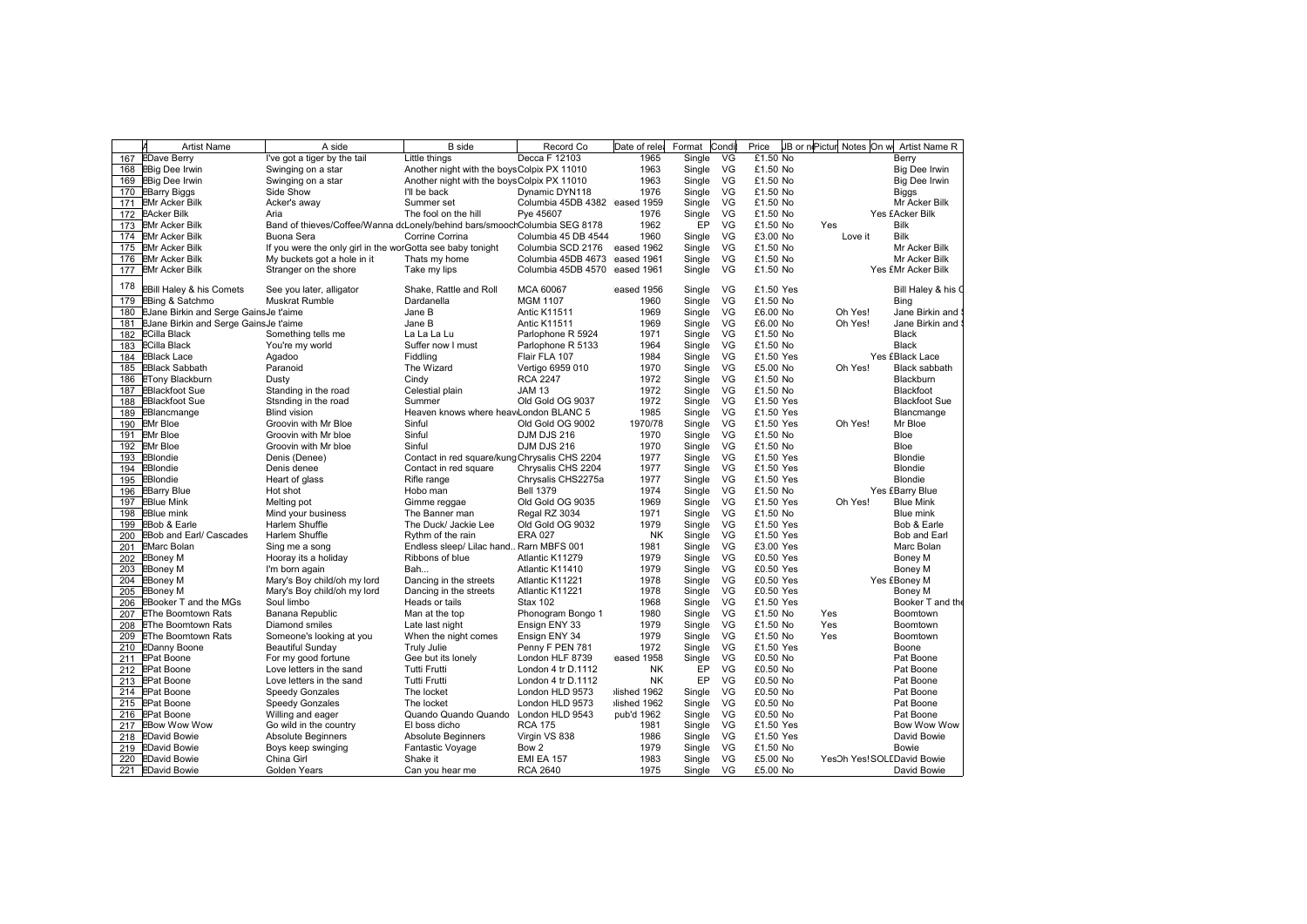| <b>EDave Berry</b><br>I've got a tiger by the tail<br>Decca F 12103<br>1965<br>Single<br>VG<br>£1.50 No<br>Berry<br>167<br>Little things<br>VG<br>168 EBig Dee Irwin<br>Swinging on a star<br>Another night with the boys Colpix PX 11010<br>1963<br>Single<br>£1.50 No<br>Single<br>VG<br>169 EBig Dee Irwin<br>Another night with the boys Colpix PX 11010<br>1963<br>£1.50 No<br>Swinging on a star<br>VG<br>£1.50 No<br>170 EBarry Biggs<br>Side Show<br>I'll be back<br>Dynamic DYN118<br>1976<br>Single<br><b>Biggs</b><br>171 EMr Acker Bilk<br>Columbia 45DB 4382 eased 1959<br>Single<br>VG<br>£1.50 No<br>Acker's away<br>Summer set<br>VG<br>172 EAcker Bilk<br>The fool on the hill<br>Pye 45607<br>1976<br>Single<br>£1.50 No<br>Yes £Acker Bilk<br>Aria<br>EP<br>1962<br>VG<br>£1.50 No<br><b>Bilk</b><br>173 EMr Acker Bilk<br>Band of thieves/Coffee/Wanna dcLonely/behind bars/smoochColumbia SEG 8178<br>Yes<br>VG<br>1960<br>Bilk<br>174 EMr Acker Bilk<br>Buona Sera<br>Corrine Corrina<br>Columbia 45 DB 4544<br>Single<br>£3.00 No<br>Love it<br>eased 1962<br>VG<br>£1.50 No<br>175 EMr Acker Bilk<br>If you were the only girl in the worGotta see baby tonight<br>Columbia SCD 2176<br>Single<br>eased 1961<br>VG<br>£1.50 No<br>176 EMr Acker Bilk<br>My buckets got a hole in it<br>Thats my home<br>Columbia 45DB 4673<br>Single<br>VG<br>Stranger on the shore<br>Single<br>177 EMr Acker Bilk<br>Take my lips<br>Columbia 45DB 4570<br>eased 1961<br>£1.50 No<br>Yes £Mr Acker Bilk<br>178<br><b>Bill Haley &amp; his Comets</b><br>Shake, Rattle and Roll<br>VG<br>£1.50 Yes<br>See you later, alligator<br>MCA 60067<br>eased 1956<br>Single<br>179<br>EBing & Satchmo<br><b>Muskrat Rumble</b><br>Dardanella<br><b>MGM 1107</b><br>1960<br>Single<br>VG<br>£1.50 No<br>Bing<br>EJane Birkin and Serge GainsJe t'aime<br>1969<br>VG<br>Oh Yes!<br>Jane B<br><b>Antic K11511</b><br>Single<br>£6.00 No<br>180<br>1969<br>Oh Yes!<br>181 EJane Birkin and Serge GainsJe t'aime<br>Single<br>VG<br>£6.00 No<br>Jane B<br><b>Antic K11511</b><br>1971<br>VG<br>182<br><b>ECilla Black</b><br>Something tells me<br>La La La Lu<br>Single<br>£1.50 No<br><b>Black</b><br>Parlophone R 5924<br>VG<br>183<br><b>ECilla Black</b><br>You're my world<br>Suffer now I must<br>1964<br>Single<br>£1.50 No<br>Black<br>Parlophone R 5133<br>184 EBlack Lace<br>Agadoo<br>1984<br>Single<br>VG<br>£1.50 Yes<br>Yes £Black Lace<br>Fiddling<br>Flair FLA 107<br>1970<br>VG<br><b>EBlack Sabbath</b><br>Paranoid<br>The Wizard<br>Vertigo 6959 010<br>Single<br>£5.00 No<br>Oh Yes!<br>185<br><b>ETony Blackburn</b><br>1972<br>Single<br>VG<br>£1.50 No<br>Blackburn<br>186<br>Cindy<br><b>RCA 2247</b><br>Dusty<br>1972<br>Single<br>VG<br>Blackfoot<br>187<br><b>EBlackfoot Sue</b><br>Standing in the road<br>Celestial plain<br><b>JAM 13</b><br>£1.50 No<br>1972<br><b>EBlackfoot Sue</b><br>Stsnding in the road<br>Summer<br>Old Gold OG 9037<br>Single<br>VG<br>£1.50 Yes<br><b>Blackfoot Sue</b><br>188<br>1985<br>Single VG<br>189<br>EBlancmange<br><b>Blind vision</b><br>Heaven knows where heav London BLANC 5<br>£1.50 Yes<br>Blancmange<br>VG<br>190<br><b>EMr Bloe</b><br>Sinful<br>1970/78<br>Single<br>£1.50 Yes<br>Oh Yes!<br>Groovin with Mr Bloe<br>Old Gold OG 9002<br>Mr Bloe<br>191 EMr Bloe<br>VG<br>Sinful<br>1970<br>Single<br>£1.50 No<br>Bloe<br>Groovin with Mr bloe<br>DJM DJS 216<br>192<br>VG<br>Bloe<br><b>EMr Bloe</b><br>Groovin with Mr bloe<br>Sinful<br>DJM DJS 216<br>1970<br>Single<br>£1.50 No<br>EBlondie<br>1977<br>Single<br>VG<br>£1.50 Yes<br>Blondie<br>193<br>Denis (Denee)<br>Contact in red square/kung Chrysalis CHS 2204<br>EBlondie<br>Denis denee<br>Contact in red square<br>1977<br>Single<br>VG<br>£1.50 Yes<br><b>Blondie</b><br>194<br>Chrysalis CHS 2204<br>195<br>1977<br>VG<br>EBlondie<br>Heart of glass<br>Rifle range<br>Single<br>£1.50 Yes<br><b>Blondie</b><br>Chrysalis CHS2275a<br><b>Bell 1379</b><br>1974<br>Single<br>VG<br>£1.50 No<br>Yes £Barry Blue<br>196<br><b>EBarry Blue</b><br>Hot shot<br>Hobo man<br>197<br><b>EBlue Mink</b><br>Old Gold OG 9035<br>1969<br>Single<br>VG<br>£1.50 Yes<br>Oh Yes!<br><b>Blue Mink</b><br>Melting pot<br>Gimme reggae<br>1971<br>VG<br>£1.50 No<br>198<br><b>EBlue mink</b><br>Mind your business<br>The Banner man<br>Regal RZ 3034<br>Single<br>Blue mink<br>EBob & Earle<br>Harlem Shuffle<br>The Duck/ Jackie Lee<br>Old Gold OG 9032<br>1979<br>Single<br>VG<br>£1.50 Yes<br>Bob & Earle<br>199<br>200<br>VG<br><b>EBob and Earl/ Cascades</b><br><b>ERA 027</b><br><b>NK</b><br>Single<br>£1.50 Yes<br>Harlem Shuffle<br>Rythm of the rain<br>Bob and Earl<br>VG<br>201<br><b>EMarc Bolan</b><br>Endless sleep/ Lilac hand Rarn MBFS 001<br>1981<br>Single<br>£3.00 Yes<br>Marc Bolan<br>Sing me a song<br><b>EBoney M</b><br>Ribbons of blue<br>1979<br>Single VG<br>£0.50 Yes<br>202<br>Hooray its a holiday<br>Atlantic K11279<br>Boney M<br>1979<br>VG<br>203<br>Bah<br>Single<br>£0.50 Yes<br><b>EBoney M</b><br>I'm born again<br>Atlantic K11410<br>Boney M<br>1978<br>VG<br>204<br><b>EBoney M</b><br>Mary's Boy child/oh my lord<br>Dancing in the streets<br>Atlantic K11221<br>Single<br>£0.50 Yes<br>Yes £Boney M<br>VG<br>205<br>Mary's Boy child/oh my lord<br>1978<br>Single<br>EBoney M<br>Dancing in the streets<br>Atlantic K11221<br>£0.50 Yes<br>Boney M<br>206<br><b>EBooker T and the MGs</b><br>Soul limbo<br>Heads or tails<br><b>Stax 102</b><br>1968<br>Single<br>VG<br>£1.50 Yes<br>VG<br>207<br><b>EThe Boomtown Rats</b><br>Banana Republic<br>Man at the top<br>Phonogram Bongo 1<br>1980<br>Single<br>£1.50 No<br>Yes<br>Boomtown<br>1979<br>VG<br>£1.50 No<br>Yes<br>208<br><b>EThe Boomtown Rats</b><br>Diamond smiles<br>Late last night<br>Ensign ENY 33<br>Single<br>Boomtown<br>1979<br>£1.50 No<br>Single<br>VG<br>Yes<br>209<br><b>EThe Boomtown Rats</b><br>Someone's looking at you<br>When the night comes<br>Ensign ENY 34<br>Boomtown<br>VG<br>210<br><b>EDanny Boone</b><br>Beautiful Sunday<br><b>Truly Julie</b><br>Penny F PEN 781<br>1972<br>Single<br>£1.50 Yes<br>Boone<br>Gee but its lonely<br>eased 1958<br>Single<br>VG<br>£0.50 No<br>211 EPat Boone<br>For my good fortune<br>London HLF 8739<br>Pat Boone<br>VG<br>212 EPat Boone<br>Love letters in the sand<br><b>Tutti Frutti</b><br><b>NK</b><br>EP<br>£0.50 No<br>Pat Boone<br>London 4 tr D.1112<br>EP<br>VG<br>213 EPat Boone<br><b>Tutti Frutti</b><br><b>NK</b><br>£0.50 No<br>Pat Boone<br>Love letters in the sand<br>London 4 tr D.1112<br>VG<br>lished 1962<br>£0.50 No<br>214 EPat Boone<br><b>Speedy Gonzales</b><br>The locket<br>London HLD 9573<br>Single<br>Pat Boone<br>Single<br>VG<br>215 EPat Boone<br>Speedy Gonzales<br>The locket<br>lished 1962<br>£0.50 No<br>Pat Boone<br>London HLD 9573<br>Quando Quando Quando<br>VG<br>216 EPat Boone<br>Willing and eager<br>London HLD 9543<br>pub'd 1962<br>Single<br>£0.50 No<br>Pat Boone<br><b>EBow Wow Wow</b><br>Go wild in the country<br>El boss dicho<br><b>RCA 175</b><br>1981<br>VG<br>£1.50 Yes<br>217<br>Single<br>1986<br>VG<br>Virgin VS 838<br>Single<br>£1.50 Yes<br>David Bowie<br>218 EDavid Bowie<br><b>Absolute Beginners</b><br>Absolute Beginners<br>Bow 2<br>219 EDavid Bowie<br>Boys keep swinging<br>Fantastic Voyage<br>1979<br>Single<br>VG<br>£1.50 No<br><b>Bowie</b> | <b>Artist Name</b> | A side     | <b>B</b> side | Record Co         | Date of rele | Format | Condi | Price    | JB or nePictur Notes On w | Artist Name R      |
|--------------------------------------------------------------------------------------------------------------------------------------------------------------------------------------------------------------------------------------------------------------------------------------------------------------------------------------------------------------------------------------------------------------------------------------------------------------------------------------------------------------------------------------------------------------------------------------------------------------------------------------------------------------------------------------------------------------------------------------------------------------------------------------------------------------------------------------------------------------------------------------------------------------------------------------------------------------------------------------------------------------------------------------------------------------------------------------------------------------------------------------------------------------------------------------------------------------------------------------------------------------------------------------------------------------------------------------------------------------------------------------------------------------------------------------------------------------------------------------------------------------------------------------------------------------------------------------------------------------------------------------------------------------------------------------------------------------------------------------------------------------------------------------------------------------------------------------------------------------------------------------------------------------------------------------------------------------------------------------------------------------------------------------------------------------------------------------------------------------------------------------------------------------------------------------------------------------------------------------------------------------------------------------------------------------------------------------------------------------------------------------------------------------------------------------------------------------------------------------------------------------------------------------------------------------------------------------------------------------------------------------------------------------------------------------------------------------------------------------------------------------------------------------------------------------------------------------------------------------------------------------------------------------------------------------------------------------------------------------------------------------------------------------------------------------------------------------------------------------------------------------------------------------------------------------------------------------------------------------------------------------------------------------------------------------------------------------------------------------------------------------------------------------------------------------------------------------------------------------------------------------------------------------------------------------------------------------------------------------------------------------------------------------------------------------------------------------------------------------------------------------------------------------------------------------------------------------------------------------------------------------------------------------------------------------------------------------------------------------------------------------------------------------------------------------------------------------------------------------------------------------------------------------------------------------------------------------------------------------------------------------------------------------------------------------------------------------------------------------------------------------------------------------------------------------------------------------------------------------------------------------------------------------------------------------------------------------------------------------------------------------------------------------------------------------------------------------------------------------------------------------------------------------------------------------------------------------------------------------------------------------------------------------------------------------------------------------------------------------------------------------------------------------------------------------------------------------------------------------------------------------------------------------------------------------------------------------------------------------------------------------------------------------------------------------------------------------------------------------------------------------------------------------------------------------------------------------------------------------------------------------------------------------------------------------------------------------------------------------------------------------------------------------------------------------------------------------------------------------------------------------------------------------------------------------------------------------------------------------------------------------------------------------------------------------------------------------------------------------------------------------------------------------------------------------------------------------------------------------------------------------------------------------------------------------------------------------------------------------------------------------------------------------------------------------------------------------------------------------------------------------------------------------------------------------------------------------------------------------------------------------------------------------------------------------------------------------------------------------------------------------------------------------------------------------------------------------------------------------------------------------------------------------------------------------------------------------------------------------------------------------------------------------------------------------------------------------------------------------------------------------------------------------------------------------------------------------------------------------------------------------------------------------------------------------------------------------------------------------------------------------------------------------------------------------------------------------------------------------------------------------------------------------------------------|--------------------|------------|---------------|-------------------|--------------|--------|-------|----------|---------------------------|--------------------|
|                                                                                                                                                                                                                                                                                                                                                                                                                                                                                                                                                                                                                                                                                                                                                                                                                                                                                                                                                                                                                                                                                                                                                                                                                                                                                                                                                                                                                                                                                                                                                                                                                                                                                                                                                                                                                                                                                                                                                                                                                                                                                                                                                                                                                                                                                                                                                                                                                                                                                                                                                                                                                                                                                                                                                                                                                                                                                                                                                                                                                                                                                                                                                                                                                                                                                                                                                                                                                                                                                                                                                                                                                                                                                                                                                                                                                                                                                                                                                                                                                                                                                                                                                                                                                                                                                                                                                                                                                                                                                                                                                                                                                                                                                                                                                                                                                                                                                                                                                                                                                                                                                                                                                                                                                                                                                                                                                                                                                                                                                                                                                                                                                                                                                                                                                                                                                                                                                                                                                                                                                                                                                                                                                                                                                                                                                                                                                                                                                                                                                                                                                                                                                                                                                                                                                                                                                                                                                                                                                                                                                                                                                                                                                                                                                                                                                                                                                                                                                                |                    |            |               |                   |              |        |       |          |                           |                    |
|                                                                                                                                                                                                                                                                                                                                                                                                                                                                                                                                                                                                                                                                                                                                                                                                                                                                                                                                                                                                                                                                                                                                                                                                                                                                                                                                                                                                                                                                                                                                                                                                                                                                                                                                                                                                                                                                                                                                                                                                                                                                                                                                                                                                                                                                                                                                                                                                                                                                                                                                                                                                                                                                                                                                                                                                                                                                                                                                                                                                                                                                                                                                                                                                                                                                                                                                                                                                                                                                                                                                                                                                                                                                                                                                                                                                                                                                                                                                                                                                                                                                                                                                                                                                                                                                                                                                                                                                                                                                                                                                                                                                                                                                                                                                                                                                                                                                                                                                                                                                                                                                                                                                                                                                                                                                                                                                                                                                                                                                                                                                                                                                                                                                                                                                                                                                                                                                                                                                                                                                                                                                                                                                                                                                                                                                                                                                                                                                                                                                                                                                                                                                                                                                                                                                                                                                                                                                                                                                                                                                                                                                                                                                                                                                                                                                                                                                                                                                                                |                    |            |               |                   |              |        |       |          |                           | Big Dee Irwin      |
|                                                                                                                                                                                                                                                                                                                                                                                                                                                                                                                                                                                                                                                                                                                                                                                                                                                                                                                                                                                                                                                                                                                                                                                                                                                                                                                                                                                                                                                                                                                                                                                                                                                                                                                                                                                                                                                                                                                                                                                                                                                                                                                                                                                                                                                                                                                                                                                                                                                                                                                                                                                                                                                                                                                                                                                                                                                                                                                                                                                                                                                                                                                                                                                                                                                                                                                                                                                                                                                                                                                                                                                                                                                                                                                                                                                                                                                                                                                                                                                                                                                                                                                                                                                                                                                                                                                                                                                                                                                                                                                                                                                                                                                                                                                                                                                                                                                                                                                                                                                                                                                                                                                                                                                                                                                                                                                                                                                                                                                                                                                                                                                                                                                                                                                                                                                                                                                                                                                                                                                                                                                                                                                                                                                                                                                                                                                                                                                                                                                                                                                                                                                                                                                                                                                                                                                                                                                                                                                                                                                                                                                                                                                                                                                                                                                                                                                                                                                                                                |                    |            |               |                   |              |        |       |          |                           | Big Dee Irwin      |
|                                                                                                                                                                                                                                                                                                                                                                                                                                                                                                                                                                                                                                                                                                                                                                                                                                                                                                                                                                                                                                                                                                                                                                                                                                                                                                                                                                                                                                                                                                                                                                                                                                                                                                                                                                                                                                                                                                                                                                                                                                                                                                                                                                                                                                                                                                                                                                                                                                                                                                                                                                                                                                                                                                                                                                                                                                                                                                                                                                                                                                                                                                                                                                                                                                                                                                                                                                                                                                                                                                                                                                                                                                                                                                                                                                                                                                                                                                                                                                                                                                                                                                                                                                                                                                                                                                                                                                                                                                                                                                                                                                                                                                                                                                                                                                                                                                                                                                                                                                                                                                                                                                                                                                                                                                                                                                                                                                                                                                                                                                                                                                                                                                                                                                                                                                                                                                                                                                                                                                                                                                                                                                                                                                                                                                                                                                                                                                                                                                                                                                                                                                                                                                                                                                                                                                                                                                                                                                                                                                                                                                                                                                                                                                                                                                                                                                                                                                                                                                |                    |            |               |                   |              |        |       |          |                           |                    |
|                                                                                                                                                                                                                                                                                                                                                                                                                                                                                                                                                                                                                                                                                                                                                                                                                                                                                                                                                                                                                                                                                                                                                                                                                                                                                                                                                                                                                                                                                                                                                                                                                                                                                                                                                                                                                                                                                                                                                                                                                                                                                                                                                                                                                                                                                                                                                                                                                                                                                                                                                                                                                                                                                                                                                                                                                                                                                                                                                                                                                                                                                                                                                                                                                                                                                                                                                                                                                                                                                                                                                                                                                                                                                                                                                                                                                                                                                                                                                                                                                                                                                                                                                                                                                                                                                                                                                                                                                                                                                                                                                                                                                                                                                                                                                                                                                                                                                                                                                                                                                                                                                                                                                                                                                                                                                                                                                                                                                                                                                                                                                                                                                                                                                                                                                                                                                                                                                                                                                                                                                                                                                                                                                                                                                                                                                                                                                                                                                                                                                                                                                                                                                                                                                                                                                                                                                                                                                                                                                                                                                                                                                                                                                                                                                                                                                                                                                                                                                                |                    |            |               |                   |              |        |       |          |                           | Mr Acker Bilk      |
|                                                                                                                                                                                                                                                                                                                                                                                                                                                                                                                                                                                                                                                                                                                                                                                                                                                                                                                                                                                                                                                                                                                                                                                                                                                                                                                                                                                                                                                                                                                                                                                                                                                                                                                                                                                                                                                                                                                                                                                                                                                                                                                                                                                                                                                                                                                                                                                                                                                                                                                                                                                                                                                                                                                                                                                                                                                                                                                                                                                                                                                                                                                                                                                                                                                                                                                                                                                                                                                                                                                                                                                                                                                                                                                                                                                                                                                                                                                                                                                                                                                                                                                                                                                                                                                                                                                                                                                                                                                                                                                                                                                                                                                                                                                                                                                                                                                                                                                                                                                                                                                                                                                                                                                                                                                                                                                                                                                                                                                                                                                                                                                                                                                                                                                                                                                                                                                                                                                                                                                                                                                                                                                                                                                                                                                                                                                                                                                                                                                                                                                                                                                                                                                                                                                                                                                                                                                                                                                                                                                                                                                                                                                                                                                                                                                                                                                                                                                                                                |                    |            |               |                   |              |        |       |          |                           |                    |
|                                                                                                                                                                                                                                                                                                                                                                                                                                                                                                                                                                                                                                                                                                                                                                                                                                                                                                                                                                                                                                                                                                                                                                                                                                                                                                                                                                                                                                                                                                                                                                                                                                                                                                                                                                                                                                                                                                                                                                                                                                                                                                                                                                                                                                                                                                                                                                                                                                                                                                                                                                                                                                                                                                                                                                                                                                                                                                                                                                                                                                                                                                                                                                                                                                                                                                                                                                                                                                                                                                                                                                                                                                                                                                                                                                                                                                                                                                                                                                                                                                                                                                                                                                                                                                                                                                                                                                                                                                                                                                                                                                                                                                                                                                                                                                                                                                                                                                                                                                                                                                                                                                                                                                                                                                                                                                                                                                                                                                                                                                                                                                                                                                                                                                                                                                                                                                                                                                                                                                                                                                                                                                                                                                                                                                                                                                                                                                                                                                                                                                                                                                                                                                                                                                                                                                                                                                                                                                                                                                                                                                                                                                                                                                                                                                                                                                                                                                                                                                |                    |            |               |                   |              |        |       |          |                           |                    |
|                                                                                                                                                                                                                                                                                                                                                                                                                                                                                                                                                                                                                                                                                                                                                                                                                                                                                                                                                                                                                                                                                                                                                                                                                                                                                                                                                                                                                                                                                                                                                                                                                                                                                                                                                                                                                                                                                                                                                                                                                                                                                                                                                                                                                                                                                                                                                                                                                                                                                                                                                                                                                                                                                                                                                                                                                                                                                                                                                                                                                                                                                                                                                                                                                                                                                                                                                                                                                                                                                                                                                                                                                                                                                                                                                                                                                                                                                                                                                                                                                                                                                                                                                                                                                                                                                                                                                                                                                                                                                                                                                                                                                                                                                                                                                                                                                                                                                                                                                                                                                                                                                                                                                                                                                                                                                                                                                                                                                                                                                                                                                                                                                                                                                                                                                                                                                                                                                                                                                                                                                                                                                                                                                                                                                                                                                                                                                                                                                                                                                                                                                                                                                                                                                                                                                                                                                                                                                                                                                                                                                                                                                                                                                                                                                                                                                                                                                                                                                                |                    |            |               |                   |              |        |       |          |                           |                    |
|                                                                                                                                                                                                                                                                                                                                                                                                                                                                                                                                                                                                                                                                                                                                                                                                                                                                                                                                                                                                                                                                                                                                                                                                                                                                                                                                                                                                                                                                                                                                                                                                                                                                                                                                                                                                                                                                                                                                                                                                                                                                                                                                                                                                                                                                                                                                                                                                                                                                                                                                                                                                                                                                                                                                                                                                                                                                                                                                                                                                                                                                                                                                                                                                                                                                                                                                                                                                                                                                                                                                                                                                                                                                                                                                                                                                                                                                                                                                                                                                                                                                                                                                                                                                                                                                                                                                                                                                                                                                                                                                                                                                                                                                                                                                                                                                                                                                                                                                                                                                                                                                                                                                                                                                                                                                                                                                                                                                                                                                                                                                                                                                                                                                                                                                                                                                                                                                                                                                                                                                                                                                                                                                                                                                                                                                                                                                                                                                                                                                                                                                                                                                                                                                                                                                                                                                                                                                                                                                                                                                                                                                                                                                                                                                                                                                                                                                                                                                                                |                    |            |               |                   |              |        |       |          |                           | Mr Acker Bilk      |
|                                                                                                                                                                                                                                                                                                                                                                                                                                                                                                                                                                                                                                                                                                                                                                                                                                                                                                                                                                                                                                                                                                                                                                                                                                                                                                                                                                                                                                                                                                                                                                                                                                                                                                                                                                                                                                                                                                                                                                                                                                                                                                                                                                                                                                                                                                                                                                                                                                                                                                                                                                                                                                                                                                                                                                                                                                                                                                                                                                                                                                                                                                                                                                                                                                                                                                                                                                                                                                                                                                                                                                                                                                                                                                                                                                                                                                                                                                                                                                                                                                                                                                                                                                                                                                                                                                                                                                                                                                                                                                                                                                                                                                                                                                                                                                                                                                                                                                                                                                                                                                                                                                                                                                                                                                                                                                                                                                                                                                                                                                                                                                                                                                                                                                                                                                                                                                                                                                                                                                                                                                                                                                                                                                                                                                                                                                                                                                                                                                                                                                                                                                                                                                                                                                                                                                                                                                                                                                                                                                                                                                                                                                                                                                                                                                                                                                                                                                                                                                |                    |            |               |                   |              |        |       |          |                           | Mr Acker Bilk      |
|                                                                                                                                                                                                                                                                                                                                                                                                                                                                                                                                                                                                                                                                                                                                                                                                                                                                                                                                                                                                                                                                                                                                                                                                                                                                                                                                                                                                                                                                                                                                                                                                                                                                                                                                                                                                                                                                                                                                                                                                                                                                                                                                                                                                                                                                                                                                                                                                                                                                                                                                                                                                                                                                                                                                                                                                                                                                                                                                                                                                                                                                                                                                                                                                                                                                                                                                                                                                                                                                                                                                                                                                                                                                                                                                                                                                                                                                                                                                                                                                                                                                                                                                                                                                                                                                                                                                                                                                                                                                                                                                                                                                                                                                                                                                                                                                                                                                                                                                                                                                                                                                                                                                                                                                                                                                                                                                                                                                                                                                                                                                                                                                                                                                                                                                                                                                                                                                                                                                                                                                                                                                                                                                                                                                                                                                                                                                                                                                                                                                                                                                                                                                                                                                                                                                                                                                                                                                                                                                                                                                                                                                                                                                                                                                                                                                                                                                                                                                                                |                    |            |               |                   |              |        |       |          |                           |                    |
|                                                                                                                                                                                                                                                                                                                                                                                                                                                                                                                                                                                                                                                                                                                                                                                                                                                                                                                                                                                                                                                                                                                                                                                                                                                                                                                                                                                                                                                                                                                                                                                                                                                                                                                                                                                                                                                                                                                                                                                                                                                                                                                                                                                                                                                                                                                                                                                                                                                                                                                                                                                                                                                                                                                                                                                                                                                                                                                                                                                                                                                                                                                                                                                                                                                                                                                                                                                                                                                                                                                                                                                                                                                                                                                                                                                                                                                                                                                                                                                                                                                                                                                                                                                                                                                                                                                                                                                                                                                                                                                                                                                                                                                                                                                                                                                                                                                                                                                                                                                                                                                                                                                                                                                                                                                                                                                                                                                                                                                                                                                                                                                                                                                                                                                                                                                                                                                                                                                                                                                                                                                                                                                                                                                                                                                                                                                                                                                                                                                                                                                                                                                                                                                                                                                                                                                                                                                                                                                                                                                                                                                                                                                                                                                                                                                                                                                                                                                                                                |                    |            |               |                   |              |        |       |          |                           |                    |
|                                                                                                                                                                                                                                                                                                                                                                                                                                                                                                                                                                                                                                                                                                                                                                                                                                                                                                                                                                                                                                                                                                                                                                                                                                                                                                                                                                                                                                                                                                                                                                                                                                                                                                                                                                                                                                                                                                                                                                                                                                                                                                                                                                                                                                                                                                                                                                                                                                                                                                                                                                                                                                                                                                                                                                                                                                                                                                                                                                                                                                                                                                                                                                                                                                                                                                                                                                                                                                                                                                                                                                                                                                                                                                                                                                                                                                                                                                                                                                                                                                                                                                                                                                                                                                                                                                                                                                                                                                                                                                                                                                                                                                                                                                                                                                                                                                                                                                                                                                                                                                                                                                                                                                                                                                                                                                                                                                                                                                                                                                                                                                                                                                                                                                                                                                                                                                                                                                                                                                                                                                                                                                                                                                                                                                                                                                                                                                                                                                                                                                                                                                                                                                                                                                                                                                                                                                                                                                                                                                                                                                                                                                                                                                                                                                                                                                                                                                                                                                |                    |            |               |                   |              |        |       |          |                           | Bill Haley & his O |
|                                                                                                                                                                                                                                                                                                                                                                                                                                                                                                                                                                                                                                                                                                                                                                                                                                                                                                                                                                                                                                                                                                                                                                                                                                                                                                                                                                                                                                                                                                                                                                                                                                                                                                                                                                                                                                                                                                                                                                                                                                                                                                                                                                                                                                                                                                                                                                                                                                                                                                                                                                                                                                                                                                                                                                                                                                                                                                                                                                                                                                                                                                                                                                                                                                                                                                                                                                                                                                                                                                                                                                                                                                                                                                                                                                                                                                                                                                                                                                                                                                                                                                                                                                                                                                                                                                                                                                                                                                                                                                                                                                                                                                                                                                                                                                                                                                                                                                                                                                                                                                                                                                                                                                                                                                                                                                                                                                                                                                                                                                                                                                                                                                                                                                                                                                                                                                                                                                                                                                                                                                                                                                                                                                                                                                                                                                                                                                                                                                                                                                                                                                                                                                                                                                                                                                                                                                                                                                                                                                                                                                                                                                                                                                                                                                                                                                                                                                                                                                |                    |            |               |                   |              |        |       |          |                           |                    |
|                                                                                                                                                                                                                                                                                                                                                                                                                                                                                                                                                                                                                                                                                                                                                                                                                                                                                                                                                                                                                                                                                                                                                                                                                                                                                                                                                                                                                                                                                                                                                                                                                                                                                                                                                                                                                                                                                                                                                                                                                                                                                                                                                                                                                                                                                                                                                                                                                                                                                                                                                                                                                                                                                                                                                                                                                                                                                                                                                                                                                                                                                                                                                                                                                                                                                                                                                                                                                                                                                                                                                                                                                                                                                                                                                                                                                                                                                                                                                                                                                                                                                                                                                                                                                                                                                                                                                                                                                                                                                                                                                                                                                                                                                                                                                                                                                                                                                                                                                                                                                                                                                                                                                                                                                                                                                                                                                                                                                                                                                                                                                                                                                                                                                                                                                                                                                                                                                                                                                                                                                                                                                                                                                                                                                                                                                                                                                                                                                                                                                                                                                                                                                                                                                                                                                                                                                                                                                                                                                                                                                                                                                                                                                                                                                                                                                                                                                                                                                                |                    |            |               |                   |              |        |       |          |                           | Jane Birkin and    |
|                                                                                                                                                                                                                                                                                                                                                                                                                                                                                                                                                                                                                                                                                                                                                                                                                                                                                                                                                                                                                                                                                                                                                                                                                                                                                                                                                                                                                                                                                                                                                                                                                                                                                                                                                                                                                                                                                                                                                                                                                                                                                                                                                                                                                                                                                                                                                                                                                                                                                                                                                                                                                                                                                                                                                                                                                                                                                                                                                                                                                                                                                                                                                                                                                                                                                                                                                                                                                                                                                                                                                                                                                                                                                                                                                                                                                                                                                                                                                                                                                                                                                                                                                                                                                                                                                                                                                                                                                                                                                                                                                                                                                                                                                                                                                                                                                                                                                                                                                                                                                                                                                                                                                                                                                                                                                                                                                                                                                                                                                                                                                                                                                                                                                                                                                                                                                                                                                                                                                                                                                                                                                                                                                                                                                                                                                                                                                                                                                                                                                                                                                                                                                                                                                                                                                                                                                                                                                                                                                                                                                                                                                                                                                                                                                                                                                                                                                                                                                                |                    |            |               |                   |              |        |       |          |                           | Jane Birkin and    |
|                                                                                                                                                                                                                                                                                                                                                                                                                                                                                                                                                                                                                                                                                                                                                                                                                                                                                                                                                                                                                                                                                                                                                                                                                                                                                                                                                                                                                                                                                                                                                                                                                                                                                                                                                                                                                                                                                                                                                                                                                                                                                                                                                                                                                                                                                                                                                                                                                                                                                                                                                                                                                                                                                                                                                                                                                                                                                                                                                                                                                                                                                                                                                                                                                                                                                                                                                                                                                                                                                                                                                                                                                                                                                                                                                                                                                                                                                                                                                                                                                                                                                                                                                                                                                                                                                                                                                                                                                                                                                                                                                                                                                                                                                                                                                                                                                                                                                                                                                                                                                                                                                                                                                                                                                                                                                                                                                                                                                                                                                                                                                                                                                                                                                                                                                                                                                                                                                                                                                                                                                                                                                                                                                                                                                                                                                                                                                                                                                                                                                                                                                                                                                                                                                                                                                                                                                                                                                                                                                                                                                                                                                                                                                                                                                                                                                                                                                                                                                                |                    |            |               |                   |              |        |       |          |                           |                    |
|                                                                                                                                                                                                                                                                                                                                                                                                                                                                                                                                                                                                                                                                                                                                                                                                                                                                                                                                                                                                                                                                                                                                                                                                                                                                                                                                                                                                                                                                                                                                                                                                                                                                                                                                                                                                                                                                                                                                                                                                                                                                                                                                                                                                                                                                                                                                                                                                                                                                                                                                                                                                                                                                                                                                                                                                                                                                                                                                                                                                                                                                                                                                                                                                                                                                                                                                                                                                                                                                                                                                                                                                                                                                                                                                                                                                                                                                                                                                                                                                                                                                                                                                                                                                                                                                                                                                                                                                                                                                                                                                                                                                                                                                                                                                                                                                                                                                                                                                                                                                                                                                                                                                                                                                                                                                                                                                                                                                                                                                                                                                                                                                                                                                                                                                                                                                                                                                                                                                                                                                                                                                                                                                                                                                                                                                                                                                                                                                                                                                                                                                                                                                                                                                                                                                                                                                                                                                                                                                                                                                                                                                                                                                                                                                                                                                                                                                                                                                                                |                    |            |               |                   |              |        |       |          |                           |                    |
|                                                                                                                                                                                                                                                                                                                                                                                                                                                                                                                                                                                                                                                                                                                                                                                                                                                                                                                                                                                                                                                                                                                                                                                                                                                                                                                                                                                                                                                                                                                                                                                                                                                                                                                                                                                                                                                                                                                                                                                                                                                                                                                                                                                                                                                                                                                                                                                                                                                                                                                                                                                                                                                                                                                                                                                                                                                                                                                                                                                                                                                                                                                                                                                                                                                                                                                                                                                                                                                                                                                                                                                                                                                                                                                                                                                                                                                                                                                                                                                                                                                                                                                                                                                                                                                                                                                                                                                                                                                                                                                                                                                                                                                                                                                                                                                                                                                                                                                                                                                                                                                                                                                                                                                                                                                                                                                                                                                                                                                                                                                                                                                                                                                                                                                                                                                                                                                                                                                                                                                                                                                                                                                                                                                                                                                                                                                                                                                                                                                                                                                                                                                                                                                                                                                                                                                                                                                                                                                                                                                                                                                                                                                                                                                                                                                                                                                                                                                                                                |                    |            |               |                   |              |        |       |          |                           |                    |
|                                                                                                                                                                                                                                                                                                                                                                                                                                                                                                                                                                                                                                                                                                                                                                                                                                                                                                                                                                                                                                                                                                                                                                                                                                                                                                                                                                                                                                                                                                                                                                                                                                                                                                                                                                                                                                                                                                                                                                                                                                                                                                                                                                                                                                                                                                                                                                                                                                                                                                                                                                                                                                                                                                                                                                                                                                                                                                                                                                                                                                                                                                                                                                                                                                                                                                                                                                                                                                                                                                                                                                                                                                                                                                                                                                                                                                                                                                                                                                                                                                                                                                                                                                                                                                                                                                                                                                                                                                                                                                                                                                                                                                                                                                                                                                                                                                                                                                                                                                                                                                                                                                                                                                                                                                                                                                                                                                                                                                                                                                                                                                                                                                                                                                                                                                                                                                                                                                                                                                                                                                                                                                                                                                                                                                                                                                                                                                                                                                                                                                                                                                                                                                                                                                                                                                                                                                                                                                                                                                                                                                                                                                                                                                                                                                                                                                                                                                                                                                |                    |            |               |                   |              |        |       |          |                           | Black sabbath      |
|                                                                                                                                                                                                                                                                                                                                                                                                                                                                                                                                                                                                                                                                                                                                                                                                                                                                                                                                                                                                                                                                                                                                                                                                                                                                                                                                                                                                                                                                                                                                                                                                                                                                                                                                                                                                                                                                                                                                                                                                                                                                                                                                                                                                                                                                                                                                                                                                                                                                                                                                                                                                                                                                                                                                                                                                                                                                                                                                                                                                                                                                                                                                                                                                                                                                                                                                                                                                                                                                                                                                                                                                                                                                                                                                                                                                                                                                                                                                                                                                                                                                                                                                                                                                                                                                                                                                                                                                                                                                                                                                                                                                                                                                                                                                                                                                                                                                                                                                                                                                                                                                                                                                                                                                                                                                                                                                                                                                                                                                                                                                                                                                                                                                                                                                                                                                                                                                                                                                                                                                                                                                                                                                                                                                                                                                                                                                                                                                                                                                                                                                                                                                                                                                                                                                                                                                                                                                                                                                                                                                                                                                                                                                                                                                                                                                                                                                                                                                                                |                    |            |               |                   |              |        |       |          |                           |                    |
|                                                                                                                                                                                                                                                                                                                                                                                                                                                                                                                                                                                                                                                                                                                                                                                                                                                                                                                                                                                                                                                                                                                                                                                                                                                                                                                                                                                                                                                                                                                                                                                                                                                                                                                                                                                                                                                                                                                                                                                                                                                                                                                                                                                                                                                                                                                                                                                                                                                                                                                                                                                                                                                                                                                                                                                                                                                                                                                                                                                                                                                                                                                                                                                                                                                                                                                                                                                                                                                                                                                                                                                                                                                                                                                                                                                                                                                                                                                                                                                                                                                                                                                                                                                                                                                                                                                                                                                                                                                                                                                                                                                                                                                                                                                                                                                                                                                                                                                                                                                                                                                                                                                                                                                                                                                                                                                                                                                                                                                                                                                                                                                                                                                                                                                                                                                                                                                                                                                                                                                                                                                                                                                                                                                                                                                                                                                                                                                                                                                                                                                                                                                                                                                                                                                                                                                                                                                                                                                                                                                                                                                                                                                                                                                                                                                                                                                                                                                                                                |                    |            |               |                   |              |        |       |          |                           |                    |
|                                                                                                                                                                                                                                                                                                                                                                                                                                                                                                                                                                                                                                                                                                                                                                                                                                                                                                                                                                                                                                                                                                                                                                                                                                                                                                                                                                                                                                                                                                                                                                                                                                                                                                                                                                                                                                                                                                                                                                                                                                                                                                                                                                                                                                                                                                                                                                                                                                                                                                                                                                                                                                                                                                                                                                                                                                                                                                                                                                                                                                                                                                                                                                                                                                                                                                                                                                                                                                                                                                                                                                                                                                                                                                                                                                                                                                                                                                                                                                                                                                                                                                                                                                                                                                                                                                                                                                                                                                                                                                                                                                                                                                                                                                                                                                                                                                                                                                                                                                                                                                                                                                                                                                                                                                                                                                                                                                                                                                                                                                                                                                                                                                                                                                                                                                                                                                                                                                                                                                                                                                                                                                                                                                                                                                                                                                                                                                                                                                                                                                                                                                                                                                                                                                                                                                                                                                                                                                                                                                                                                                                                                                                                                                                                                                                                                                                                                                                                                                |                    |            |               |                   |              |        |       |          |                           |                    |
|                                                                                                                                                                                                                                                                                                                                                                                                                                                                                                                                                                                                                                                                                                                                                                                                                                                                                                                                                                                                                                                                                                                                                                                                                                                                                                                                                                                                                                                                                                                                                                                                                                                                                                                                                                                                                                                                                                                                                                                                                                                                                                                                                                                                                                                                                                                                                                                                                                                                                                                                                                                                                                                                                                                                                                                                                                                                                                                                                                                                                                                                                                                                                                                                                                                                                                                                                                                                                                                                                                                                                                                                                                                                                                                                                                                                                                                                                                                                                                                                                                                                                                                                                                                                                                                                                                                                                                                                                                                                                                                                                                                                                                                                                                                                                                                                                                                                                                                                                                                                                                                                                                                                                                                                                                                                                                                                                                                                                                                                                                                                                                                                                                                                                                                                                                                                                                                                                                                                                                                                                                                                                                                                                                                                                                                                                                                                                                                                                                                                                                                                                                                                                                                                                                                                                                                                                                                                                                                                                                                                                                                                                                                                                                                                                                                                                                                                                                                                                                |                    |            |               |                   |              |        |       |          |                           |                    |
|                                                                                                                                                                                                                                                                                                                                                                                                                                                                                                                                                                                                                                                                                                                                                                                                                                                                                                                                                                                                                                                                                                                                                                                                                                                                                                                                                                                                                                                                                                                                                                                                                                                                                                                                                                                                                                                                                                                                                                                                                                                                                                                                                                                                                                                                                                                                                                                                                                                                                                                                                                                                                                                                                                                                                                                                                                                                                                                                                                                                                                                                                                                                                                                                                                                                                                                                                                                                                                                                                                                                                                                                                                                                                                                                                                                                                                                                                                                                                                                                                                                                                                                                                                                                                                                                                                                                                                                                                                                                                                                                                                                                                                                                                                                                                                                                                                                                                                                                                                                                                                                                                                                                                                                                                                                                                                                                                                                                                                                                                                                                                                                                                                                                                                                                                                                                                                                                                                                                                                                                                                                                                                                                                                                                                                                                                                                                                                                                                                                                                                                                                                                                                                                                                                                                                                                                                                                                                                                                                                                                                                                                                                                                                                                                                                                                                                                                                                                                                                |                    |            |               |                   |              |        |       |          |                           |                    |
|                                                                                                                                                                                                                                                                                                                                                                                                                                                                                                                                                                                                                                                                                                                                                                                                                                                                                                                                                                                                                                                                                                                                                                                                                                                                                                                                                                                                                                                                                                                                                                                                                                                                                                                                                                                                                                                                                                                                                                                                                                                                                                                                                                                                                                                                                                                                                                                                                                                                                                                                                                                                                                                                                                                                                                                                                                                                                                                                                                                                                                                                                                                                                                                                                                                                                                                                                                                                                                                                                                                                                                                                                                                                                                                                                                                                                                                                                                                                                                                                                                                                                                                                                                                                                                                                                                                                                                                                                                                                                                                                                                                                                                                                                                                                                                                                                                                                                                                                                                                                                                                                                                                                                                                                                                                                                                                                                                                                                                                                                                                                                                                                                                                                                                                                                                                                                                                                                                                                                                                                                                                                                                                                                                                                                                                                                                                                                                                                                                                                                                                                                                                                                                                                                                                                                                                                                                                                                                                                                                                                                                                                                                                                                                                                                                                                                                                                                                                                                                |                    |            |               |                   |              |        |       |          |                           |                    |
|                                                                                                                                                                                                                                                                                                                                                                                                                                                                                                                                                                                                                                                                                                                                                                                                                                                                                                                                                                                                                                                                                                                                                                                                                                                                                                                                                                                                                                                                                                                                                                                                                                                                                                                                                                                                                                                                                                                                                                                                                                                                                                                                                                                                                                                                                                                                                                                                                                                                                                                                                                                                                                                                                                                                                                                                                                                                                                                                                                                                                                                                                                                                                                                                                                                                                                                                                                                                                                                                                                                                                                                                                                                                                                                                                                                                                                                                                                                                                                                                                                                                                                                                                                                                                                                                                                                                                                                                                                                                                                                                                                                                                                                                                                                                                                                                                                                                                                                                                                                                                                                                                                                                                                                                                                                                                                                                                                                                                                                                                                                                                                                                                                                                                                                                                                                                                                                                                                                                                                                                                                                                                                                                                                                                                                                                                                                                                                                                                                                                                                                                                                                                                                                                                                                                                                                                                                                                                                                                                                                                                                                                                                                                                                                                                                                                                                                                                                                                                                |                    |            |               |                   |              |        |       |          |                           |                    |
|                                                                                                                                                                                                                                                                                                                                                                                                                                                                                                                                                                                                                                                                                                                                                                                                                                                                                                                                                                                                                                                                                                                                                                                                                                                                                                                                                                                                                                                                                                                                                                                                                                                                                                                                                                                                                                                                                                                                                                                                                                                                                                                                                                                                                                                                                                                                                                                                                                                                                                                                                                                                                                                                                                                                                                                                                                                                                                                                                                                                                                                                                                                                                                                                                                                                                                                                                                                                                                                                                                                                                                                                                                                                                                                                                                                                                                                                                                                                                                                                                                                                                                                                                                                                                                                                                                                                                                                                                                                                                                                                                                                                                                                                                                                                                                                                                                                                                                                                                                                                                                                                                                                                                                                                                                                                                                                                                                                                                                                                                                                                                                                                                                                                                                                                                                                                                                                                                                                                                                                                                                                                                                                                                                                                                                                                                                                                                                                                                                                                                                                                                                                                                                                                                                                                                                                                                                                                                                                                                                                                                                                                                                                                                                                                                                                                                                                                                                                                                                |                    |            |               |                   |              |        |       |          |                           |                    |
|                                                                                                                                                                                                                                                                                                                                                                                                                                                                                                                                                                                                                                                                                                                                                                                                                                                                                                                                                                                                                                                                                                                                                                                                                                                                                                                                                                                                                                                                                                                                                                                                                                                                                                                                                                                                                                                                                                                                                                                                                                                                                                                                                                                                                                                                                                                                                                                                                                                                                                                                                                                                                                                                                                                                                                                                                                                                                                                                                                                                                                                                                                                                                                                                                                                                                                                                                                                                                                                                                                                                                                                                                                                                                                                                                                                                                                                                                                                                                                                                                                                                                                                                                                                                                                                                                                                                                                                                                                                                                                                                                                                                                                                                                                                                                                                                                                                                                                                                                                                                                                                                                                                                                                                                                                                                                                                                                                                                                                                                                                                                                                                                                                                                                                                                                                                                                                                                                                                                                                                                                                                                                                                                                                                                                                                                                                                                                                                                                                                                                                                                                                                                                                                                                                                                                                                                                                                                                                                                                                                                                                                                                                                                                                                                                                                                                                                                                                                                                                |                    |            |               |                   |              |        |       |          |                           |                    |
|                                                                                                                                                                                                                                                                                                                                                                                                                                                                                                                                                                                                                                                                                                                                                                                                                                                                                                                                                                                                                                                                                                                                                                                                                                                                                                                                                                                                                                                                                                                                                                                                                                                                                                                                                                                                                                                                                                                                                                                                                                                                                                                                                                                                                                                                                                                                                                                                                                                                                                                                                                                                                                                                                                                                                                                                                                                                                                                                                                                                                                                                                                                                                                                                                                                                                                                                                                                                                                                                                                                                                                                                                                                                                                                                                                                                                                                                                                                                                                                                                                                                                                                                                                                                                                                                                                                                                                                                                                                                                                                                                                                                                                                                                                                                                                                                                                                                                                                                                                                                                                                                                                                                                                                                                                                                                                                                                                                                                                                                                                                                                                                                                                                                                                                                                                                                                                                                                                                                                                                                                                                                                                                                                                                                                                                                                                                                                                                                                                                                                                                                                                                                                                                                                                                                                                                                                                                                                                                                                                                                                                                                                                                                                                                                                                                                                                                                                                                                                                |                    |            |               |                   |              |        |       |          |                           |                    |
|                                                                                                                                                                                                                                                                                                                                                                                                                                                                                                                                                                                                                                                                                                                                                                                                                                                                                                                                                                                                                                                                                                                                                                                                                                                                                                                                                                                                                                                                                                                                                                                                                                                                                                                                                                                                                                                                                                                                                                                                                                                                                                                                                                                                                                                                                                                                                                                                                                                                                                                                                                                                                                                                                                                                                                                                                                                                                                                                                                                                                                                                                                                                                                                                                                                                                                                                                                                                                                                                                                                                                                                                                                                                                                                                                                                                                                                                                                                                                                                                                                                                                                                                                                                                                                                                                                                                                                                                                                                                                                                                                                                                                                                                                                                                                                                                                                                                                                                                                                                                                                                                                                                                                                                                                                                                                                                                                                                                                                                                                                                                                                                                                                                                                                                                                                                                                                                                                                                                                                                                                                                                                                                                                                                                                                                                                                                                                                                                                                                                                                                                                                                                                                                                                                                                                                                                                                                                                                                                                                                                                                                                                                                                                                                                                                                                                                                                                                                                                                |                    |            |               |                   |              |        |       |          |                           |                    |
|                                                                                                                                                                                                                                                                                                                                                                                                                                                                                                                                                                                                                                                                                                                                                                                                                                                                                                                                                                                                                                                                                                                                                                                                                                                                                                                                                                                                                                                                                                                                                                                                                                                                                                                                                                                                                                                                                                                                                                                                                                                                                                                                                                                                                                                                                                                                                                                                                                                                                                                                                                                                                                                                                                                                                                                                                                                                                                                                                                                                                                                                                                                                                                                                                                                                                                                                                                                                                                                                                                                                                                                                                                                                                                                                                                                                                                                                                                                                                                                                                                                                                                                                                                                                                                                                                                                                                                                                                                                                                                                                                                                                                                                                                                                                                                                                                                                                                                                                                                                                                                                                                                                                                                                                                                                                                                                                                                                                                                                                                                                                                                                                                                                                                                                                                                                                                                                                                                                                                                                                                                                                                                                                                                                                                                                                                                                                                                                                                                                                                                                                                                                                                                                                                                                                                                                                                                                                                                                                                                                                                                                                                                                                                                                                                                                                                                                                                                                                                                |                    |            |               |                   |              |        |       |          |                           |                    |
|                                                                                                                                                                                                                                                                                                                                                                                                                                                                                                                                                                                                                                                                                                                                                                                                                                                                                                                                                                                                                                                                                                                                                                                                                                                                                                                                                                                                                                                                                                                                                                                                                                                                                                                                                                                                                                                                                                                                                                                                                                                                                                                                                                                                                                                                                                                                                                                                                                                                                                                                                                                                                                                                                                                                                                                                                                                                                                                                                                                                                                                                                                                                                                                                                                                                                                                                                                                                                                                                                                                                                                                                                                                                                                                                                                                                                                                                                                                                                                                                                                                                                                                                                                                                                                                                                                                                                                                                                                                                                                                                                                                                                                                                                                                                                                                                                                                                                                                                                                                                                                                                                                                                                                                                                                                                                                                                                                                                                                                                                                                                                                                                                                                                                                                                                                                                                                                                                                                                                                                                                                                                                                                                                                                                                                                                                                                                                                                                                                                                                                                                                                                                                                                                                                                                                                                                                                                                                                                                                                                                                                                                                                                                                                                                                                                                                                                                                                                                                                |                    |            |               |                   |              |        |       |          |                           |                    |
|                                                                                                                                                                                                                                                                                                                                                                                                                                                                                                                                                                                                                                                                                                                                                                                                                                                                                                                                                                                                                                                                                                                                                                                                                                                                                                                                                                                                                                                                                                                                                                                                                                                                                                                                                                                                                                                                                                                                                                                                                                                                                                                                                                                                                                                                                                                                                                                                                                                                                                                                                                                                                                                                                                                                                                                                                                                                                                                                                                                                                                                                                                                                                                                                                                                                                                                                                                                                                                                                                                                                                                                                                                                                                                                                                                                                                                                                                                                                                                                                                                                                                                                                                                                                                                                                                                                                                                                                                                                                                                                                                                                                                                                                                                                                                                                                                                                                                                                                                                                                                                                                                                                                                                                                                                                                                                                                                                                                                                                                                                                                                                                                                                                                                                                                                                                                                                                                                                                                                                                                                                                                                                                                                                                                                                                                                                                                                                                                                                                                                                                                                                                                                                                                                                                                                                                                                                                                                                                                                                                                                                                                                                                                                                                                                                                                                                                                                                                                                                |                    |            |               |                   |              |        |       |          |                           |                    |
|                                                                                                                                                                                                                                                                                                                                                                                                                                                                                                                                                                                                                                                                                                                                                                                                                                                                                                                                                                                                                                                                                                                                                                                                                                                                                                                                                                                                                                                                                                                                                                                                                                                                                                                                                                                                                                                                                                                                                                                                                                                                                                                                                                                                                                                                                                                                                                                                                                                                                                                                                                                                                                                                                                                                                                                                                                                                                                                                                                                                                                                                                                                                                                                                                                                                                                                                                                                                                                                                                                                                                                                                                                                                                                                                                                                                                                                                                                                                                                                                                                                                                                                                                                                                                                                                                                                                                                                                                                                                                                                                                                                                                                                                                                                                                                                                                                                                                                                                                                                                                                                                                                                                                                                                                                                                                                                                                                                                                                                                                                                                                                                                                                                                                                                                                                                                                                                                                                                                                                                                                                                                                                                                                                                                                                                                                                                                                                                                                                                                                                                                                                                                                                                                                                                                                                                                                                                                                                                                                                                                                                                                                                                                                                                                                                                                                                                                                                                                                                |                    |            |               |                   |              |        |       |          |                           |                    |
|                                                                                                                                                                                                                                                                                                                                                                                                                                                                                                                                                                                                                                                                                                                                                                                                                                                                                                                                                                                                                                                                                                                                                                                                                                                                                                                                                                                                                                                                                                                                                                                                                                                                                                                                                                                                                                                                                                                                                                                                                                                                                                                                                                                                                                                                                                                                                                                                                                                                                                                                                                                                                                                                                                                                                                                                                                                                                                                                                                                                                                                                                                                                                                                                                                                                                                                                                                                                                                                                                                                                                                                                                                                                                                                                                                                                                                                                                                                                                                                                                                                                                                                                                                                                                                                                                                                                                                                                                                                                                                                                                                                                                                                                                                                                                                                                                                                                                                                                                                                                                                                                                                                                                                                                                                                                                                                                                                                                                                                                                                                                                                                                                                                                                                                                                                                                                                                                                                                                                                                                                                                                                                                                                                                                                                                                                                                                                                                                                                                                                                                                                                                                                                                                                                                                                                                                                                                                                                                                                                                                                                                                                                                                                                                                                                                                                                                                                                                                                                |                    |            |               |                   |              |        |       |          |                           |                    |
|                                                                                                                                                                                                                                                                                                                                                                                                                                                                                                                                                                                                                                                                                                                                                                                                                                                                                                                                                                                                                                                                                                                                                                                                                                                                                                                                                                                                                                                                                                                                                                                                                                                                                                                                                                                                                                                                                                                                                                                                                                                                                                                                                                                                                                                                                                                                                                                                                                                                                                                                                                                                                                                                                                                                                                                                                                                                                                                                                                                                                                                                                                                                                                                                                                                                                                                                                                                                                                                                                                                                                                                                                                                                                                                                                                                                                                                                                                                                                                                                                                                                                                                                                                                                                                                                                                                                                                                                                                                                                                                                                                                                                                                                                                                                                                                                                                                                                                                                                                                                                                                                                                                                                                                                                                                                                                                                                                                                                                                                                                                                                                                                                                                                                                                                                                                                                                                                                                                                                                                                                                                                                                                                                                                                                                                                                                                                                                                                                                                                                                                                                                                                                                                                                                                                                                                                                                                                                                                                                                                                                                                                                                                                                                                                                                                                                                                                                                                                                                |                    |            |               |                   |              |        |       |          |                           |                    |
|                                                                                                                                                                                                                                                                                                                                                                                                                                                                                                                                                                                                                                                                                                                                                                                                                                                                                                                                                                                                                                                                                                                                                                                                                                                                                                                                                                                                                                                                                                                                                                                                                                                                                                                                                                                                                                                                                                                                                                                                                                                                                                                                                                                                                                                                                                                                                                                                                                                                                                                                                                                                                                                                                                                                                                                                                                                                                                                                                                                                                                                                                                                                                                                                                                                                                                                                                                                                                                                                                                                                                                                                                                                                                                                                                                                                                                                                                                                                                                                                                                                                                                                                                                                                                                                                                                                                                                                                                                                                                                                                                                                                                                                                                                                                                                                                                                                                                                                                                                                                                                                                                                                                                                                                                                                                                                                                                                                                                                                                                                                                                                                                                                                                                                                                                                                                                                                                                                                                                                                                                                                                                                                                                                                                                                                                                                                                                                                                                                                                                                                                                                                                                                                                                                                                                                                                                                                                                                                                                                                                                                                                                                                                                                                                                                                                                                                                                                                                                                |                    |            |               |                   |              |        |       |          |                           |                    |
|                                                                                                                                                                                                                                                                                                                                                                                                                                                                                                                                                                                                                                                                                                                                                                                                                                                                                                                                                                                                                                                                                                                                                                                                                                                                                                                                                                                                                                                                                                                                                                                                                                                                                                                                                                                                                                                                                                                                                                                                                                                                                                                                                                                                                                                                                                                                                                                                                                                                                                                                                                                                                                                                                                                                                                                                                                                                                                                                                                                                                                                                                                                                                                                                                                                                                                                                                                                                                                                                                                                                                                                                                                                                                                                                                                                                                                                                                                                                                                                                                                                                                                                                                                                                                                                                                                                                                                                                                                                                                                                                                                                                                                                                                                                                                                                                                                                                                                                                                                                                                                                                                                                                                                                                                                                                                                                                                                                                                                                                                                                                                                                                                                                                                                                                                                                                                                                                                                                                                                                                                                                                                                                                                                                                                                                                                                                                                                                                                                                                                                                                                                                                                                                                                                                                                                                                                                                                                                                                                                                                                                                                                                                                                                                                                                                                                                                                                                                                                                |                    |            |               |                   |              |        |       |          |                           |                    |
|                                                                                                                                                                                                                                                                                                                                                                                                                                                                                                                                                                                                                                                                                                                                                                                                                                                                                                                                                                                                                                                                                                                                                                                                                                                                                                                                                                                                                                                                                                                                                                                                                                                                                                                                                                                                                                                                                                                                                                                                                                                                                                                                                                                                                                                                                                                                                                                                                                                                                                                                                                                                                                                                                                                                                                                                                                                                                                                                                                                                                                                                                                                                                                                                                                                                                                                                                                                                                                                                                                                                                                                                                                                                                                                                                                                                                                                                                                                                                                                                                                                                                                                                                                                                                                                                                                                                                                                                                                                                                                                                                                                                                                                                                                                                                                                                                                                                                                                                                                                                                                                                                                                                                                                                                                                                                                                                                                                                                                                                                                                                                                                                                                                                                                                                                                                                                                                                                                                                                                                                                                                                                                                                                                                                                                                                                                                                                                                                                                                                                                                                                                                                                                                                                                                                                                                                                                                                                                                                                                                                                                                                                                                                                                                                                                                                                                                                                                                                                                |                    |            |               |                   |              |        |       |          |                           |                    |
|                                                                                                                                                                                                                                                                                                                                                                                                                                                                                                                                                                                                                                                                                                                                                                                                                                                                                                                                                                                                                                                                                                                                                                                                                                                                                                                                                                                                                                                                                                                                                                                                                                                                                                                                                                                                                                                                                                                                                                                                                                                                                                                                                                                                                                                                                                                                                                                                                                                                                                                                                                                                                                                                                                                                                                                                                                                                                                                                                                                                                                                                                                                                                                                                                                                                                                                                                                                                                                                                                                                                                                                                                                                                                                                                                                                                                                                                                                                                                                                                                                                                                                                                                                                                                                                                                                                                                                                                                                                                                                                                                                                                                                                                                                                                                                                                                                                                                                                                                                                                                                                                                                                                                                                                                                                                                                                                                                                                                                                                                                                                                                                                                                                                                                                                                                                                                                                                                                                                                                                                                                                                                                                                                                                                                                                                                                                                                                                                                                                                                                                                                                                                                                                                                                                                                                                                                                                                                                                                                                                                                                                                                                                                                                                                                                                                                                                                                                                                                                |                    |            |               |                   |              |        |       |          |                           |                    |
|                                                                                                                                                                                                                                                                                                                                                                                                                                                                                                                                                                                                                                                                                                                                                                                                                                                                                                                                                                                                                                                                                                                                                                                                                                                                                                                                                                                                                                                                                                                                                                                                                                                                                                                                                                                                                                                                                                                                                                                                                                                                                                                                                                                                                                                                                                                                                                                                                                                                                                                                                                                                                                                                                                                                                                                                                                                                                                                                                                                                                                                                                                                                                                                                                                                                                                                                                                                                                                                                                                                                                                                                                                                                                                                                                                                                                                                                                                                                                                                                                                                                                                                                                                                                                                                                                                                                                                                                                                                                                                                                                                                                                                                                                                                                                                                                                                                                                                                                                                                                                                                                                                                                                                                                                                                                                                                                                                                                                                                                                                                                                                                                                                                                                                                                                                                                                                                                                                                                                                                                                                                                                                                                                                                                                                                                                                                                                                                                                                                                                                                                                                                                                                                                                                                                                                                                                                                                                                                                                                                                                                                                                                                                                                                                                                                                                                                                                                                                                                |                    |            |               |                   |              |        |       |          |                           | Booker T and the   |
|                                                                                                                                                                                                                                                                                                                                                                                                                                                                                                                                                                                                                                                                                                                                                                                                                                                                                                                                                                                                                                                                                                                                                                                                                                                                                                                                                                                                                                                                                                                                                                                                                                                                                                                                                                                                                                                                                                                                                                                                                                                                                                                                                                                                                                                                                                                                                                                                                                                                                                                                                                                                                                                                                                                                                                                                                                                                                                                                                                                                                                                                                                                                                                                                                                                                                                                                                                                                                                                                                                                                                                                                                                                                                                                                                                                                                                                                                                                                                                                                                                                                                                                                                                                                                                                                                                                                                                                                                                                                                                                                                                                                                                                                                                                                                                                                                                                                                                                                                                                                                                                                                                                                                                                                                                                                                                                                                                                                                                                                                                                                                                                                                                                                                                                                                                                                                                                                                                                                                                                                                                                                                                                                                                                                                                                                                                                                                                                                                                                                                                                                                                                                                                                                                                                                                                                                                                                                                                                                                                                                                                                                                                                                                                                                                                                                                                                                                                                                                                |                    |            |               |                   |              |        |       |          |                           |                    |
|                                                                                                                                                                                                                                                                                                                                                                                                                                                                                                                                                                                                                                                                                                                                                                                                                                                                                                                                                                                                                                                                                                                                                                                                                                                                                                                                                                                                                                                                                                                                                                                                                                                                                                                                                                                                                                                                                                                                                                                                                                                                                                                                                                                                                                                                                                                                                                                                                                                                                                                                                                                                                                                                                                                                                                                                                                                                                                                                                                                                                                                                                                                                                                                                                                                                                                                                                                                                                                                                                                                                                                                                                                                                                                                                                                                                                                                                                                                                                                                                                                                                                                                                                                                                                                                                                                                                                                                                                                                                                                                                                                                                                                                                                                                                                                                                                                                                                                                                                                                                                                                                                                                                                                                                                                                                                                                                                                                                                                                                                                                                                                                                                                                                                                                                                                                                                                                                                                                                                                                                                                                                                                                                                                                                                                                                                                                                                                                                                                                                                                                                                                                                                                                                                                                                                                                                                                                                                                                                                                                                                                                                                                                                                                                                                                                                                                                                                                                                                                |                    |            |               |                   |              |        |       |          |                           |                    |
|                                                                                                                                                                                                                                                                                                                                                                                                                                                                                                                                                                                                                                                                                                                                                                                                                                                                                                                                                                                                                                                                                                                                                                                                                                                                                                                                                                                                                                                                                                                                                                                                                                                                                                                                                                                                                                                                                                                                                                                                                                                                                                                                                                                                                                                                                                                                                                                                                                                                                                                                                                                                                                                                                                                                                                                                                                                                                                                                                                                                                                                                                                                                                                                                                                                                                                                                                                                                                                                                                                                                                                                                                                                                                                                                                                                                                                                                                                                                                                                                                                                                                                                                                                                                                                                                                                                                                                                                                                                                                                                                                                                                                                                                                                                                                                                                                                                                                                                                                                                                                                                                                                                                                                                                                                                                                                                                                                                                                                                                                                                                                                                                                                                                                                                                                                                                                                                                                                                                                                                                                                                                                                                                                                                                                                                                                                                                                                                                                                                                                                                                                                                                                                                                                                                                                                                                                                                                                                                                                                                                                                                                                                                                                                                                                                                                                                                                                                                                                                |                    |            |               |                   |              |        |       |          |                           |                    |
|                                                                                                                                                                                                                                                                                                                                                                                                                                                                                                                                                                                                                                                                                                                                                                                                                                                                                                                                                                                                                                                                                                                                                                                                                                                                                                                                                                                                                                                                                                                                                                                                                                                                                                                                                                                                                                                                                                                                                                                                                                                                                                                                                                                                                                                                                                                                                                                                                                                                                                                                                                                                                                                                                                                                                                                                                                                                                                                                                                                                                                                                                                                                                                                                                                                                                                                                                                                                                                                                                                                                                                                                                                                                                                                                                                                                                                                                                                                                                                                                                                                                                                                                                                                                                                                                                                                                                                                                                                                                                                                                                                                                                                                                                                                                                                                                                                                                                                                                                                                                                                                                                                                                                                                                                                                                                                                                                                                                                                                                                                                                                                                                                                                                                                                                                                                                                                                                                                                                                                                                                                                                                                                                                                                                                                                                                                                                                                                                                                                                                                                                                                                                                                                                                                                                                                                                                                                                                                                                                                                                                                                                                                                                                                                                                                                                                                                                                                                                                                |                    |            |               |                   |              |        |       |          |                           |                    |
|                                                                                                                                                                                                                                                                                                                                                                                                                                                                                                                                                                                                                                                                                                                                                                                                                                                                                                                                                                                                                                                                                                                                                                                                                                                                                                                                                                                                                                                                                                                                                                                                                                                                                                                                                                                                                                                                                                                                                                                                                                                                                                                                                                                                                                                                                                                                                                                                                                                                                                                                                                                                                                                                                                                                                                                                                                                                                                                                                                                                                                                                                                                                                                                                                                                                                                                                                                                                                                                                                                                                                                                                                                                                                                                                                                                                                                                                                                                                                                                                                                                                                                                                                                                                                                                                                                                                                                                                                                                                                                                                                                                                                                                                                                                                                                                                                                                                                                                                                                                                                                                                                                                                                                                                                                                                                                                                                                                                                                                                                                                                                                                                                                                                                                                                                                                                                                                                                                                                                                                                                                                                                                                                                                                                                                                                                                                                                                                                                                                                                                                                                                                                                                                                                                                                                                                                                                                                                                                                                                                                                                                                                                                                                                                                                                                                                                                                                                                                                                |                    |            |               |                   |              |        |       |          |                           |                    |
|                                                                                                                                                                                                                                                                                                                                                                                                                                                                                                                                                                                                                                                                                                                                                                                                                                                                                                                                                                                                                                                                                                                                                                                                                                                                                                                                                                                                                                                                                                                                                                                                                                                                                                                                                                                                                                                                                                                                                                                                                                                                                                                                                                                                                                                                                                                                                                                                                                                                                                                                                                                                                                                                                                                                                                                                                                                                                                                                                                                                                                                                                                                                                                                                                                                                                                                                                                                                                                                                                                                                                                                                                                                                                                                                                                                                                                                                                                                                                                                                                                                                                                                                                                                                                                                                                                                                                                                                                                                                                                                                                                                                                                                                                                                                                                                                                                                                                                                                                                                                                                                                                                                                                                                                                                                                                                                                                                                                                                                                                                                                                                                                                                                                                                                                                                                                                                                                                                                                                                                                                                                                                                                                                                                                                                                                                                                                                                                                                                                                                                                                                                                                                                                                                                                                                                                                                                                                                                                                                                                                                                                                                                                                                                                                                                                                                                                                                                                                                                |                    |            |               |                   |              |        |       |          |                           |                    |
|                                                                                                                                                                                                                                                                                                                                                                                                                                                                                                                                                                                                                                                                                                                                                                                                                                                                                                                                                                                                                                                                                                                                                                                                                                                                                                                                                                                                                                                                                                                                                                                                                                                                                                                                                                                                                                                                                                                                                                                                                                                                                                                                                                                                                                                                                                                                                                                                                                                                                                                                                                                                                                                                                                                                                                                                                                                                                                                                                                                                                                                                                                                                                                                                                                                                                                                                                                                                                                                                                                                                                                                                                                                                                                                                                                                                                                                                                                                                                                                                                                                                                                                                                                                                                                                                                                                                                                                                                                                                                                                                                                                                                                                                                                                                                                                                                                                                                                                                                                                                                                                                                                                                                                                                                                                                                                                                                                                                                                                                                                                                                                                                                                                                                                                                                                                                                                                                                                                                                                                                                                                                                                                                                                                                                                                                                                                                                                                                                                                                                                                                                                                                                                                                                                                                                                                                                                                                                                                                                                                                                                                                                                                                                                                                                                                                                                                                                                                                                                |                    |            |               |                   |              |        |       |          |                           |                    |
|                                                                                                                                                                                                                                                                                                                                                                                                                                                                                                                                                                                                                                                                                                                                                                                                                                                                                                                                                                                                                                                                                                                                                                                                                                                                                                                                                                                                                                                                                                                                                                                                                                                                                                                                                                                                                                                                                                                                                                                                                                                                                                                                                                                                                                                                                                                                                                                                                                                                                                                                                                                                                                                                                                                                                                                                                                                                                                                                                                                                                                                                                                                                                                                                                                                                                                                                                                                                                                                                                                                                                                                                                                                                                                                                                                                                                                                                                                                                                                                                                                                                                                                                                                                                                                                                                                                                                                                                                                                                                                                                                                                                                                                                                                                                                                                                                                                                                                                                                                                                                                                                                                                                                                                                                                                                                                                                                                                                                                                                                                                                                                                                                                                                                                                                                                                                                                                                                                                                                                                                                                                                                                                                                                                                                                                                                                                                                                                                                                                                                                                                                                                                                                                                                                                                                                                                                                                                                                                                                                                                                                                                                                                                                                                                                                                                                                                                                                                                                                |                    |            |               |                   |              |        |       |          |                           |                    |
|                                                                                                                                                                                                                                                                                                                                                                                                                                                                                                                                                                                                                                                                                                                                                                                                                                                                                                                                                                                                                                                                                                                                                                                                                                                                                                                                                                                                                                                                                                                                                                                                                                                                                                                                                                                                                                                                                                                                                                                                                                                                                                                                                                                                                                                                                                                                                                                                                                                                                                                                                                                                                                                                                                                                                                                                                                                                                                                                                                                                                                                                                                                                                                                                                                                                                                                                                                                                                                                                                                                                                                                                                                                                                                                                                                                                                                                                                                                                                                                                                                                                                                                                                                                                                                                                                                                                                                                                                                                                                                                                                                                                                                                                                                                                                                                                                                                                                                                                                                                                                                                                                                                                                                                                                                                                                                                                                                                                                                                                                                                                                                                                                                                                                                                                                                                                                                                                                                                                                                                                                                                                                                                                                                                                                                                                                                                                                                                                                                                                                                                                                                                                                                                                                                                                                                                                                                                                                                                                                                                                                                                                                                                                                                                                                                                                                                                                                                                                                                |                    |            |               |                   |              |        |       |          |                           |                    |
|                                                                                                                                                                                                                                                                                                                                                                                                                                                                                                                                                                                                                                                                                                                                                                                                                                                                                                                                                                                                                                                                                                                                                                                                                                                                                                                                                                                                                                                                                                                                                                                                                                                                                                                                                                                                                                                                                                                                                                                                                                                                                                                                                                                                                                                                                                                                                                                                                                                                                                                                                                                                                                                                                                                                                                                                                                                                                                                                                                                                                                                                                                                                                                                                                                                                                                                                                                                                                                                                                                                                                                                                                                                                                                                                                                                                                                                                                                                                                                                                                                                                                                                                                                                                                                                                                                                                                                                                                                                                                                                                                                                                                                                                                                                                                                                                                                                                                                                                                                                                                                                                                                                                                                                                                                                                                                                                                                                                                                                                                                                                                                                                                                                                                                                                                                                                                                                                                                                                                                                                                                                                                                                                                                                                                                                                                                                                                                                                                                                                                                                                                                                                                                                                                                                                                                                                                                                                                                                                                                                                                                                                                                                                                                                                                                                                                                                                                                                                                                |                    |            |               |                   |              |        |       |          |                           |                    |
|                                                                                                                                                                                                                                                                                                                                                                                                                                                                                                                                                                                                                                                                                                                                                                                                                                                                                                                                                                                                                                                                                                                                                                                                                                                                                                                                                                                                                                                                                                                                                                                                                                                                                                                                                                                                                                                                                                                                                                                                                                                                                                                                                                                                                                                                                                                                                                                                                                                                                                                                                                                                                                                                                                                                                                                                                                                                                                                                                                                                                                                                                                                                                                                                                                                                                                                                                                                                                                                                                                                                                                                                                                                                                                                                                                                                                                                                                                                                                                                                                                                                                                                                                                                                                                                                                                                                                                                                                                                                                                                                                                                                                                                                                                                                                                                                                                                                                                                                                                                                                                                                                                                                                                                                                                                                                                                                                                                                                                                                                                                                                                                                                                                                                                                                                                                                                                                                                                                                                                                                                                                                                                                                                                                                                                                                                                                                                                                                                                                                                                                                                                                                                                                                                                                                                                                                                                                                                                                                                                                                                                                                                                                                                                                                                                                                                                                                                                                                                                |                    |            |               |                   |              |        |       |          |                           | <b>Bow Wow Wow</b> |
|                                                                                                                                                                                                                                                                                                                                                                                                                                                                                                                                                                                                                                                                                                                                                                                                                                                                                                                                                                                                                                                                                                                                                                                                                                                                                                                                                                                                                                                                                                                                                                                                                                                                                                                                                                                                                                                                                                                                                                                                                                                                                                                                                                                                                                                                                                                                                                                                                                                                                                                                                                                                                                                                                                                                                                                                                                                                                                                                                                                                                                                                                                                                                                                                                                                                                                                                                                                                                                                                                                                                                                                                                                                                                                                                                                                                                                                                                                                                                                                                                                                                                                                                                                                                                                                                                                                                                                                                                                                                                                                                                                                                                                                                                                                                                                                                                                                                                                                                                                                                                                                                                                                                                                                                                                                                                                                                                                                                                                                                                                                                                                                                                                                                                                                                                                                                                                                                                                                                                                                                                                                                                                                                                                                                                                                                                                                                                                                                                                                                                                                                                                                                                                                                                                                                                                                                                                                                                                                                                                                                                                                                                                                                                                                                                                                                                                                                                                                                                                |                    |            |               |                   |              |        |       |          |                           |                    |
|                                                                                                                                                                                                                                                                                                                                                                                                                                                                                                                                                                                                                                                                                                                                                                                                                                                                                                                                                                                                                                                                                                                                                                                                                                                                                                                                                                                                                                                                                                                                                                                                                                                                                                                                                                                                                                                                                                                                                                                                                                                                                                                                                                                                                                                                                                                                                                                                                                                                                                                                                                                                                                                                                                                                                                                                                                                                                                                                                                                                                                                                                                                                                                                                                                                                                                                                                                                                                                                                                                                                                                                                                                                                                                                                                                                                                                                                                                                                                                                                                                                                                                                                                                                                                                                                                                                                                                                                                                                                                                                                                                                                                                                                                                                                                                                                                                                                                                                                                                                                                                                                                                                                                                                                                                                                                                                                                                                                                                                                                                                                                                                                                                                                                                                                                                                                                                                                                                                                                                                                                                                                                                                                                                                                                                                                                                                                                                                                                                                                                                                                                                                                                                                                                                                                                                                                                                                                                                                                                                                                                                                                                                                                                                                                                                                                                                                                                                                                                                |                    |            |               |                   |              |        |       |          |                           |                    |
| 220 EDavid Bowie<br>YesOh Yes! SOLEDavid Bowie                                                                                                                                                                                                                                                                                                                                                                                                                                                                                                                                                                                                                                                                                                                                                                                                                                                                                                                                                                                                                                                                                                                                                                                                                                                                                                                                                                                                                                                                                                                                                                                                                                                                                                                                                                                                                                                                                                                                                                                                                                                                                                                                                                                                                                                                                                                                                                                                                                                                                                                                                                                                                                                                                                                                                                                                                                                                                                                                                                                                                                                                                                                                                                                                                                                                                                                                                                                                                                                                                                                                                                                                                                                                                                                                                                                                                                                                                                                                                                                                                                                                                                                                                                                                                                                                                                                                                                                                                                                                                                                                                                                                                                                                                                                                                                                                                                                                                                                                                                                                                                                                                                                                                                                                                                                                                                                                                                                                                                                                                                                                                                                                                                                                                                                                                                                                                                                                                                                                                                                                                                                                                                                                                                                                                                                                                                                                                                                                                                                                                                                                                                                                                                                                                                                                                                                                                                                                                                                                                                                                                                                                                                                                                                                                                                                                                                                                                                                 |                    | China Girl | Shake it      | <b>EMI EA 157</b> | 1983         | Single | VG    | £5.00 No |                           |                    |
| 1975<br>221 EDavid Bowie<br><b>RCA 2640</b><br>VG<br>£5.00 No<br>Golden Years<br>Can you hear me<br>Single<br>David Bowie                                                                                                                                                                                                                                                                                                                                                                                                                                                                                                                                                                                                                                                                                                                                                                                                                                                                                                                                                                                                                                                                                                                                                                                                                                                                                                                                                                                                                                                                                                                                                                                                                                                                                                                                                                                                                                                                                                                                                                                                                                                                                                                                                                                                                                                                                                                                                                                                                                                                                                                                                                                                                                                                                                                                                                                                                                                                                                                                                                                                                                                                                                                                                                                                                                                                                                                                                                                                                                                                                                                                                                                                                                                                                                                                                                                                                                                                                                                                                                                                                                                                                                                                                                                                                                                                                                                                                                                                                                                                                                                                                                                                                                                                                                                                                                                                                                                                                                                                                                                                                                                                                                                                                                                                                                                                                                                                                                                                                                                                                                                                                                                                                                                                                                                                                                                                                                                                                                                                                                                                                                                                                                                                                                                                                                                                                                                                                                                                                                                                                                                                                                                                                                                                                                                                                                                                                                                                                                                                                                                                                                                                                                                                                                                                                                                                                                      |                    |            |               |                   |              |        |       |          |                           |                    |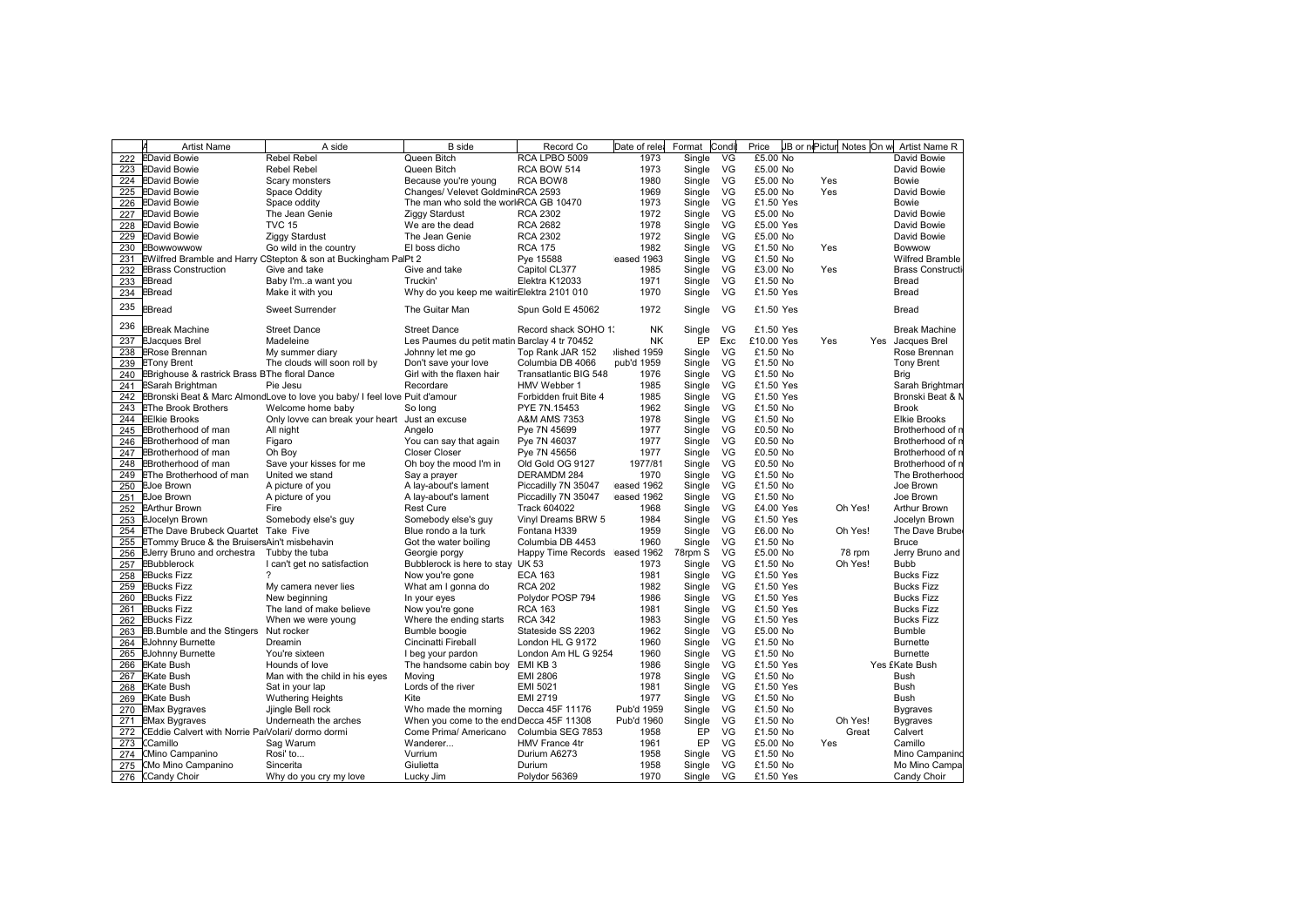|     | <b>Artist Name</b>                                | A side                                                                     | <b>B</b> side                                | Record Co                        | Date of rele | Format  | Condi | Price      | JB or nePictur Notes On w | Artist Name R                        |
|-----|---------------------------------------------------|----------------------------------------------------------------------------|----------------------------------------------|----------------------------------|--------------|---------|-------|------------|---------------------------|--------------------------------------|
| 222 | <b>EDavid Bowie</b>                               | <b>Rebel Rebel</b>                                                         | Queen Bitch                                  | RCA LPBO 5009                    | 1973         | Single  | VG    | £5.00 No   |                           | David Bowie                          |
| 223 | <b>EDavid Bowie</b>                               | <b>Rebel Rebel</b>                                                         | Queen Bitch                                  | RCA BOW 514                      | 1973         | Single  | VG    | £5.00 No   |                           | David Bowie                          |
|     | 224 EDavid Bowie                                  | Scary monsters                                                             | Because you're young                         | RCA BOW8                         | 1980         | Single  | VG    | £5.00 No   | Yes                       | Bowie                                |
| 225 | <b>EDavid Bowie</b>                               | Space Oddity                                                               | Changes/ Velevet Goldmin RCA 2593            |                                  | 1969         | Single  | VG    | £5.00 No   | Yes                       | David Bowie                          |
| 226 | <b>EDavid Bowie</b>                               | Space oddity                                                               | The man who sold the workRCA GB 10470        |                                  | 1973         | Single  | VG    | £1.50 Yes  |                           | Bowie                                |
| 227 | <b>EDavid Bowie</b>                               | The Jean Genie                                                             | <b>Ziggy Stardust</b>                        | <b>RCA 2302</b>                  | 1972         | Single  | VG    | £5.00 No   |                           | David Bowie                          |
| 228 | <b>EDavid Bowie</b>                               | <b>TVC 15</b>                                                              | We are the dead                              | <b>RCA 2682</b>                  | 1978         | Single  | VG    | £5.00 Yes  |                           | David Bowie                          |
| 229 | <b>EDavid Bowie</b>                               | <b>Ziggy Stardust</b>                                                      | The Jean Genie                               | <b>RCA 2302</b>                  | 1972         | Single  | VG    | £5.00 No   |                           | David Bowie                          |
|     | 230 EBowwowwow                                    | Go wild in the country                                                     | El boss dicho                                | <b>RCA 175</b>                   | 1982         | Single  | VG    | £1.50 No   | Yes                       | Bowwow                               |
| 231 |                                                   | EWilfred Bramble and Harry CStepton & son at Buckingham PalPt 2            |                                              | Pye 15588                        | eased 1963   | Single  | VG    | £1.50 No   |                           | <b>Wilfred Bramble</b>               |
| 232 | <b>EBrass Construction</b>                        | Give and take                                                              | Give and take                                | Capitol CL377                    | 1985         | Single  | VG    | £3.00 No   | Yes                       | <b>Brass Constructi</b>              |
| 233 | <b>EBread</b>                                     | Baby I'ma want you                                                         | Truckin'                                     | Elektra K12033                   | 1971         | Single  | VG    | £1.50 No   |                           | Bread                                |
| 234 | <b>EBread</b>                                     | Make it with you                                                           | Why do you keep me waitirElektra 2101 010    |                                  | 1970         | Single  | VG    | £1.50 Yes  |                           | Bread                                |
|     |                                                   |                                                                            |                                              |                                  |              |         |       |            |                           |                                      |
| 235 | <b>Bread</b>                                      | <b>Sweet Surrender</b>                                                     | The Guitar Man                               | Spun Gold E 45062                | 1972         | Single  | VG    | £1.50 Yes  |                           | Bread                                |
| 236 | <b>Break Machine</b>                              | <b>Street Dance</b>                                                        | <b>Street Dance</b>                          | Record shack SOHO 1;             | ΝK           | Single  | VG    | £1.50 Yes  |                           | <b>Break Machine</b>                 |
| 237 | <b>EJacques Brel</b>                              | Madeleine                                                                  | Les Paumes du petit matin Barclay 4 tr 70452 |                                  | <b>NK</b>    | EP      | Exc   | £10.00 Yes | Yes                       | Yes Jacques Brel                     |
| 238 | <b>ERose Brennan</b>                              | My summer diary                                                            | Johnny let me go                             | Top Rank JAR 152                 | lished 1959  | Single  | VG    | £1.50 No   |                           | Rose Brennan                         |
|     | 239 ETony Brent                                   | The clouds will soon roll by                                               | Don't save your love                         | Columbia DB 4066                 | pub'd 1959   | Single  | VG    | £1.50 No   |                           | <b>Tony Brent</b>                    |
|     | 240 EBrighouse & rastrick Brass BThe floral Dance |                                                                            | Girl with the flaxen hair                    | Transatlantic BIG 548            | 1976         | Single  | VG    | £1.50 No   |                           | <b>Brig</b>                          |
|     | 241 ESarah Brightman                              | Pie Jesu                                                                   | Recordare                                    | HMV Webber 1                     | 1985         | Single  | VG    | £1.50 Yes  |                           | Sarah Brightman                      |
| 242 |                                                   | EBronski Beat & Marc AlmondLove to love you baby/ I feel love Puit d'amour |                                              | Forbidden fruit Bite 4           | 1985         | Single  | VG    | £1.50 Yes  |                           | Bronski Beat & N                     |
|     | 243 EThe Brook Brothers                           | Welcome home baby                                                          | So long                                      | PYE 7N.15453                     | 1962         | Single  | VG    | £1.50 No   |                           | <b>Brook</b>                         |
|     | 244 EElkie Brooks                                 | Only lovve can break your heart                                            | Just an excuse                               | A&M AMS 7353                     | 1978         | Single  | VG    | £1.50 No   |                           | <b>Elkie Brooks</b>                  |
| 245 | EBrotherhood of man                               | All night                                                                  | Angelo                                       | Pye 7N 45699                     | 1977         | Single  | VG    | £0.50 No   |                           | Brotherhood of n                     |
| 246 | <b>EBrotherhood of man</b>                        | Figaro                                                                     | You can say that again                       | Pye 7N 46037                     | 1977         | Single  | VG    | £0.50 No   |                           | Brotherhood of r                     |
| 247 | EBrotherhood of man                               | Oh Boy                                                                     | <b>Closer Closer</b>                         |                                  | 1977         |         | VG    | £0.50 No   |                           |                                      |
|     | <b>EBrotherhood of man</b>                        |                                                                            |                                              | Pye 7N 45656<br>Old Gold OG 9127 | 1977/81      | Single  | VG    | £0.50 No   |                           | Brotherhood of n<br>Brotherhood of n |
| 248 |                                                   | Save your kisses for me                                                    | Oh boy the mood I'm in                       |                                  |              | Single  |       |            |                           |                                      |
| 249 | <b>EThe Brotherhood of man</b>                    | United we stand                                                            | Say a prayer                                 | DERAMDM 284                      | 1970         | Single  | VG    | £1.50 No   |                           | The Brotherhood                      |
| 250 | <b>EJoe Brown</b>                                 | A picture of you                                                           | A lay-about's lament                         | Piccadilly 7N 35047              | eased 1962   | Single  | VG    | £1.50 No   |                           | Joe Brown                            |
| 251 | <b>EJoe Brown</b>                                 | A picture of you                                                           | A lay-about's lament                         | Piccadilly 7N 35047              | eased 1962   | Single  | VG    | £1.50 No   |                           | Joe Brown                            |
|     | 252 EArthur Brown                                 | Fire                                                                       | <b>Rest Cure</b>                             | <b>Track 604022</b>              | 1968         | Single  | VG    | £4.00 Yes  | Oh Yes!                   | <b>Arthur Brown</b>                  |
|     | 253 EJocelyn Brown                                | Somebody else's guy                                                        | Somebody else's guy                          | Vinyl Dreams BRW 5               | 1984         | Single  | VG    | £1.50 Yes  |                           | Jocelyn Brown                        |
| 254 | <b>EThe Dave Brubeck Quartet Take Five</b>        |                                                                            | Blue rondo a la turk                         | Fontana H339                     | 1959         | Single  | VG    | £6.00 No   | Oh Yes!                   | The Dave Brube                       |
| 255 | ETommy Bruce & the BruisersAin't misbehavin       |                                                                            | Got the water boiling                        | Columbia DB 4453                 | 1960         | Single  | VG    | £1.50 No   |                           | <b>Bruce</b>                         |
| 256 | EJerry Bruno and orchestra                        | Tubby the tuba                                                             | Georgie porgy                                | Happy Time Records eased 1962    |              | 78rpm S | VG    | £5.00 No   | 78 rpm                    | Jerry Bruno and                      |
| 257 | <b>EBubblerock</b>                                | I can't get no satisfaction                                                | Bubblerock is here to stay UK 53             |                                  | 1973         | Single  | VG    | £1.50 No   | Oh Yes!                   | <b>Bubb</b>                          |
|     | 258 EBucks Fizz                                   | $\boldsymbol{\mathcal{P}}$                                                 | Now you're gone                              | <b>ECA 163</b>                   | 1981         | Single  | VG    | £1.50 Yes  |                           | <b>Bucks Fizz</b>                    |
|     | 259 EBucks Fizz                                   | My camera never lies                                                       | What am I gonna do                           | <b>RCA 202</b>                   | 1982         | Single  | VG    | £1.50 Yes  |                           | <b>Bucks Fizz</b>                    |
|     | 260 EBucks Fizz                                   | New beginning                                                              | In your eyes                                 | Polydor POSP 794                 | 1986         | Single  | VG    | £1.50 Yes  |                           | <b>Bucks Fizz</b>                    |
| 261 | <b>EBucks Fizz</b>                                | The land of make believe                                                   | Now you're gone                              | <b>RCA 163</b>                   | 1981         | Single  | VG    | £1.50 Yes  |                           | <b>Bucks Fizz</b>                    |
|     | 262 EBucks Fizz                                   | When we were young                                                         | Where the ending starts                      | <b>RCA 342</b>                   | 1983         | Single  | VG    | £1.50 Yes  |                           | <b>Bucks Fizz</b>                    |
| 263 | EB.Bumble and the Stingers                        | Nut rocker                                                                 | Bumble boogie                                | Stateside SS 2203                | 1962         | Single  | VG    | £5.00 No   |                           | Bumble                               |
|     | 264 EJohnny Burnette                              | Dreamin                                                                    | Cincinatti Fireball                          | London HL G 9172                 | 1960         | Single  | VG    | £1.50 No   |                           | <b>Burnette</b>                      |
|     | 265 EJohnny Burnette                              | You're sixteen                                                             | I beg your pardon                            | London Am HL G 9254              | 1960         | Single  | VG    | £1.50 No   |                           | <b>Burnette</b>                      |
| 266 | <b>EKate Bush</b>                                 | Hounds of love                                                             | The handsome cabin boy                       | EMI KB <sub>3</sub>              | 1986         | Single  | VG    | £1.50 Yes  |                           | Yes £Kate Bush                       |
| 267 | <b>EKate Bush</b>                                 | Man with the child in his eyes                                             | Moving                                       | EMI 2806                         | 1978         | Single  | VG    | £1.50 No   |                           | Bush                                 |
| 268 | <b>EKate Bush</b>                                 | Sat in your lap                                                            | Lords of the river                           | EMI 5021                         | 1981         | Single  | VG    | £1.50 Yes  |                           | <b>Bush</b>                          |
|     | 269 EKate Bush                                    | <b>Wuthering Heights</b>                                                   | Kite                                         | EMI 2719                         | 1977         | Single  | VG    | £1.50 No   |                           | Bush                                 |
|     | 270 EMax Bygraves                                 | Jjingle Bell rock                                                          | Who made the morning                         | Decca 45F 11176                  | Pub'd 1959   | Single  | VG    | £1.50 No   |                           | <b>Bygraves</b>                      |
| 271 | <b>EMax Bygraves</b>                              | Underneath the arches                                                      | When you come to the endDecca 45F 11308      |                                  | Pub'd 1960   | Single  | VG    | £1.50 No   | Oh Yes!                   | <b>Bygraves</b>                      |
| 272 | Eddie Calvert with Norrie PalVolari/ dormo dormi  |                                                                            | Come Prima/ Americano                        | Columbia SEG 7853                | 1958         | EP      | VG    | £1.50 No   | Great                     | Calvert                              |
| 273 | CCamillo                                          | Sag Warum                                                                  | Wanderer                                     | <b>HMV France 4tr</b>            | 1961         | EP      | VG    | £5.00 No   | Yes                       | Camillo                              |
| 274 | CMino Campanino                                   | Rosi' to                                                                   | Vurrium                                      | Durium A6273                     | 1958         | Single  | VG    | £1.50 No   |                           | Mino Campanino                       |
|     | 275 CMo Mino Campanino                            | Sincerita                                                                  | Giulietta                                    | Durium                           | 1958         | Single  | VG    | £1.50 No   |                           | Mo Mino Campa                        |
|     |                                                   |                                                                            |                                              |                                  |              |         |       |            |                           |                                      |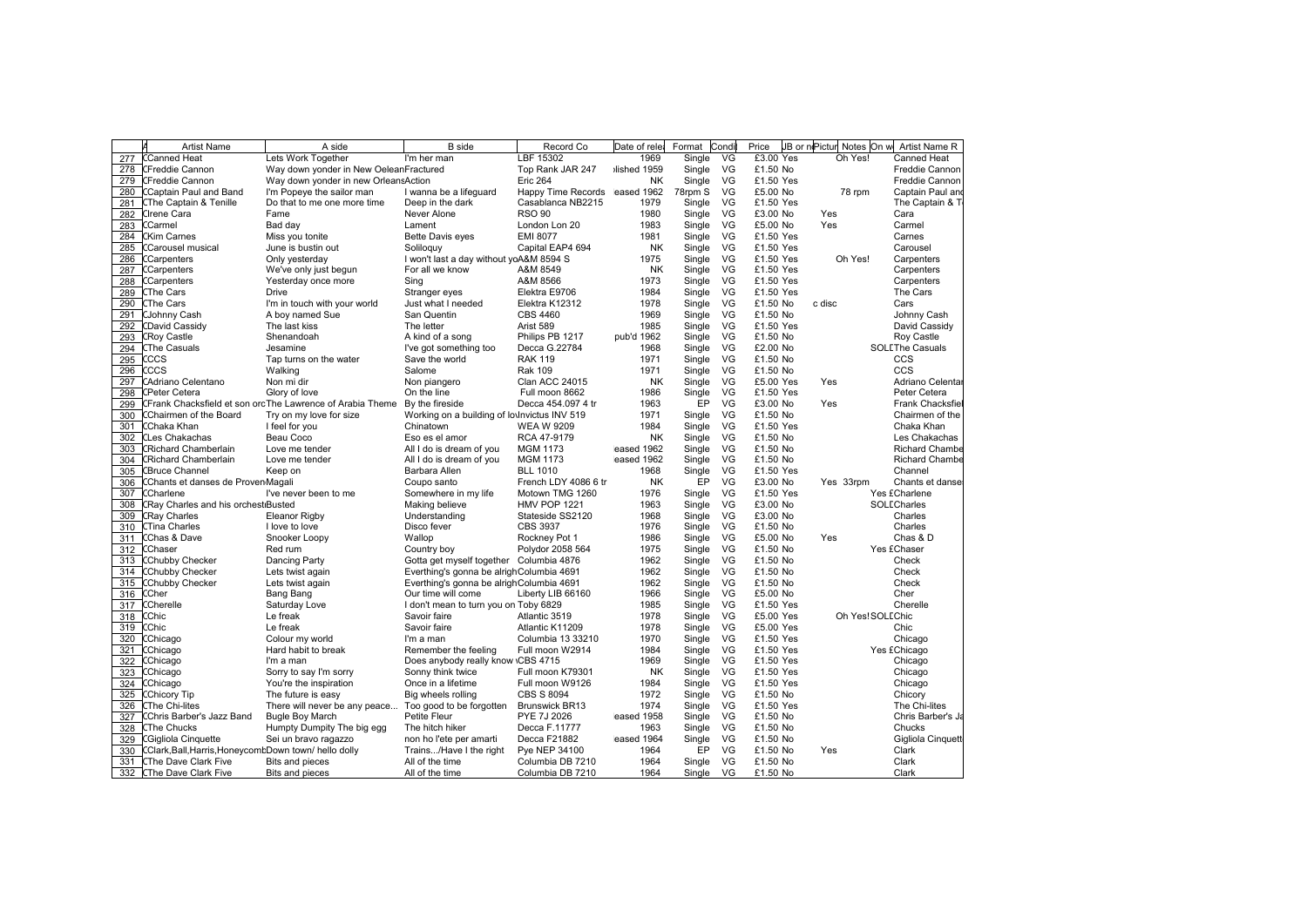|     | Artist Name                                          | A side                                                    | <b>B</b> side                                | Record Co                     | Date of rele | Format    | Condi     | Price     | JB or nePictur<br>Notes On w | Artist Name R          |
|-----|------------------------------------------------------|-----------------------------------------------------------|----------------------------------------------|-------------------------------|--------------|-----------|-----------|-----------|------------------------------|------------------------|
| 277 | CCanned Heat                                         | Lets Work Together                                        | I'm her man                                  | LBF 15302                     | 1969         | Single    | VG        | £3.00 Yes | Oh Yes!                      | <b>Canned Heat</b>     |
|     | 278   CFreddie Cannon                                | Way down yonder in New OeleanFractured                    |                                              | Top Rank JAR 247              | lished 1959  | Single    | VG        | £1.50 No  |                              | Freddie Cannon         |
|     | 279 CFreddie Cannon                                  | Way down yonder in new Orleans Action                     |                                              | <b>Eric 264</b>               | <b>NK</b>    | Single    | VG        | £1.50 Yes |                              | <b>Freddie Cannon</b>  |
| 280 | Captain Paul and Band                                | I'm Popeye the sailor man                                 | I wanna be a lifeguard                       | Happy Time Records eased 1962 |              | 78rpm S   | VG        | £5.00 No  | 78 rpm                       | Captain Paul and       |
| 281 | <b>CThe Captain &amp; Tenille</b>                    | Do that to me one more time                               | Deep in the dark                             | Casablanca NB2215             | 1979         | Single    | VG        | £1.50 Yes |                              | The Captain & T        |
| 282 | CIrene Cara                                          | Fame                                                      | Never Alone                                  | <b>RSO 90</b>                 | 1980         | Single    | VG        | £3.00 No  | Yes                          | Cara                   |
| 283 | Carmel                                               | Bad day                                                   | Lament                                       | London Lon 20                 | 1983         | Single    | VG        | £5.00 No  | Yes                          | Carmel                 |
| 284 | <b>CKim Carnes</b>                                   | Miss you tonite                                           | <b>Bette Davis eyes</b>                      | <b>EMI 8077</b>               | 1981         | Single    | VG        | £1.50 Yes |                              | Carnes                 |
| 285 | Carousel musical                                     | June is bustin out                                        | Soliloquy                                    | Capital EAP4 694              | NK           | Single    | VG        | £1.50 Yes |                              | Carousel               |
| 286 | Carpenters                                           | Only yesterday                                            | I won't last a day without yoA&M 8594 S      |                               | 1975         | Single    | VG        | £1.50 Yes | Oh Yes!                      | Carpenters             |
| 287 | Carpenters                                           | We've only just begun                                     | For all we know                              | A&M 8549                      | NK           | Single    | VG        | £1.50 Yes |                              | Carpenters             |
| 288 | CCarpenters                                          | Yesterday once more                                       | Sing                                         | A&M 8566                      | 1973         | Single    | VG        | £1.50 Yes |                              | Carpenters             |
| 289 | <b>CThe Cars</b>                                     | Drive                                                     | Stranger eyes                                | Elektra E9706                 | 1984         | Single    | VG        | £1.50 Yes |                              | The Cars               |
| 290 | CThe Cars                                            | I'm in touch with your world                              | Just what I needed                           | Elektra K12312                | 1978         | Single    | <b>VG</b> | £1.50 No  | c disc                       | Cars                   |
| 291 | <b>CJohnny Cash</b>                                  | A boy named Sue                                           | San Quentin                                  | <b>CBS 4460</b>               | 1969         |           | VG        | £1.50 No  |                              | Johnny Cash            |
|     |                                                      |                                                           |                                              |                               |              | Single    |           |           |                              |                        |
| 292 | CDavid Cassidy                                       | The last kiss                                             | The letter                                   | Arist 589                     | 1985         | Single    | VG        | £1.50 Yes |                              | David Cassidy          |
| 293 | <b>CRoy Castle</b>                                   | Shenandoah                                                | A kind of a song                             | Philips PB 1217               | pub'd 1962   | Single    | VG<br>VG  | £1.50 No  |                              | Roy Castle             |
| 294 | <b>CThe Casuals</b>                                  | Jesamine                                                  | I've got something too                       | Decca G.22784                 | 1968         | Single    |           | £2.00 No  |                              | <b>SOLEThe Casuals</b> |
| 295 | CCCS                                                 | Tap turns on the water                                    | Save the world                               | <b>RAK 119</b>                | 1971         | Single VG |           | £1.50 No  |                              | CCS                    |
| 296 | CCS:                                                 | Walking                                                   | Salome                                       | <b>Rak 109</b>                | 1971         | Single    | VG        | £1.50 No  |                              | CCS                    |
| 297 | CAdriano Celentano                                   | Non mi dir                                                | Non piangero                                 | <b>Clan ACC 24015</b>         | <b>NK</b>    | Single    | VG        | £5.00 Yes | Yes                          | Adriano Celentar       |
| 298 | CPeter Cetera                                        | Glory of love                                             | On the line                                  | Full moon 8662                | 1986         | Single    | VG        | £1.50 Yes |                              | Peter Cetera           |
| 299 |                                                      | CFrank Chacksfield et son orcThe Lawrence of Arabia Theme | By the fireside                              | Decca 454.097 4 tr            | 1963         | EP        | VG        | £3.00 No  | Yes                          | Frank Chacksfie        |
| 300 | Chairmen of the Board                                | Try on my love for size                                   | Working on a building of loylnvictus INV 519 |                               | 1971         | Single    | VG        | £1.50 No  |                              | Chairmen of the        |
| 301 | CChaka Khan                                          | I feel for you                                            | Chinatown                                    | <b>WEA W 9209</b>             | 1984         | Single    | VG        | £1.50 Yes |                              | Chaka Khan             |
| 302 | <b>CLes Chakachas</b>                                | Beau Coco                                                 | Eso es el amor                               | RCA 47-9179                   | <b>NK</b>    | Single    | VG        | £1.50 No  |                              | Les Chakachas          |
| 303 | Richard Chamberlain                                  | Love me tender                                            | All I do is dream of you                     | <b>MGM 1173</b>               | eased 1962   | Single    | VG        | £1.50 No  |                              | <b>Richard Chambe</b>  |
| 304 | CRichard Chamberlain                                 | Love me tender                                            | All I do is dream of you                     | <b>MGM 1173</b>               | eased 1962   | Single    | VG        | £1.50 No  |                              | <b>Richard Chambe</b>  |
| 305 | <b>Bruce Channel</b>                                 | Keep on                                                   | Barbara Allen                                | <b>BLL 1010</b>               | 1968         | Single    | VG        | £1.50 Yes |                              | Channel                |
| 306 | Chants et danses de Proven Magali                    |                                                           | Coupo santo                                  | French LDY 4086 6 tr          | NK           | EP        | VG        | £3.00 No  | Yes 33rpm                    | Chants et danse        |
| 307 | <b>Charlene</b>                                      | I've never been to me                                     | Somewhere in my life                         | Motown TMG 1260               | 1976         | Single    | VG        | £1.50 Yes |                              | Yes £Charlene          |
| 308 | Ray Charles and his orchest Busted                   |                                                           | Making believe                               | <b>HMV POP 1221</b>           | 1963         | Single    | VG        | £3.00 No  |                              | SOLECharles            |
| 309 | <b>Ray Charles</b>                                   | <b>Eleanor Rigby</b>                                      | Understanding                                | Stateside SS2120              | 1968         | Single    | VG        | £3.00 No  |                              | Charles                |
| 310 | CTina Charles                                        | I love to love                                            | Disco fever                                  | <b>CBS 3937</b>               | 1976         | Single    | VG        | £1.50 No  |                              | Charles                |
| 311 | Chas & Dave                                          | Snooker Loopy                                             | Wallop                                       | Rockney Pot 1                 | 1986         | Single    | VG        | £5.00 No  | Yes                          | Chas & D               |
| 312 | CChaser                                              | Red rum                                                   | Country boy                                  | Polydor 2058 564              | 1975         | Single    | VG        | £1.50 No  |                              | Yes £Chaser            |
| 313 | CChubby Checker                                      | Dancing Party                                             | Gotta get myself together Columbia 4876      |                               | 1962         | Single    | VG        | £1.50 No  |                              | Check                  |
| 314 | <b>CChubby Checker</b>                               |                                                           | Everthing's gonna be alrighColumbia 4691     |                               | 1962         | Single VG |           | £1.50 No  |                              | Check                  |
| 315 | Chubby Checker                                       | Lets twist again<br>Lets twist again                      | Everthing's gonna be alrighColumbia 4691     |                               | 1962         | Single    | VG        | £1.50 No  |                              | Check                  |
|     |                                                      |                                                           |                                              |                               |              |           |           |           |                              |                        |
| 316 | Cher:                                                | Bang Bang                                                 | Our time will come                           | Liberty LIB 66160             | 1966         | Single    | VG<br>VG  | £5.00 No  |                              | Cher                   |
| 317 | Cherelle <sup>®</sup>                                | Saturday Love                                             | I don't mean to turn you on Toby 6829        |                               | 1985         | Single    |           | £1.50 Yes |                              | Cherelle               |
| 318 | Chic                                                 | Le freak                                                  | Savoir faire                                 | Atlantic 3519                 | 1978         | Single    | VG        | £5.00 Yes | Oh Yes! SOLEChic             |                        |
| 319 | Chic                                                 | Le freak                                                  | Savoir faire                                 | Atlantic K11209               | 1978         | Single    | VG        | £5.00 Yes |                              | Chic                   |
| 320 | Chicago                                              | Colour my world                                           | I'm a man                                    | Columbia 13 33210             | 1970         | Single    | VG        | £1.50 Yes |                              | Chicago                |
| 321 | <b>CChicago</b>                                      | Hard habit to break                                       | Remember the feeling                         | Full moon W2914               | 1984         | Single    | VG        | £1.50 Yes |                              | Yes £Chicago           |
| 322 | CChicago                                             | I'm a man                                                 | Does anybody really know CBS 4715            |                               | 1969         | Single    | VG        | £1.50 Yes |                              | Chicago                |
| 323 | Chicago                                              | Sorry to say I'm sorry                                    | Sonny think twice                            | Full moon K79301              | <b>NK</b>    | Single    | VG        | £1.50 Yes |                              | Chicago                |
| 324 | Chicago                                              | You're the inspiration                                    | Once in a lifetime                           | Full moon W9126               | 1984         | Single    | VG        | £1.50 Yes |                              | Chicago                |
| 325 | Chicory Tip                                          | The future is easy                                        | Big wheels rolling                           | <b>CBS S 8094</b>             | 1972         | Single    | VG        | £1.50 No  |                              | Chicory                |
| 326 | <b>The Chi-lites</b>                                 | There will never be any peace                             | Too good to be forgotten                     | <b>Brunswick BR13</b>         | 1974         | Single    | VG        | £1.50 Yes |                              | The Chi-lites          |
| 327 | CChris Barber's Jazz Band                            | <b>Bugle Boy March</b>                                    | Petite Fleur                                 | PYE 7J 2026                   | eased 1958   | Single    | VG        | £1.50 No  |                              | Chris Barber's Ja      |
| 328 | <b>CThe Chucks</b>                                   | Humpty Dumpity The big egg                                | The hitch hiker                              | Decca F.11777                 | 1963         | Single    | VG        | £1.50 No  |                              | Chucks                 |
| 329 | CGigliola Cinquette                                  | Sei un bravo ragazzo                                      | non ho l'ete per amarti                      | Decca F21882                  | eased 1964   | Single    | VG        | £1.50 No  |                              | Gigliola Cinquett      |
| 330 | CClark, Ball, Harris, HoneycombDown town/hello dolly |                                                           | Trains/Have I the right                      | Pye NEP 34100                 | 1964         | EP        | VG        | £1.50 No  | Yes                          | Clark                  |
|     | 331 CThe Dave Clark Five                             | <b>Bits and pieces</b>                                    | All of the time                              | Columbia DB 7210              | 1964         | Single    | VG        | £1.50 No  |                              | Clark                  |
|     | 332 CThe Dave Clark Five                             | Bits and pieces                                           | All of the time                              | Columbia DB 7210              | 1964         | Single    | VG        | £1.50 No  |                              | Clark                  |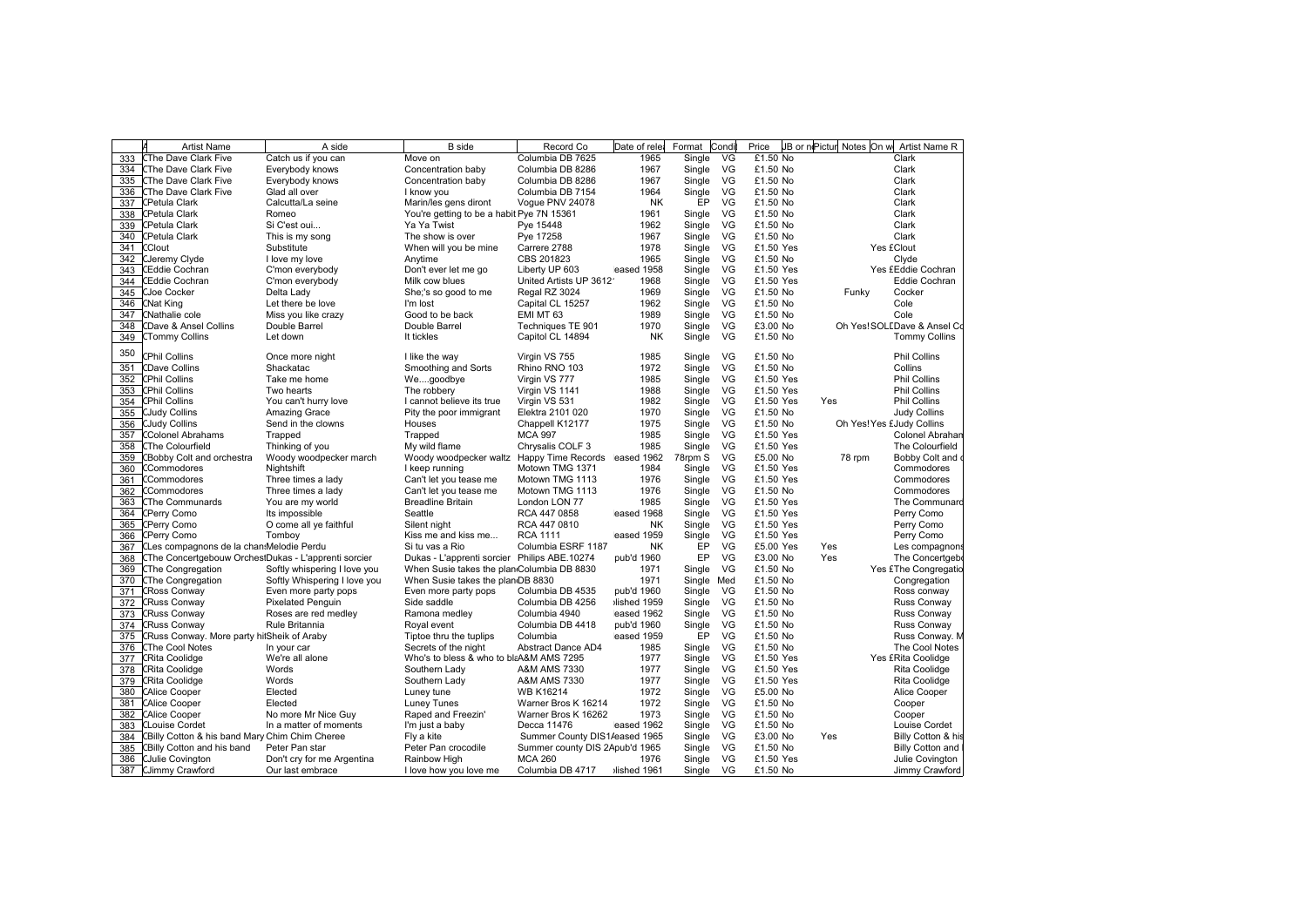|     | <b>Artist Name</b>                                   | A side                       | <b>B</b> side                                        | Record Co                      | Date of rele | Format  | Condi | Price     | JB or nePictur Notes On w | Artist Name R               |
|-----|------------------------------------------------------|------------------------------|------------------------------------------------------|--------------------------------|--------------|---------|-------|-----------|---------------------------|-----------------------------|
| 333 | <b>CThe Dave Clark Five</b>                          | Catch us if you can          | Move on                                              | Columbia DB 7625               | 1965         | Single  | VG    | £1.50 No  |                           | Clark                       |
|     | 334 CThe Dave Clark Five                             | Everybody knows              | Concentration baby                                   | Columbia DB 8286               | 1967         | Single  | VG    | £1.50 No  |                           | Clark                       |
|     | 335 CThe Dave Clark Five                             | Everybody knows              | Concentration baby                                   | Columbia DB 8286               | 1967         | Single  | VG    | £1.50 No  |                           | Clark                       |
| 336 | <b>CThe Dave Clark Five</b>                          | Glad all over                | I know you                                           | Columbia DB 7154               | 1964         | Single  | VG    | £1.50 No  |                           | Clark                       |
| 337 | CPetula Clark                                        | Calcutta/La seine            | Marin/les gens diront                                | Voque PNV 24078                | NK           | EP      | VG    | £1.50 No  |                           | Clark                       |
|     | 338 CPetula Clark                                    | Romeo                        | You're getting to be a habit Pye 7N 15361            |                                | 1961         | Single  | VG    | £1.50 No  |                           | Clark                       |
| 339 | CPetula Clark                                        | Si C'est oui                 | Ya Ya Twist                                          | Pve 15448                      | 1962         | Single  | VG    | £1.50 No  |                           | Clark                       |
| 340 | CPetula Clark                                        | This is my song              | The show is over                                     | Pye 17258                      | 1967         | Single  | VG    | £1.50 No  |                           | Clark                       |
| 341 | <b>CClout</b>                                        | Substitute                   | When will you be mine                                | Carrere 2788                   | 1978         | Single  | VG    | £1.50 Yes | Yes £Clout                |                             |
| 342 | CJeremy Clyde                                        | I love my love               | Anytime                                              | CBS 201823                     | 1965         | Single  | VG    | £1.50 No  |                           | Clyde                       |
| 343 | CEddie Cochran                                       | C'mon everybody              | Don't ever let me go                                 | Liberty UP 603                 | eased 1958   | Single  | VG    | £1.50 Yes |                           | Yes £Eddie Cochran          |
| 344 | CEddie Cochran                                       | C'mon everybody              | Milk cow blues                                       | United Artists UP 3612         | 1968         | Single  | VG    | £1.50 Yes |                           | Eddie Cochran               |
| 345 | <b>CJoe Cocker</b>                                   | Delta Lady                   | She;'s so good to me                                 | Regal RZ 3024                  | 1969         | Single  | VG    | £1.50 No  | Funky                     | Cocker                      |
| 346 | <b>CNat King</b>                                     | Let there be love            | I'm lost                                             | Capital CL 15257               | 1962         | Single  | VG    | £1.50 No  |                           | Cole                        |
| 347 | CNathalie cole                                       | Miss you like crazy          | Good to be back                                      | EMI MT 63                      | 1989         | Single  | VG    | £1.50 No  |                           | Cole                        |
| 348 | CDave & Ansel Collins                                | Double Barrel                | Double Barrel                                        | Techniques TE 901              | 1970         | Single  | VG    | £3.00 No  |                           | Oh Yes! SOLEDave & Ansel Co |
| 349 | <b>CTommy Collins</b>                                | Let down                     | It tickles                                           | Capitol CL 14894               | <b>NK</b>    | Single  | VG    | £1.50 No  |                           | <b>Tommy Collins</b>        |
|     |                                                      |                              |                                                      |                                |              |         |       |           |                           |                             |
| 350 | <b>CPhil Collins</b>                                 | Once more night              | I like the way                                       | Virgin VS 755                  | 1985         | Single  | VG    | £1.50 No  |                           | Phil Collins                |
| 351 | <b>CDave Collins</b>                                 | Shackatac                    | Smoothing and Sorts                                  | Rhino RNO 103                  | 1972         | Single  | VG    | £1.50 No  |                           | Collins                     |
| 352 | <b>CPhil Collins</b>                                 | Take me home                 | Wegoodbye                                            | Virgin VS 777                  | 1985         | Single  | VG    | £1.50 Yes |                           | <b>Phil Collins</b>         |
| 353 | <b>CPhil Collins</b>                                 | Two hearts                   | The robbery                                          | Virgin VS 1141                 | 1988         | Single  | VG    | £1.50 Yes |                           | Phil Collins                |
|     | 354 CPhil Collins                                    | You can't hurry love         | I cannot believe its true                            | Virgin VS 531                  | 1982         | Single  | VG    | £1.50 Yes | Yes                       | Phil Collins                |
|     | 355 CJudy Collins                                    | <b>Amazing Grace</b>         | Pity the poor immigrant                              | Elektra 2101 020               | 1970         | Single  | VG    | £1.50 No  |                           | <b>Judy Collins</b>         |
|     | 356 CJudy Collins                                    | Send in the clowns           | Houses                                               | Chappell K12177                | 1975         | Single  | VG    | £1.50 No  | Oh Yes! Yes £Judy Collins |                             |
| 357 | <b>CColonel Abrahams</b>                             | Trapped                      | Trapped                                              | <b>MCA 997</b>                 | 1985         | Single  | VG    | £1.50 Yes |                           | Colonel Abrahar             |
| 358 | <b>CThe Colourfield</b>                              | Thinking of you              | My wild flame                                        | Chrysalis COLF 3               | 1985         | Single  | VG    | £1.50 Yes |                           | The Colourfield             |
| 359 | (Bobby Colt and orchestra                            | Woody woodpecker march       | Woody woodpecker waltz Happy Time Records eased 1962 |                                |              | 78rpm S | VG    | £5.00 No  | 78 rpm                    | Bobby Colt and              |
| 360 | CCommodores                                          | Nightshift                   | I keep running                                       | Motown TMG 1371                | 1984         | Single  | VG    | £1.50 Yes |                           | Commodores                  |
| 361 | CCommodores                                          | Three times a lady           | Can't let you tease me                               | Motown TMG 1113                | 1976         | Single  | VG    | £1.50 Yes |                           | Commodores                  |
| 362 | CCommodores                                          | Three times a lady           | Can't let you tease me                               | Motown TMG 1113                | 1976         | Single  | VG    | £1.50 No  |                           | Commodores                  |
| 363 | <b>CThe Communards</b>                               | You are my world             | <b>Breadline Britain</b>                             | London LON 77                  | 1985         | Single  | VG    | £1.50 Yes |                           | The Communard               |
|     | 364 CPerry Como                                      | Its impossible               | Seattle                                              | RCA 447 0858                   | eased 1968   | Single  | VG    | £1.50 Yes |                           | Perry Como                  |
| 365 | CPerry Como                                          | O come all ye faithful       | Silent night                                         | RCA 447 0810                   | <b>NK</b>    | Single  | VG    | £1.50 Yes |                           | Perry Como                  |
| 366 | CPerry Como                                          | Tomboy                       | Kiss me and kiss me                                  | <b>RCA 1111</b>                | eased 1959   | Single  | VG    | £1.50 Yes |                           | Perry Como                  |
| 367 | CLes compagnons de la chan:Melodie Perdu             |                              | Si tu vas a Rio                                      | Columbia ESRF 1187             | <b>NK</b>    | EP      | VG    | £5.00 Yes | Yes                       | Les compagnons              |
| 368 | CThe Concertgebouw OrchestDukas - L'apprenti sorcier |                              | Dukas - L'apprenti sorcier Philips ABE.10274         |                                | pub'd 1960   | EP      | VG    | £3.00 No  | Yes                       | The Concertgeb              |
| 369 | <b>CThe Congregation</b>                             | Softly whispering I love you | When Susie takes the plan Columbia DB 8830           |                                | 1971         | Single  | VG    | £1.50 No  |                           | Yes £The Congregatio        |
| 370 | <b>CThe Congregation</b>                             | Softly Whispering I love you | When Susie takes the plan <sub>DB</sub> 8830         |                                | 1971         | Single  | Med   | £1.50 No  |                           | Congregation                |
| 371 | <b>CRoss Conway</b>                                  | Even more party pops         | Even more party pops                                 | Columbia DB 4535               | pub'd 1960   | Single  | VG    | £1.50 No  |                           | Ross conway                 |
| 372 | <b>CRuss Conway</b>                                  | <b>Pixelated Penguin</b>     | Side saddle                                          | Columbia DB 4256               | lished 1959  | Single  | VG    | £1.50 No  |                           | Russ Conway                 |
| 373 | <b>CRuss Conway</b>                                  | Roses are red medley         | Ramona medley                                        | Columbia 4940                  | eased 1962   | Single  | VG    | £1.50 No  |                           | Russ Conway                 |
|     | 374 CRuss Conway                                     | Rule Britannia               | Royal event                                          | Columbia DB 4418               | pub'd 1960   | Single  | VG    | £1.50 No  |                           | Russ Conway                 |
| 375 | CRuss Conway. More party hilSheik of Araby           |                              | Tiptoe thru the tuplips                              | Columbia                       | eased 1959   | EP      | VG    | £1.50 No  |                           | Russ Conway. M              |
| 376 | <b>CThe Cool Notes</b>                               | In your car                  | Secrets of the night                                 | Abstract Dance AD4             | 1985         | Single  | VG    | £1.50 No  |                           | The Cool Notes              |
| 377 | CRita Coolidge                                       | We're all alone              | Who's to bless & who to blaA&M AMS 7295              |                                | 1977         | Single  | VG    | £1.50 Yes |                           | Yes £Rita Coolidge          |
| 378 | <b>CRita Coolidge</b>                                | Words                        | Southern Lady                                        | <b>A&amp;M AMS 7330</b>        | 1977         | Single  | VG    | £1.50 Yes |                           | Rita Coolidge               |
| 379 | CRita Coolidge                                       | Words                        | Southern Lady                                        | A&M AMS 7330                   | 1977         | Single  | VG    | £1.50 Yes |                           | Rita Coolidge               |
| 380 | <b>CAlice Cooper</b>                                 | Elected                      | Luney tune                                           | WB K16214                      | 1972         | Single  | VG    | £5.00 No  |                           | Alice Cooper                |
|     |                                                      |                              |                                                      |                                |              |         | VG    |           |                           |                             |
| 381 | <b>CAlice Cooper</b>                                 | Elected                      | <b>Luney Tunes</b>                                   | Warner Bros K 16214            | 1972         | Single  |       | £1.50 No  |                           | Cooper                      |
| 382 | <b>CAlice Cooper</b>                                 | No more Mr Nice Guy          | Raped and Freezin'                                   | Warner Bros K 16262            | 1973         | Single  | VG    | £1.50 No  |                           | Cooper                      |
| 383 | <b>CLouise Cordet</b>                                | In a matter of moments       | I'm just a baby                                      | Decca 11476                    | eased 1962   | Single  | VG    | £1.50 No  |                           | Louise Cordet               |
| 384 | CBilly Cotton & his band Mary Chim Chim Cheree       |                              | Fly a kite                                           | Summer County DIS1/eased 1965  |              | Single  | VG    | £3.00 No  | Yes                       | Billy Cotton & his          |
| 385 | CBilly Cotton and his band                           | Peter Pan star               | Peter Pan crocodile                                  | Summer county DIS 2Apub'd 1965 |              | Single  | VG    | £1.50 No  |                           | <b>Billy Cotton and</b>     |
| 386 | <b>CJulie Covington</b>                              | Don't cry for me Argentina   | Rainbow High                                         | <b>MCA 260</b>                 | 1976         | Single  | VG    | £1.50 Yes |                           | Julie Covington             |
|     | 387 CJimmy Crawford                                  | Our last embrace             | I love how you love me                               | Columbia DB 4717               | Ilished 1961 | Single  | VG    | £1.50 No  |                           | Jimmy Crawford              |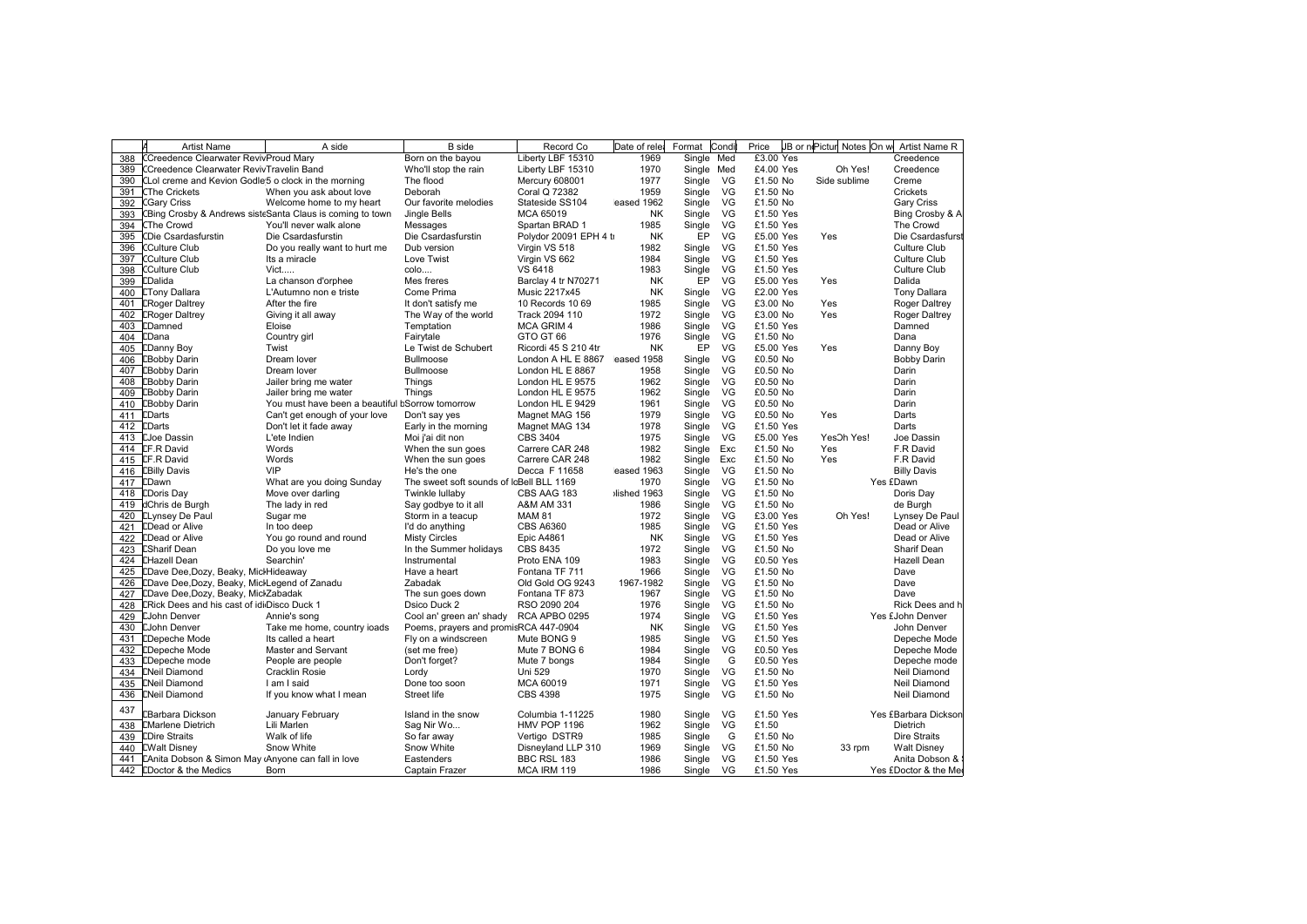|     | <b>Artist Name</b>                                    | A side                                                    | <b>B</b> side                            | Record Co              | Date of rele | Format     | Condi | Price     | JB or nePictur Notes On w Artist Name R |                       |
|-----|-------------------------------------------------------|-----------------------------------------------------------|------------------------------------------|------------------------|--------------|------------|-------|-----------|-----------------------------------------|-----------------------|
| 388 | <b>CCreedence Clearwater RevivProud Mary</b>          |                                                           | Born on the bayou                        | Liberty LBF 15310      | 1969         | Single Med |       | £3.00 Yes |                                         | Creedence             |
| 389 | CCreedence Clearwater RevivTravelin Band              |                                                           | Who'll stop the rain                     | Liberty LBF 15310      | 1970         | Single Med |       | £4.00 Yes | Oh Yes!                                 | Creedence             |
| 390 | CLol creme and Kevion Godle 5 o clock in the morning  |                                                           | The flood                                | Mercury 608001         | 1977         | Single     | VG    | £1.50 No  | Side sublime                            | Creme                 |
| 391 | <b>CThe Crickets</b>                                  | When you ask about love                                   | Deborah                                  | Coral Q 72382          | 1959         | Single     | VG    | £1.50 No  |                                         | Crickets              |
| 392 | <b>CGary Criss</b>                                    | Welcome home to my heart                                  | Our favorite melodies                    | Stateside SS104        | eased 1962   | Single     | VG    | £1.50 No  |                                         | Gary Criss            |
| 393 |                                                       | CBing Crosby & Andrews sisteSanta Claus is coming to town | Jingle Bells                             | MCA 65019              | <b>NK</b>    | Single     | VG    | £1.50 Yes |                                         | Bing Crosby & A       |
| 394 | <b>CThe Crowd</b>                                     | You'll never walk alone                                   | Messages                                 | Spartan BRAD 1         | 1985         | Single     | VG    | £1.50 Yes |                                         | The Crowd             |
| 395 | CDie Csardasfurstin                                   | Die Csardasfurstin                                        | Die Csardasfurstin                       | Polydor 20091 EPH 4 tr | <b>NK</b>    | EP         | VG    | £5.00 Yes | Yes                                     | Die Csardasfurst      |
| 396 | CCulture Club                                         | Do you really want to hurt me                             | Dub version                              | Virgin VS 518          | 1982         | Single     | VG    | £1.50 Yes |                                         | <b>Culture Club</b>   |
| 397 | CCulture Club                                         | Its a miracle                                             | Love Twist                               | Virgin VS 662          | 1984         | Single     | VG    | £1.50 Yes |                                         | <b>Culture Club</b>   |
| 398 | <b>CCulture Club</b>                                  | Vict                                                      | colo                                     | VS 6418                | 1983         | Single     | VG    | £1.50 Yes |                                         | <b>Culture Club</b>   |
|     | 399 CDalida                                           | La chanson d'orphee                                       | Mes freres                               | Barclay 4 tr N70271    | <b>NK</b>    | ĒР         | VG    | £5.00 Yes | Yes                                     | Dalida                |
| 400 | <b>ETony Dallara</b>                                  | L'Autumno non e triste                                    | Come Prima                               | Music 2217x45          | <b>NK</b>    | Single     | VG    | £2.00 Yes |                                         | <b>Tony Dallara</b>   |
| 401 | <b>ERoger Daltrey</b>                                 | After the fire                                            | It don't satisfy me                      | 10 Records 10 69       | 1985         | Single     | VG    | £3.00 No  | Yes                                     | Roger Daltrey         |
|     | <b>ERoger Daltrey</b>                                 |                                                           | The Way of the world                     | Track 2094 110         | 1972         | Single     | VG    | £3.00 No  | Yes                                     | Roger Daltrey         |
| 402 | <b>CDamned</b>                                        | Giving it all away                                        |                                          | <b>MCA GRIM 4</b>      | 1986         |            | VG    | £1.50 Yes |                                         | Damned                |
| 403 |                                                       | Eloise                                                    | Temptation                               |                        |              | Single     |       |           |                                         |                       |
| 404 | <b>CDana</b>                                          | Country girl                                              | Fairytale                                | GTO GT 66              | 1976         | Single     | VG    | £1.50 No  |                                         | Dana                  |
|     | 405 <b>CDanny Boy</b>                                 | Twist                                                     | Le Twist de Schubert                     | Ricordi 45 S 210 4tr   | <b>NK</b>    | EP         | VG    | £5.00 Yes | Yes                                     | Danny Boy             |
|     | 406 EBobby Darin                                      | Dream lover                                               | <b>Bullmoose</b>                         | London A HL E 8867     | eased 1958   | Single     | VG    | £0.50 No  |                                         | <b>Bobby Darin</b>    |
|     | 407 EBobby Darin                                      | Dream lover                                               | Bullmoose                                | London HL E 8867       | 1958         | Single     | VG    | £0.50 No  |                                         | Darin                 |
| 408 | <b>EBobby Darin</b>                                   | Jailer bring me water                                     | Things                                   | London HL E 9575       | 1962         | Single     | VG    | £0.50 No  |                                         | Darin                 |
|     | 409 <b>EBobby Darin</b>                               | Jailer bring me water                                     | Things                                   | London HL E 9575       | 1962         | Single     | VG    | £0.50 No  |                                         | Darin                 |
|     | 410 EBobby Darin                                      | You must have been a beautiful bSorrow tomorrow           |                                          | London HL E 9429       | 1961         | Single     | VG    | £0.50 No  |                                         | Darin                 |
|     | 411 [Darts                                            | Can't get enough of your love                             | Don't say yes                            | Magnet MAG 156         | 1979         | Single     | VG    | £0.50 No  | Yes                                     | Darts                 |
|     | 412 <b>CDarts</b>                                     | Don't let it fade away                                    | Early in the morning                     | Magnet MAG 134         | 1978         | Single     | VG    | £1.50 Yes |                                         | Darts                 |
|     | 413 EJoe Dassin                                       | L'ete Indien                                              | Moi j'ai dit non                         | CBS 3404               | 1975         | Single     | VG    | £5.00 Yes | YesOh Yes!                              | Joe Dassin            |
|     | 414 LF.R David                                        | Words                                                     | When the sun goes                        | Carrere CAR 248        | 1982         | Single     | Exc   | £1.50 No  | Yes                                     | F.R David             |
|     | 415 <b>LF.R David</b>                                 | Words                                                     | When the sun goes                        | Carrere CAR 248        | 1982         | Single     | Exc   | £1.50 No  | Yes                                     | F.R David             |
|     | 416 <b>EBilly Davis</b>                               | <b>VIP</b>                                                | He's the one                             | Decca F 11658          | eased 1963   | Single     | VG    | £1.50 No  |                                         | <b>Billy Davis</b>    |
|     | 417 <b>CDawn</b>                                      | What are you doing Sunday                                 | The sweet soft sounds of IcBell BLL 1169 |                        | 1970         | Single     | VG    | £1.50 No  |                                         | Yes £Dawn             |
|     | 418 <b>CDoris Day</b>                                 | Move over darling                                         | Twinkle lullaby                          | CBS AAG 183            | lished 1963  | Single     | VG    | £1.50 No  |                                         | Doris Day             |
|     | 419 dChris de Burgh                                   | The lady in red                                           | Say godbye to it all                     | A&M AM 331             | 1986         | Single     | VG    | £1.50 No  |                                         | de Burgh              |
|     | 420 <b>LLynsey De Paul</b>                            | Sugar me                                                  | Storm in a teacup                        | <b>MAM 81</b>          | 1972         | Single     | VG    | £3.00 Yes | Oh Yes!                                 | Lynsey De Paul        |
|     | 421 <b>CDead or Alive</b>                             | In too deep                                               | I'd do anything                          | <b>CBS A6360</b>       | 1985         | Single     | VG    | £1.50 Yes |                                         | Dead or Alive         |
|     | 422 <b>CDead or Alive</b>                             | You go round and round                                    | <b>Misty Circles</b>                     | <b>Epic A4861</b>      | <b>NK</b>    | Single     | VG    | £1.50 Yes |                                         | Dead or Alive         |
|     | 423 ESharif Dean                                      | Do you love me                                            | In the Summer holidays                   | CBS 8435               | 1972         | Single     | VG    | £1.50 No  |                                         | Sharif Dean           |
|     | 424 EHazell Dean                                      | Searchin'                                                 | Instrumental                             | Proto ENA 109          | 1983         |            | VG    |           |                                         | Hazell Dean           |
|     |                                                       |                                                           |                                          |                        |              | Single     |       | £0.50 Yes |                                         |                       |
|     | 425 [Dave Dee, Dozy, Beaky, Micl Hideaway             |                                                           | Have a heart                             | Fontana TF 711         | 1966         | Single     | VG    | £1.50 No  |                                         | Dave                  |
|     | 426 [Dave Dee, Dozy, Beaky, MicHegend of Zanadu       |                                                           | Zabadak                                  | Old Gold OG 9243       | 1967-1982    | Single     | VG    | £1.50 No  |                                         | Dave                  |
| 427 | <b>EDave Dee, Dozy, Beaky, MiclZabadak</b>            |                                                           | The sun goes down                        | Fontana TF 873         | 1967         | Single     | VG    | £1.50 No  |                                         | Dave                  |
| 428 | ERick Dees and his cast of idiDisco Duck 1            |                                                           | Dsico Duck 2                             | RSO 2090 204           | 1976         | Single     | VG    | £1.50 No  |                                         | Rick Dees and h       |
|     | 429 EJohn Denver                                      | Annie's song                                              | Cool an' green an' shady                 | RCA APBO 0295          | 1974         | Single     | VG    | £1.50 Yes |                                         | Yes £John Denver      |
|     | 430 EJohn Denver                                      | Take me home, country ioads                               | Poems, prayers and promisRCA 447-0904    |                        | <b>NK</b>    | Single     | VG    | £1.50 Yes |                                         | John Denver           |
| 431 | <b>EDepeche Mode</b>                                  | Its called a heart                                        | Fly on a windscreen                      | Mute BONG 9            | 1985         | Single     | VG    | £1.50 Yes |                                         | Depeche Mode          |
|     | 432 [Depeche Mode                                     | Master and Servant                                        | (set me free)                            | Mute 7 BONG 6          | 1984         | Single     | VG    | £0.50 Yes |                                         | Depeche Mode          |
|     | 433 EDepeche mode                                     | People are people                                         | Don't forget?                            | Mute 7 bongs           | 1984         | Single     | G     | £0.50 Yes |                                         | Depeche mode          |
|     | 434 ENeil Diamond                                     | Cracklin Rosie                                            | Lordy                                    | Uni 529                | 1970         | Single     | VG    | £1.50 No  |                                         | Neil Diamond          |
|     | 435 <b>[Neil Diamond</b>                              | I am I said                                               | Done too soon                            | MCA 60019              | 1971         | Single     | VG    | £1.50 Yes |                                         | Neil Diamond          |
|     | 436 <b>ENeil Diamond</b>                              | If you know what I mean                                   | Street life                              | <b>CBS 4398</b>        | 1975         | Single     | VG    | £1.50 No  |                                         | <b>Neil Diamond</b>   |
| 437 |                                                       |                                                           |                                          |                        |              |            |       |           |                                         |                       |
|     | <b>EBarbara Dickson</b>                               | January February                                          | Island in the snow                       | Columbia 1-11225       | 1980         | Single     | VG    | £1.50 Yes |                                         | Yes £Barbara Dickson  |
| 438 | <b>EMarlene Dietrich</b>                              | Lili Marlen                                               | Sag Nir Wo                               | <b>HMV POP 1196</b>    | 1962         | Single     | VG    | £1.50     |                                         | Dietrich              |
|     | 439 <b>CDire Straits</b>                              | Walk of life                                              | So far away                              | Vertigo DSTR9          | 1985         | Single     | G     | £1.50 No  |                                         | <b>Dire Straits</b>   |
|     | 440 EWalt Disney                                      | Snow White                                                | Snow White                               | Disneyland LLP 310     | 1969         | Single     | VG    | £1.50 No  | 33 rpm                                  | <b>Walt Disney</b>    |
|     | 441 LAnita Dobson & Simon May Anyone can fall in love |                                                           | Eastenders                               | BBC RSL 183            | 1986         | Single     | VG    | £1.50 Yes |                                         | Anita Dobson &        |
|     | 442 EDoctor & the Medics                              | Born                                                      | Captain Frazer                           | MCA IRM 119            | 1986         | Single     | VG    | £1.50 Yes |                                         | Yes £Doctor & the Mer |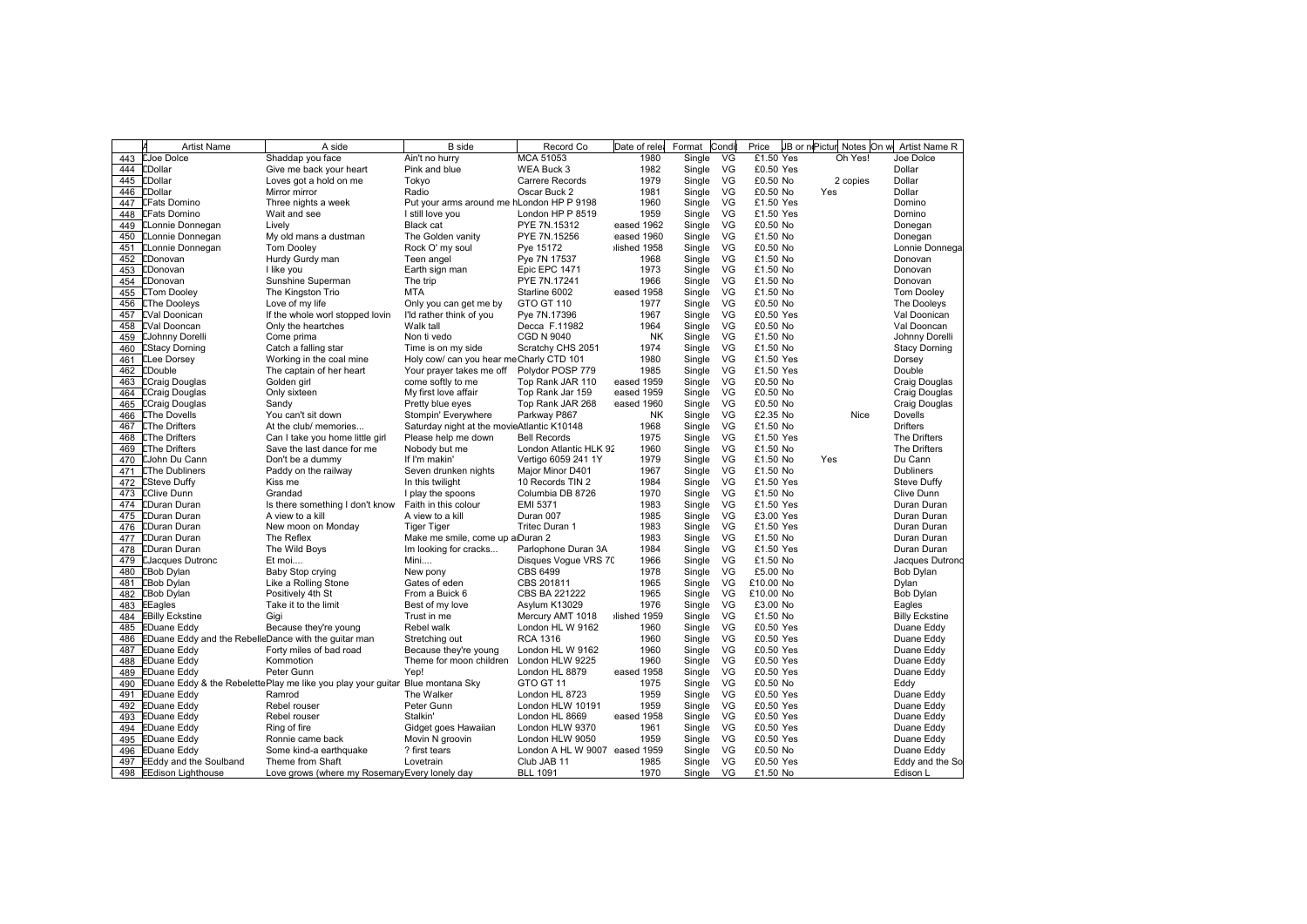|     | <b>Artist Name</b>                                   | A side                                                                                      | <b>B</b> side                              | Record Co                     | Date of rele       | Format           | Cond     | Price                  | JB or niPictur Notes On w | Artist Name R         |
|-----|------------------------------------------------------|---------------------------------------------------------------------------------------------|--------------------------------------------|-------------------------------|--------------------|------------------|----------|------------------------|---------------------------|-----------------------|
| 443 | <b>EJoe Dolce</b>                                    | Shaddap you face                                                                            | Ain't no hurry                             | MCA 51053                     | 1980               | Single           | VG       | £1.50 Yes              | Oh Yes!                   | Joe Dolce             |
|     | 444 <b>CDollar</b>                                   | Give me back your heart                                                                     | Pink and blue                              | WEA Buck 3                    | 1982               | Single           | VG       | £0.50 Yes              |                           | Dollar                |
| 445 | <b>LDollar</b>                                       | Loves got a hold on me                                                                      | Tokyo                                      | <b>Carrere Records</b>        | 1979               | Single           | VG       | £0.50 No               | 2 copies                  | Dollar                |
| 446 | <b>CDollar</b>                                       | Mirror mirror                                                                               | Radio                                      | Oscar Buck 2                  | 1981               | Single           | VG       | £0.50 No               | Yes                       | Dollar                |
| 447 | <b>LFats Domino</b>                                  | Three nights a week                                                                         | Put your arms around me hLondon HP P 9198  |                               | 1960               | Single           | VG       | £1.50 Yes              |                           | Domino                |
| 448 | <b>LFats Domino</b>                                  | Wait and see                                                                                | I still love you                           | London HP P 8519              | 1959               | Single           | VG       | £1.50 Yes              |                           | Domino                |
|     | 449 <b>ELonnie Donnegan</b>                          | Lively                                                                                      | <b>Black cat</b>                           | PYE 7N.15312                  | eased 1962         | Single           | VG       | £0.50 No               |                           | Donegan               |
|     | 450 ELonnie Donnegan                                 | My old mans a dustman                                                                       | The Golden vanity                          | PYE 7N.15256                  | eased 1960         | Single           | VG       | £1.50 No               |                           | Donegan               |
|     | 451 <b>CLonnie Donnegan</b>                          | <b>Tom Dooley</b>                                                                           | Rock O' my soul                            | Pye 15172                     | Ilished 1958       | Single           | VG       | £0.50 No               |                           | Lonnie Donnega        |
| 452 | <b>CDonovan</b>                                      | Hurdy Gurdy man                                                                             | Teen angel                                 | Pye 7N 17537                  | 1968               | Single           | VG       | £1.50 No               |                           | Donovan               |
| 453 | <b>CDonovan</b>                                      | I like you                                                                                  | Earth sign man                             | Epic EPC 1471                 | 1973               | Single           | VG       | £1.50 No               |                           | Donovan               |
|     | 454 CDonovan                                         | Sunshine Superman                                                                           | The trip                                   | PYE 7N.17241                  | 1966               | Single           | VG       | £1.50 No               |                           | Donovan               |
| 455 | <b>ETom Dooley</b>                                   | The Kingston Trio                                                                           | <b>MTA</b>                                 | Starline 6002                 | eased 1958         | Single           | VG       | £1.50 No               |                           | <b>Tom Dooley</b>     |
| 456 | <b>EThe Dooleys</b>                                  | Love of my life                                                                             | Only you can get me by                     | GTO GT 110                    | 1977               | Single           | VG       | £0.50 No               |                           | The Dooleys           |
|     | 457 EVal Doonican                                    | If the whole worl stopped lovin                                                             | I'ld rather think of you                   | Pye 7N.17396                  | 1967               | Single           | VG       | £0.50 Yes              |                           | Val Doonican          |
|     | 458 EVal Dooncan                                     | Only the heartches                                                                          | Walk tall                                  | Decca F.11982                 | 1964               | Single           | VG       | £0.50 No               |                           | Val Dooncan           |
| 459 | <b>EJohnny Dorelli</b>                               | Come prima                                                                                  | Non ti vedo                                | <b>CGD N 9040</b>             | <b>NK</b>          | Single           | VG       | £1.50 No               |                           | Johnny Dorelli        |
| 460 | <b>EStacy Dorning</b>                                | Catch a falling star                                                                        | Time is on my side                         | Scratchy CHS 2051             | 1974               | Single           | VG       | £1.50 No               |                           | <b>Stacy Dorning</b>  |
|     | 461 <b>ELee Dorsey</b>                               | Working in the coal mine                                                                    | Holy cow/ can you hear meCharly CTD 101    |                               | 1980               | Single           | VG       | £1.50 Yes              |                           | Dorsey                |
| 462 | <b>EDouble</b>                                       | The captain of her heart                                                                    | Your prayer takes me off                   | Polydor POSP 779              | 1985               | Single           | VG       | £1.50 Yes              |                           | Double                |
| 463 | <b>ECraig Douglas</b>                                | Golden girl                                                                                 | come softly to me                          | Top Rank JAR 110              | eased 1959         | Single           | VG       | £0.50 No               |                           | Craig Douglas         |
|     | 464 ECraig Douglas                                   | Only sixteen                                                                                | My first love affair                       | Top Rank Jar 159              | eased 1959         | Single           | VG       | £0.50 No               |                           | Craig Douglas         |
| 465 | <b>ECraig Douglas</b>                                | Sandy                                                                                       | Pretty blue eyes                           | Top Rank JAR 268              | eased 1960         | Single           | VG       | £0.50 No               |                           | Craig Douglas         |
| 466 | <b>EThe Dovells</b>                                  | You can't sit down                                                                          | Stompin' Everywhere                        | Parkway P867                  | NK                 | Single           | VG       | £2.35 No               | Nice                      | Dovells               |
| 467 | <b>EThe Drifters</b>                                 | At the club/ memories                                                                       | Saturday night at the movieAtlantic K10148 |                               | 1968               | Single           | VG       | £1.50 No               |                           | <b>Drifters</b>       |
| 468 | <b>LThe Drifters</b>                                 | Can I take you home little girl                                                             | Please help me down                        | <b>Bell Records</b>           | 1975               | Single           | VG       | £1.50 Yes              |                           | The Drifters          |
| 469 | <b>LThe Drifters</b>                                 | Save the last dance for me                                                                  | Nobody but me                              | London Atlantic HLK 92        | 1960               | Single           | VG       | £1.50 No               |                           | The Drifters          |
| 470 | <b>EJohn Du Cann</b>                                 | Don't be a dummy                                                                            | If I'm makin'                              | Vertigo 6059 241 1Y           | 1979               | Single           | VG       | £1.50 No               | Yes                       | Du Cann               |
| 471 | <b>EThe Dubliners</b>                                | Paddy on the railway                                                                        | Seven drunken nights                       | Major Minor D401              | 1967               | Single           | VG       | £1.50 No               |                           | <b>Dubliners</b>      |
| 472 | <b>ESteve Duffy</b>                                  | Kiss me                                                                                     | In this twilight                           | 10 Records TIN 2              | 1984               | Single           | VG       | £1.50 Yes              |                           | Steve Duffy           |
| 473 | <b>EClive Dunn</b>                                   | Grandad                                                                                     | I play the spoons                          | Columbia DB 8726              | 1970               | Single           | VG       | £1.50 No               |                           | Clive Dunn            |
|     | 474 EDuran Duran                                     | Is there something I don't know                                                             | Faith in this colour                       | EMI 5371                      | 1983               | Single           | VG       | £1.50 Yes              |                           | Duran Duran           |
| 475 | <b>CDuran Duran</b>                                  | A view to a kill                                                                            | A view to a kill                           | Duran 007                     | 1985               | Single           | VG       | £3.00 Yes              |                           | Duran Duran           |
| 476 | <b>CDuran Duran</b>                                  | New moon on Monday                                                                          | <b>Tiger Tiger</b>                         | Tritec Duran 1                | 1983               | Single           | VG       | £1.50 Yes              |                           | Duran Duran           |
| 477 | <b>CDuran Duran</b>                                  | The Reflex                                                                                  | Make me smile, come up alDuran 2           |                               | 1983               | Single           | VG       | £1.50 No               |                           | Duran Duran           |
| 478 | <b>CDuran Duran</b>                                  | The Wild Boys                                                                               | Im looking for cracks                      | Parlophone Duran 3A           | 1984               | Single           | VG       | £1.50 Yes              |                           | Duran Duran           |
| 479 | <b>EJacques Dutronc</b>                              | Et moi                                                                                      | Mini                                       | Disques Vogue VRS 70          | 1966               | Single           | VG       | £1.50 No               |                           | Jacques Dutrond       |
| 480 | <b>EBob Dylan</b>                                    | Baby Stop crying                                                                            | New pony                                   | CBS 6499                      | 1978               | Single           | VG       | £5.00 No               |                           | Bob Dylan             |
| 481 | <b>EBob Dylan</b>                                    | Like a Rolling Stone                                                                        | Gates of eden                              | CBS 201811                    | 1965               | Single           | VG       | £10.00 No              |                           | Dylan                 |
| 482 | <b>EBob Dylan</b>                                    | Positively 4th St                                                                           | From a Buick 6                             | CBS BA 221222                 | 1965               | Single           | VG       | £10.00 No              |                           | Bob Dylan             |
| 483 | <b>EEagles</b>                                       | Take it to the limit                                                                        | Best of my love                            | Asylum K13029                 | 1976               | Single           | VG       | £3.00 No               |                           | Eagles                |
|     | 484 EBilly Eckstine                                  | Gigi                                                                                        | Trust in me                                | Mercury AMT 1018              | lished 1959        | Single           | VG       | £1.50 No               |                           | <b>Billy Eckstine</b> |
| 485 | <b>EDuane Eddy</b>                                   | Because they're young                                                                       | Rebel walk                                 | London HL W 9162              | 1960               | Single           | VG       | £0.50 Yes              |                           | Duane Eddy            |
| 486 | EDuane Eddy and the RebelleDance with the guitar man |                                                                                             | Stretching out                             | <b>RCA 1316</b>               | 1960               | Single           | VG       | £0.50 Yes              |                           | Duane Eddy            |
|     | 487 EDuane Eddy                                      | Forty miles of bad road                                                                     | Because they're young                      | London HL W 9162              | 1960               | Single           | VG       | £0.50 Yes              |                           | Duane Eddy            |
| 488 | <b>EDuane Eddy</b>                                   | Kommotion                                                                                   | Theme for moon children                    | London HLW 9225               | 1960               | Single           | VG       | £0.50 Yes              |                           | Duane Eddy            |
| 489 | <b>EDuane Eddy</b>                                   | Peter Gunn                                                                                  | Yep!                                       | London HL 8879                | eased 1958         | Single           | VG       | £0.50 Yes              |                           | Duane Eddy            |
|     |                                                      |                                                                                             |                                            | GTO GT 11                     | 1975               |                  | VG       | £0.50 No               |                           |                       |
| 491 | <b>EDuane Eddy</b>                                   | 490 EDuane Eddy & the RebelettePlay me like you play your guitar Blue montana Sky<br>Ramrod | The Walker                                 |                               | 1959               | Single<br>Single | VG       | £0.50 Yes              |                           | Eddy<br>Duane Eddy    |
|     |                                                      |                                                                                             |                                            | London HL 8723                |                    |                  |          |                        |                           |                       |
| 492 | <b>EDuane Eddy</b>                                   | Rebel rouser                                                                                | Peter Gunn<br>Stalkin'                     | London HLW 10191              | 1959<br>eased 1958 | Single           | VG<br>VG | £0.50 Yes<br>£0.50 Yes |                           | Duane Eddy            |
| 493 | <b>EDuane Eddy</b>                                   | Rebel rouser                                                                                |                                            | London HL 8669                | 1961               | Single           | VG       | £0.50 Yes              |                           | Duane Eddy            |
|     | 494 EDuane Eddy                                      | Ring of fire                                                                                | Gidget goes Hawaiian                       | London HLW 9370               |                    | Single           |          |                        |                           | Duane Eddy            |
| 495 | <b>EDuane Eddy</b>                                   | Ronnie came back                                                                            | Movin N groovin                            | London HLW 9050               | 1959               | Single           | VG       | £0.50 Yes              |                           | Duane Eddy            |
| 496 | <b>EDuane Eddy</b>                                   | Some kind-a earthquake                                                                      | ? first tears                              | London A HL W 9007 eased 1959 |                    | Single           | VG       | £0.50 No               |                           | Duane Eddy            |
|     | 497 EEddy and the Soulband                           | Theme from Shaft                                                                            | Lovetrain                                  | Club JAB 11                   | 1985               | Single           | VG       | £0.50 Yes              |                           | Eddy and the So       |
|     | 498 EEdison Lighthouse                               | Love grows (where my Rosemary Every lonely day                                              |                                            | <b>BLL 1091</b>               | 1970               | Single           | VG       | £1.50 No               |                           | Edison L              |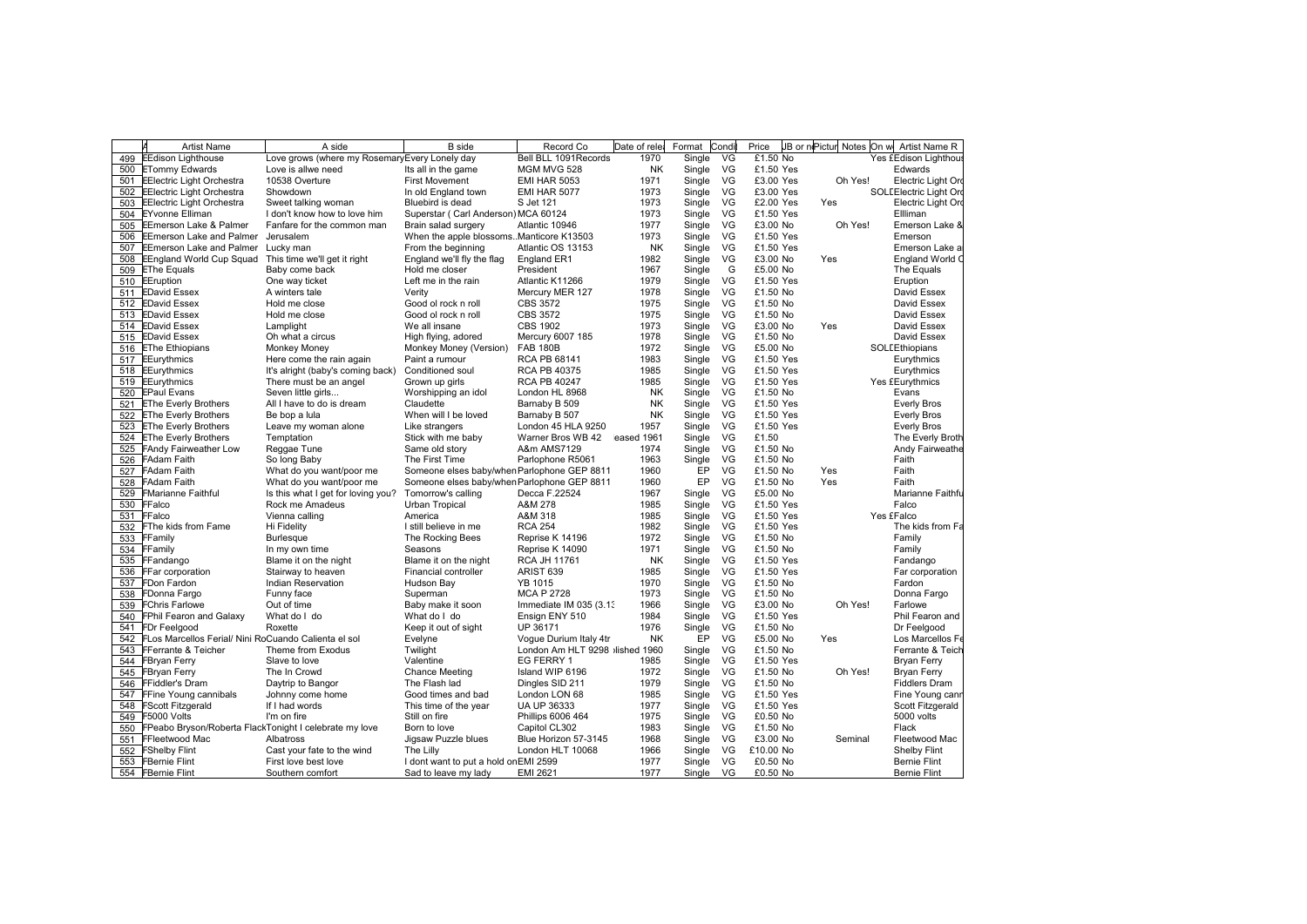|     | <b>Artist Name</b>                                     | A side                                         | <b>B</b> side                               | Record Co                           | Date of rele | Format | Condi | Price                  |         | JB or nePictur Notes On w Artist Name R |
|-----|--------------------------------------------------------|------------------------------------------------|---------------------------------------------|-------------------------------------|--------------|--------|-------|------------------------|---------|-----------------------------------------|
| 499 | <b>EEdison Lighthouse</b>                              | Love grows (where my Rosemary Every Lonely day |                                             | Bell BLL 1091 Records               | 1970         | Single | VG    | £1.50 No               |         | Yes £Edison Lighthous                   |
|     | 500 ETommy Edwards                                     | Love is allwe need                             | Its all in the game                         | MGM MVG 528                         | <b>NK</b>    | Single | VG    | £1.50 Yes              |         | Edwards                                 |
| 501 | <b>EElectric Light Orchestra</b>                       | 10538 Overture                                 | <b>First Movement</b>                       | <b>EMI HAR 5053</b>                 | 1971         | Single | VG    | £3.00 Yes              | Oh Yes! | Electric Light Ord                      |
| 502 | <b>EElectric Light Orchestra</b>                       | Showdown                                       | In old England town                         | <b>EMI HAR 5077</b>                 | 1973         | Single | VG    | £3.00 Yes              |         | SOLDElectric Light Or                   |
| 503 | <b>EElectric Light Orchestra</b>                       | Sweet talking woman                            | Bluebird is dead                            | S Jet 121                           | 1973         | Single | VG    | £2.00 Yes              | Yes     | Electric Light Or                       |
| 504 | <b>EYvonne Elliman</b>                                 | I don't know how to love him                   | Superstar (Carl Anderson) MCA 60124         |                                     | 1973         | Single | VG    | £1.50 Yes              |         | Ellliman                                |
| 505 | EEmerson Lake & Palmer                                 | Fanfare for the common man                     | Brain salad surgery                         | Atlantic 10946                      | 1977         | Single | VG    | £3.00 No               | Oh Yes! | Emerson Lake &                          |
| 506 | <b>EEmerson Lake and Palmer</b>                        | Jerusalem                                      | When the apple blossoms. Manticore K13503   |                                     | 1973         | Single | VG    | £1.50 Yes              |         | Emerson                                 |
| 507 | <b>EEmerson Lake and Palmer</b>                        | Lucky man                                      | From the beginning                          | Atlantic OS 13153                   | <b>NK</b>    | Single | VG    | £1.50 Yes              |         | Emerson Lake a                          |
| 508 | <b>EEngland World Cup Squad</b>                        | This time we'll get it right                   | England we'll fly the flag                  | England ER1                         | 1982         | Single | VG    | £3.00 No               | Yes     | England World C                         |
|     | 509 EThe Equals                                        | Baby come back                                 | Hold me closer                              | President                           | 1967         | Single | G     | £5.00 No               |         | The Equals                              |
|     | 510 EEruption                                          | One way ticket                                 | Left me in the rain                         | Atlantic K11266                     | 1979         | Single | VG    | £1.50 Yes              |         | Eruption                                |
| 511 | <b>EDavid Essex</b>                                    | A winters tale                                 | Verity                                      | Mercury MER 127                     | 1978         | Single | VG    | £1.50 No               |         | David Essex                             |
| 512 | <b>EDavid Essex</b>                                    | Hold me close                                  | Good ol rock n roll                         | CBS 3572                            | 1975         | Single | VG    | £1.50 No               |         | David Essex                             |
|     | 513 EDavid Essex                                       | Hold me close                                  | Good ol rock n roll                         | CBS 3572                            | 1975         | Single | VG    | £1.50 No               |         | David Essex                             |
|     | 514 EDavid Essex                                       | Lamplight                                      | We all insane                               | <b>CBS 1902</b>                     | 1973         | Single | VG    | £3.00 No               | Yes     | David Essex                             |
| 515 | <b>EDavid Essex</b>                                    | Oh what a circus                               | High flying, adored                         | Mercury 6007 185                    | 1978         | Single | VG    | £1.50 No               |         | David Essex                             |
| 516 | <b>EThe Ethiopians</b>                                 | <b>Monkey Money</b>                            | Monkey Money (Version)                      | <b>FAB 180B</b>                     | 1972         | Single | VG    | £5.00 No               |         | SOLLEthiopians                          |
|     |                                                        |                                                |                                             |                                     |              |        | VG    |                        |         |                                         |
| 517 | EEurythmics<br>518 EEurythmics                         | Here come the rain again                       | Paint a rumour                              | RCA PB 68141<br><b>RCA PB 40375</b> | 1983<br>1985 | Single | VG    | £1.50 Yes<br>£1.50 Yes |         | Eurythmics                              |
|     |                                                        | It's alright (baby's coming back)              | Conditioned soul                            |                                     |              | Single | VG    | £1.50 Yes              |         | Eurythmics                              |
|     | 519 EEurythmics                                        | There must be an angel                         | Grown up girls                              | <b>RCA PB 40247</b>                 | 1985         | Single |       |                        |         | Yes £Eurythmics                         |
|     | 520 EPaul Evans                                        | Seven little girls                             | Worshipping an idol                         | London HL 8968                      | <b>NK</b>    | Single | VG    | £1.50 No               |         | Evans                                   |
|     | 521 EThe Everly Brothers                               | All I have to do is dream                      | Claudette                                   | Barnaby B 509                       | <b>NK</b>    | Single | VG    | £1.50 Yes              |         | <b>Everly Bros</b>                      |
| 522 | <b>EThe Everly Brothers</b>                            | Be bop a lula                                  | When will I be loved                        | Barnaby B 507                       | <b>NK</b>    | Single | VG    | £1.50 Yes              |         | <b>Everly Bros</b>                      |
|     | 523 EThe Everly Brothers                               | Leave my woman alone                           | Like strangers                              | London 45 HLA 9250                  | 1957         | Single | VG    | £1.50 Yes              |         | <b>Everly Bros</b>                      |
|     | 524 EThe Everly Brothers                               | Temptation                                     | Stick with me baby                          | Warner Bros WB 42                   | eased 1961   | Single | VG    | £1.50                  |         | The Everly Broth                        |
| 525 | <b>FAndy Fairweather Low</b>                           | Reggae Tune                                    | Same old story                              | A&m AMS7129                         | 1974         | Single | VG    | £1.50 No               |         | Andy Fairweathe                         |
| 526 | <b>FAdam Faith</b>                                     | So long Baby                                   | The First Time                              | Parlophone R5061                    | 1963         | Single | VG    | £1.50 No               |         | Faith                                   |
| 527 | <b>FAdam Faith</b>                                     | What do you want/poor me                       | Someone elses baby/when Parlophone GEP 8811 |                                     | 1960         | EP     | VG    | £1.50 No               | Yes     | Faith                                   |
| 528 | <b>FAdam Faith</b>                                     | What do you want/poor me                       | Someone elses baby/when Parlophone GEP 8811 |                                     | 1960         | EP     | VG    | £1.50 No               | Yes     | Faith                                   |
| 529 | <b>FMarianne Faithful</b>                              | Is this what I get for loving you?             | Tomorrow's calling                          | Decca F.22524                       | 1967         | Single | VG    | £5.00 No               |         | Marianne Faithfu                        |
| 530 | FFalco                                                 | Rock me Amadeus                                | <b>Urban Tropical</b>                       | A&M 278                             | 1985         | Single | VG    | £1.50 Yes              |         | Falco                                   |
| 531 | FFalco                                                 | Vienna calling                                 | America                                     | A&M 318                             | 1985         | Single | VG    | £1.50 Yes              |         | Yes £Falco                              |
| 532 | FThe kids from Fame                                    | Hi Fidelity                                    | I still believe in me                       | <b>RCA 254</b>                      | 1982         | Single | VG    | £1.50 Yes              |         | The kids from Fa                        |
| 533 | FFamily                                                | <b>Burlesque</b>                               | The Rocking Bees                            | Reprise K 14196                     | 1972         | Single | VG    | £1.50 No               |         | Family                                  |
| 534 | FFamily                                                | In my own time                                 | Seasons                                     | Reprise K 14090                     | 1971         | Single | VG    | £1.50 No               |         | Family                                  |
| 535 | FFandango                                              | Blame it on the night                          | Blame it on the night                       | <b>RCA JH 11761</b>                 | <b>NK</b>    | Single | VG    | £1.50 Yes              |         | Fandango                                |
| 536 | FFar corporation                                       | Stairway to heaven                             | Financial controller                        | ARIST 639                           | 1985         | Single | VG    | £1.50 Yes              |         | Far corporation                         |
| 537 | FDon Fardon                                            | Indian Reservation                             | Hudson Bay                                  | YB 1015                             | 1970         | Single | VG    | £1.50 No               |         | Fardon                                  |
| 538 | FDonna Fargo                                           | Funny face                                     | Superman                                    | <b>MCA P 2728</b>                   | 1973         | Single | VG    | £1.50 No               |         | Donna Fargo                             |
| 539 | <b>FChris Farlowe</b>                                  | Out of time                                    | Baby make it soon                           | Immediate IM 035 (3.13              | 1966         | Single | VG    | £3.00 No               | Oh Yes! | Farlowe                                 |
| 540 | FPhil Fearon and Galaxy                                | What do I do                                   | What do I do                                | Ensign ENY 510                      | 1984         | Single | VG    | £1.50 Yes              |         | Phil Fearon and                         |
| 541 | FDr Feelgood                                           | Roxette                                        | Keep it out of sight                        | UP 36171                            | 1976         | Single | VG    | £1.50 No               |         | Dr Feelgood                             |
| 542 | FLos Marcellos Ferial/ Nini RoCuando Calienta el sol   |                                                | Evelyne                                     | Voque Durium Italy 4tr              | NK           | EP     | VG    | £5.00 No               | Yes     | Los Marcellos Fe                        |
| 543 | <b>FFerrante &amp; Teicher</b>                         | Theme from Exodus                              | Twilight                                    | London Am HLT 9298 lished 1960      |              | Single | VG.   | £1.50 No               |         | Ferrante & Teich                        |
| 544 | <b>FBryan Ferry</b>                                    | Slave to love                                  | Valentine                                   | EG FERRY 1                          | 1985         | Single | VG    | £1.50 Yes              |         | <b>Bryan Ferry</b>                      |
| 545 | <b>FBryan Ferry</b>                                    | The In Crowd                                   | <b>Chance Meeting</b>                       | Island WIP 6196                     | 1972         | Single | VG    | £1.50 No               | Oh Yes! | <b>Bryan Ferry</b>                      |
|     |                                                        |                                                |                                             |                                     |              |        |       |                        |         |                                         |
| 546 | <b>FFiddler's Dram</b>                                 | Daytrip to Bangor                              | The Flash lad                               | Dingles SID 211                     | 1979         | Single | VG    | £1.50 No               |         | <b>Fiddlers Dram</b>                    |
| 547 | FFine Young cannibals                                  | Johnny come home                               | Good times and bad                          | London LON 68                       | 1985         | Single | VG    | £1.50 Yes              |         | Fine Young can                          |
| 548 | <b>FScott Fitzgerald</b>                               | If I had words                                 | This time of the year                       | <b>UA UP 36333</b>                  | 1977         | Single | VG    | £1.50 Yes              |         | Scott Fitzgerald                        |
| 549 | F5000 Volts                                            | I'm on fire                                    | Still on fire                               | Phillips 6006 464                   | 1975         | Single | VG    | £0.50 No               |         | 5000 volts                              |
| 550 | FPeabo Bryson/Roberta FlackTonight I celebrate my love |                                                | Born to love                                | Capitol CL302                       | 1983         | Single | VG    | £1.50 No               |         | Flack                                   |
| 551 | FFleetwood Mac                                         | Albatross                                      | Jigsaw Puzzle blues                         | Blue Horizon 57-3145                | 1968         | Single | VG    | £3.00 No               | Seminal | Fleetwood Mac                           |
| 552 | <b>FShelby Flint</b>                                   | Cast your fate to the wind                     | The Lilly                                   | London HLT 10068                    | 1966         | Single | VG    | £10.00 No              |         | <b>Shelby Flint</b>                     |
|     | 553 FBernie Flint                                      | First love best love                           | I dont want to put a hold on EMI 2599       |                                     | 1977         | Single | VG    | £0.50 No               |         | <b>Bernie Flint</b>                     |
|     | 554 FBernie Flint                                      | Southern comfort                               | Sad to leave my lady                        | <b>EMI 2621</b>                     | 1977         | Single | VG    | £0.50 No               |         | <b>Bernie Flint</b>                     |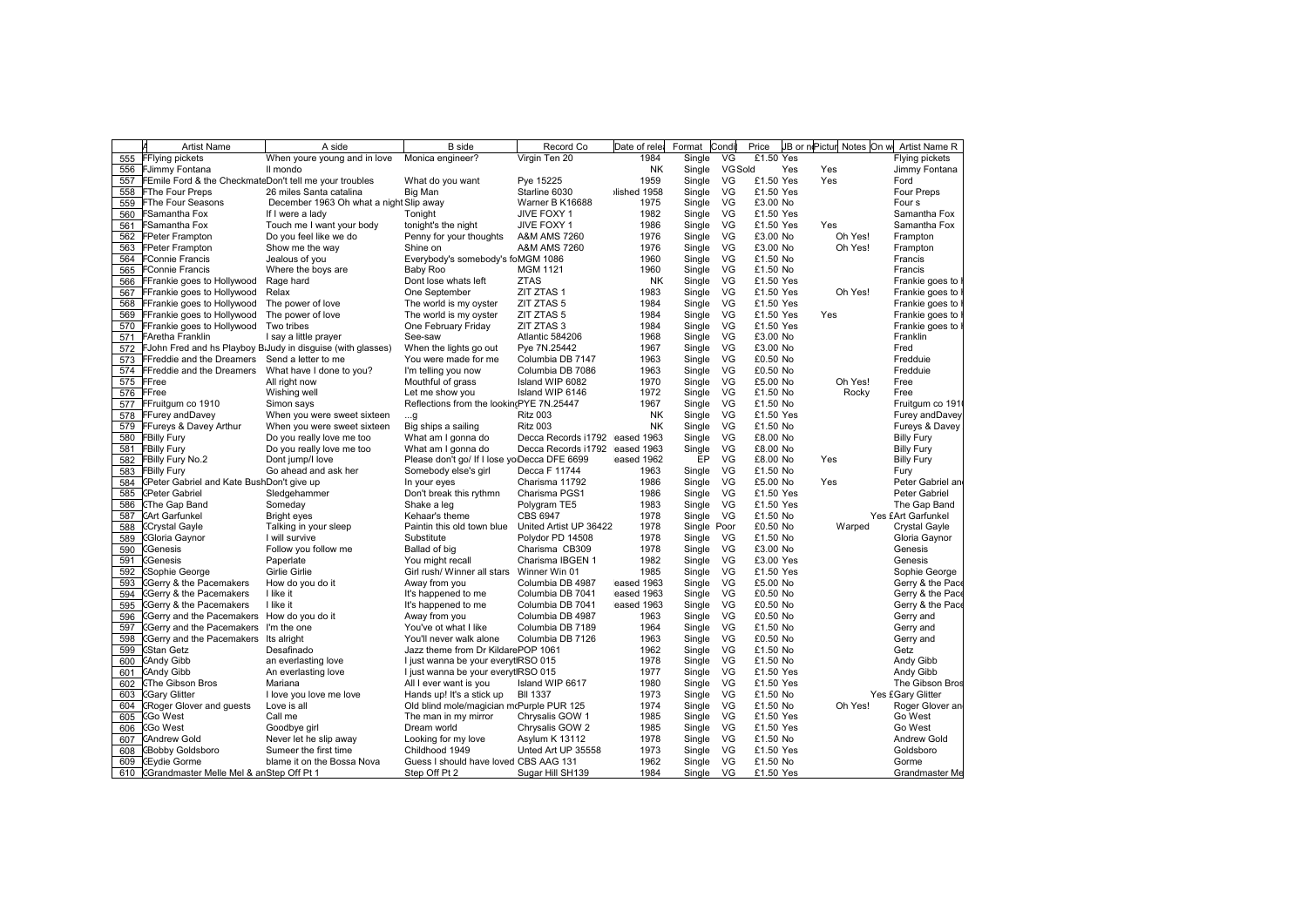|     | И<br><b>Artist Name</b>                                               | A side                                                          | <b>B</b> side                                | Record Co                      | Date of rele       | Format      | Condi          | Price                |     | JB or nePictur Notes On w Artist Name R |                               |
|-----|-----------------------------------------------------------------------|-----------------------------------------------------------------|----------------------------------------------|--------------------------------|--------------------|-------------|----------------|----------------------|-----|-----------------------------------------|-------------------------------|
|     | 555 FFlying pickets                                                   | When youre young and in love                                    | Monica engineer?                             | Virgin Ten 20                  | 1984               | Single      | VG             | £1.50 Yes            |     |                                         | Flying pickets                |
|     | 556 FJimmy Fontana                                                    | Il mondo                                                        |                                              |                                | NK                 | Single      | <b>VG Sold</b> |                      | Yes | Yes                                     | Jimmy Fontana                 |
|     | 557 FEmile Ford & the CheckmateDon't tell me your troubles            |                                                                 | What do you want                             | Pye 15225                      | 1959               | Single      | VG             | £1.50 Yes            |     | Yes                                     | Ford                          |
|     | 558 FThe Four Preps                                                   | 26 miles Santa catalina                                         | Big Man                                      | Starline 6030                  | Ilished 1958       | Single      | VG             | £1.50 Yes            |     |                                         | Four Preps                    |
|     | 559 FThe Four Seasons                                                 | December 1963 Oh what a night Slip away                         |                                              | Warner B K16688                | 1975               | Single      | VG             | £3.00 No             |     |                                         | Four s                        |
|     | 560 FSamantha Fox                                                     | If I were a lady                                                | Tonight                                      | JIVE FOXY 1                    | 1982               | Single      | VG             | £1.50 Yes            |     |                                         | Samantha Fox                  |
| 561 | <b>FSamantha Fox</b>                                                  | Touch me I want your body                                       | tonight's the night                          | JIVE FOXY 1                    | 1986               | Single      | VG             | £1.50 Yes            |     | Yes                                     | Samantha Fox                  |
|     | 562 FPeter Frampton                                                   | Do you feel like we do                                          | Penny for your thoughts                      | A&M AMS 7260                   | 1976               | Single      | VG             | £3.00 No             |     | Oh Yes!                                 | Frampton                      |
|     | 563 FPeter Frampton                                                   | Show me the way                                                 | Shine on                                     | A&M AMS 7260                   | 1976               | Single      | VG             | £3.00 No             |     | Oh Yes!                                 | Frampton                      |
| 564 | <b>FConnie Francis</b>                                                | Jealous of you                                                  | Everybody's somebody's foMGM 1086            |                                | 1960               | Single      | VG             | £1.50 No             |     |                                         | Francis                       |
|     | 565 FConnie Francis                                                   | Where the boys are                                              | Baby Roo                                     | <b>MGM 1121</b>                | 1960               | Single      | VG             | £1.50 No             |     |                                         | Francis                       |
|     | 566 FFrankie goes to Hollywood                                        | Rage hard                                                       | Dont lose whats left                         | <b>ZTAS</b>                    | <b>NK</b>          | Single      | VG             | £1.50 Yes            |     |                                         | Frankie goes to               |
|     | 567 FFrankie goes to Hollywood                                        | Relax                                                           | One September                                | ZIT ZTAS 1                     | 1983               | Single      | VG             | £1.50 Yes            |     | Oh Yes!                                 | Frankie goes to               |
|     | 568 FFrankie goes to Hollywood The power of love                      |                                                                 | The world is my oyster                       | ZIT ZTAS 5                     | 1984               | Single      | VG             | £1.50 Yes            |     |                                         | Frankie goes to               |
| 569 | FFrankie goes to Hollywood                                            | The power of love                                               | The world is my oyster                       | ZIT ZTAS 5                     | 1984               | Single      | VG             | £1.50 Yes            |     | Yes                                     | Frankie goes to               |
|     | 570 FFrankie goes to Hollywood Two tribes                             |                                                                 | One February Friday                          | ZIT ZTAS 3                     | 1984               | Single      | VG             | £1.50 Yes            |     |                                         | Frankie goes to               |
|     | 571 FAretha Franklin                                                  | I say a little prayer                                           | See-saw                                      | Atlantic 584206                | 1968               | Single      | VG             | £3.00 No             |     |                                         | Franklin                      |
|     |                                                                       | 572 FJohn Fred and hs Playboy B Judy in disguise (with glasses) | When the lights go out                       | Pye 7N.25442                   | 1967               | Single      | VG             | £3.00 No             |     |                                         | Fred                          |
|     | 573 FFreddie and the Dreamers Send a letter to me                     |                                                                 | You were made for me                         | Columbia DB 7147               | 1963               | Single      | VG             | £0.50 No             |     |                                         | Fredduie                      |
| 574 | FFreddie and the Dreamers  What have I done to you?                   |                                                                 | I'm telling you now                          | Columbia DB 7086               | 1963               | Single      | VG             | £0.50 No             |     |                                         | Fredduie                      |
|     | 575 FFree                                                             | All right now                                                   | Mouthful of grass                            | Island WIP 6082                | 1970               | Single      | VG             | £5.00 No             |     | Oh Yes!                                 | Free                          |
|     | 576 FFree                                                             | Wishing well                                                    | Let me show you                              | Island WIP 6146                | 1972               | Single      | VG             | £1.50 No             |     | Rocky                                   | Free                          |
|     | 577 FFruitgum co 1910                                                 | Simon says                                                      | Reflections from the lookin(PYE 7N.25447     |                                | 1967               | Single      | VG             | £1.50 No             |     |                                         | Fruitgum co 191               |
|     | 578 FFurey and Davey                                                  | When you were sweet sixteen                                     | g                                            | <b>Ritz 003</b>                | <b>NK</b>          | Single      | VG             | £1.50 Yes            |     |                                         | Furey and Davey               |
|     | 579 FFureys & Davey Arthur                                            | When you were sweet sixteen                                     | Big ships a sailing                          | <b>Ritz 003</b>                | <b>NK</b>          | Single      | VG             | £1.50 No             |     |                                         | Fureys & Davey                |
|     | 580 FBilly Fury                                                       | Do you really love me too                                       | What am I gonna do                           | Decca Records i1792 eased 1963 |                    | Single      | VG             | £8.00 No             |     |                                         | <b>Billy Fury</b>             |
|     | 581 FBilly Fury                                                       | Do you really love me too                                       | What am I gonna do                           | Decca Records i1792 eased 1963 |                    | Single      | VG             | £8.00 No             |     |                                         | <b>Billy Fury</b>             |
| 582 | <b>FBilly Fury No.2</b>                                               | Dont jump/I love                                                | Please don't go/ If I lose yo Decca DFE 6699 |                                | eased 1962         | EP          | VG             | £8.00 No             |     | Yes                                     | <b>Billy Fury</b>             |
| 583 | <b>FBilly Fury</b>                                                    | Go ahead and ask her                                            | Somebody else's girl                         | Decca F 11744                  | 1963               | Single      | VG             | £1.50 No             |     |                                         |                               |
| 584 | (Peter Gabriel and Kate BushDon't give up                             |                                                                 |                                              | Charisma 11792                 | 1986               | Single      | VG             | £5.00 No             |     | Yes                                     | Fury<br>Peter Gabriel an      |
| 585 | <b>CPeter Gabriel</b>                                                 | Sledgehammer                                                    | In your eyes<br>Don't break this rythmn      | Charisma PGS1                  | 1986               | Single      | VG             | £1.50 Yes            |     |                                         | Peter Gabriel                 |
| 586 | CThe Gap Band                                                         | Someday                                                         | Shake a leg                                  | Polygram TE5                   | 1983               | Single      | VG             | £1.50 Yes            |     |                                         | The Gap Band                  |
| 587 | <b>CArt Garfunkel</b>                                                 | Bright eyes                                                     | Kehaar's theme                               | CBS 6947                       | 1978               | Single VG   |                | £1.50 No             |     |                                         | Yes £Art Garfunkel            |
|     |                                                                       |                                                                 |                                              |                                |                    |             |                |                      |     |                                         |                               |
| 588 | <b>CCrystal Gayle</b>                                                 | Talking in your sleep                                           | Paintin this old town blue                   | United Artist UP 36422         | 1978               | Single Poor |                | £0.50 No             |     | Warped                                  | Crystal Gayle                 |
| 589 | CGloria Gaynor                                                        | I will survive                                                  | Substitute                                   | Polydor PD 14508               | 1978<br>1978       | Single VG   |                | £1.50 No             |     |                                         | Gloria Gaynor<br>Genesis      |
| 590 | <b>CGenesis</b>                                                       | Follow you follow me                                            | Ballad of big                                | Charisma CB309                 |                    | Single VG   |                | £3.00 No             |     |                                         |                               |
| 591 | Genesis                                                               | Paperlate                                                       | You might recall                             | Charisma IBGEN 1               | 1982               | Single VG   |                | £3.00 Yes            |     |                                         | Genesis                       |
| 592 | <b>CSophie George</b>                                                 | <b>Girlie Girlie</b>                                            | Girl rush/ Winner all stars                  | Winner Win 01                  | 1985               | Single      | VG             | £1.50 Yes            |     |                                         | Sophie George                 |
| 593 | <b>CGerry &amp; the Pacemakers</b>                                    | How do you do it                                                | Away from you                                | Columbia DB 4987               | eased 1963         | Single      | VG             | £5.00 No             |     |                                         | Gerry & the Pace              |
| 594 | CGerry & the Pacemakers                                               | I like it                                                       | It's happened to me                          | Columbia DB 7041               | eased 1963         | Single      | VG             | £0.50 No             |     |                                         | Gerry & the Pace              |
| 595 | CGerry & the Pacemakers<br>CGerry and the Pacemakers How do you do it | I like it                                                       | It's happened to me                          | Columbia DB 7041               | eased 1963<br>1963 | Single      | VG<br>VG       | £0.50 No<br>£0.50 No |     |                                         | Gerry & the Pace<br>Gerry and |
| 596 |                                                                       |                                                                 | Away from you                                | Columbia DB 4987               |                    | Single      |                |                      |     |                                         |                               |
| 597 | Gerry and the Pacemakers I'm the one                                  |                                                                 | You've ot what I like                        | Columbia DB 7189               | 1964               | Single      | VG             | £1.50 No             |     |                                         | Gerry and                     |
| 598 | CGerry and the Pacemakers Its alright                                 |                                                                 | You'll never walk alone                      | Columbia DB 7126               | 1963               | Single      | VG             | £0.50 No             |     |                                         | Gerry and                     |
| 599 | CStan Getz                                                            | Desafinado                                                      | Jazz theme from Dr KildarePOP 1061           |                                | 1962               | Single      | VG             | £1.50 No             |     |                                         | Getz                          |
| 600 | CAndy Gibb                                                            | an everlasting love                                             | I just wanna be your everytIRSO 015          |                                | 1978               | Single      | VG             | £1.50 No             |     |                                         | Andy Gibb                     |
| 601 | CAndy Gibb                                                            | An everlasting love                                             | I just wanna be your everytIRSO 015          |                                | 1977               | Single      | VG             | £1.50 Yes            |     |                                         | Andy Gibb                     |
| 602 | <b>CThe Gibson Bros</b>                                               | Mariana                                                         | All I ever want is you                       | Island WIP 6617                | 1980               | Single      | VG             | £1.50 Yes            |     |                                         | The Gibson Bros               |
| 603 | <b>CGary Glitter</b>                                                  | I love you love me love                                         | Hands up! It's a stick up                    | <b>BII 1337</b>                | 1973               | Single      | VG             | £1.50 No             |     |                                         | Yes £Gary Glitter             |
| 604 | CRoger Glover and guests                                              | Love is all                                                     | Old blind mole/magician mcPurple PUR 125     |                                | 1974               | Single      | VG             | £1.50 No             |     | Oh Yes!                                 | Roger Glover an               |
| 605 | <b>CGo West</b>                                                       | Call me                                                         | The man in my mirror                         | Chrysalis GOW 1                | 1985               | Single      | VG             | £1.50 Yes            |     |                                         | Go West                       |
| 606 | CGo West                                                              | Goodbye girl                                                    | Dream world                                  | Chrysalis GOW 2                | 1985               | Single      | VG             | £1.50 Yes            |     |                                         | Go West                       |
| 607 | <b>CAndrew Gold</b>                                                   | Never let he slip away                                          | Looking for my love                          | Asylum K 13112                 | 1978               | Single      | VG             | £1.50 No             |     |                                         | Andrew Gold                   |
| 608 | <b>CBobby Goldsboro</b>                                               | Sumeer the first time                                           | Childhood 1949                               | Unted Art UP 35558             | 1973               | Single      | VG             | £1.50 Yes            |     |                                         | Goldsboro                     |
|     | 609 CEydie Gorme                                                      | blame it on the Bossa Nova                                      | Guess I should have loved CBS AAG 131        |                                | 1962               | Single      | VG             | £1.50 No             |     |                                         | Gorme                         |
|     | 610 Grandmaster Melle Mel & anStep Off Pt 1                           |                                                                 | Step Off Pt 2                                | Sugar Hill SH139               | 1984               |             | Single VG      | £1.50 Yes            |     |                                         | Grandmaster Me                |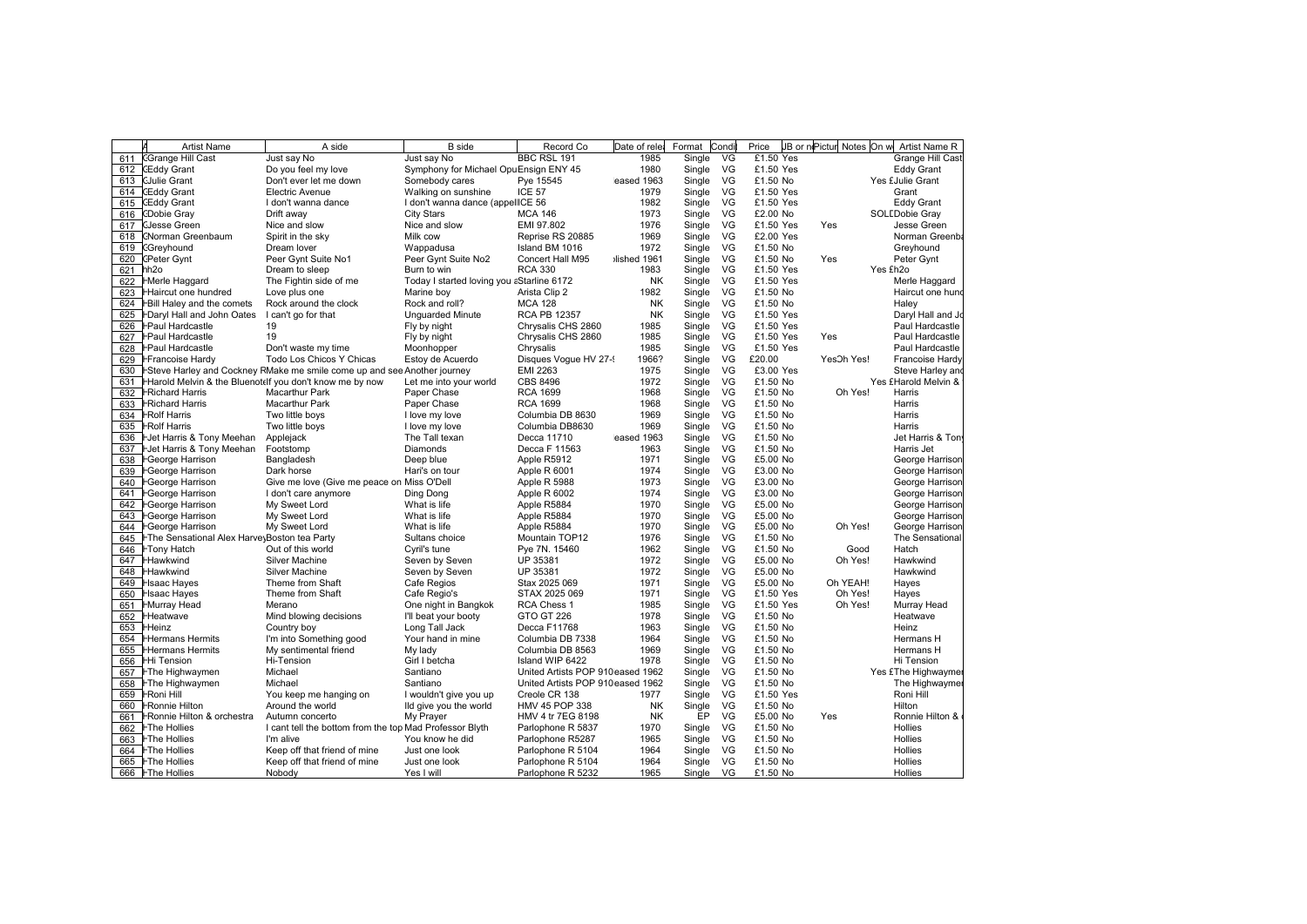| <b>CGrange Hill Cast</b><br>Just say No<br>Just say No<br>BBC RSL 191<br>1985<br>Single<br>VG<br>£1.50 Yes<br>Grange Hill Cast<br>1980<br>VG<br>£1.50 Yes<br><b>Eddy Grant</b><br><b>CEddy Grant</b><br>Do you feel my love<br>Symphony for Michael OpuEnsign ENY 45<br>Single<br>eased 1963<br>Single<br>VG<br>Yes £Julie Grant<br><b>CJulie Grant</b><br>Don't ever let me down<br>Somebody cares<br>£1.50 No<br>Pye 15545<br>ICE 57<br>Single<br>VG<br>£1.50 Yes<br>Grant<br>CEddy Grant<br>Electric Avenue<br>Walking on sunshine<br>1979<br>1982<br>CEddy Grant<br>I don't wanna dance<br>I don't wanna dance (appellICE 56<br>Single<br>VG<br>£1.50 Yes<br><b>Eddy Grant</b><br>1973<br>VG<br>SOLEDobie Gray<br>CDobie Gray<br>City Stars<br><b>MCA 146</b><br>Single<br>£2.00 No<br>Drift away<br>1976<br>VG<br>EMI 97.802<br>Single<br>£1.50 Yes<br>Jesse Green<br><b>CJesse Green</b><br>Nice and slow<br>Nice and slow<br>Yes<br>VG<br>Milk cow<br>1969<br>Single<br>£2.00 Yes<br>CNorman Greenbaum<br>Spirit in the sky<br>Reprise RS 20885<br>Norman Greenba<br>1972<br>VG<br>£1.50 No<br>Greyhound<br>Dream lover<br>Wappadusa<br>Island BM 1016<br>Single<br>Greyhound<br>(Peter Gynt<br>Peer Gynt Suite No1<br>Peer Gynt Suite No2<br>Concert Hall M95<br>Ilished 1961<br>Single<br>VG<br>£1.50 No<br>Yes<br>Peter Gynt<br>1983<br>VG<br>£1.50 Yes<br>hh <sub>2o</sub><br>Dream to sleep<br>Burn to win<br><b>RCA 330</b><br>Single<br>Yes £h2o<br>621<br><b>NK</b><br>Single<br>VG<br>£1.50 Yes<br>622<br><b>FMerle Haggard</b><br>The Fightin side of me<br>Today I started loving you aStarline 6172<br>Merle Haggard<br>VG<br>1982<br>Single<br>£1.50 No<br>623<br>Haircut one hundred<br>Love plus one<br>Marine boy<br>Arista Clip 2<br>Haircut one hund<br>VG<br>£1.50 No<br>624<br>Bill Haley and the comets<br>Rock around the clock<br>Rock and roll?<br><b>MCA 128</b><br><b>NK</b><br>Single<br>Haley<br><b>RCA PB 12357</b><br><b>NK</b><br>VG<br>£1.50 Yes<br>625<br>FDaryl Hall and John Oates<br>I can't go for that<br>Unguarded Minute<br>Single<br>Daryl Hall and Jo<br>VG<br><b>FPaul Hardcastle</b><br>19<br>Chrysalis CHS 2860<br>1985<br>Single<br>£1.50 Yes<br>Paul Hardcastle<br>626<br>Fly by night<br><b>FPaul Hardcastle</b><br>VG<br>£1.50 Yes<br>Paul Hardcastle<br>627<br>19<br>Fly by night<br>Chrysalis CHS 2860<br>1985<br>Single<br>Yes<br>Single<br>VG<br><b>FPaul Hardcastle</b><br>Don't waste my time<br>Moonhopper<br>Chrysalis<br>1985<br>£1.50 Yes<br>Paul Hardcastle<br>628<br>VG<br>£20.00<br>629<br>Todo Los Chicos Y Chicas<br>Estoy de Acuerdo<br>Disques Vogue HV 27-<br>1966?<br>Single<br>YesOh Yes!<br>Francoise Hardy<br>Francoise Hardy<br>-Steve Harley and Cockney RMake me smile come up and see Another journey<br><b>EMI 2263</b><br>1975<br>Single<br>VG<br>£3.00 Yes<br>Steve Harley and<br>VG<br><b>CBS 8496</b><br>1972<br>Single<br>£1.50 No<br>Yes £Harold Melvin &<br>Harold Melvin & the Bluenotelf you don't know me by now<br>Let me into your world<br>1968<br>VG<br>£1.50 No<br><b>Richard Harris</b><br><b>Macarthur Park</b><br>Paper Chase<br><b>RCA 1699</b><br>Single<br>Oh Yes!<br>Harris<br>1968<br>Single<br>VG<br><b>-Richard Harris</b><br>Macarthur Park<br>Paper Chase<br><b>RCA 1699</b><br>£1.50 No<br>Harris<br>1969<br>VG<br><b>Rolf Harris</b><br>I love my love<br>Columbia DB 8630<br>Single<br>£1.50 No<br>Harris<br>Two little boys<br>Columbia DB8630<br>1969<br>VG<br>£1.50 No<br><b>FRolf Harris</b><br>Two little bovs<br>I love my love<br>Single<br>Harris<br>VG<br>The Tall texan<br>eased 1963<br>Single<br>£1.50 No<br>Het Harris & Tony Meehan<br>Applejack<br>Decca 11710<br>Jet Harris & Ton<br><b>FJet Harris &amp; Tony Meehan</b><br>Footstomp<br>Diamonds<br>Decca F 11563<br>1963<br>Single<br>VG<br>£1.50 No<br>Harris Jet<br>VG<br>⊦George Harrison<br>Bangladesh<br>Deep blue<br>Apple R5912<br>1971<br>Single<br>£5.00 No<br>George Harrison<br>1974<br>VG<br>George Harrison<br>Dark horse<br>Hari's on tour<br>Single<br>£3.00 No<br>George Harrison<br>Apple R 6001<br>Give me love (Give me peace on Miss O'Dell<br>1973<br>VG<br>£3.00 No<br>George Harrison<br>Apple R 5988<br>Single<br>George Harrison<br>1974<br>Single<br>VG<br><b>FGeorge Harrison</b><br>I don't care anymore<br>Ding Dong<br>Apple R 6002<br>£3.00 No<br>George Harrison<br>George Harrison<br>My Sweet Lord<br>What is life<br>1970<br>Single<br>VG<br>£5.00 No<br>-George Harrison<br>Apple R5884<br>VG<br>My Sweet Lord<br>What is life<br>Apple R5884<br>1970<br>Single<br>£5.00 No<br>George Harrison<br>⊦George Harrison<br>What is life<br>1970<br>Single<br>VG<br>£5.00 No<br>Oh Yes!<br>George Harrison<br>644<br>⊦George Harrison<br>My Sweet Lord<br>Apple R5884<br>1976<br>VG<br>Mountain TOP12<br>Single<br>£1.50 No<br>The Sensational<br>645<br>⊦The Sensational Alex Harve∖Boston tea Party<br>Sultans choice<br>1962<br>VG<br>646<br><b>FTony Hatch</b><br>Out of this world<br>Cyril's tune<br>Pye 7N. 15460<br>Single<br>£1.50 No<br>Hatch<br>Good<br>Hawkwind<br>UP 35381<br>1972<br>Single<br>VG<br>£5.00 No<br>Oh Yes!<br>647<br>Silver Machine<br>Seven by Seven<br>Hawkwind<br>UP 35381<br>1972<br>VG<br>648<br><b>Hawkwind</b><br><b>Silver Machine</b><br>Seven by Seven<br>Single<br>£5.00 No<br>Hawkwind<br>Cafe Regios<br>1971<br>VG<br>£5.00 No<br>Oh YEAH!<br>649<br>Hsaac Hayes<br>Theme from Shaft<br>Stax 2025 069<br>Single<br>Hayes<br>1971<br>VG<br>Theme from Shaft<br>Cafe Regio's<br>STAX 2025 069<br>Single<br>£1.50 Yes<br>Oh Yes!<br>650<br>Hsaac Hayes<br>Hayes<br>VG<br><b>HMurray Head</b><br>Merano<br>One night in Bangkok<br><b>RCA Chess 1</b><br>1985<br>Single<br>£1.50 Yes<br>Oh Yes!<br>651<br>Murray Head<br>1978<br>VG<br>£1.50 No<br>652<br><b>Heatwave</b><br>Mind blowing decisions<br>I'll beat your booty<br>GTO GT 226<br>Single<br>Heatwave<br>1963<br>Heinz<br>Country boy<br>Long Tall Jack<br>Decca F11768<br>Single<br>VG<br>£1.50 No<br>Heinz<br>1964<br>VG<br><b>Hermans Hermits</b><br>I'm into Something good<br>Your hand in mine<br>Single<br>£1.50 No<br>Columbia DB 7338<br>Hermans H<br>Columbia DB 8563<br>1969<br>VG<br>£1.50 No<br><b>Hermans Hermits</b><br>My sentimental friend<br>My lady<br>Single<br>Hermans H<br>VG<br>Hi-Tension<br>Girl I betcha<br>1978<br>Single<br>£1.50 No<br>HHi Tension<br>Island WIP 6422<br>Hi Tension<br>VG<br>£1.50 No<br>Michael<br>Santiano<br>United Artists POP 910eased 1962<br>Single<br>Yes £The Highwaymer<br>FThe Highwaymen<br>FThe Highwaymen<br>Michael<br>Santiano<br>United Artists POP 910eased 1962<br>Single<br>VG<br>£1.50 No<br>The Highwaymer<br>VG<br>Roni Hill<br><b>FRoni Hill</b><br>You keep me hanging on<br>Creole CR 138<br>1977<br>Single<br>£1.50 Yes<br>I wouldn't give you up<br>Around the world<br>VG<br>£1.50 No<br><b>Ronnie Hilton</b><br>Ild give you the world<br>HMV 45 POP 338<br>NK<br>Single<br>Hilton<br>VG<br>My Prayer<br><b>NK</b><br>EP<br>FRonnie Hilton & orchestra<br>Autumn concerto<br>HMV 4 tr 7EG 8198<br>£5.00 No<br>Yes<br>Ronnie Hilton &<br>VG<br><b>FThe Hollies</b><br>I cant tell the bottom from the top Mad Professor Blyth<br>1970<br>Single<br>£1.50 No<br>Hollies<br>Parlophone R 5837<br><b>The Hollies</b><br>You know he did<br>1965<br>VG<br>£1.50 No<br>I'm alive<br>Parlophone R5287<br>Single<br>Hollies<br>VG<br>1964<br>Single<br>£1.50 No<br><b>FThe Hollies</b><br>Keep off that friend of mine<br>Just one look<br>Parlophone R 5104<br><b>Hollies</b><br>1964<br>VG<br>£1.50 No<br><b>FThe Hollies</b><br>Keep off that friend of mine<br>Single<br><b>Hollies</b><br>665<br>Just one look<br>Parlophone R 5104<br>666   FThe Hollies |     | <b>Artist Name</b> | A side | <b>B</b> side | Record Co         | Date of rele | Format | Condi | Price    | JB or nePictur Notes On w | Artist Name R |
|-----------------------------------------------------------------------------------------------------------------------------------------------------------------------------------------------------------------------------------------------------------------------------------------------------------------------------------------------------------------------------------------------------------------------------------------------------------------------------------------------------------------------------------------------------------------------------------------------------------------------------------------------------------------------------------------------------------------------------------------------------------------------------------------------------------------------------------------------------------------------------------------------------------------------------------------------------------------------------------------------------------------------------------------------------------------------------------------------------------------------------------------------------------------------------------------------------------------------------------------------------------------------------------------------------------------------------------------------------------------------------------------------------------------------------------------------------------------------------------------------------------------------------------------------------------------------------------------------------------------------------------------------------------------------------------------------------------------------------------------------------------------------------------------------------------------------------------------------------------------------------------------------------------------------------------------------------------------------------------------------------------------------------------------------------------------------------------------------------------------------------------------------------------------------------------------------------------------------------------------------------------------------------------------------------------------------------------------------------------------------------------------------------------------------------------------------------------------------------------------------------------------------------------------------------------------------------------------------------------------------------------------------------------------------------------------------------------------------------------------------------------------------------------------------------------------------------------------------------------------------------------------------------------------------------------------------------------------------------------------------------------------------------------------------------------------------------------------------------------------------------------------------------------------------------------------------------------------------------------------------------------------------------------------------------------------------------------------------------------------------------------------------------------------------------------------------------------------------------------------------------------------------------------------------------------------------------------------------------------------------------------------------------------------------------------------------------------------------------------------------------------------------------------------------------------------------------------------------------------------------------------------------------------------------------------------------------------------------------------------------------------------------------------------------------------------------------------------------------------------------------------------------------------------------------------------------------------------------------------------------------------------------------------------------------------------------------------------------------------------------------------------------------------------------------------------------------------------------------------------------------------------------------------------------------------------------------------------------------------------------------------------------------------------------------------------------------------------------------------------------------------------------------------------------------------------------------------------------------------------------------------------------------------------------------------------------------------------------------------------------------------------------------------------------------------------------------------------------------------------------------------------------------------------------------------------------------------------------------------------------------------------------------------------------------------------------------------------------------------------------------------------------------------------------------------------------------------------------------------------------------------------------------------------------------------------------------------------------------------------------------------------------------------------------------------------------------------------------------------------------------------------------------------------------------------------------------------------------------------------------------------------------------------------------------------------------------------------------------------------------------------------------------------------------------------------------------------------------------------------------------------------------------------------------------------------------------------------------------------------------------------------------------------------------------------------------------------------------------------------------------------------------------------------------------------------------------------------------------------------------------------------------------------------------------------------------------------------------------------------------------------------------------------------------------------------------------------------------------------------------------------------------------------------------------------------------------------------------------------------------------------------------------------------------------------------------------------------------------------------------------------------------------------------------------------------------------------------------------------------------------------------------------------------------------------------------------------------------------------------------------------------------------------------------------------------------------------------------------------------------------------------------------------------------------------------------------------------------------------------------------------------------------------------------------------------------------------------------------------------------------------------------------------------------------------------------------------------------------------------------------|-----|--------------------|--------|---------------|-------------------|--------------|--------|-------|----------|---------------------------|---------------|
|                                                                                                                                                                                                                                                                                                                                                                                                                                                                                                                                                                                                                                                                                                                                                                                                                                                                                                                                                                                                                                                                                                                                                                                                                                                                                                                                                                                                                                                                                                                                                                                                                                                                                                                                                                                                                                                                                                                                                                                                                                                                                                                                                                                                                                                                                                                                                                                                                                                                                                                                                                                                                                                                                                                                                                                                                                                                                                                                                                                                                                                                                                                                                                                                                                                                                                                                                                                                                                                                                                                                                                                                                                                                                                                                                                                                                                                                                                                                                                                                                                                                                                                                                                                                                                                                                                                                                                                                                                                                                                                                                                                                                                                                                                                                                                                                                                                                                                                                                                                                                                                                                                                                                                                                                                                                                                                                                                                                                                                                                                                                                                                                                                                                                                                                                                                                                                                                                                                                                                                                                                                                                                                                                                                                                                                                                                                                                                                                                                                                                                                                                                                                                                                                                                                                                                                                                                                                                                                                                                                                                                                                                                                                                                                                                                                                                                                                                                                                                                                                                                                                                                                                                                                                                                                                                     | 611 |                    |        |               |                   |              |        |       |          |                           |               |
|                                                                                                                                                                                                                                                                                                                                                                                                                                                                                                                                                                                                                                                                                                                                                                                                                                                                                                                                                                                                                                                                                                                                                                                                                                                                                                                                                                                                                                                                                                                                                                                                                                                                                                                                                                                                                                                                                                                                                                                                                                                                                                                                                                                                                                                                                                                                                                                                                                                                                                                                                                                                                                                                                                                                                                                                                                                                                                                                                                                                                                                                                                                                                                                                                                                                                                                                                                                                                                                                                                                                                                                                                                                                                                                                                                                                                                                                                                                                                                                                                                                                                                                                                                                                                                                                                                                                                                                                                                                                                                                                                                                                                                                                                                                                                                                                                                                                                                                                                                                                                                                                                                                                                                                                                                                                                                                                                                                                                                                                                                                                                                                                                                                                                                                                                                                                                                                                                                                                                                                                                                                                                                                                                                                                                                                                                                                                                                                                                                                                                                                                                                                                                                                                                                                                                                                                                                                                                                                                                                                                                                                                                                                                                                                                                                                                                                                                                                                                                                                                                                                                                                                                                                                                                                                                                     | 612 |                    |        |               |                   |              |        |       |          |                           |               |
|                                                                                                                                                                                                                                                                                                                                                                                                                                                                                                                                                                                                                                                                                                                                                                                                                                                                                                                                                                                                                                                                                                                                                                                                                                                                                                                                                                                                                                                                                                                                                                                                                                                                                                                                                                                                                                                                                                                                                                                                                                                                                                                                                                                                                                                                                                                                                                                                                                                                                                                                                                                                                                                                                                                                                                                                                                                                                                                                                                                                                                                                                                                                                                                                                                                                                                                                                                                                                                                                                                                                                                                                                                                                                                                                                                                                                                                                                                                                                                                                                                                                                                                                                                                                                                                                                                                                                                                                                                                                                                                                                                                                                                                                                                                                                                                                                                                                                                                                                                                                                                                                                                                                                                                                                                                                                                                                                                                                                                                                                                                                                                                                                                                                                                                                                                                                                                                                                                                                                                                                                                                                                                                                                                                                                                                                                                                                                                                                                                                                                                                                                                                                                                                                                                                                                                                                                                                                                                                                                                                                                                                                                                                                                                                                                                                                                                                                                                                                                                                                                                                                                                                                                                                                                                                                                     | 613 |                    |        |               |                   |              |        |       |          |                           |               |
|                                                                                                                                                                                                                                                                                                                                                                                                                                                                                                                                                                                                                                                                                                                                                                                                                                                                                                                                                                                                                                                                                                                                                                                                                                                                                                                                                                                                                                                                                                                                                                                                                                                                                                                                                                                                                                                                                                                                                                                                                                                                                                                                                                                                                                                                                                                                                                                                                                                                                                                                                                                                                                                                                                                                                                                                                                                                                                                                                                                                                                                                                                                                                                                                                                                                                                                                                                                                                                                                                                                                                                                                                                                                                                                                                                                                                                                                                                                                                                                                                                                                                                                                                                                                                                                                                                                                                                                                                                                                                                                                                                                                                                                                                                                                                                                                                                                                                                                                                                                                                                                                                                                                                                                                                                                                                                                                                                                                                                                                                                                                                                                                                                                                                                                                                                                                                                                                                                                                                                                                                                                                                                                                                                                                                                                                                                                                                                                                                                                                                                                                                                                                                                                                                                                                                                                                                                                                                                                                                                                                                                                                                                                                                                                                                                                                                                                                                                                                                                                                                                                                                                                                                                                                                                                                                     | 614 |                    |        |               |                   |              |        |       |          |                           |               |
|                                                                                                                                                                                                                                                                                                                                                                                                                                                                                                                                                                                                                                                                                                                                                                                                                                                                                                                                                                                                                                                                                                                                                                                                                                                                                                                                                                                                                                                                                                                                                                                                                                                                                                                                                                                                                                                                                                                                                                                                                                                                                                                                                                                                                                                                                                                                                                                                                                                                                                                                                                                                                                                                                                                                                                                                                                                                                                                                                                                                                                                                                                                                                                                                                                                                                                                                                                                                                                                                                                                                                                                                                                                                                                                                                                                                                                                                                                                                                                                                                                                                                                                                                                                                                                                                                                                                                                                                                                                                                                                                                                                                                                                                                                                                                                                                                                                                                                                                                                                                                                                                                                                                                                                                                                                                                                                                                                                                                                                                                                                                                                                                                                                                                                                                                                                                                                                                                                                                                                                                                                                                                                                                                                                                                                                                                                                                                                                                                                                                                                                                                                                                                                                                                                                                                                                                                                                                                                                                                                                                                                                                                                                                                                                                                                                                                                                                                                                                                                                                                                                                                                                                                                                                                                                                                     | 615 |                    |        |               |                   |              |        |       |          |                           |               |
|                                                                                                                                                                                                                                                                                                                                                                                                                                                                                                                                                                                                                                                                                                                                                                                                                                                                                                                                                                                                                                                                                                                                                                                                                                                                                                                                                                                                                                                                                                                                                                                                                                                                                                                                                                                                                                                                                                                                                                                                                                                                                                                                                                                                                                                                                                                                                                                                                                                                                                                                                                                                                                                                                                                                                                                                                                                                                                                                                                                                                                                                                                                                                                                                                                                                                                                                                                                                                                                                                                                                                                                                                                                                                                                                                                                                                                                                                                                                                                                                                                                                                                                                                                                                                                                                                                                                                                                                                                                                                                                                                                                                                                                                                                                                                                                                                                                                                                                                                                                                                                                                                                                                                                                                                                                                                                                                                                                                                                                                                                                                                                                                                                                                                                                                                                                                                                                                                                                                                                                                                                                                                                                                                                                                                                                                                                                                                                                                                                                                                                                                                                                                                                                                                                                                                                                                                                                                                                                                                                                                                                                                                                                                                                                                                                                                                                                                                                                                                                                                                                                                                                                                                                                                                                                                                     | 616 |                    |        |               |                   |              |        |       |          |                           |               |
|                                                                                                                                                                                                                                                                                                                                                                                                                                                                                                                                                                                                                                                                                                                                                                                                                                                                                                                                                                                                                                                                                                                                                                                                                                                                                                                                                                                                                                                                                                                                                                                                                                                                                                                                                                                                                                                                                                                                                                                                                                                                                                                                                                                                                                                                                                                                                                                                                                                                                                                                                                                                                                                                                                                                                                                                                                                                                                                                                                                                                                                                                                                                                                                                                                                                                                                                                                                                                                                                                                                                                                                                                                                                                                                                                                                                                                                                                                                                                                                                                                                                                                                                                                                                                                                                                                                                                                                                                                                                                                                                                                                                                                                                                                                                                                                                                                                                                                                                                                                                                                                                                                                                                                                                                                                                                                                                                                                                                                                                                                                                                                                                                                                                                                                                                                                                                                                                                                                                                                                                                                                                                                                                                                                                                                                                                                                                                                                                                                                                                                                                                                                                                                                                                                                                                                                                                                                                                                                                                                                                                                                                                                                                                                                                                                                                                                                                                                                                                                                                                                                                                                                                                                                                                                                                                     | 617 |                    |        |               |                   |              |        |       |          |                           |               |
|                                                                                                                                                                                                                                                                                                                                                                                                                                                                                                                                                                                                                                                                                                                                                                                                                                                                                                                                                                                                                                                                                                                                                                                                                                                                                                                                                                                                                                                                                                                                                                                                                                                                                                                                                                                                                                                                                                                                                                                                                                                                                                                                                                                                                                                                                                                                                                                                                                                                                                                                                                                                                                                                                                                                                                                                                                                                                                                                                                                                                                                                                                                                                                                                                                                                                                                                                                                                                                                                                                                                                                                                                                                                                                                                                                                                                                                                                                                                                                                                                                                                                                                                                                                                                                                                                                                                                                                                                                                                                                                                                                                                                                                                                                                                                                                                                                                                                                                                                                                                                                                                                                                                                                                                                                                                                                                                                                                                                                                                                                                                                                                                                                                                                                                                                                                                                                                                                                                                                                                                                                                                                                                                                                                                                                                                                                                                                                                                                                                                                                                                                                                                                                                                                                                                                                                                                                                                                                                                                                                                                                                                                                                                                                                                                                                                                                                                                                                                                                                                                                                                                                                                                                                                                                                                                     | 618 |                    |        |               |                   |              |        |       |          |                           |               |
|                                                                                                                                                                                                                                                                                                                                                                                                                                                                                                                                                                                                                                                                                                                                                                                                                                                                                                                                                                                                                                                                                                                                                                                                                                                                                                                                                                                                                                                                                                                                                                                                                                                                                                                                                                                                                                                                                                                                                                                                                                                                                                                                                                                                                                                                                                                                                                                                                                                                                                                                                                                                                                                                                                                                                                                                                                                                                                                                                                                                                                                                                                                                                                                                                                                                                                                                                                                                                                                                                                                                                                                                                                                                                                                                                                                                                                                                                                                                                                                                                                                                                                                                                                                                                                                                                                                                                                                                                                                                                                                                                                                                                                                                                                                                                                                                                                                                                                                                                                                                                                                                                                                                                                                                                                                                                                                                                                                                                                                                                                                                                                                                                                                                                                                                                                                                                                                                                                                                                                                                                                                                                                                                                                                                                                                                                                                                                                                                                                                                                                                                                                                                                                                                                                                                                                                                                                                                                                                                                                                                                                                                                                                                                                                                                                                                                                                                                                                                                                                                                                                                                                                                                                                                                                                                                     | 619 |                    |        |               |                   |              |        |       |          |                           |               |
|                                                                                                                                                                                                                                                                                                                                                                                                                                                                                                                                                                                                                                                                                                                                                                                                                                                                                                                                                                                                                                                                                                                                                                                                                                                                                                                                                                                                                                                                                                                                                                                                                                                                                                                                                                                                                                                                                                                                                                                                                                                                                                                                                                                                                                                                                                                                                                                                                                                                                                                                                                                                                                                                                                                                                                                                                                                                                                                                                                                                                                                                                                                                                                                                                                                                                                                                                                                                                                                                                                                                                                                                                                                                                                                                                                                                                                                                                                                                                                                                                                                                                                                                                                                                                                                                                                                                                                                                                                                                                                                                                                                                                                                                                                                                                                                                                                                                                                                                                                                                                                                                                                                                                                                                                                                                                                                                                                                                                                                                                                                                                                                                                                                                                                                                                                                                                                                                                                                                                                                                                                                                                                                                                                                                                                                                                                                                                                                                                                                                                                                                                                                                                                                                                                                                                                                                                                                                                                                                                                                                                                                                                                                                                                                                                                                                                                                                                                                                                                                                                                                                                                                                                                                                                                                                                     | 620 |                    |        |               |                   |              |        |       |          |                           |               |
|                                                                                                                                                                                                                                                                                                                                                                                                                                                                                                                                                                                                                                                                                                                                                                                                                                                                                                                                                                                                                                                                                                                                                                                                                                                                                                                                                                                                                                                                                                                                                                                                                                                                                                                                                                                                                                                                                                                                                                                                                                                                                                                                                                                                                                                                                                                                                                                                                                                                                                                                                                                                                                                                                                                                                                                                                                                                                                                                                                                                                                                                                                                                                                                                                                                                                                                                                                                                                                                                                                                                                                                                                                                                                                                                                                                                                                                                                                                                                                                                                                                                                                                                                                                                                                                                                                                                                                                                                                                                                                                                                                                                                                                                                                                                                                                                                                                                                                                                                                                                                                                                                                                                                                                                                                                                                                                                                                                                                                                                                                                                                                                                                                                                                                                                                                                                                                                                                                                                                                                                                                                                                                                                                                                                                                                                                                                                                                                                                                                                                                                                                                                                                                                                                                                                                                                                                                                                                                                                                                                                                                                                                                                                                                                                                                                                                                                                                                                                                                                                                                                                                                                                                                                                                                                                                     |     |                    |        |               |                   |              |        |       |          |                           |               |
|                                                                                                                                                                                                                                                                                                                                                                                                                                                                                                                                                                                                                                                                                                                                                                                                                                                                                                                                                                                                                                                                                                                                                                                                                                                                                                                                                                                                                                                                                                                                                                                                                                                                                                                                                                                                                                                                                                                                                                                                                                                                                                                                                                                                                                                                                                                                                                                                                                                                                                                                                                                                                                                                                                                                                                                                                                                                                                                                                                                                                                                                                                                                                                                                                                                                                                                                                                                                                                                                                                                                                                                                                                                                                                                                                                                                                                                                                                                                                                                                                                                                                                                                                                                                                                                                                                                                                                                                                                                                                                                                                                                                                                                                                                                                                                                                                                                                                                                                                                                                                                                                                                                                                                                                                                                                                                                                                                                                                                                                                                                                                                                                                                                                                                                                                                                                                                                                                                                                                                                                                                                                                                                                                                                                                                                                                                                                                                                                                                                                                                                                                                                                                                                                                                                                                                                                                                                                                                                                                                                                                                                                                                                                                                                                                                                                                                                                                                                                                                                                                                                                                                                                                                                                                                                                                     |     |                    |        |               |                   |              |        |       |          |                           |               |
|                                                                                                                                                                                                                                                                                                                                                                                                                                                                                                                                                                                                                                                                                                                                                                                                                                                                                                                                                                                                                                                                                                                                                                                                                                                                                                                                                                                                                                                                                                                                                                                                                                                                                                                                                                                                                                                                                                                                                                                                                                                                                                                                                                                                                                                                                                                                                                                                                                                                                                                                                                                                                                                                                                                                                                                                                                                                                                                                                                                                                                                                                                                                                                                                                                                                                                                                                                                                                                                                                                                                                                                                                                                                                                                                                                                                                                                                                                                                                                                                                                                                                                                                                                                                                                                                                                                                                                                                                                                                                                                                                                                                                                                                                                                                                                                                                                                                                                                                                                                                                                                                                                                                                                                                                                                                                                                                                                                                                                                                                                                                                                                                                                                                                                                                                                                                                                                                                                                                                                                                                                                                                                                                                                                                                                                                                                                                                                                                                                                                                                                                                                                                                                                                                                                                                                                                                                                                                                                                                                                                                                                                                                                                                                                                                                                                                                                                                                                                                                                                                                                                                                                                                                                                                                                                                     |     |                    |        |               |                   |              |        |       |          |                           |               |
|                                                                                                                                                                                                                                                                                                                                                                                                                                                                                                                                                                                                                                                                                                                                                                                                                                                                                                                                                                                                                                                                                                                                                                                                                                                                                                                                                                                                                                                                                                                                                                                                                                                                                                                                                                                                                                                                                                                                                                                                                                                                                                                                                                                                                                                                                                                                                                                                                                                                                                                                                                                                                                                                                                                                                                                                                                                                                                                                                                                                                                                                                                                                                                                                                                                                                                                                                                                                                                                                                                                                                                                                                                                                                                                                                                                                                                                                                                                                                                                                                                                                                                                                                                                                                                                                                                                                                                                                                                                                                                                                                                                                                                                                                                                                                                                                                                                                                                                                                                                                                                                                                                                                                                                                                                                                                                                                                                                                                                                                                                                                                                                                                                                                                                                                                                                                                                                                                                                                                                                                                                                                                                                                                                                                                                                                                                                                                                                                                                                                                                                                                                                                                                                                                                                                                                                                                                                                                                                                                                                                                                                                                                                                                                                                                                                                                                                                                                                                                                                                                                                                                                                                                                                                                                                                                     |     |                    |        |               |                   |              |        |       |          |                           |               |
|                                                                                                                                                                                                                                                                                                                                                                                                                                                                                                                                                                                                                                                                                                                                                                                                                                                                                                                                                                                                                                                                                                                                                                                                                                                                                                                                                                                                                                                                                                                                                                                                                                                                                                                                                                                                                                                                                                                                                                                                                                                                                                                                                                                                                                                                                                                                                                                                                                                                                                                                                                                                                                                                                                                                                                                                                                                                                                                                                                                                                                                                                                                                                                                                                                                                                                                                                                                                                                                                                                                                                                                                                                                                                                                                                                                                                                                                                                                                                                                                                                                                                                                                                                                                                                                                                                                                                                                                                                                                                                                                                                                                                                                                                                                                                                                                                                                                                                                                                                                                                                                                                                                                                                                                                                                                                                                                                                                                                                                                                                                                                                                                                                                                                                                                                                                                                                                                                                                                                                                                                                                                                                                                                                                                                                                                                                                                                                                                                                                                                                                                                                                                                                                                                                                                                                                                                                                                                                                                                                                                                                                                                                                                                                                                                                                                                                                                                                                                                                                                                                                                                                                                                                                                                                                                                     |     |                    |        |               |                   |              |        |       |          |                           |               |
|                                                                                                                                                                                                                                                                                                                                                                                                                                                                                                                                                                                                                                                                                                                                                                                                                                                                                                                                                                                                                                                                                                                                                                                                                                                                                                                                                                                                                                                                                                                                                                                                                                                                                                                                                                                                                                                                                                                                                                                                                                                                                                                                                                                                                                                                                                                                                                                                                                                                                                                                                                                                                                                                                                                                                                                                                                                                                                                                                                                                                                                                                                                                                                                                                                                                                                                                                                                                                                                                                                                                                                                                                                                                                                                                                                                                                                                                                                                                                                                                                                                                                                                                                                                                                                                                                                                                                                                                                                                                                                                                                                                                                                                                                                                                                                                                                                                                                                                                                                                                                                                                                                                                                                                                                                                                                                                                                                                                                                                                                                                                                                                                                                                                                                                                                                                                                                                                                                                                                                                                                                                                                                                                                                                                                                                                                                                                                                                                                                                                                                                                                                                                                                                                                                                                                                                                                                                                                                                                                                                                                                                                                                                                                                                                                                                                                                                                                                                                                                                                                                                                                                                                                                                                                                                                                     |     |                    |        |               |                   |              |        |       |          |                           |               |
|                                                                                                                                                                                                                                                                                                                                                                                                                                                                                                                                                                                                                                                                                                                                                                                                                                                                                                                                                                                                                                                                                                                                                                                                                                                                                                                                                                                                                                                                                                                                                                                                                                                                                                                                                                                                                                                                                                                                                                                                                                                                                                                                                                                                                                                                                                                                                                                                                                                                                                                                                                                                                                                                                                                                                                                                                                                                                                                                                                                                                                                                                                                                                                                                                                                                                                                                                                                                                                                                                                                                                                                                                                                                                                                                                                                                                                                                                                                                                                                                                                                                                                                                                                                                                                                                                                                                                                                                                                                                                                                                                                                                                                                                                                                                                                                                                                                                                                                                                                                                                                                                                                                                                                                                                                                                                                                                                                                                                                                                                                                                                                                                                                                                                                                                                                                                                                                                                                                                                                                                                                                                                                                                                                                                                                                                                                                                                                                                                                                                                                                                                                                                                                                                                                                                                                                                                                                                                                                                                                                                                                                                                                                                                                                                                                                                                                                                                                                                                                                                                                                                                                                                                                                                                                                                                     |     |                    |        |               |                   |              |        |       |          |                           |               |
|                                                                                                                                                                                                                                                                                                                                                                                                                                                                                                                                                                                                                                                                                                                                                                                                                                                                                                                                                                                                                                                                                                                                                                                                                                                                                                                                                                                                                                                                                                                                                                                                                                                                                                                                                                                                                                                                                                                                                                                                                                                                                                                                                                                                                                                                                                                                                                                                                                                                                                                                                                                                                                                                                                                                                                                                                                                                                                                                                                                                                                                                                                                                                                                                                                                                                                                                                                                                                                                                                                                                                                                                                                                                                                                                                                                                                                                                                                                                                                                                                                                                                                                                                                                                                                                                                                                                                                                                                                                                                                                                                                                                                                                                                                                                                                                                                                                                                                                                                                                                                                                                                                                                                                                                                                                                                                                                                                                                                                                                                                                                                                                                                                                                                                                                                                                                                                                                                                                                                                                                                                                                                                                                                                                                                                                                                                                                                                                                                                                                                                                                                                                                                                                                                                                                                                                                                                                                                                                                                                                                                                                                                                                                                                                                                                                                                                                                                                                                                                                                                                                                                                                                                                                                                                                                                     |     |                    |        |               |                   |              |        |       |          |                           |               |
|                                                                                                                                                                                                                                                                                                                                                                                                                                                                                                                                                                                                                                                                                                                                                                                                                                                                                                                                                                                                                                                                                                                                                                                                                                                                                                                                                                                                                                                                                                                                                                                                                                                                                                                                                                                                                                                                                                                                                                                                                                                                                                                                                                                                                                                                                                                                                                                                                                                                                                                                                                                                                                                                                                                                                                                                                                                                                                                                                                                                                                                                                                                                                                                                                                                                                                                                                                                                                                                                                                                                                                                                                                                                                                                                                                                                                                                                                                                                                                                                                                                                                                                                                                                                                                                                                                                                                                                                                                                                                                                                                                                                                                                                                                                                                                                                                                                                                                                                                                                                                                                                                                                                                                                                                                                                                                                                                                                                                                                                                                                                                                                                                                                                                                                                                                                                                                                                                                                                                                                                                                                                                                                                                                                                                                                                                                                                                                                                                                                                                                                                                                                                                                                                                                                                                                                                                                                                                                                                                                                                                                                                                                                                                                                                                                                                                                                                                                                                                                                                                                                                                                                                                                                                                                                                                     |     |                    |        |               |                   |              |        |       |          |                           |               |
|                                                                                                                                                                                                                                                                                                                                                                                                                                                                                                                                                                                                                                                                                                                                                                                                                                                                                                                                                                                                                                                                                                                                                                                                                                                                                                                                                                                                                                                                                                                                                                                                                                                                                                                                                                                                                                                                                                                                                                                                                                                                                                                                                                                                                                                                                                                                                                                                                                                                                                                                                                                                                                                                                                                                                                                                                                                                                                                                                                                                                                                                                                                                                                                                                                                                                                                                                                                                                                                                                                                                                                                                                                                                                                                                                                                                                                                                                                                                                                                                                                                                                                                                                                                                                                                                                                                                                                                                                                                                                                                                                                                                                                                                                                                                                                                                                                                                                                                                                                                                                                                                                                                                                                                                                                                                                                                                                                                                                                                                                                                                                                                                                                                                                                                                                                                                                                                                                                                                                                                                                                                                                                                                                                                                                                                                                                                                                                                                                                                                                                                                                                                                                                                                                                                                                                                                                                                                                                                                                                                                                                                                                                                                                                                                                                                                                                                                                                                                                                                                                                                                                                                                                                                                                                                                                     |     |                    |        |               |                   |              |        |       |          |                           |               |
|                                                                                                                                                                                                                                                                                                                                                                                                                                                                                                                                                                                                                                                                                                                                                                                                                                                                                                                                                                                                                                                                                                                                                                                                                                                                                                                                                                                                                                                                                                                                                                                                                                                                                                                                                                                                                                                                                                                                                                                                                                                                                                                                                                                                                                                                                                                                                                                                                                                                                                                                                                                                                                                                                                                                                                                                                                                                                                                                                                                                                                                                                                                                                                                                                                                                                                                                                                                                                                                                                                                                                                                                                                                                                                                                                                                                                                                                                                                                                                                                                                                                                                                                                                                                                                                                                                                                                                                                                                                                                                                                                                                                                                                                                                                                                                                                                                                                                                                                                                                                                                                                                                                                                                                                                                                                                                                                                                                                                                                                                                                                                                                                                                                                                                                                                                                                                                                                                                                                                                                                                                                                                                                                                                                                                                                                                                                                                                                                                                                                                                                                                                                                                                                                                                                                                                                                                                                                                                                                                                                                                                                                                                                                                                                                                                                                                                                                                                                                                                                                                                                                                                                                                                                                                                                                                     | 630 |                    |        |               |                   |              |        |       |          |                           |               |
|                                                                                                                                                                                                                                                                                                                                                                                                                                                                                                                                                                                                                                                                                                                                                                                                                                                                                                                                                                                                                                                                                                                                                                                                                                                                                                                                                                                                                                                                                                                                                                                                                                                                                                                                                                                                                                                                                                                                                                                                                                                                                                                                                                                                                                                                                                                                                                                                                                                                                                                                                                                                                                                                                                                                                                                                                                                                                                                                                                                                                                                                                                                                                                                                                                                                                                                                                                                                                                                                                                                                                                                                                                                                                                                                                                                                                                                                                                                                                                                                                                                                                                                                                                                                                                                                                                                                                                                                                                                                                                                                                                                                                                                                                                                                                                                                                                                                                                                                                                                                                                                                                                                                                                                                                                                                                                                                                                                                                                                                                                                                                                                                                                                                                                                                                                                                                                                                                                                                                                                                                                                                                                                                                                                                                                                                                                                                                                                                                                                                                                                                                                                                                                                                                                                                                                                                                                                                                                                                                                                                                                                                                                                                                                                                                                                                                                                                                                                                                                                                                                                                                                                                                                                                                                                                                     | 631 |                    |        |               |                   |              |        |       |          |                           |               |
|                                                                                                                                                                                                                                                                                                                                                                                                                                                                                                                                                                                                                                                                                                                                                                                                                                                                                                                                                                                                                                                                                                                                                                                                                                                                                                                                                                                                                                                                                                                                                                                                                                                                                                                                                                                                                                                                                                                                                                                                                                                                                                                                                                                                                                                                                                                                                                                                                                                                                                                                                                                                                                                                                                                                                                                                                                                                                                                                                                                                                                                                                                                                                                                                                                                                                                                                                                                                                                                                                                                                                                                                                                                                                                                                                                                                                                                                                                                                                                                                                                                                                                                                                                                                                                                                                                                                                                                                                                                                                                                                                                                                                                                                                                                                                                                                                                                                                                                                                                                                                                                                                                                                                                                                                                                                                                                                                                                                                                                                                                                                                                                                                                                                                                                                                                                                                                                                                                                                                                                                                                                                                                                                                                                                                                                                                                                                                                                                                                                                                                                                                                                                                                                                                                                                                                                                                                                                                                                                                                                                                                                                                                                                                                                                                                                                                                                                                                                                                                                                                                                                                                                                                                                                                                                                                     | 632 |                    |        |               |                   |              |        |       |          |                           |               |
|                                                                                                                                                                                                                                                                                                                                                                                                                                                                                                                                                                                                                                                                                                                                                                                                                                                                                                                                                                                                                                                                                                                                                                                                                                                                                                                                                                                                                                                                                                                                                                                                                                                                                                                                                                                                                                                                                                                                                                                                                                                                                                                                                                                                                                                                                                                                                                                                                                                                                                                                                                                                                                                                                                                                                                                                                                                                                                                                                                                                                                                                                                                                                                                                                                                                                                                                                                                                                                                                                                                                                                                                                                                                                                                                                                                                                                                                                                                                                                                                                                                                                                                                                                                                                                                                                                                                                                                                                                                                                                                                                                                                                                                                                                                                                                                                                                                                                                                                                                                                                                                                                                                                                                                                                                                                                                                                                                                                                                                                                                                                                                                                                                                                                                                                                                                                                                                                                                                                                                                                                                                                                                                                                                                                                                                                                                                                                                                                                                                                                                                                                                                                                                                                                                                                                                                                                                                                                                                                                                                                                                                                                                                                                                                                                                                                                                                                                                                                                                                                                                                                                                                                                                                                                                                                                     | 633 |                    |        |               |                   |              |        |       |          |                           |               |
|                                                                                                                                                                                                                                                                                                                                                                                                                                                                                                                                                                                                                                                                                                                                                                                                                                                                                                                                                                                                                                                                                                                                                                                                                                                                                                                                                                                                                                                                                                                                                                                                                                                                                                                                                                                                                                                                                                                                                                                                                                                                                                                                                                                                                                                                                                                                                                                                                                                                                                                                                                                                                                                                                                                                                                                                                                                                                                                                                                                                                                                                                                                                                                                                                                                                                                                                                                                                                                                                                                                                                                                                                                                                                                                                                                                                                                                                                                                                                                                                                                                                                                                                                                                                                                                                                                                                                                                                                                                                                                                                                                                                                                                                                                                                                                                                                                                                                                                                                                                                                                                                                                                                                                                                                                                                                                                                                                                                                                                                                                                                                                                                                                                                                                                                                                                                                                                                                                                                                                                                                                                                                                                                                                                                                                                                                                                                                                                                                                                                                                                                                                                                                                                                                                                                                                                                                                                                                                                                                                                                                                                                                                                                                                                                                                                                                                                                                                                                                                                                                                                                                                                                                                                                                                                                                     | 634 |                    |        |               |                   |              |        |       |          |                           |               |
|                                                                                                                                                                                                                                                                                                                                                                                                                                                                                                                                                                                                                                                                                                                                                                                                                                                                                                                                                                                                                                                                                                                                                                                                                                                                                                                                                                                                                                                                                                                                                                                                                                                                                                                                                                                                                                                                                                                                                                                                                                                                                                                                                                                                                                                                                                                                                                                                                                                                                                                                                                                                                                                                                                                                                                                                                                                                                                                                                                                                                                                                                                                                                                                                                                                                                                                                                                                                                                                                                                                                                                                                                                                                                                                                                                                                                                                                                                                                                                                                                                                                                                                                                                                                                                                                                                                                                                                                                                                                                                                                                                                                                                                                                                                                                                                                                                                                                                                                                                                                                                                                                                                                                                                                                                                                                                                                                                                                                                                                                                                                                                                                                                                                                                                                                                                                                                                                                                                                                                                                                                                                                                                                                                                                                                                                                                                                                                                                                                                                                                                                                                                                                                                                                                                                                                                                                                                                                                                                                                                                                                                                                                                                                                                                                                                                                                                                                                                                                                                                                                                                                                                                                                                                                                                                                     | 635 |                    |        |               |                   |              |        |       |          |                           |               |
|                                                                                                                                                                                                                                                                                                                                                                                                                                                                                                                                                                                                                                                                                                                                                                                                                                                                                                                                                                                                                                                                                                                                                                                                                                                                                                                                                                                                                                                                                                                                                                                                                                                                                                                                                                                                                                                                                                                                                                                                                                                                                                                                                                                                                                                                                                                                                                                                                                                                                                                                                                                                                                                                                                                                                                                                                                                                                                                                                                                                                                                                                                                                                                                                                                                                                                                                                                                                                                                                                                                                                                                                                                                                                                                                                                                                                                                                                                                                                                                                                                                                                                                                                                                                                                                                                                                                                                                                                                                                                                                                                                                                                                                                                                                                                                                                                                                                                                                                                                                                                                                                                                                                                                                                                                                                                                                                                                                                                                                                                                                                                                                                                                                                                                                                                                                                                                                                                                                                                                                                                                                                                                                                                                                                                                                                                                                                                                                                                                                                                                                                                                                                                                                                                                                                                                                                                                                                                                                                                                                                                                                                                                                                                                                                                                                                                                                                                                                                                                                                                                                                                                                                                                                                                                                                                     | 636 |                    |        |               |                   |              |        |       |          |                           |               |
|                                                                                                                                                                                                                                                                                                                                                                                                                                                                                                                                                                                                                                                                                                                                                                                                                                                                                                                                                                                                                                                                                                                                                                                                                                                                                                                                                                                                                                                                                                                                                                                                                                                                                                                                                                                                                                                                                                                                                                                                                                                                                                                                                                                                                                                                                                                                                                                                                                                                                                                                                                                                                                                                                                                                                                                                                                                                                                                                                                                                                                                                                                                                                                                                                                                                                                                                                                                                                                                                                                                                                                                                                                                                                                                                                                                                                                                                                                                                                                                                                                                                                                                                                                                                                                                                                                                                                                                                                                                                                                                                                                                                                                                                                                                                                                                                                                                                                                                                                                                                                                                                                                                                                                                                                                                                                                                                                                                                                                                                                                                                                                                                                                                                                                                                                                                                                                                                                                                                                                                                                                                                                                                                                                                                                                                                                                                                                                                                                                                                                                                                                                                                                                                                                                                                                                                                                                                                                                                                                                                                                                                                                                                                                                                                                                                                                                                                                                                                                                                                                                                                                                                                                                                                                                                                                     | 637 |                    |        |               |                   |              |        |       |          |                           |               |
|                                                                                                                                                                                                                                                                                                                                                                                                                                                                                                                                                                                                                                                                                                                                                                                                                                                                                                                                                                                                                                                                                                                                                                                                                                                                                                                                                                                                                                                                                                                                                                                                                                                                                                                                                                                                                                                                                                                                                                                                                                                                                                                                                                                                                                                                                                                                                                                                                                                                                                                                                                                                                                                                                                                                                                                                                                                                                                                                                                                                                                                                                                                                                                                                                                                                                                                                                                                                                                                                                                                                                                                                                                                                                                                                                                                                                                                                                                                                                                                                                                                                                                                                                                                                                                                                                                                                                                                                                                                                                                                                                                                                                                                                                                                                                                                                                                                                                                                                                                                                                                                                                                                                                                                                                                                                                                                                                                                                                                                                                                                                                                                                                                                                                                                                                                                                                                                                                                                                                                                                                                                                                                                                                                                                                                                                                                                                                                                                                                                                                                                                                                                                                                                                                                                                                                                                                                                                                                                                                                                                                                                                                                                                                                                                                                                                                                                                                                                                                                                                                                                                                                                                                                                                                                                                                     | 638 |                    |        |               |                   |              |        |       |          |                           |               |
|                                                                                                                                                                                                                                                                                                                                                                                                                                                                                                                                                                                                                                                                                                                                                                                                                                                                                                                                                                                                                                                                                                                                                                                                                                                                                                                                                                                                                                                                                                                                                                                                                                                                                                                                                                                                                                                                                                                                                                                                                                                                                                                                                                                                                                                                                                                                                                                                                                                                                                                                                                                                                                                                                                                                                                                                                                                                                                                                                                                                                                                                                                                                                                                                                                                                                                                                                                                                                                                                                                                                                                                                                                                                                                                                                                                                                                                                                                                                                                                                                                                                                                                                                                                                                                                                                                                                                                                                                                                                                                                                                                                                                                                                                                                                                                                                                                                                                                                                                                                                                                                                                                                                                                                                                                                                                                                                                                                                                                                                                                                                                                                                                                                                                                                                                                                                                                                                                                                                                                                                                                                                                                                                                                                                                                                                                                                                                                                                                                                                                                                                                                                                                                                                                                                                                                                                                                                                                                                                                                                                                                                                                                                                                                                                                                                                                                                                                                                                                                                                                                                                                                                                                                                                                                                                                     | 639 |                    |        |               |                   |              |        |       |          |                           |               |
|                                                                                                                                                                                                                                                                                                                                                                                                                                                                                                                                                                                                                                                                                                                                                                                                                                                                                                                                                                                                                                                                                                                                                                                                                                                                                                                                                                                                                                                                                                                                                                                                                                                                                                                                                                                                                                                                                                                                                                                                                                                                                                                                                                                                                                                                                                                                                                                                                                                                                                                                                                                                                                                                                                                                                                                                                                                                                                                                                                                                                                                                                                                                                                                                                                                                                                                                                                                                                                                                                                                                                                                                                                                                                                                                                                                                                                                                                                                                                                                                                                                                                                                                                                                                                                                                                                                                                                                                                                                                                                                                                                                                                                                                                                                                                                                                                                                                                                                                                                                                                                                                                                                                                                                                                                                                                                                                                                                                                                                                                                                                                                                                                                                                                                                                                                                                                                                                                                                                                                                                                                                                                                                                                                                                                                                                                                                                                                                                                                                                                                                                                                                                                                                                                                                                                                                                                                                                                                                                                                                                                                                                                                                                                                                                                                                                                                                                                                                                                                                                                                                                                                                                                                                                                                                                                     | 640 |                    |        |               |                   |              |        |       |          |                           |               |
|                                                                                                                                                                                                                                                                                                                                                                                                                                                                                                                                                                                                                                                                                                                                                                                                                                                                                                                                                                                                                                                                                                                                                                                                                                                                                                                                                                                                                                                                                                                                                                                                                                                                                                                                                                                                                                                                                                                                                                                                                                                                                                                                                                                                                                                                                                                                                                                                                                                                                                                                                                                                                                                                                                                                                                                                                                                                                                                                                                                                                                                                                                                                                                                                                                                                                                                                                                                                                                                                                                                                                                                                                                                                                                                                                                                                                                                                                                                                                                                                                                                                                                                                                                                                                                                                                                                                                                                                                                                                                                                                                                                                                                                                                                                                                                                                                                                                                                                                                                                                                                                                                                                                                                                                                                                                                                                                                                                                                                                                                                                                                                                                                                                                                                                                                                                                                                                                                                                                                                                                                                                                                                                                                                                                                                                                                                                                                                                                                                                                                                                                                                                                                                                                                                                                                                                                                                                                                                                                                                                                                                                                                                                                                                                                                                                                                                                                                                                                                                                                                                                                                                                                                                                                                                                                                     | 641 |                    |        |               |                   |              |        |       |          |                           |               |
|                                                                                                                                                                                                                                                                                                                                                                                                                                                                                                                                                                                                                                                                                                                                                                                                                                                                                                                                                                                                                                                                                                                                                                                                                                                                                                                                                                                                                                                                                                                                                                                                                                                                                                                                                                                                                                                                                                                                                                                                                                                                                                                                                                                                                                                                                                                                                                                                                                                                                                                                                                                                                                                                                                                                                                                                                                                                                                                                                                                                                                                                                                                                                                                                                                                                                                                                                                                                                                                                                                                                                                                                                                                                                                                                                                                                                                                                                                                                                                                                                                                                                                                                                                                                                                                                                                                                                                                                                                                                                                                                                                                                                                                                                                                                                                                                                                                                                                                                                                                                                                                                                                                                                                                                                                                                                                                                                                                                                                                                                                                                                                                                                                                                                                                                                                                                                                                                                                                                                                                                                                                                                                                                                                                                                                                                                                                                                                                                                                                                                                                                                                                                                                                                                                                                                                                                                                                                                                                                                                                                                                                                                                                                                                                                                                                                                                                                                                                                                                                                                                                                                                                                                                                                                                                                                     | 642 |                    |        |               |                   |              |        |       |          |                           |               |
|                                                                                                                                                                                                                                                                                                                                                                                                                                                                                                                                                                                                                                                                                                                                                                                                                                                                                                                                                                                                                                                                                                                                                                                                                                                                                                                                                                                                                                                                                                                                                                                                                                                                                                                                                                                                                                                                                                                                                                                                                                                                                                                                                                                                                                                                                                                                                                                                                                                                                                                                                                                                                                                                                                                                                                                                                                                                                                                                                                                                                                                                                                                                                                                                                                                                                                                                                                                                                                                                                                                                                                                                                                                                                                                                                                                                                                                                                                                                                                                                                                                                                                                                                                                                                                                                                                                                                                                                                                                                                                                                                                                                                                                                                                                                                                                                                                                                                                                                                                                                                                                                                                                                                                                                                                                                                                                                                                                                                                                                                                                                                                                                                                                                                                                                                                                                                                                                                                                                                                                                                                                                                                                                                                                                                                                                                                                                                                                                                                                                                                                                                                                                                                                                                                                                                                                                                                                                                                                                                                                                                                                                                                                                                                                                                                                                                                                                                                                                                                                                                                                                                                                                                                                                                                                                                     | 643 |                    |        |               |                   |              |        |       |          |                           |               |
|                                                                                                                                                                                                                                                                                                                                                                                                                                                                                                                                                                                                                                                                                                                                                                                                                                                                                                                                                                                                                                                                                                                                                                                                                                                                                                                                                                                                                                                                                                                                                                                                                                                                                                                                                                                                                                                                                                                                                                                                                                                                                                                                                                                                                                                                                                                                                                                                                                                                                                                                                                                                                                                                                                                                                                                                                                                                                                                                                                                                                                                                                                                                                                                                                                                                                                                                                                                                                                                                                                                                                                                                                                                                                                                                                                                                                                                                                                                                                                                                                                                                                                                                                                                                                                                                                                                                                                                                                                                                                                                                                                                                                                                                                                                                                                                                                                                                                                                                                                                                                                                                                                                                                                                                                                                                                                                                                                                                                                                                                                                                                                                                                                                                                                                                                                                                                                                                                                                                                                                                                                                                                                                                                                                                                                                                                                                                                                                                                                                                                                                                                                                                                                                                                                                                                                                                                                                                                                                                                                                                                                                                                                                                                                                                                                                                                                                                                                                                                                                                                                                                                                                                                                                                                                                                                     |     |                    |        |               |                   |              |        |       |          |                           |               |
|                                                                                                                                                                                                                                                                                                                                                                                                                                                                                                                                                                                                                                                                                                                                                                                                                                                                                                                                                                                                                                                                                                                                                                                                                                                                                                                                                                                                                                                                                                                                                                                                                                                                                                                                                                                                                                                                                                                                                                                                                                                                                                                                                                                                                                                                                                                                                                                                                                                                                                                                                                                                                                                                                                                                                                                                                                                                                                                                                                                                                                                                                                                                                                                                                                                                                                                                                                                                                                                                                                                                                                                                                                                                                                                                                                                                                                                                                                                                                                                                                                                                                                                                                                                                                                                                                                                                                                                                                                                                                                                                                                                                                                                                                                                                                                                                                                                                                                                                                                                                                                                                                                                                                                                                                                                                                                                                                                                                                                                                                                                                                                                                                                                                                                                                                                                                                                                                                                                                                                                                                                                                                                                                                                                                                                                                                                                                                                                                                                                                                                                                                                                                                                                                                                                                                                                                                                                                                                                                                                                                                                                                                                                                                                                                                                                                                                                                                                                                                                                                                                                                                                                                                                                                                                                                                     |     |                    |        |               |                   |              |        |       |          |                           |               |
|                                                                                                                                                                                                                                                                                                                                                                                                                                                                                                                                                                                                                                                                                                                                                                                                                                                                                                                                                                                                                                                                                                                                                                                                                                                                                                                                                                                                                                                                                                                                                                                                                                                                                                                                                                                                                                                                                                                                                                                                                                                                                                                                                                                                                                                                                                                                                                                                                                                                                                                                                                                                                                                                                                                                                                                                                                                                                                                                                                                                                                                                                                                                                                                                                                                                                                                                                                                                                                                                                                                                                                                                                                                                                                                                                                                                                                                                                                                                                                                                                                                                                                                                                                                                                                                                                                                                                                                                                                                                                                                                                                                                                                                                                                                                                                                                                                                                                                                                                                                                                                                                                                                                                                                                                                                                                                                                                                                                                                                                                                                                                                                                                                                                                                                                                                                                                                                                                                                                                                                                                                                                                                                                                                                                                                                                                                                                                                                                                                                                                                                                                                                                                                                                                                                                                                                                                                                                                                                                                                                                                                                                                                                                                                                                                                                                                                                                                                                                                                                                                                                                                                                                                                                                                                                                                     |     |                    |        |               |                   |              |        |       |          |                           |               |
|                                                                                                                                                                                                                                                                                                                                                                                                                                                                                                                                                                                                                                                                                                                                                                                                                                                                                                                                                                                                                                                                                                                                                                                                                                                                                                                                                                                                                                                                                                                                                                                                                                                                                                                                                                                                                                                                                                                                                                                                                                                                                                                                                                                                                                                                                                                                                                                                                                                                                                                                                                                                                                                                                                                                                                                                                                                                                                                                                                                                                                                                                                                                                                                                                                                                                                                                                                                                                                                                                                                                                                                                                                                                                                                                                                                                                                                                                                                                                                                                                                                                                                                                                                                                                                                                                                                                                                                                                                                                                                                                                                                                                                                                                                                                                                                                                                                                                                                                                                                                                                                                                                                                                                                                                                                                                                                                                                                                                                                                                                                                                                                                                                                                                                                                                                                                                                                                                                                                                                                                                                                                                                                                                                                                                                                                                                                                                                                                                                                                                                                                                                                                                                                                                                                                                                                                                                                                                                                                                                                                                                                                                                                                                                                                                                                                                                                                                                                                                                                                                                                                                                                                                                                                                                                                                     |     |                    |        |               |                   |              |        |       |          |                           |               |
|                                                                                                                                                                                                                                                                                                                                                                                                                                                                                                                                                                                                                                                                                                                                                                                                                                                                                                                                                                                                                                                                                                                                                                                                                                                                                                                                                                                                                                                                                                                                                                                                                                                                                                                                                                                                                                                                                                                                                                                                                                                                                                                                                                                                                                                                                                                                                                                                                                                                                                                                                                                                                                                                                                                                                                                                                                                                                                                                                                                                                                                                                                                                                                                                                                                                                                                                                                                                                                                                                                                                                                                                                                                                                                                                                                                                                                                                                                                                                                                                                                                                                                                                                                                                                                                                                                                                                                                                                                                                                                                                                                                                                                                                                                                                                                                                                                                                                                                                                                                                                                                                                                                                                                                                                                                                                                                                                                                                                                                                                                                                                                                                                                                                                                                                                                                                                                                                                                                                                                                                                                                                                                                                                                                                                                                                                                                                                                                                                                                                                                                                                                                                                                                                                                                                                                                                                                                                                                                                                                                                                                                                                                                                                                                                                                                                                                                                                                                                                                                                                                                                                                                                                                                                                                                                                     |     |                    |        |               |                   |              |        |       |          |                           |               |
|                                                                                                                                                                                                                                                                                                                                                                                                                                                                                                                                                                                                                                                                                                                                                                                                                                                                                                                                                                                                                                                                                                                                                                                                                                                                                                                                                                                                                                                                                                                                                                                                                                                                                                                                                                                                                                                                                                                                                                                                                                                                                                                                                                                                                                                                                                                                                                                                                                                                                                                                                                                                                                                                                                                                                                                                                                                                                                                                                                                                                                                                                                                                                                                                                                                                                                                                                                                                                                                                                                                                                                                                                                                                                                                                                                                                                                                                                                                                                                                                                                                                                                                                                                                                                                                                                                                                                                                                                                                                                                                                                                                                                                                                                                                                                                                                                                                                                                                                                                                                                                                                                                                                                                                                                                                                                                                                                                                                                                                                                                                                                                                                                                                                                                                                                                                                                                                                                                                                                                                                                                                                                                                                                                                                                                                                                                                                                                                                                                                                                                                                                                                                                                                                                                                                                                                                                                                                                                                                                                                                                                                                                                                                                                                                                                                                                                                                                                                                                                                                                                                                                                                                                                                                                                                                                     |     |                    |        |               |                   |              |        |       |          |                           |               |
|                                                                                                                                                                                                                                                                                                                                                                                                                                                                                                                                                                                                                                                                                                                                                                                                                                                                                                                                                                                                                                                                                                                                                                                                                                                                                                                                                                                                                                                                                                                                                                                                                                                                                                                                                                                                                                                                                                                                                                                                                                                                                                                                                                                                                                                                                                                                                                                                                                                                                                                                                                                                                                                                                                                                                                                                                                                                                                                                                                                                                                                                                                                                                                                                                                                                                                                                                                                                                                                                                                                                                                                                                                                                                                                                                                                                                                                                                                                                                                                                                                                                                                                                                                                                                                                                                                                                                                                                                                                                                                                                                                                                                                                                                                                                                                                                                                                                                                                                                                                                                                                                                                                                                                                                                                                                                                                                                                                                                                                                                                                                                                                                                                                                                                                                                                                                                                                                                                                                                                                                                                                                                                                                                                                                                                                                                                                                                                                                                                                                                                                                                                                                                                                                                                                                                                                                                                                                                                                                                                                                                                                                                                                                                                                                                                                                                                                                                                                                                                                                                                                                                                                                                                                                                                                                                     |     |                    |        |               |                   |              |        |       |          |                           |               |
|                                                                                                                                                                                                                                                                                                                                                                                                                                                                                                                                                                                                                                                                                                                                                                                                                                                                                                                                                                                                                                                                                                                                                                                                                                                                                                                                                                                                                                                                                                                                                                                                                                                                                                                                                                                                                                                                                                                                                                                                                                                                                                                                                                                                                                                                                                                                                                                                                                                                                                                                                                                                                                                                                                                                                                                                                                                                                                                                                                                                                                                                                                                                                                                                                                                                                                                                                                                                                                                                                                                                                                                                                                                                                                                                                                                                                                                                                                                                                                                                                                                                                                                                                                                                                                                                                                                                                                                                                                                                                                                                                                                                                                                                                                                                                                                                                                                                                                                                                                                                                                                                                                                                                                                                                                                                                                                                                                                                                                                                                                                                                                                                                                                                                                                                                                                                                                                                                                                                                                                                                                                                                                                                                                                                                                                                                                                                                                                                                                                                                                                                                                                                                                                                                                                                                                                                                                                                                                                                                                                                                                                                                                                                                                                                                                                                                                                                                                                                                                                                                                                                                                                                                                                                                                                                                     |     |                    |        |               |                   |              |        |       |          |                           |               |
|                                                                                                                                                                                                                                                                                                                                                                                                                                                                                                                                                                                                                                                                                                                                                                                                                                                                                                                                                                                                                                                                                                                                                                                                                                                                                                                                                                                                                                                                                                                                                                                                                                                                                                                                                                                                                                                                                                                                                                                                                                                                                                                                                                                                                                                                                                                                                                                                                                                                                                                                                                                                                                                                                                                                                                                                                                                                                                                                                                                                                                                                                                                                                                                                                                                                                                                                                                                                                                                                                                                                                                                                                                                                                                                                                                                                                                                                                                                                                                                                                                                                                                                                                                                                                                                                                                                                                                                                                                                                                                                                                                                                                                                                                                                                                                                                                                                                                                                                                                                                                                                                                                                                                                                                                                                                                                                                                                                                                                                                                                                                                                                                                                                                                                                                                                                                                                                                                                                                                                                                                                                                                                                                                                                                                                                                                                                                                                                                                                                                                                                                                                                                                                                                                                                                                                                                                                                                                                                                                                                                                                                                                                                                                                                                                                                                                                                                                                                                                                                                                                                                                                                                                                                                                                                                                     |     |                    |        |               |                   |              |        |       |          |                           |               |
|                                                                                                                                                                                                                                                                                                                                                                                                                                                                                                                                                                                                                                                                                                                                                                                                                                                                                                                                                                                                                                                                                                                                                                                                                                                                                                                                                                                                                                                                                                                                                                                                                                                                                                                                                                                                                                                                                                                                                                                                                                                                                                                                                                                                                                                                                                                                                                                                                                                                                                                                                                                                                                                                                                                                                                                                                                                                                                                                                                                                                                                                                                                                                                                                                                                                                                                                                                                                                                                                                                                                                                                                                                                                                                                                                                                                                                                                                                                                                                                                                                                                                                                                                                                                                                                                                                                                                                                                                                                                                                                                                                                                                                                                                                                                                                                                                                                                                                                                                                                                                                                                                                                                                                                                                                                                                                                                                                                                                                                                                                                                                                                                                                                                                                                                                                                                                                                                                                                                                                                                                                                                                                                                                                                                                                                                                                                                                                                                                                                                                                                                                                                                                                                                                                                                                                                                                                                                                                                                                                                                                                                                                                                                                                                                                                                                                                                                                                                                                                                                                                                                                                                                                                                                                                                                                     |     |                    |        |               |                   |              |        |       |          |                           |               |
|                                                                                                                                                                                                                                                                                                                                                                                                                                                                                                                                                                                                                                                                                                                                                                                                                                                                                                                                                                                                                                                                                                                                                                                                                                                                                                                                                                                                                                                                                                                                                                                                                                                                                                                                                                                                                                                                                                                                                                                                                                                                                                                                                                                                                                                                                                                                                                                                                                                                                                                                                                                                                                                                                                                                                                                                                                                                                                                                                                                                                                                                                                                                                                                                                                                                                                                                                                                                                                                                                                                                                                                                                                                                                                                                                                                                                                                                                                                                                                                                                                                                                                                                                                                                                                                                                                                                                                                                                                                                                                                                                                                                                                                                                                                                                                                                                                                                                                                                                                                                                                                                                                                                                                                                                                                                                                                                                                                                                                                                                                                                                                                                                                                                                                                                                                                                                                                                                                                                                                                                                                                                                                                                                                                                                                                                                                                                                                                                                                                                                                                                                                                                                                                                                                                                                                                                                                                                                                                                                                                                                                                                                                                                                                                                                                                                                                                                                                                                                                                                                                                                                                                                                                                                                                                                                     | 653 |                    |        |               |                   |              |        |       |          |                           |               |
|                                                                                                                                                                                                                                                                                                                                                                                                                                                                                                                                                                                                                                                                                                                                                                                                                                                                                                                                                                                                                                                                                                                                                                                                                                                                                                                                                                                                                                                                                                                                                                                                                                                                                                                                                                                                                                                                                                                                                                                                                                                                                                                                                                                                                                                                                                                                                                                                                                                                                                                                                                                                                                                                                                                                                                                                                                                                                                                                                                                                                                                                                                                                                                                                                                                                                                                                                                                                                                                                                                                                                                                                                                                                                                                                                                                                                                                                                                                                                                                                                                                                                                                                                                                                                                                                                                                                                                                                                                                                                                                                                                                                                                                                                                                                                                                                                                                                                                                                                                                                                                                                                                                                                                                                                                                                                                                                                                                                                                                                                                                                                                                                                                                                                                                                                                                                                                                                                                                                                                                                                                                                                                                                                                                                                                                                                                                                                                                                                                                                                                                                                                                                                                                                                                                                                                                                                                                                                                                                                                                                                                                                                                                                                                                                                                                                                                                                                                                                                                                                                                                                                                                                                                                                                                                                                     | 654 |                    |        |               |                   |              |        |       |          |                           |               |
|                                                                                                                                                                                                                                                                                                                                                                                                                                                                                                                                                                                                                                                                                                                                                                                                                                                                                                                                                                                                                                                                                                                                                                                                                                                                                                                                                                                                                                                                                                                                                                                                                                                                                                                                                                                                                                                                                                                                                                                                                                                                                                                                                                                                                                                                                                                                                                                                                                                                                                                                                                                                                                                                                                                                                                                                                                                                                                                                                                                                                                                                                                                                                                                                                                                                                                                                                                                                                                                                                                                                                                                                                                                                                                                                                                                                                                                                                                                                                                                                                                                                                                                                                                                                                                                                                                                                                                                                                                                                                                                                                                                                                                                                                                                                                                                                                                                                                                                                                                                                                                                                                                                                                                                                                                                                                                                                                                                                                                                                                                                                                                                                                                                                                                                                                                                                                                                                                                                                                                                                                                                                                                                                                                                                                                                                                                                                                                                                                                                                                                                                                                                                                                                                                                                                                                                                                                                                                                                                                                                                                                                                                                                                                                                                                                                                                                                                                                                                                                                                                                                                                                                                                                                                                                                                                     | 655 |                    |        |               |                   |              |        |       |          |                           |               |
|                                                                                                                                                                                                                                                                                                                                                                                                                                                                                                                                                                                                                                                                                                                                                                                                                                                                                                                                                                                                                                                                                                                                                                                                                                                                                                                                                                                                                                                                                                                                                                                                                                                                                                                                                                                                                                                                                                                                                                                                                                                                                                                                                                                                                                                                                                                                                                                                                                                                                                                                                                                                                                                                                                                                                                                                                                                                                                                                                                                                                                                                                                                                                                                                                                                                                                                                                                                                                                                                                                                                                                                                                                                                                                                                                                                                                                                                                                                                                                                                                                                                                                                                                                                                                                                                                                                                                                                                                                                                                                                                                                                                                                                                                                                                                                                                                                                                                                                                                                                                                                                                                                                                                                                                                                                                                                                                                                                                                                                                                                                                                                                                                                                                                                                                                                                                                                                                                                                                                                                                                                                                                                                                                                                                                                                                                                                                                                                                                                                                                                                                                                                                                                                                                                                                                                                                                                                                                                                                                                                                                                                                                                                                                                                                                                                                                                                                                                                                                                                                                                                                                                                                                                                                                                                                                     | 656 |                    |        |               |                   |              |        |       |          |                           |               |
|                                                                                                                                                                                                                                                                                                                                                                                                                                                                                                                                                                                                                                                                                                                                                                                                                                                                                                                                                                                                                                                                                                                                                                                                                                                                                                                                                                                                                                                                                                                                                                                                                                                                                                                                                                                                                                                                                                                                                                                                                                                                                                                                                                                                                                                                                                                                                                                                                                                                                                                                                                                                                                                                                                                                                                                                                                                                                                                                                                                                                                                                                                                                                                                                                                                                                                                                                                                                                                                                                                                                                                                                                                                                                                                                                                                                                                                                                                                                                                                                                                                                                                                                                                                                                                                                                                                                                                                                                                                                                                                                                                                                                                                                                                                                                                                                                                                                                                                                                                                                                                                                                                                                                                                                                                                                                                                                                                                                                                                                                                                                                                                                                                                                                                                                                                                                                                                                                                                                                                                                                                                                                                                                                                                                                                                                                                                                                                                                                                                                                                                                                                                                                                                                                                                                                                                                                                                                                                                                                                                                                                                                                                                                                                                                                                                                                                                                                                                                                                                                                                                                                                                                                                                                                                                                                     | 657 |                    |        |               |                   |              |        |       |          |                           |               |
|                                                                                                                                                                                                                                                                                                                                                                                                                                                                                                                                                                                                                                                                                                                                                                                                                                                                                                                                                                                                                                                                                                                                                                                                                                                                                                                                                                                                                                                                                                                                                                                                                                                                                                                                                                                                                                                                                                                                                                                                                                                                                                                                                                                                                                                                                                                                                                                                                                                                                                                                                                                                                                                                                                                                                                                                                                                                                                                                                                                                                                                                                                                                                                                                                                                                                                                                                                                                                                                                                                                                                                                                                                                                                                                                                                                                                                                                                                                                                                                                                                                                                                                                                                                                                                                                                                                                                                                                                                                                                                                                                                                                                                                                                                                                                                                                                                                                                                                                                                                                                                                                                                                                                                                                                                                                                                                                                                                                                                                                                                                                                                                                                                                                                                                                                                                                                                                                                                                                                                                                                                                                                                                                                                                                                                                                                                                                                                                                                                                                                                                                                                                                                                                                                                                                                                                                                                                                                                                                                                                                                                                                                                                                                                                                                                                                                                                                                                                                                                                                                                                                                                                                                                                                                                                                                     | 658 |                    |        |               |                   |              |        |       |          |                           |               |
|                                                                                                                                                                                                                                                                                                                                                                                                                                                                                                                                                                                                                                                                                                                                                                                                                                                                                                                                                                                                                                                                                                                                                                                                                                                                                                                                                                                                                                                                                                                                                                                                                                                                                                                                                                                                                                                                                                                                                                                                                                                                                                                                                                                                                                                                                                                                                                                                                                                                                                                                                                                                                                                                                                                                                                                                                                                                                                                                                                                                                                                                                                                                                                                                                                                                                                                                                                                                                                                                                                                                                                                                                                                                                                                                                                                                                                                                                                                                                                                                                                                                                                                                                                                                                                                                                                                                                                                                                                                                                                                                                                                                                                                                                                                                                                                                                                                                                                                                                                                                                                                                                                                                                                                                                                                                                                                                                                                                                                                                                                                                                                                                                                                                                                                                                                                                                                                                                                                                                                                                                                                                                                                                                                                                                                                                                                                                                                                                                                                                                                                                                                                                                                                                                                                                                                                                                                                                                                                                                                                                                                                                                                                                                                                                                                                                                                                                                                                                                                                                                                                                                                                                                                                                                                                                                     | 659 |                    |        |               |                   |              |        |       |          |                           |               |
|                                                                                                                                                                                                                                                                                                                                                                                                                                                                                                                                                                                                                                                                                                                                                                                                                                                                                                                                                                                                                                                                                                                                                                                                                                                                                                                                                                                                                                                                                                                                                                                                                                                                                                                                                                                                                                                                                                                                                                                                                                                                                                                                                                                                                                                                                                                                                                                                                                                                                                                                                                                                                                                                                                                                                                                                                                                                                                                                                                                                                                                                                                                                                                                                                                                                                                                                                                                                                                                                                                                                                                                                                                                                                                                                                                                                                                                                                                                                                                                                                                                                                                                                                                                                                                                                                                                                                                                                                                                                                                                                                                                                                                                                                                                                                                                                                                                                                                                                                                                                                                                                                                                                                                                                                                                                                                                                                                                                                                                                                                                                                                                                                                                                                                                                                                                                                                                                                                                                                                                                                                                                                                                                                                                                                                                                                                                                                                                                                                                                                                                                                                                                                                                                                                                                                                                                                                                                                                                                                                                                                                                                                                                                                                                                                                                                                                                                                                                                                                                                                                                                                                                                                                                                                                                                                     | 660 |                    |        |               |                   |              |        |       |          |                           |               |
|                                                                                                                                                                                                                                                                                                                                                                                                                                                                                                                                                                                                                                                                                                                                                                                                                                                                                                                                                                                                                                                                                                                                                                                                                                                                                                                                                                                                                                                                                                                                                                                                                                                                                                                                                                                                                                                                                                                                                                                                                                                                                                                                                                                                                                                                                                                                                                                                                                                                                                                                                                                                                                                                                                                                                                                                                                                                                                                                                                                                                                                                                                                                                                                                                                                                                                                                                                                                                                                                                                                                                                                                                                                                                                                                                                                                                                                                                                                                                                                                                                                                                                                                                                                                                                                                                                                                                                                                                                                                                                                                                                                                                                                                                                                                                                                                                                                                                                                                                                                                                                                                                                                                                                                                                                                                                                                                                                                                                                                                                                                                                                                                                                                                                                                                                                                                                                                                                                                                                                                                                                                                                                                                                                                                                                                                                                                                                                                                                                                                                                                                                                                                                                                                                                                                                                                                                                                                                                                                                                                                                                                                                                                                                                                                                                                                                                                                                                                                                                                                                                                                                                                                                                                                                                                                                     | 661 |                    |        |               |                   |              |        |       |          |                           |               |
|                                                                                                                                                                                                                                                                                                                                                                                                                                                                                                                                                                                                                                                                                                                                                                                                                                                                                                                                                                                                                                                                                                                                                                                                                                                                                                                                                                                                                                                                                                                                                                                                                                                                                                                                                                                                                                                                                                                                                                                                                                                                                                                                                                                                                                                                                                                                                                                                                                                                                                                                                                                                                                                                                                                                                                                                                                                                                                                                                                                                                                                                                                                                                                                                                                                                                                                                                                                                                                                                                                                                                                                                                                                                                                                                                                                                                                                                                                                                                                                                                                                                                                                                                                                                                                                                                                                                                                                                                                                                                                                                                                                                                                                                                                                                                                                                                                                                                                                                                                                                                                                                                                                                                                                                                                                                                                                                                                                                                                                                                                                                                                                                                                                                                                                                                                                                                                                                                                                                                                                                                                                                                                                                                                                                                                                                                                                                                                                                                                                                                                                                                                                                                                                                                                                                                                                                                                                                                                                                                                                                                                                                                                                                                                                                                                                                                                                                                                                                                                                                                                                                                                                                                                                                                                                                                     | 662 |                    |        |               |                   |              |        |       |          |                           |               |
|                                                                                                                                                                                                                                                                                                                                                                                                                                                                                                                                                                                                                                                                                                                                                                                                                                                                                                                                                                                                                                                                                                                                                                                                                                                                                                                                                                                                                                                                                                                                                                                                                                                                                                                                                                                                                                                                                                                                                                                                                                                                                                                                                                                                                                                                                                                                                                                                                                                                                                                                                                                                                                                                                                                                                                                                                                                                                                                                                                                                                                                                                                                                                                                                                                                                                                                                                                                                                                                                                                                                                                                                                                                                                                                                                                                                                                                                                                                                                                                                                                                                                                                                                                                                                                                                                                                                                                                                                                                                                                                                                                                                                                                                                                                                                                                                                                                                                                                                                                                                                                                                                                                                                                                                                                                                                                                                                                                                                                                                                                                                                                                                                                                                                                                                                                                                                                                                                                                                                                                                                                                                                                                                                                                                                                                                                                                                                                                                                                                                                                                                                                                                                                                                                                                                                                                                                                                                                                                                                                                                                                                                                                                                                                                                                                                                                                                                                                                                                                                                                                                                                                                                                                                                                                                                                     | 663 |                    |        |               |                   |              |        |       |          |                           |               |
|                                                                                                                                                                                                                                                                                                                                                                                                                                                                                                                                                                                                                                                                                                                                                                                                                                                                                                                                                                                                                                                                                                                                                                                                                                                                                                                                                                                                                                                                                                                                                                                                                                                                                                                                                                                                                                                                                                                                                                                                                                                                                                                                                                                                                                                                                                                                                                                                                                                                                                                                                                                                                                                                                                                                                                                                                                                                                                                                                                                                                                                                                                                                                                                                                                                                                                                                                                                                                                                                                                                                                                                                                                                                                                                                                                                                                                                                                                                                                                                                                                                                                                                                                                                                                                                                                                                                                                                                                                                                                                                                                                                                                                                                                                                                                                                                                                                                                                                                                                                                                                                                                                                                                                                                                                                                                                                                                                                                                                                                                                                                                                                                                                                                                                                                                                                                                                                                                                                                                                                                                                                                                                                                                                                                                                                                                                                                                                                                                                                                                                                                                                                                                                                                                                                                                                                                                                                                                                                                                                                                                                                                                                                                                                                                                                                                                                                                                                                                                                                                                                                                                                                                                                                                                                                                                     | 664 |                    |        |               |                   |              |        |       |          |                           |               |
|                                                                                                                                                                                                                                                                                                                                                                                                                                                                                                                                                                                                                                                                                                                                                                                                                                                                                                                                                                                                                                                                                                                                                                                                                                                                                                                                                                                                                                                                                                                                                                                                                                                                                                                                                                                                                                                                                                                                                                                                                                                                                                                                                                                                                                                                                                                                                                                                                                                                                                                                                                                                                                                                                                                                                                                                                                                                                                                                                                                                                                                                                                                                                                                                                                                                                                                                                                                                                                                                                                                                                                                                                                                                                                                                                                                                                                                                                                                                                                                                                                                                                                                                                                                                                                                                                                                                                                                                                                                                                                                                                                                                                                                                                                                                                                                                                                                                                                                                                                                                                                                                                                                                                                                                                                                                                                                                                                                                                                                                                                                                                                                                                                                                                                                                                                                                                                                                                                                                                                                                                                                                                                                                                                                                                                                                                                                                                                                                                                                                                                                                                                                                                                                                                                                                                                                                                                                                                                                                                                                                                                                                                                                                                                                                                                                                                                                                                                                                                                                                                                                                                                                                                                                                                                                                                     |     |                    |        |               |                   |              |        |       |          |                           |               |
|                                                                                                                                                                                                                                                                                                                                                                                                                                                                                                                                                                                                                                                                                                                                                                                                                                                                                                                                                                                                                                                                                                                                                                                                                                                                                                                                                                                                                                                                                                                                                                                                                                                                                                                                                                                                                                                                                                                                                                                                                                                                                                                                                                                                                                                                                                                                                                                                                                                                                                                                                                                                                                                                                                                                                                                                                                                                                                                                                                                                                                                                                                                                                                                                                                                                                                                                                                                                                                                                                                                                                                                                                                                                                                                                                                                                                                                                                                                                                                                                                                                                                                                                                                                                                                                                                                                                                                                                                                                                                                                                                                                                                                                                                                                                                                                                                                                                                                                                                                                                                                                                                                                                                                                                                                                                                                                                                                                                                                                                                                                                                                                                                                                                                                                                                                                                                                                                                                                                                                                                                                                                                                                                                                                                                                                                                                                                                                                                                                                                                                                                                                                                                                                                                                                                                                                                                                                                                                                                                                                                                                                                                                                                                                                                                                                                                                                                                                                                                                                                                                                                                                                                                                                                                                                                                     |     |                    | Nobody | Yes I will    | Parlophone R 5232 | 1965         | Single | VG    | £1.50 No |                           | Hollies       |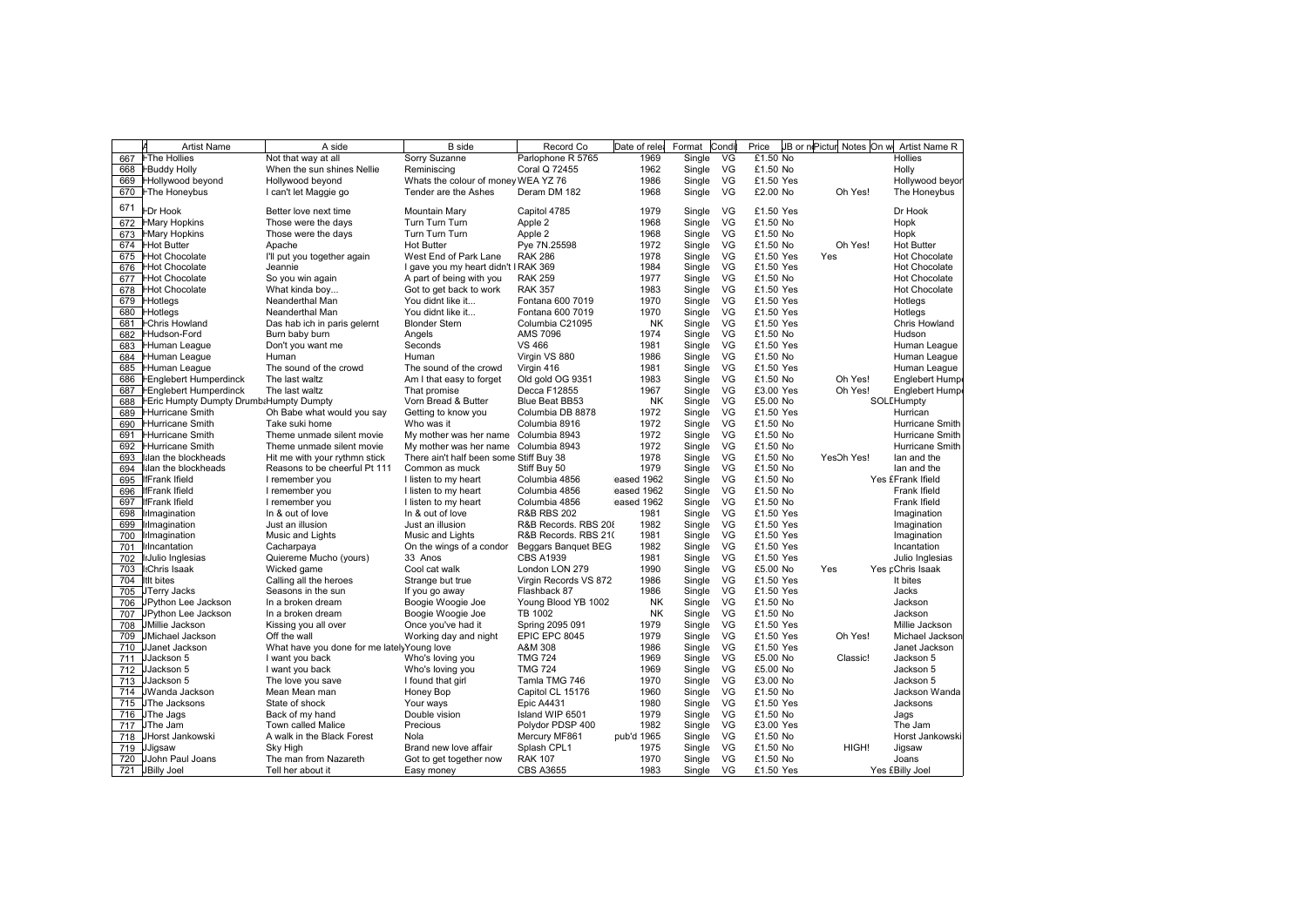|     | <b>Artist Name</b>                             | A side                                      | <b>B</b> side                           | Record Co              | Date of rele | Format    | Condi     | Price     | JB or niPictur Notes On w | Artist Name R         |
|-----|------------------------------------------------|---------------------------------------------|-----------------------------------------|------------------------|--------------|-----------|-----------|-----------|---------------------------|-----------------------|
| 667 | <b>FThe Hollies</b>                            | Not that way at all                         | Sorry Suzanne                           | Parlophone R 5765      | 1969         | Single    | VG        | £1.50 No  |                           | <b>Hollies</b>        |
|     | 668 <b>HBuddy Holly</b>                        | When the sun shines Nellie                  | Reminiscing                             | Coral Q 72455          | 1962         | Single    | VG        | £1.50 No  |                           | Holly                 |
| 669 | <b>Hollywood beyond</b>                        | Hollywood beyond                            | Whats the colour of money WEA YZ 76     |                        | 1986         | Single    | VG        | £1.50 Yes |                           | Hollywood beyor       |
| 670 | <b>FThe Honeybus</b>                           | I can't let Maggie go                       | Tender are the Ashes                    | Deram DM 182           | 1968         | Single    | VG        | £2.00 No  | Oh Yes!                   | The Honeybus          |
|     |                                                |                                             |                                         |                        |              |           |           |           |                           |                       |
| 671 | <b>FDr Hook</b>                                | Better love next time                       | Mountain Mary                           | Capitol 4785           | 1979         | Single    | VG        | £1.50 Yes |                           | Dr Hook               |
| 672 | <b>HMary Hopkins</b>                           | Those were the days                         | Turn Turn Turn                          | Apple 2                | 1968         | Single    | VG        | £1.50 No  |                           | Hopk                  |
| 673 | <b>HMary Hopkins</b>                           | Those were the days                         | Turn Turn Turn                          | Apple 2                | 1968         | Single    | VG        | £1.50 No  |                           | Hopk                  |
| 674 | <b>Hot Butter</b>                              | Apache                                      | <b>Hot Butter</b>                       | Pye 7N.25598           | 1972         | Single    | VG        | £1.50 No  | Oh Yes!                   | <b>Hot Butter</b>     |
|     | 675 Hot Chocolate                              | I'll put you together again                 | West End of Park Lane                   | <b>RAK 286</b>         | 1978         | Single    | VG        | £1.50 Yes | Yes                       | <b>Hot Chocolate</b>  |
|     | 676 HHot Chocolate                             | Jeannie                                     | I gave you my heart didn't I RAK 369    |                        | 1984         | Single    | VG        | £1.50 Yes |                           | <b>Hot Chocolate</b>  |
|     | 677 Hot Chocolate                              | So you win again                            | A part of being with you                | <b>RAK 259</b>         | 1977         | Single    | VG        | £1.50 No  |                           | <b>Hot Chocolate</b>  |
| 678 | <b>Hot Chocolate</b>                           | What kinda boy                              | Got to get back to work                 | <b>RAK 357</b>         | 1983         | Single    | VG        | £1.50 Yes |                           | <b>Hot Chocolate</b>  |
| 679 | <b>Hotlegs</b>                                 | Neanderthal Man                             | You didnt like it                       | Fontana 600 7019       | 1970         | Single    | VG        | £1.50 Yes |                           | Hotlegs               |
|     | 680 Hotlegs                                    | Neanderthal Man                             | You didnt like it                       | Fontana 600 7019       | 1970         | Single    | VG        | £1.50 Yes |                           | Hotlegs               |
|     | 681 <b>FChris Howland</b>                      | Das hab ich in paris gelernt                | <b>Blonder Stern</b>                    | Columbia C21095        | <b>NK</b>    | Single    | VG        | £1.50 Yes |                           | Chris Howland         |
| 682 | <b>Hudson-Ford</b>                             | Burn baby burn                              | Angels                                  | AMS 7096               | 1974         | Single    | VG        | £1.50 No  |                           | Hudson                |
| 683 | <b>Human League</b>                            | Don't you want me                           | Seconds                                 | <b>VS 466</b>          | 1981         | Single    | VG        | £1.50 Yes |                           | Human League          |
|     | 684 Human League                               | Human                                       | Human                                   | Virgin VS 880          | 1986         | Single    | VG        | £1.50 No  |                           | Human League          |
|     | 685 Human League                               | The sound of the crowd                      | The sound of the crowd                  | Virgin 416             | 1981         | Single    | VG        | £1.50 Yes |                           | Human League          |
| 686 | <b>FEnglebert Humperdinck</b>                  | The last waltz                              | Am I that easy to forget                | Old gold OG 9351       | 1983         | Single    | VG        | £1.50 No  | Oh Yes!                   | <b>Englebert Hump</b> |
| 687 | <b>FEnglebert Humperdinck</b>                  | The last waltz                              | That promise                            | Decca F12855           | 1967         | Single    | VG        | £3.00 Yes | Oh Yes!                   | <b>Englebert Hump</b> |
| 688 | <b>FEric Humpty Dumpty Drumb:Humpty Dumpty</b> |                                             | Vorn Bread & Butter                     | Blue Beat BB53         | <b>NK</b>    | Single    | VG        | £5.00 No  |                           | SOLEHumpty            |
| 689 | <b>Hurricane Smith</b>                         | Oh Babe what would you say                  | Getting to know you                     | Columbia DB 8878       | 1972         | Single    | VG        | £1.50 Yes |                           | Hurrican              |
| 690 | <b>Hurricane Smith</b>                         | Take suki home                              | Who was it                              | Columbia 8916          | 1972         | Single    | VG        | £1.50 No  |                           | Hurricane Smith       |
|     | <b>Hurricane Smith</b>                         | Theme unmade silent movie                   | My mother was her name Columbia 8943    |                        | 1972         |           | VG        | £1.50 No  |                           | Hurricane Smith       |
| 691 |                                                |                                             |                                         |                        |              | Single    |           |           |                           |                       |
| 692 | <b>Hurricane Smith</b>                         | Theme unmade silent movie                   | My mother was her name                  | Columbia 8943          | 1972         | Single    | VG        | £1.50 No  |                           | Hurricane Smith       |
| 693 | lilan the blockheads                           | Hit me with your rythmn stick               | There ain't half been some Stiff Buy 38 |                        | 1978         | Single    | VG        | £1.50 No  | YesOh Yes!                | lan and the           |
| 694 | lilan the blockheads                           | Reasons to be cheerful Pt 111               | Common as muck                          | Stiff Buy 50           | 1979         | Single    | VG        | £1.50 No  |                           | lan and the           |
| 695 | liFrank Ifield                                 | I remember you                              | I listen to my heart                    | Columbia 4856          | eased 1962   | Single    | VG        | £1.50 No  |                           | Yes £Frank Ifield     |
| 696 | <b>IfFrank Ifield</b>                          | I remember you                              | I listen to my heart                    | Columbia 4856          | eased 1962   | Single    | VG        | £1.50 No  |                           | Frank Ifield          |
| 697 | <b>IfFrank Ifield</b>                          | I remember you                              | I listen to my heart                    | Columbia 4856          | eased 1962   | Single    | VG        | £1.50 No  |                           | Frank Ifield          |
| 698 | lılmagination                                  | In & out of love                            | In & out of love                        | <b>R&amp;B RBS 202</b> | 1981         | Single    | VG        | £1.50 Yes |                           | Imagination           |
| 699 | lılmagination                                  | Just an illusion                            | Just an illusion                        | R&B Records, RBS 208   | 1982         | Single    | VG        | £1.50 Yes |                           | Imagination           |
| 700 | lılmagination                                  | Music and Lights                            | Music and Lights                        | R&B Records. RBS 21(   | 1981         | Single    | VG        | £1.50 Yes |                           | Imagination           |
| 701 | lilncantation                                  | Cacharpaya                                  | On the wings of a condor                | Beggars Banquet BEG    | 1982         | Single    | VG        | £1.50 Yes |                           | Incantation           |
| 702 | IlJulio Inglesias                              | Quiereme Mucho (yours)                      | 33 Anos                                 | <b>CBS A1939</b>       | 1981         | Single    | VG        | £1.50 Yes |                           | Julio Inglesias       |
| 703 | I:Chris Isaak                                  | Wicked game                                 | Cool cat walk                           | London LON 279         | 1990         | Single    | VG        | £5.00 No  | Yes                       | Yes pChris Isaak      |
| 704 | <b>ItIt bites</b>                              | Calling all the heroes                      | Strange but true                        | Virgin Records VS 872  | 1986         | Single    | VG        | £1.50 Yes |                           | It bites              |
|     | 705 JTerry Jacks                               | Seasons in the sun                          | If you go away                          | Flashback 87           | 1986         | Single    | VG        | £1.50 Yes |                           | Jacks                 |
| 706 | JPython Lee Jackson                            | In a broken dream                           | Boogie Woogie Joe                       | Young Blood YB 1002    | <b>NK</b>    | Single    | VG        | £1.50 No  |                           | Jackson               |
| 707 | JPython Lee Jackson                            | In a broken dream                           | Boogie Woogie Joe                       | TB 1002                | <b>NK</b>    | Single    | VG        | £1.50 No  |                           | Jackson               |
|     | 708 JMillie Jackson                            | Kissing you all over                        | Once you've had it                      | Spring 2095 091        | 1979         | Single    | VG        | £1.50 Yes |                           | Millie Jackson        |
| 709 | <b>JMichael Jackson</b>                        | Off the wall                                | Working day and night                   | EPIC EPC 8045          | 1979         | Single    | VG        | £1.50 Yes | Oh Yes!                   | Michael Jackson       |
|     | 710 JJanet Jackson                             | What have you done for me lately Young love |                                         | A&M 308                | 1986         | Single    | VG        | £1.50 Yes |                           | Janet Jackson         |
|     | 711 JJackson 5                                 | I want you back                             | Who's loving you                        | <b>TMG 724</b>         | 1969         | Single    | VG        | £5.00 No  | Classic!                  | Jackson 5             |
| 712 | JJackson 5                                     | I want you back                             | Who's loving you                        | <b>TMG 724</b>         | 1969         | Single    | VG        | £5.00 No  |                           | Jackson 5             |
|     | 713 JJackson 5                                 | The love you save                           | I found that girl                       | Tamla TMG 746          | 1970         | Single    | VG        | £3.00 No  |                           | Jackson 5             |
|     | 714 JWanda Jackson                             | Mean Mean man                               | Honey Bop                               | Capitol CL 15176       | 1960         | Single    | VG        | £1.50 No  |                           | Jackson Wanda         |
|     | 715 JThe Jacksons                              | State of shock                              | Your ways                               | <b>Epic A4431</b>      | 1980         | Single    | VG        | £1.50 Yes |                           | Jacksons              |
|     | 716 JThe Jags                                  | Back of my hand                             | Double vision                           | Island WIP 6501        | 1979         | Single    | VG        | £1.50 No  |                           | Jags                  |
| 717 | JThe Jam                                       | Town called Malice                          | Precious                                | Polydor PDSP 400       | 1982         | Single    | VG        | £3.00 Yes |                           | The Jam               |
|     | 718 JHorst Jankowski                           | A walk in the Black Forest                  | Nola                                    | Mercury MF861          | pub'd 1965   | Single    | <b>VG</b> | £1.50 No  |                           | Horst Jankowski       |
|     | 719 JJigsaw                                    | Sky High                                    | Brand new love affair                   | Splash CPL1            | 1975         | Single    | VG        | £1.50 No  | HIGH!                     | Jigsaw                |
|     | 720 JJohn Paul Joans                           | The man from Nazareth                       | Got to get together now                 | <b>RAK 107</b>         | 1970         | Single    | VG        | £1.50 No  |                           | Joans                 |
|     | 721 JBilly Joel                                | Tell her about it                           | Easy money                              | <b>CBS A3655</b>       | 1983         | Single VG |           | £1.50 Yes |                           | Yes £Billy Joel       |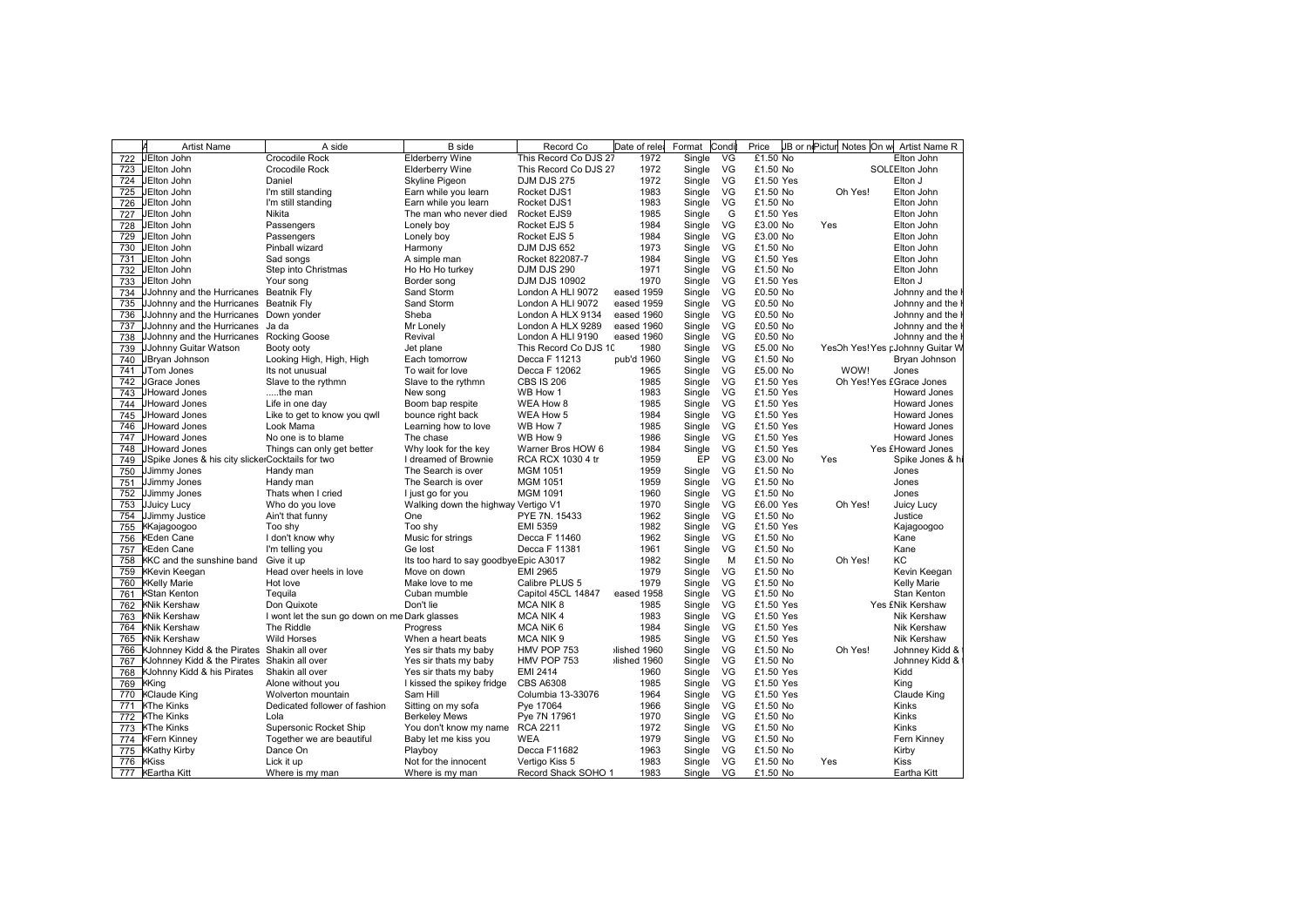|                                                                                        |                                       |             |        |    |           |         | JB or nPictur Notes On w Artist Name R |
|----------------------------------------------------------------------------------------|---------------------------------------|-------------|--------|----|-----------|---------|----------------------------------------|
| <b>Elderberry Wine</b><br>722<br>JElton John<br>Crocodile Rock                         | This Record Co DJS 27                 | 1972        | Single | VG | £1.50 No  |         | Elton John                             |
| JElton John<br>Crocodile Rock<br><b>Elderberry Wine</b><br>723                         | This Record Co DJS 27                 | 1972        | Single | VG | £1.50 No  |         | SOLEEIton John                         |
| Skyline Pigeon<br>724 JElton John<br>Daniel                                            | <b>DJM DJS 275</b>                    | 1972        | Single | VG | £1.50 Yes |         | Elton J                                |
| 725<br>JElton John<br>Earn while you learn<br>I'm still standing                       | Rocket DJS1                           | 1983        | Single | VG | £1.50 No  | Oh Yes! | Elton John                             |
| 726<br><b>JEIton John</b><br>Earn while you learn<br>I'm still standing                | Rocket DJS1                           | 1983        | Single | VG | £1.50 No  |         | Elton John                             |
| 727<br><b>JElton John</b><br>Nikita<br>The man who never died                          | Rocket EJS9                           | 1985        | Single | G  | £1.50 Yes |         | Elton John                             |
| 728<br>JElton John<br>Passengers<br>Lonely boy                                         | Rocket EJS 5                          | 1984        | Single | VG | £3.00 No  | Yes     | Elton John                             |
| 729<br>JElton John<br>Passengers<br>Lonely boy                                         | Rocket EJS 5                          | 1984        | Single | VG | £3.00 No  |         | Elton John                             |
| 730<br><b>JEIton John</b><br>Pinball wizard<br>Harmony                                 | <b>DJM DJS 652</b>                    | 1973        | Single | VG | £1.50 No  |         | Elton John                             |
| 731<br>JElton John<br>Sad songs<br>A simple man                                        | Rocket 822087-7                       | 1984        | Single | VG | £1.50 Yes |         | Elton John                             |
| 732<br>JElton John<br>Step into Christmas<br>Ho Ho Ho turkey                           | DJM DJS 290                           | 1971        | Single | VG | £1.50 No  |         | Elton John                             |
| 733<br>JElton John<br>Border song<br>Your song                                         | <b>DJM DJS 10902</b>                  | 1970        | Single | VG | £1.50 Yes |         | Elton J                                |
| 734<br>Sand Storm<br>JJohnny and the Hurricanes<br>Beatnik Fly                         | London A HLI 9072                     | eased 1959  | Single | VG | £0.50 No  |         | Johnny and the                         |
| 735<br>JJohnny and the Hurricanes<br><b>Beatnik Fly</b><br>Sand Storm                  | London A HLI 9072                     | eased 1959  | Single | VG | £0.50 No  |         | Johnny and the                         |
| 736<br>JJohnny and the Hurricanes Down yonder<br>Sheba                                 | London A HLX 9134                     | eased 1960  | Single | VG | £0.50 No  |         | Johnny and the                         |
| 737<br>JJohnny and the Hurricanes<br>Ja da<br>Mr Lonely                                | London A HLX 9289                     | eased 1960  | Single | VG | £0.50 No  |         | Johnny and the                         |
| 738<br>JJohnny and the Hurricanes<br><b>Rocking Goose</b><br>Revival                   | London A HLI 9190                     | eased 1960  | Single | VG | £0.50 No  |         | Johnny and the                         |
| 739<br>JJohnny Guitar Watson<br>Booty ooty<br>Jet plane                                | This Record Co DJS 10                 | 1980        | Single | VG | £5.00 No  |         | YesOh Yes! Yes pJohnny Guitar W        |
| 740<br>JBryan Johnson<br>Looking High, High, High<br>Each tomorrow                     | Decca F 11213                         | pub'd 1960  | Single | VG | £1.50 No  |         | Bryan Johnson                          |
| 741<br>JTom Jones<br>Its not unusual<br>To wait for love                               | Decca F 12062                         | 1965        | Single | VG | £5.00 No  | WOW!    | Jones                                  |
| 742<br>JGrace Jones<br>Slave to the rythmn<br>Slave to the rythmn                      | <b>CBS IS 206</b>                     | 1985        | Single | VG | £1.50 Yes |         | Oh Yes! Yes £Grace Jones               |
| 743<br>JHoward Jones<br>the man<br>New song                                            | WB How 1                              | 1983        | Single | VG | £1.50 Yes |         | Howard Jones                           |
| 744<br>JHoward Jones<br>Boom bap respite<br>Life in one day                            | WEA How 8                             | 1985        | Single | VG | £1.50 Yes |         | <b>Howard Jones</b>                    |
| 745<br>JHoward Jones                                                                   | WEA How 5                             | 1984        | Single | VG | £1.50 Yes |         | Howard Jones                           |
| Like to get to know you gwll<br>bounce right back<br>746<br>JHoward Jones<br>Look Mama | WB How 7                              | 1985        |        | VG | £1.50 Yes |         | Howard Jones                           |
| Learning how to love                                                                   |                                       | 1986        | Single | VG |           |         |                                        |
| 747<br>JHoward Jones<br>No one is to blame<br>The chase                                | WB How 9                              |             | Single |    | £1.50 Yes |         | Howard Jones                           |
| 748<br>JHoward Jones<br>Things can only get better<br>Why look for the key             | Warner Bros HOW 6                     | 1984        | Single | VG | £1.50 Yes |         | Yes £Howard Jones                      |
| 749<br>JSpike Jones & his city slickerCocktails for two<br>I dreamed of Brownie        | RCA RCX 1030 4 tr                     | 1959        | EP     | VG | £3.00 No  | Yes     | Spike Jones & h                        |
| 750<br>JJimmy Jones<br>Handy man<br>The Search is over                                 | <b>MGM 1051</b>                       | 1959        | Single | VG | £1.50 No  |         | Jones                                  |
| 751<br>JJimmy Jones<br>Handy man<br>The Search is over                                 | <b>MGM 1051</b>                       | 1959        | Single | VG | £1.50 No  |         | Jones                                  |
| 752<br>JJimmy Jones<br>Thats when I cried<br>I just go for you                         | <b>MGM 1091</b>                       | 1960        | Single | VG | £1.50 No  |         | Jones                                  |
| 753<br><b>JJuicy Lucy</b><br>Who do you love                                           | Walking down the highway Vertigo V1   | 1970        | Single | VG | £6.00 Yes | Oh Yes! | Juicy Lucy                             |
| 754 JJimmy Justice<br>Ain't that funny<br>One                                          | PYE 7N. 15433                         | 1962        | Single | VG | £1.50 No  |         | Justice                                |
| 755<br>KKajagoogoo<br>Too shy<br>Too shy                                               | EMI 5359                              | 1982        | Single | VG | £1.50 Yes |         | Kajagoogoo                             |
| 756<br><b>KEden Cane</b><br>I don't know why<br>Music for strings                      | Decca F 11460                         | 1962        | Single | VG | £1.50 No  |         | Kane                                   |
| 757<br><b>KEden Cane</b><br>I'm telling you<br>Ge lost                                 | Decca F 11381                         | 1961        | Single | VG | £1.50 No  |         | Kane                                   |
| 758<br>KKC and the sunshine band<br>Give it up                                         | Its too hard to say goodbyeEpic A3017 | 1982        | Single | M  | £1.50 No  | Oh Yes! | КC                                     |
| 759 KKevin Keegan<br>Head over heels in love<br>Move on down                           | EMI 2965                              | 1979        | Single | VG | £1.50 No  |         | Kevin Keegan                           |
| 760 KKelly Marie<br>Hot love<br>Make love to me                                        | Calibre PLUS 5                        | 1979        | Single | VG | £1.50 No  |         | Kelly Marie                            |
| 761<br><b>KStan Kenton</b><br>Tequila<br>Cuban mumble                                  | Capitol 45CL 14847                    | eased 1958  | Single | VG | £1.50 No  |         | Stan Kenton                            |
| 762<br><b>KNik Kershaw</b><br>Don Quixote<br>Don't lie                                 | MCA NIK 8                             | 1985        | Single | VG | £1.50 Yes |         | Yes £Nik Kershaw                       |
| 763 KNik Kershaw<br>I wont let the sun go down on me Dark glasses                      | <b>MCA NIK4</b>                       | 1983        | Single | VG | £1.50 Yes |         | Nik Kershaw                            |
| 764 KNik Kershaw<br>The Riddle<br>Progress                                             | MCA NiK 6                             | 1984        | Single | VG | £1.50 Yes |         | <b>Nik Kershaw</b>                     |
| <b>Wild Horses</b><br>765 KNik Kershaw<br>When a heart beats                           | MCA NIK 9                             | 1985        | Single | VG | £1.50 Yes |         | Nik Kershaw                            |
| KJohnney Kidd & the Pirates Shakin all over<br>Yes sir thats my baby<br>766            | HMV POP 753                           | lished 1960 | Single | VG | £1.50 No  | Oh Yes! | Johnney Kidd &                         |
| 767<br>KJohnney Kidd & the Pirates<br>Shakin all over<br>Yes sir thats my baby         | HMV POP 753                           | lished 1960 | Single | VG | £1.50 No  |         | Johnney Kidd &                         |
| 768<br>KJohnny Kidd & his Pirates<br>Shakin all over<br>Yes sir thats my baby          | <b>EMI 2414</b>                       | 1960        | Single | VG | £1.50 Yes |         | Kidd                                   |
| 769 KKing<br>Alone without you<br>I kissed the spikey fridge                           | <b>CBS A6308</b>                      | 1985        | Single | VG | £1.50 Yes |         | King                                   |
| 770 KClaude King<br>Wolverton mountain<br>Sam Hill                                     | Columbia 13-33076                     | 1964        | Single | VG | £1.50 Yes |         | Claude King                            |
| 771 KThe Kinks<br>Dedicated follower of fashion<br>Sitting on my sofa                  | Pye 17064                             | 1966        | Single | VG | £1.50 No  |         | Kinks                                  |
| 772 KThe Kinks<br>Lola<br><b>Berkeley Mews</b>                                         | Pye 7N 17961                          | 1970        | Single | VG | £1.50 No  |         | <b>Kinks</b>                           |
| 773 KThe Kinks<br>Supersonic Rocket Ship<br>You don't know my name                     | <b>RCA 2211</b>                       | 1972        | Single | VG | £1.50 No  |         | <b>Kinks</b>                           |
| 774 KFern Kinney<br>Together we are beautiful<br>Baby let me kiss you                  | <b>WEA</b>                            | 1979        | Single | VG | £1.50 No  |         | Fern Kinney                            |
| 775 KKathy Kirby<br>Dance On<br>Playboy                                                | Decca F11682                          | 1963        | Single | VG | £1.50 No  |         | Kirby                                  |
| 776 KKiss<br>Lick it up<br>Not for the innocent                                        | Vertigo Kiss 5                        | 1983        | Single | VG | £1.50 No  | Yes     | Kiss                                   |
| 777 KEartha Kitt<br>Where is my man<br>Where is my man                                 | Record Shack SOHO 1                   | 1983        | Single | VG | £1.50 No  |         | Eartha Kitt                            |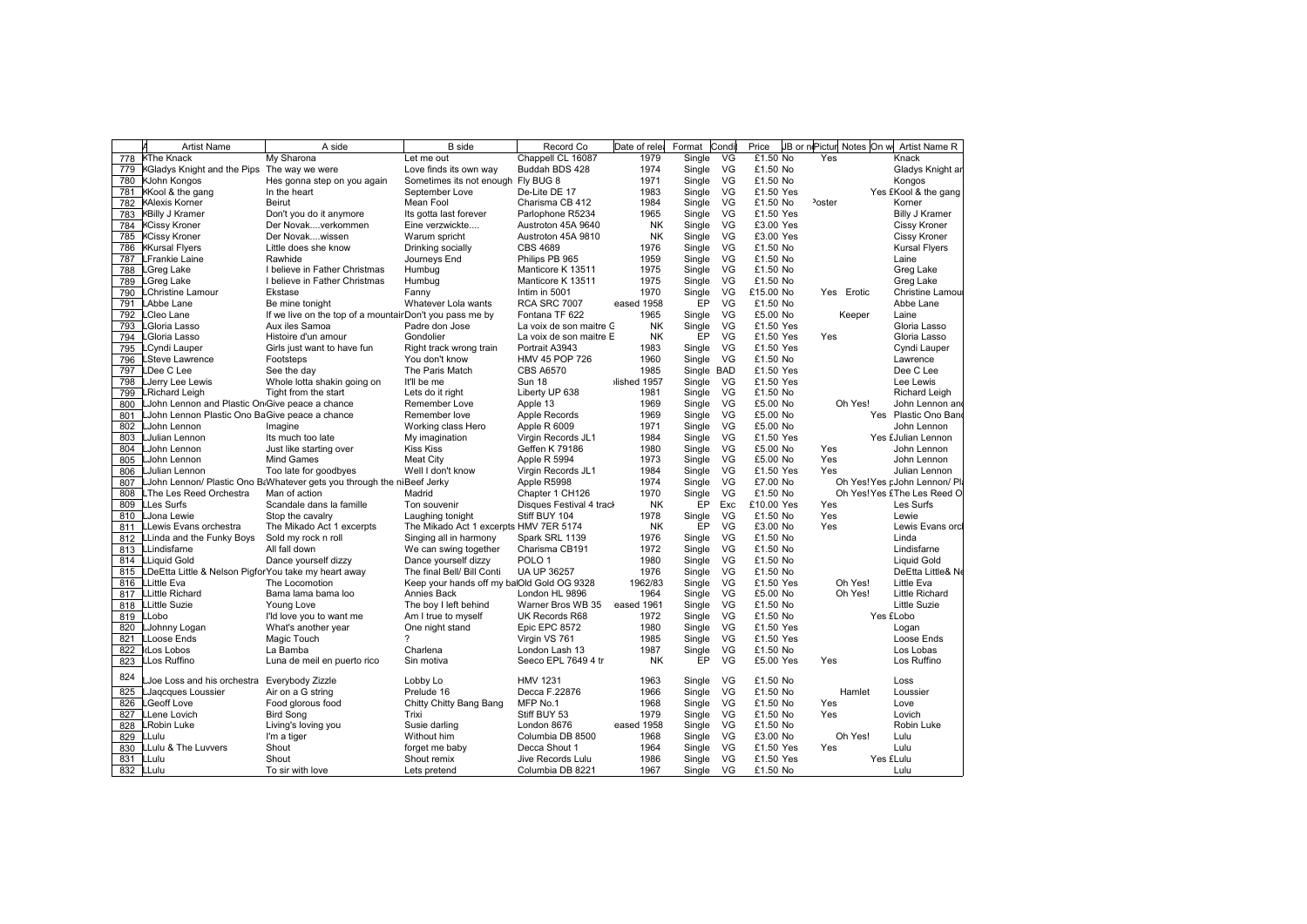|            | <b>Artist Name</b>                                                              | A side                                                                  | <b>B</b> side                                             | Record Co                           | Date of rele    | Format           | Condi | Price                | JB or niPictur Notes On w | Artist Name R                    |
|------------|---------------------------------------------------------------------------------|-------------------------------------------------------------------------|-----------------------------------------------------------|-------------------------------------|-----------------|------------------|-------|----------------------|---------------------------|----------------------------------|
| 778        | <b>KThe Knack</b>                                                               | My Sharona                                                              | Let me out                                                | Chappell CL 16087                   | 1979            | Single           | VG    | £1.50 No             | Yes                       | Knack                            |
|            | 779 KGladys Knight and the Pips                                                 | The way we were                                                         | Love finds its own way                                    | Buddah BDS 428                      | 1974            | Single           | VG    | £1.50 No             |                           | Gladys Knight ar                 |
|            | 780 KJohn Kongos                                                                | Hes gonna step on you again                                             | Sometimes its not enough Fly BUG 8                        |                                     | 1971            | Single           | VG    | £1.50 No             |                           | Kongos                           |
|            | 781 KKool & the gang                                                            | In the heart                                                            | September Love                                            | De-Lite DE 17                       | 1983            | Single           | VG    | £1.50 Yes            |                           | Yes £Kool & the gang             |
| 782        | <b>KAlexis Korner</b>                                                           | Beirut                                                                  | Mean Fool                                                 | Charisma CB 412                     | 1984            | Single           | VG    | £1.50 No             | <sup>2</sup> oster        | Korner                           |
|            | 783 KBilly J Kramer                                                             | Don't you do it anymore                                                 | Its gotta last forever                                    | Parlophone R5234                    | 1965            | Single           | VG    | £1.50 Yes            |                           | <b>Billy J Kramer</b>            |
|            | 784 KCissy Kroner                                                               | Der Novakverkommen                                                      | Eine verzwickte                                           | Austroton 45A 9640                  | <b>NK</b>       | Single           | VG    | £3.00 Yes            |                           | Cissy Kroner                     |
| 785        | <b>KCissy Kroner</b>                                                            | Der Novakwissen                                                         | Warum spricht                                             | Austroton 45A 9810                  | NK              | Single           | VG    | £3.00 Yes            |                           | Cissy Kroner                     |
| 786        | <b>KKursal Flyers</b>                                                           | Little does she know                                                    | Drinking socially                                         | <b>CBS 4689</b>                     | 1976            | Single           | VG    | £1.50 No             |                           | <b>Kursal Flyers</b>             |
| 787        | LFrankie Laine                                                                  | Rawhide                                                                 | Journeys End                                              | Philips PB 965                      | 1959            | Single           | VG    | £1.50 No             |                           | Laine                            |
| 788        | LGreg Lake                                                                      | I believe in Father Christmas                                           | Humbug                                                    | Manticore K 13511                   | 1975            | Single           | VG    | £1.50 No             |                           | Greg Lake                        |
| 789        | Greg Lake                                                                       | I believe in Father Christmas                                           | Humbug                                                    | Manticore K 13511                   | 1975            | Single           | VG    | £1.50 No             |                           | Greg Lake                        |
| 790        | Christine Lamour                                                                | Ekstase                                                                 | Fanny                                                     | Intim in 5001                       | 1970            | Single           | VG    | £15.00 No            | Yes Erotic                | Christine Lamou                  |
| 791        | Abbe Lane                                                                       | Be mine tonight                                                         | Whatever Lola wants                                       | <b>RCA SRC 7007</b>                 | eased 1958      | EP               | VG    | £1.50 No             |                           | Abbe Lane                        |
| 792        | Cleo Lane                                                                       | If we live on the top of a mountairDon't you pass me by                 |                                                           | Fontana TF 622                      | 1965            | Single           | VG    | £5.00 No             | Keeper                    | Laine                            |
| 793        | Gloria Lasso                                                                    | Aux iles Samoa                                                          | Padre don Jose                                            | La voix de son maitre G             | <b>NK</b>       | Single           | VG    | £1.50 Yes            |                           | Gloria Lasso                     |
| 794        | Gloria Lasso                                                                    | Histoire d'un amour                                                     | Gondolier                                                 | La voix de son maitre E             | <b>NK</b>       | <b>EP</b>        | VG    | £1.50 Yes            | Yes                       | Gloria Lasso                     |
| 795        | Cyndi Lauper                                                                    | Girls just want to have fun                                             | Right track wrong train                                   | Portrait A3943                      | 1983            | Single           | VG    | £1.50 Yes            |                           | Cyndi Lauper                     |
| 796        | <b>LSteve Lawrence</b>                                                          | Footsteps                                                               | You don't know                                            | <b>HMV 45 POP 726</b>               | 1960            | Single           | VG    | £1.50 No             |                           | Lawrence                         |
| 797        | <b>LDee C Lee</b>                                                               | See the day                                                             | The Paris Match                                           | <b>CBS A6570</b>                    | 1985            | Single BAD       |       | £1.50 Yes            |                           | Dee C Lee                        |
| 798        | LJerry Lee Lewis                                                                | Whole lotta shakin going on                                             | It'll be me                                               | <b>Sun 18</b>                       | Ished 1957      | Single           | VG    | £1.50 Yes            |                           | Lee Lewis                        |
| 799 I      | Richard Leigh                                                                   | Tight from the start                                                    | Lets do it right                                          | Liberty UP 638                      | 1981            | Single           | VG    | £1.50 No             |                           | Richard Leigh                    |
| 800        | John Lennon and Plastic On Give peace a chance                                  |                                                                         | Remember Love                                             | Apple 13                            | 1969            | Single           | VG    | £5.00 No             | Oh Yes!                   | John Lennon an                   |
| 801        | John Lennon Plastic Ono BaGive peace a chance                                   |                                                                         | Remember love                                             | Apple Records                       | 1969            | Single           | VG    | £5.00 No             |                           | Yes Plastic Ono Ban              |
| 802 L      | John Lennon.                                                                    | Imagine                                                                 | Working class Hero                                        | Apple R 6009                        | 1971            | Single           | VG    | £5.00 No             |                           | John Lennon                      |
| 803        | LJulian Lennon                                                                  | Its much too late                                                       | My imagination                                            | Virgin Records JL1                  | 1984            | Single           | VG    | £1.50 Yes            |                           | Yes £Julian Lennon               |
| 804 l      | John Lennon.                                                                    | Just like starting over                                                 | <b>Kiss Kiss</b>                                          | Geffen K 79186                      | 1980            | Single           | VG    | £5.00 No             | Yes                       | John Lennon                      |
|            | 805 LJohn Lennon                                                                | Mind Games                                                              | Meat City                                                 | Apple R 5994                        | 1973            | Single           | VG    | £5.00 No             | Yes                       | John Lennon                      |
|            | 806 LJulian Lennon                                                              | Too late for goodbyes                                                   | Well I don't know                                         | Virgin Records JL1                  | 1984            | Single           | VG    | £1.50 Yes            | Yes                       | Julian Lennon                    |
| 807        |                                                                                 | John Lennon/ Plastic Ono B: Whatever gets you through the ni Beef Jerky |                                                           | Apple R5998                         | 1974            | Single           | VG    | £7.00 No             |                           | Oh Yes! Yes pJohn Lennon/ PI     |
| 808        | LThe Les Reed Orchestra                                                         | Man of action                                                           | Madrid                                                    | Chapter 1 CH126                     | 1970            | Single           | VG    | £1.50 No             |                           | Oh Yes! Yes £The Les Reed O      |
|            | 809 LLes Surfs                                                                  | Scandale dans la famille                                                | Ton souvenir                                              | Disques Festival 4 track            | <b>NK</b>       | EP               | Exc   | £10.00 Yes           | Yes                       | Les Surfs                        |
|            | 810 LJona Lewie                                                                 | Stop the cavalry                                                        | Laughing tonight                                          | Stiff BUY 104                       | 1978            | Single           | VG    | £1.50 No             | Yes                       | Lewie                            |
| 811        | LLewis Evans orchestra                                                          | The Mikado Act 1 excerpts                                               | The Mikado Act 1 excerpts HMV 7ER 5174                    |                                     | NK              | EP               | VG    | £3.00 No             | Yes                       | Lewis Evans orcl                 |
|            |                                                                                 |                                                                         |                                                           |                                     |                 |                  | VG    | £1.50 No             |                           | Linda                            |
| 812        | LLinda and the Funky Boys                                                       | Sold my rock n roll                                                     | Singing all in harmony                                    | Spark SRL 1139                      | 1976            | Single           | VG    |                      |                           | Lindisfarne                      |
|            | 813 LLindisfarne                                                                | All fall down                                                           | We can swing together                                     | Charisma CB191<br>POLO <sub>1</sub> | 1972<br>1980    | Single           | VG    | £1.50 No<br>£1.50 No |                           |                                  |
|            | 814 LLiquid Gold                                                                | Dance yourself dizzy                                                    | Dance yourself dizzy                                      |                                     | 1976            | Single           | VG    | £1.50 No             |                           | Liquid Gold<br>DeEtta Little& Ne |
|            | 815 LDeEtta Little & Nelson Pigfor You take my heart away<br><b>LLittle Eva</b> |                                                                         | The final Bell/ Bill Conti                                | <b>UA UP 36257</b>                  |                 | Single           | VG    | £1.50 Yes            | Oh Yes!                   | Little Eva                       |
| 816<br>817 | LLittle Richard                                                                 | The Locomotion                                                          | Keep your hands off my balOld Gold OG 9328<br>Annies Back | London HL 9896                      | 1962/83<br>1964 | Single           | VG    | £5.00 No             | Oh Yes!                   | Little Richard                   |
|            |                                                                                 | Bama lama bama loo                                                      |                                                           |                                     | eased 1961      | Single           | VG    | £1.50 No             |                           | <b>Little Suzie</b>              |
| 818        | LLittle Suzie<br>819 LLobo                                                      | Young Love                                                              | The boy I left behind<br>Am I true to myself              | Warner Bros WB 35<br>UK Records R68 | 1972            | Single<br>Single | VG    | £1.50 No             |                           | Yes £Lobo                        |
|            |                                                                                 | I'ld love you to want me                                                |                                                           |                                     |                 |                  |       |                      |                           |                                  |
| 820 L      | Johnny Logan                                                                    | What's another year                                                     | One night stand<br>2                                      | Epic EPC 8572                       | 1980            | Single           | VG    | £1.50 Yes            |                           | Logan                            |
| 821        | LLoose Ends                                                                     | Magic Touch                                                             |                                                           | Virgin VS 761                       | 1985            | Single           | VG    | £1.50 Yes            |                           | Loose Ends                       |
|            | 822 I Los Lobos                                                                 | La Bamba                                                                | Charlena                                                  | London Lash 13                      | 1987            | Single           | VG    | £1.50 No             |                           | Los Lobas                        |
|            | 823 LLos Ruffino                                                                | Luna de meil en puerto rico                                             | Sin motiva                                                | Seeco EPL 7649 4 tr                 | <b>NK</b>       | EP               | VG    | £5.00 Yes            | Yes                       | Los Ruffino                      |
| 824        | Joe Loss and his orchestra                                                      | Everybody Zizzle                                                        | Lobby Lo                                                  | <b>HMV 1231</b>                     | 1963            | Single           | VG    | £1.50 No             |                           | Loss                             |
| 825        | LJaqcques Loussier                                                              | Air on a G string                                                       | Prelude 16                                                | Decca F.22876                       | 1966            | Single           | VG    | £1.50 No             | Hamlet                    | Loussier                         |
| 826        | <b>LGeoff Love</b>                                                              | Food glorous food                                                       | Chitty Chitty Bang Bang                                   | MFP No.1                            | 1968            | Single           | VG    | £1.50 No             | Yes                       | Love                             |
| 827        | LLene Lovich                                                                    | <b>Bird Song</b>                                                        | Trixi                                                     | Stiff BUY 53                        | 1979            | Single           | VG    | £1.50 No             | Yes                       | Lovich                           |
| 828        | <b>LRobin Luke</b>                                                              | Living's loving you                                                     | Susie darling                                             | London 8676                         | eased 1958      | Single           | VG    | £1.50 No             |                           | Robin Luke                       |
|            | 829 LLulu                                                                       | I'm a tiger                                                             | Without him                                               | Columbia DB 8500                    | 1968            | Single           | VG    | £3.00 No             | Oh Yes!                   | Lulu                             |
| 830        | <b>LLulu &amp; The Luvvers</b>                                                  | Shout                                                                   | forget me baby                                            | Decca Shout 1                       | 1964            | Single           | VG    | £1.50 Yes            | Yes                       | Lulu                             |
| 831        | LLulu                                                                           | Shout                                                                   | Shout remix                                               | Jive Records Lulu                   | 1986            | Single VG        |       | £1.50 Yes            |                           | Yes £Lulu                        |
|            | 832 LLulu                                                                       | To sir with love                                                        | Lets pretend                                              | Columbia DB 8221                    | 1967            | Single           | VG    | £1.50 No             |                           | Lulu                             |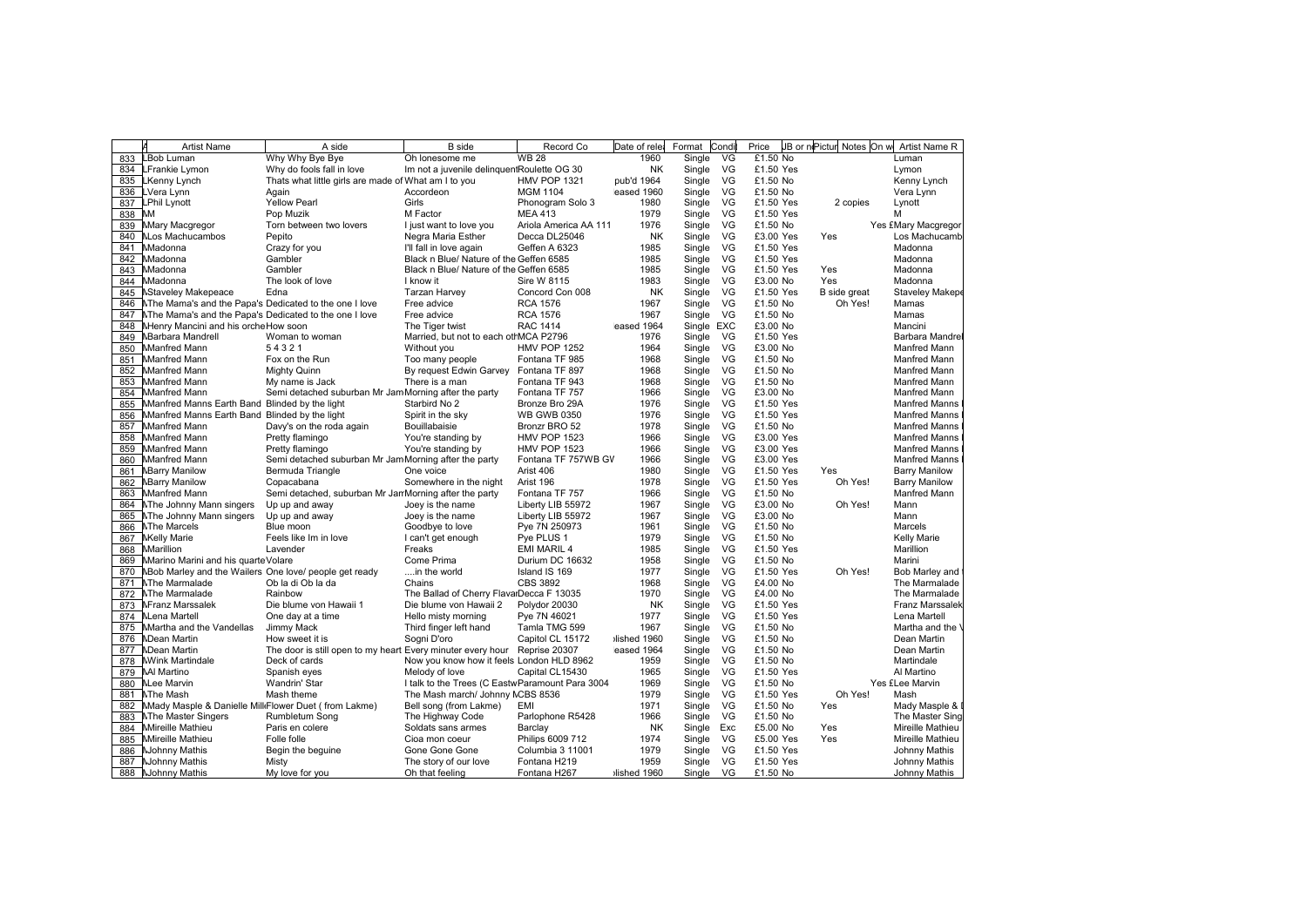|     | A<br><b>Artist Name</b>                                | A side                                                                    | <b>B</b> side                                   | Record Co             | Date of rele | Format     | Condi     | Price                  |              | JB or nePicture Notes On we Artist Name R |
|-----|--------------------------------------------------------|---------------------------------------------------------------------------|-------------------------------------------------|-----------------------|--------------|------------|-----------|------------------------|--------------|-------------------------------------------|
| 833 | LBob Luman                                             | Why Why Bye Bye                                                           | Oh lonesome me                                  | <b>WB 28</b>          | 1960         | Single     | VG        | £1.50 No               |              | Luman                                     |
| 834 | LFrankie Lymon                                         | Why do fools fall in love                                                 | Im not a juvenile delinquentRoulette OG 30      |                       | <b>NK</b>    | Single     | VG        | £1.50 Yes              |              | Lymon                                     |
| 835 | <b>LKenny Lynch</b>                                    | Thats what little girls are made of What am I to you                      |                                                 | HMV POP 1321          | pub'd 1964   | Single     | VG        | £1.50 No               |              | Kenny Lynch                               |
| 836 | LVera Lynn                                             | Again                                                                     | Accordeon                                       | <b>MGM 1104</b>       | eased 1960   | Single     | VG        | £1.50 No               |              | Vera Lynn                                 |
| 837 | <b>LPhil Lynott</b>                                    | <b>Yellow Pearl</b>                                                       | Girls                                           | Phonogram Solo 3      | 1980         | Single     | VG        | £1.50 Yes              | 2 copies     | Lynott                                    |
| 838 | MМ                                                     | Pop Muzik                                                                 | M Factor                                        | <b>MEA 413</b>        | 1979         | Single     | VG        | £1.50 Yes              |              | м                                         |
| 839 | Mary Macgregor                                         | Torn between two lovers                                                   | I just want to love you                         | Ariola America AA 111 | 1976         | Single     | VG        | £1.50 No               |              | Yes £Mary Macgregor                       |
| 840 | <b>NLos Machucambos</b>                                | Pepito                                                                    | Negra Maria Esther                              | Decca DL25046         | <b>NK</b>    | Single     | VG        | £3.00 Yes              | Yes          | Los Machucamb                             |
| 841 | Madonna                                                | Crazy for you                                                             | I'll fall in love again                         | Geffen A 6323         | 1985         | Single     | VG        | £1.50 Yes              |              | Madonna                                   |
| 842 | Madonna                                                | Gambler                                                                   | Black n Blue/ Nature of the Geffen 6585         |                       | 1985         | Single     | VG        | £1.50 Yes              |              | Madonna                                   |
| 843 | Madonna                                                | Gambler                                                                   | Black n Blue/ Nature of the Geffen 6585         |                       | 1985         | Single     | VG        | £1.50 Yes              | Yes          | Madonna                                   |
| 844 | Madonna                                                | The look of love                                                          | I know it                                       | Sire W 8115           | 1983         | Single     | VG        | £3.00 No               | Yes          | Madonna                                   |
| 845 | <b>NStaveley Makepeace</b>                             | Edna                                                                      | Tarzan Harvey                                   | Concord Con 008       | <b>NK</b>    | Single     | VG        | £1.50 Yes              | B side great | Staveley Makep                            |
| 846 | NThe Mama's and the Papa's Dedicated to the one I love |                                                                           | Free advice                                     | <b>RCA 1576</b>       | 1967         | Single     | VG        | £1.50 No               | Oh Yes!      | Mamas                                     |
| 847 | NThe Mama's and the Papa's Dedicated to the one I love |                                                                           | Free advice                                     | <b>RCA 1576</b>       | 1967         | Single     | VG        | £1.50 No               |              | Mamas                                     |
| 848 | Menry Mancini and his orche How soon                   |                                                                           | The Tiger twist                                 | <b>RAC 1414</b>       | eased 1964   | Single EXC |           | £3.00 No               |              | Mancini                                   |
| 849 | <b>MBarbara Mandrell</b>                               | Woman to woman                                                            | Married, but not to each othMCA P2796           |                       | 1976         | Single     | <b>VG</b> | £1.50 Yes              |              | Barbara Mandre                            |
| 850 | <b>Manfred Mann</b>                                    | 54321                                                                     | Without you                                     | <b>HMV POP 1252</b>   | 1964         | Single     | VG        | £3.00 No               |              | Manfred Mann                              |
| 851 | Manfred Mann                                           | Fox on the Run                                                            | Too many people                                 | Fontana TF 985        | 1968         | Single     | VG        | £1.50 No               |              | Manfred Mann                              |
| 852 | Manfred Mann                                           | Mighty Quinn                                                              | By request Edwin Garvey                         | Fontana TF 897        | 1968         | Single     | VG        | £1.50 No               |              | Manfred Mann                              |
| 853 | Manfred Mann                                           | My name is Jack                                                           | There is a man                                  | Fontana TF 943        | 1968         | Single     | VG        | £1.50 No               |              | <b>Manfred Mann</b>                       |
| 854 | Manfred Mann                                           | Semi detached suburban Mr Jam Morning after the party                     |                                                 | Fontana TF 757        | 1966         | Single     | VG        | £3.00 No               |              | Manfred Mann                              |
| 855 | Manfred Manns Earth Band Blinded by the light          |                                                                           | Starbird No 2                                   | Bronze Bro 29A        | 1976         | Single     | VG        | £1.50 Yes              |              | <b>Manfred Manns</b>                      |
| 856 | Manfred Manns Earth Band Blinded by the light          |                                                                           | Spirit in the sky                               | <b>WB GWB 0350</b>    | 1976         | Single     | VG        | £1.50 Yes              |              | <b>Manfred Manns</b>                      |
| 857 | Manfred Mann                                           | Davy's on the roda again                                                  | Bouillabaisie                                   | Bronzr BRO 52         | 1978         | Single     | VG        | £1.50 No               |              | <b>Manfred Manns</b>                      |
| 858 | Manfred Mann                                           | Pretty flamingo                                                           |                                                 | <b>HMV POP 1523</b>   | 1966         | Single     | VG        | £3.00 Yes              |              | <b>Manfred Manns</b>                      |
| 859 | Manfred Mann                                           | Pretty flamingo                                                           | You're standing by<br>You're standing by        | <b>HMV POP 1523</b>   | 1966         | Single     | VG        | £3.00 Yes              |              | <b>Manfred Manns</b>                      |
| 860 | Manfred Mann                                           |                                                                           |                                                 | Fontana TF 757WB GV   | 1966         | Single     | VG        | £3.00 Yes              |              | <b>Manfred Manns</b>                      |
|     |                                                        | Semi detached suburban Mr Jam Morning after the party                     |                                                 |                       |              |            |           |                        |              |                                           |
| 861 | <b>MBarry Manilow</b>                                  | Bermuda Triangle                                                          | One voice                                       | Arist 406             | 1980<br>1978 | Single     | VG<br>VG  | £1.50 Yes<br>£1.50 Yes | Yes          | <b>Barry Manilow</b>                      |
| 862 | <b>MBarry Manilow</b>                                  | Copacabana                                                                | Somewhere in the night                          | Arist 196             |              | Single     |           |                        | Oh Yes!      | <b>Barry Manilow</b>                      |
| 863 | Manfred Mann                                           | Semi detached, suburban Mr Jan Morning after the party                    |                                                 | Fontana TF 757        | 1966         | Single     | VG        | £1.50 No               |              | Manfred Mann                              |
| 864 | <b>NThe Johnny Mann singers</b>                        | Up up and away                                                            | Joey is the name                                | Liberty LIB 55972     | 1967         | Single     | VG        | £3.00 No               | Oh Yes!      | Mann                                      |
| 865 | <b>NThe Johnny Mann singers</b>                        | Up up and away                                                            | Joey is the name                                | Liberty LIB 55972     | 1967         | Single     | VG        | £3.00 No               |              | Mann                                      |
| 866 | <b>NThe Marcels</b>                                    | Blue moon                                                                 | Goodbye to love                                 | Pye 7N 250973         | 1961         | Single     | VG        | £1.50 No               |              | Marcels                                   |
| 867 | <b>NKelly Marie</b>                                    | Feels like Im in love                                                     | I can't get enough                              | Pye PLUS 1            | 1979         | Single     | VG        | £1.50 No               |              | <b>Kelly Marie</b>                        |
| 868 | Marillion                                              | Lavender                                                                  | Freaks                                          | EMI MARIL 4           | 1985         | Single     | VG        | £1.50 Yes              |              | Marillion                                 |
| 869 | Marino Marini and his quarte Volare                    |                                                                           | Come Prima                                      | Durium DC 16632       | 1958         | Single     | VG        | £1.50 No               |              | Marini                                    |
| 870 | NBob Marley and the Wailers One love/ people get ready |                                                                           | in the world                                    | Island IS 169         | 1977         | Single     | VG        | £1.50 Yes              | Oh Yes!      | Bob Marley and                            |
| 871 | <b>NThe Marmalade</b>                                  | Ob la di Ob la da                                                         | Chains                                          | <b>CBS 3892</b>       | 1968         | Single     | VG        | £4.00 No               |              | The Marmalade                             |
| 872 | <b>NThe Marmalade</b>                                  | Rainbow                                                                   | The Ballad of Cherry FlavalDecca F 13035        |                       | 1970         | Single     | VG        | £4.00 No               |              | The Marmalade                             |
| 873 | <b>NFranz Marssalek</b>                                | Die blume von Hawaii 1                                                    | Die blume von Hawaii 2                          | Polydor 20030         | ΝK           | Single     | VG        | £1.50 Yes              |              | Franz Marssalek                           |
| 874 | <b>NLena Martell</b>                                   | One day at a time                                                         | Hello misty morning                             | Pye 7N 46021          | 1977         | Single     | VG        | £1.50 Yes              |              | Lena Martell                              |
| 875 | Martha and the Vandellas                               | Jimmy Mack                                                                | Third finger left hand                          | Tamla TMG 599         | 1967         | Single     | VG        | £1.50 No               |              | Martha and the                            |
| 876 | <b>NDean Martin</b>                                    | How sweet it is                                                           | Sogni D'oro                                     | Capitol CL 15172      | Iished 1960  | Single     | VG        | £1.50 No               |              | Dean Martin                               |
| 877 | <b>NDean Martin</b>                                    | The door is still open to my heart Every minuter every hour Reprise 20307 |                                                 |                       | eased 1964   | Single     | VG        | £1.50 No               |              | Dean Martin                               |
| 878 | <b>NWink Martindale</b>                                | Deck of cards                                                             | Now you know how it feels London HLD 8962       |                       | 1959         | Single     | VG        | £1.50 No               |              | Martindale                                |
| 879 | <b>MI Martino</b>                                      | Spanish eyes                                                              | Melody of love                                  | Capital CL15430       | 1965         | Single     | VG        | £1.50 Yes              |              | Al Martino                                |
| 880 | <b>NLee Marvin</b>                                     | <b>Wandrin' Star</b>                                                      | I talk to the Trees (C EastwParamount Para 3004 |                       | 1969         | Single     | VG        | £1.50 No               |              | Yes £Lee Marvin                           |
| 881 | <b>NThe Mash</b>                                       | Mash theme                                                                | The Mash march/ Johnny MCBS 8536                |                       | 1979         | Single     | VG        | £1.50 Yes              | Oh Yes!      | Mash                                      |
| 882 | Mady Masple & Danielle Mill Flower Duet (from Lakme)   |                                                                           | Bell song (from Lakme)                          | EMI                   | 1971         | Single     | VG        | £1.50 No               | Yes          | Mady Masple &                             |
| 883 | <b>NThe Master Singers</b>                             | Rumbletum Song                                                            | The Highway Code                                | Parlophone R5428      | 1966         | Single     | VG        | £1.50 No               |              | The Master Sing                           |
| 884 | <b>Mireille Mathieu</b>                                | Paris en colere                                                           | Soldats sans armes                              | Barclay               | <b>NK</b>    | Single     | Exc       | £5.00 No               | Yes          | Mireille Mathieu                          |
| 885 | Mireille Mathieu                                       | Folle folle                                                               | Cioa mon coeur                                  | Philips 6009 712      | 1974         | Single     | VG        | £5.00 Yes              | Yes          | Mireille Mathieu                          |
| 886 | <b>NJohnny Mathis</b>                                  | Begin the beguine                                                         | Gone Gone Gone                                  | Columbia 3 11001      | 1979         | Single     | VG        | £1.50 Yes              |              | Johnny Mathis                             |
|     | 887 NJohnny Mathis                                     | Misty                                                                     | The story of our love                           | Fontana H219          | 1959         | Single     | - VG      | £1.50 Yes              |              | Johnny Mathis                             |
|     | 888 NJohnny Mathis                                     | My love for you                                                           | Oh that feeling                                 | Fontana H267          | lished 1960  | Single VG  |           | £1.50 No               |              | Johnny Mathis                             |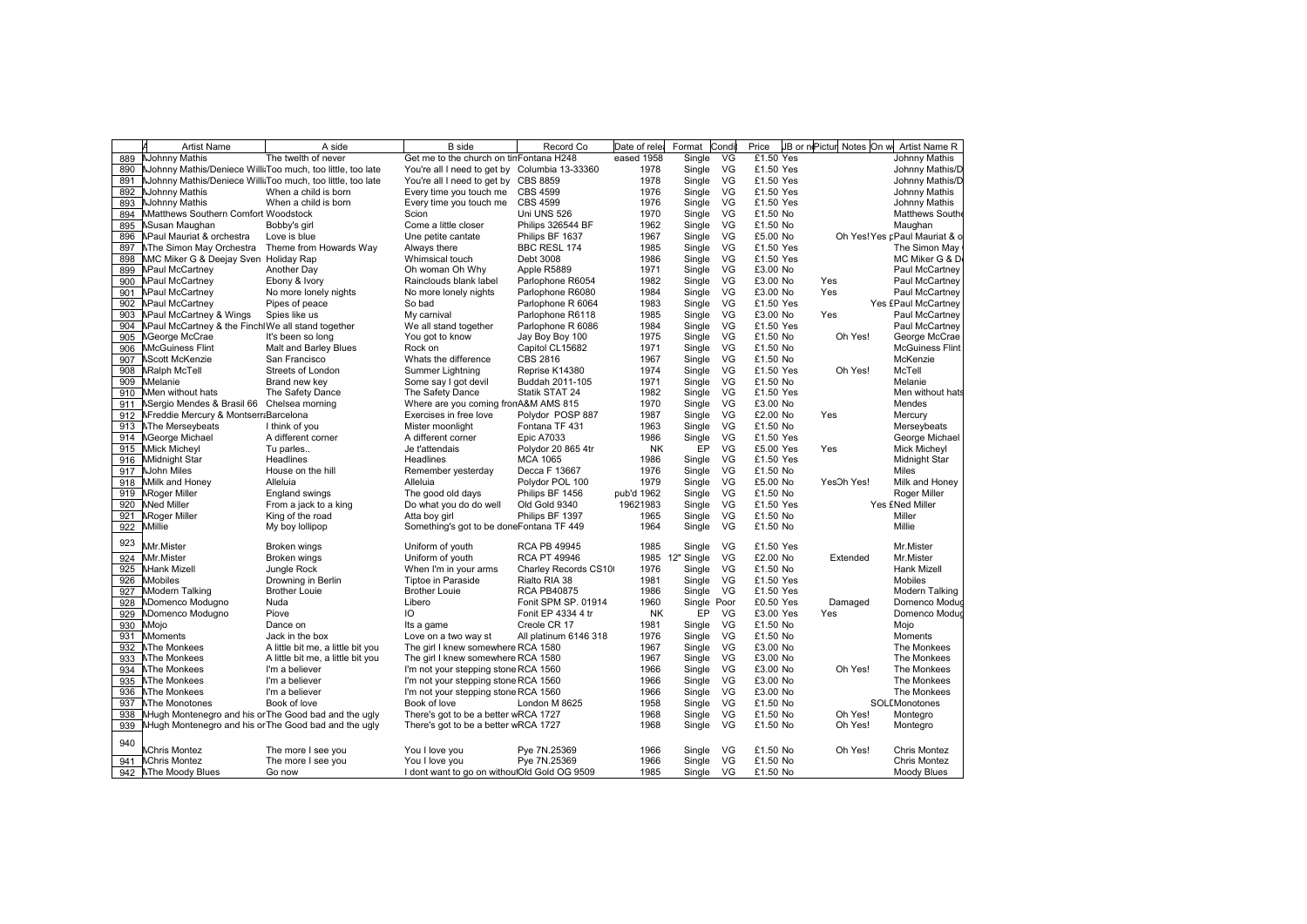|     | <b>Artist Name</b>                                              | A side                               | <b>B</b> side                                 | Record Co             | Date of rele | Format       | Condi | Price     | JB or nePictur | Notes On w | Artist Name R                 |
|-----|-----------------------------------------------------------------|--------------------------------------|-----------------------------------------------|-----------------------|--------------|--------------|-------|-----------|----------------|------------|-------------------------------|
|     | 889 NJohnny Mathis                                              | The twelth of never                  | Get me to the church on tinFontana H248       |                       | eased 1958   | Single       | VG    | £1.50 Yes |                |            | Johnny Mathis                 |
|     | 890 NJohnny Mathis/Deniece Willi Too much, too little, too late |                                      | You're all I need to get by Columbia 13-33360 |                       | 1978         | Single       | VG    | £1.50 Yes |                |            | Johnny Mathis/D               |
|     | 891 NJohnny Mathis/Deniece Willi Too much, too little, too late |                                      | You're all I need to get by CBS 8859          |                       | 1978         | Single       | VG    | £1.50 Yes |                |            | Johnny Mathis/D               |
|     | 892 NJohnny Mathis                                              | When a child is born                 | Every time you touch me CBS 4599              |                       | 1976         | Single       | VG    | £1.50 Yes |                |            | Johnny Mathis                 |
|     | 893 NJohnny Mathis                                              | When a child is born                 | Every time you touch me                       | <b>CBS 4599</b>       | 1976         | Single       | VG    | £1.50 Yes |                |            | Johnny Mathis                 |
|     | 894 Matthews Southern Comfort Woodstock                         |                                      | Scion                                         | Uni UNS 526           | 1970         | Single       | VG    | £1.50 No  |                |            | Matthews South                |
|     | 895 NSusan Maughan                                              | Bobby's girl                         | Come a little closer                          | Philips 326544 BF     | 1962         | Single       | VG    | £1.50 No  |                |            | Maughan                       |
|     | 896 NPaul Mauriat & orchestra                                   | Love is blue                         | Une petite cantate                            | Philips BF 1637       | 1967         | Single       | VG    | £5.00 No  |                |            | Oh Yes! Yes pPaul Mauriat & o |
|     | 897 NThe Simon May Orchestra Theme from Howards Way             |                                      | Always there                                  | BBC RESL 174          | 1985         | Single       | VG    | £1.50 Yes |                |            | The Simon May                 |
| 898 | MC Miker G & Deejay Sven Holiday Rap                            |                                      | Whimsical touch                               | Debt 3008             | 1986         | Single       | VG    | £1.50 Yes |                |            | MC Miker G & D                |
|     | 899 NPaul McCartney                                             | Another Day                          | Oh woman Oh Why                               | Apple R5889           | 1971         | Single       | VG    | £3.00 No  |                |            | Paul McCartney                |
|     | 900 NPaul McCartney                                             | Ebony & Ivory                        | Rainclouds blank label                        | Parlophone R6054      | 1982         | Single       | VG    | £3.00 No  |                | Yes        | Paul McCartney                |
|     | 901 NPaul McCartney                                             | No more lonely nights                | No more lonely nights                         | Parlophone R6080      | 1984         | Single       | VG    | £3.00 No  |                | Yes        | Paul McCartney                |
|     | 902 NPaul McCartney                                             | Pipes of peace                       | So bad                                        | Parlophone R 6064     | 1983         | Single       | VG    | £1.50 Yes |                |            | Yes £Paul McCartney           |
|     | 903 NPaul McCartney & Wings                                     | Spies like us                        | My carnival                                   | Parlophone R6118      | 1985         | Single       | VG    | £3.00 No  |                | Yes        | Paul McCartney                |
|     | 904 NPaul McCartney & the FinchIWe all stand together           |                                      | We all stand together                         | Parlophone R 6086     | 1984         | Single       | VG    | £1.50 Yes |                |            | Paul McCartney                |
|     | 905 <b>NGeorge McCrae</b>                                       | It's been so long                    | You got to know                               | Jay Boy Boy 100       | 1975         | Single       | VG    | £1.50 No  |                | Oh Yes!    | George McCrae                 |
|     | 906 McGuiness Flint                                             | Malt and Barley Blues                | Rock on                                       | Capitol CL15682       | 1971         | Single       | VG    | £1.50 No  |                |            | <b>McGuiness Flint</b>        |
|     | 907 NScott McKenzie                                             | San Francisco                        | Whats the difference                          | CBS 2816              | 1967         | Single       | VG    | £1.50 No  |                |            | McKenzie                      |
|     | 908 NRalph McTell                                               | Streets of London                    | Summer Lightning                              | Reprise K14380        | 1974         | Single       | VG    | £1.50 Yes |                | Oh Yes!    | McTell                        |
|     | 909 Melanie                                                     | Brand new key                        | Some say I got devil                          | Buddah 2011-105       | 1971         | Single       | VG    | £1.50 No  |                |            | Melanie                       |
|     | 910 Men without hats                                            | The Safety Dance                     | The Safety Dance                              | Statik STAT 24        | 1982         | Single       | VG    | £1.50 Yes |                |            | Men without hats              |
|     | 911 NSergio Mendes & Brasil 66 Chelsea morning                  |                                      | Where are you coming fronA&M AMS 815          |                       | 1970         | Single       | VG    | £3.00 No  |                |            | Mendes                        |
|     | 912 NFreddie Mercury & Montserr Barcelona                       |                                      | Exercises in free love                        | Polydor POSP 887      | 1987         | Single       | VG    | £2.00 No  |                | Yes        | Mercury                       |
|     |                                                                 |                                      |                                               |                       | 1963         |              | VG    | £1.50 No  |                |            |                               |
|     | 913 NThe Merseybeats                                            | I think of you<br>A different corner | Mister moonlight                              | Fontana TF 431        | 1986         | Single       | VG    | £1.50 Yes |                |            | Merseybeats                   |
|     | 914 NGeorge Michael                                             |                                      | A different corner                            | <b>Epic A7033</b>     |              | Single<br>EP |       |           |                |            | George Michael                |
|     | 915 Mick Micheyl                                                | Tu parles                            | Je t'attendais                                | Polydor 20 865 4tr    | NΚ           |              | VG    | £5.00 Yes |                | Yes        | Mick Micheyl                  |
|     | 916 Midnight Star                                               | Headlines                            | Headlines                                     | <b>MCA 1065</b>       | 1986         | Single       | VG    | £1.50 Yes |                |            | <b>Midnight Star</b>          |
|     | 917 NJohn Miles                                                 | House on the hill                    | Remember yesterday                            | Decca F 13667         | 1976         | Single       | VG    | £1.50 No  |                |            | <b>Miles</b>                  |
|     | 918 Milk and Honey                                              | Alleluia                             | Alleluia                                      | Polydor POL 100       | 1979         | Single       | VG    | £5.00 No  |                | YesOh Yes! | Milk and Honey                |
|     | 919 NRoger Miller                                               | <b>England swings</b>                | The good old days                             | Philips BF 1456       | pub'd 1962   | Single       | VG    | £1.50 No  |                |            | Roger Miller                  |
|     | 920 Med Miller                                                  | From a jack to a king                | Do what you do do well                        | Old Gold 9340         | 19621983     | Single       | VG    | £1.50 Yes |                |            | Yes £Ned Miller               |
| 921 | <b>NRoger Miller</b>                                            | King of the road                     | Atta boy girl                                 | Philips BF 1397       | 1965         | Single       | VG    | £1.50 No  |                |            | Miller                        |
| 922 | <b>Millie</b>                                                   | My boy lollipop                      | Something's got to be doneFontana TF 449      |                       | 1964         | Single       | VG    | £1.50 No  |                |            | Millie                        |
| 923 | Mr.Mister                                                       | Broken wings                         | Uniform of youth                              | <b>RCA PB 49945</b>   | 1985         | Single       | VG    | £1.50 Yes |                |            | Mr.Mister                     |
|     | 924 Mr.Mister                                                   | Broken wings                         | Uniform of youth                              | <b>RCA PT 49946</b>   | 1985         | 12" Single   | VG    | £2.00 No  |                | Extended   | Mr.Mister                     |
|     | 925 MHank Mizell                                                | Jungle Rock                          | When I'm in your arms                         | Charley Records CS10  | 1976         | Single       | VG    | £1.50 No  |                |            | Hank Mizell                   |
|     | 926 Mobiles                                                     | Drowning in Berlin                   | Tiptoe in Paraside                            | Rialto RIA 38         | 1981         | Single       | VG    | £1.50 Yes |                |            | Mobiles                       |
|     | 927 Modern Talking                                              | <b>Brother Louie</b>                 | <b>Brother Louie</b>                          | <b>RCA PB40875</b>    | 1986         | Single       | VG    | £1.50 Yes |                |            | Modern Talking                |
|     | 928 NDomenco Modugno                                            | Nuda                                 | Libero                                        | Fonit SPM SP. 01914   | 1960         | Single Poor  |       | £0.50 Yes |                | Damaged    | Domenco Moduo                 |
|     | 929 NDomenco Modugno                                            | Piove                                | IO                                            | Fonit EP 4334 4 tr    | NK           | EP           | VG    | £3.00 Yes |                | Yes        | Domenco Moduo                 |
|     | 930 Mojo                                                        | Dance on                             | Its a game                                    | Creole CR 17          | 1981         | Single       | VG    | £1.50 No  |                |            | Mojo                          |
|     | 931 Moments                                                     | Jack in the box                      | Love on a two way st                          | All platinum 6146 318 | 1976         | Single       | VG    | £1.50 No  |                |            | Moments                       |
|     | 932 NThe Monkees                                                | A little bit me, a little bit you    | The girl I knew somewhere RCA 1580            |                       | 1967         | Single       | VG    | £3.00 No  |                |            | The Monkees                   |
|     | 933 NThe Monkees                                                | A little bit me, a little bit you    | The girl I knew somewhere RCA 1580            |                       | 1967         | Single       | VG    | £3.00 No  |                |            | The Monkees                   |
|     | 934 NThe Monkees                                                | I'm a believer                       | I'm not your stepping stone RCA 1560          |                       | 1966         | Single       | VG    | £3.00 No  |                | Oh Yes!    | The Monkees                   |
|     | 935 NThe Monkees                                                | I'm a believer                       | I'm not your stepping stone RCA 1560          |                       | 1966         | Single       | VG    | £3.00 No  |                |            | The Monkees                   |
|     | 936 NThe Monkees                                                | I'm a believer                       | I'm not your stepping stone RCA 1560          |                       | 1966         | Single       | VG    | £3.00 No  |                |            | The Monkees                   |
|     | 937 MThe Monotones                                              | Book of love                         | Book of love                                  | London M 8625         | 1958         | Single       | VG    | £1.50 No  |                |            | SOLEMonotones                 |
|     | 938 NHugh Montenegro and his or The Good bad and the ugly       |                                      | There's got to be a better wRCA 1727          |                       | 1968         | Single       | VG    | £1.50 No  |                | Oh Yes!    | Montegro                      |
|     | 939 NHugh Montenegro and his or The Good bad and the ugly       |                                      | There's got to be a better wRCA 1727          |                       | 1968         | Single       | VG    | £1.50 No  |                | Oh Yes!    | Montegro                      |
|     |                                                                 |                                      |                                               |                       |              |              |       |           |                |            |                               |
| 940 | <b>MChris Montez</b>                                            | The more I see you                   | You I love you                                | Pye 7N.25369          | 1966         | Single       | VG    | £1.50 No  |                | Oh Yes!    | <b>Chris Montez</b>           |
|     | 941   Chris Montez                                              | The more I see you                   | You I love you                                | Pye 7N.25369          | 1966         | Single       | VG    | £1.50 No  |                |            | <b>Chris Montez</b>           |
|     | 942 NThe Moody Blues                                            | Go now                               | I dont want to go on withou!Old Gold OG 9509  |                       | 1985         | Single VG    |       | £1.50 No  |                |            | Moody Blues                   |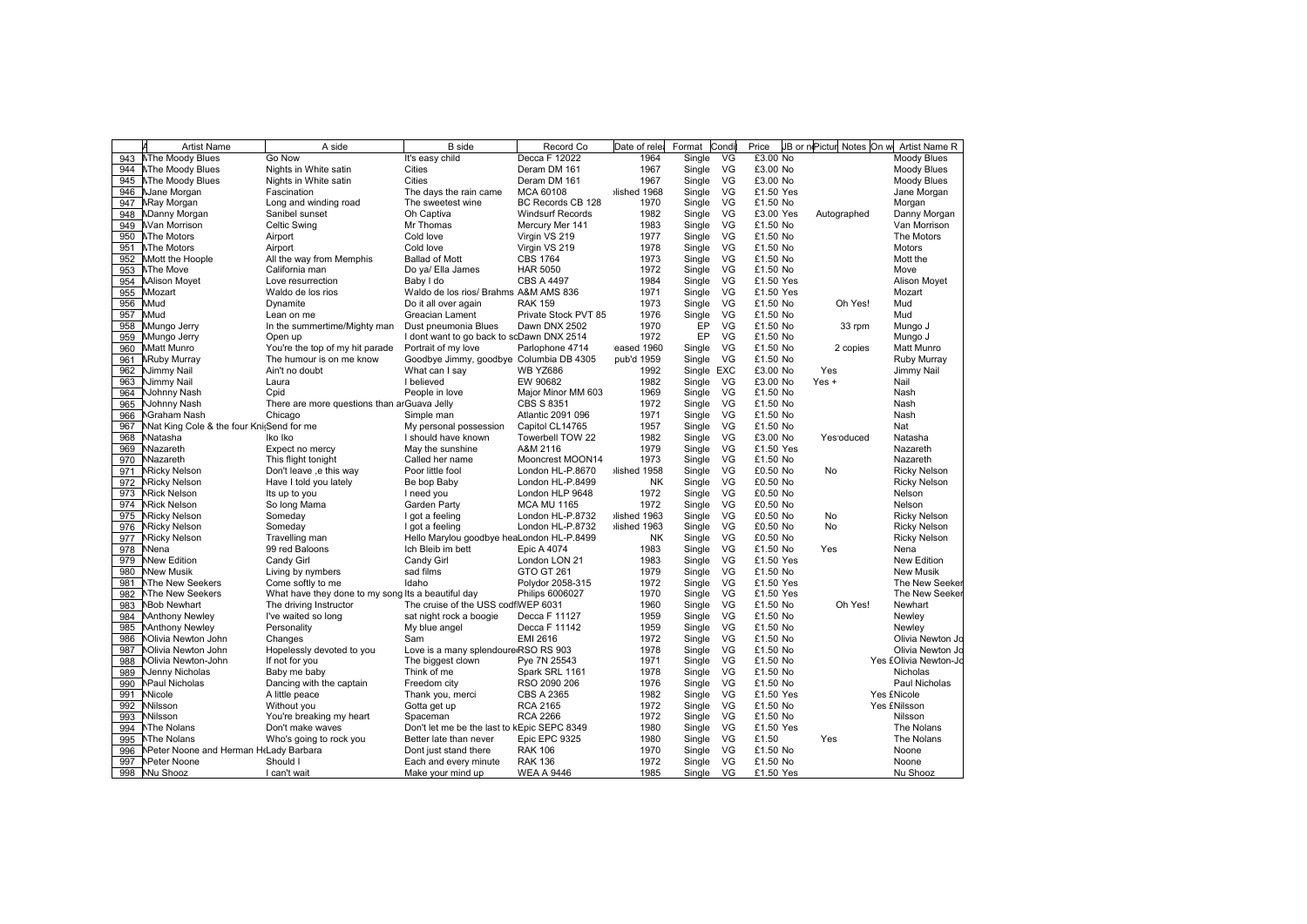|     | <b>Artist Name</b>                       | A side                                             | <b>B</b> side                               | Record Co               | Date of relea | Format     | Condi | Price     |             | JB or nPictur Notes On w Artist Name R |
|-----|------------------------------------------|----------------------------------------------------|---------------------------------------------|-------------------------|---------------|------------|-------|-----------|-------------|----------------------------------------|
| 943 | <b>NThe Moody Blues</b>                  | Go Now                                             | It's easy child                             | Decca F 12022           | 1964          | Single     | VG    | £3.00 No  |             | Moody Blues                            |
| 944 | <b>NThe Moody Blues</b>                  | Nights in White satin                              | <b>Cities</b>                               | Deram DM 161            | 1967          | Single     | VG    | £3.00 No  |             | Moody Blues                            |
| 945 | <b>NThe Moody Blues</b>                  | Nights in White satin                              | Cities                                      | Deram DM 161            | 1967          | Single     | VG    | £3.00 No  |             | Moody Blues                            |
| 946 | Mane Morgan                              | Fascination                                        | The days the rain came                      | <b>MCA 60108</b>        | lished 1968   | Single     | VG    | £1.50 Yes |             | Jane Morgan                            |
| 947 | <b>NRay Morgan</b>                       | Long and winding road                              | The sweetest wine                           | BC Records CB 128       | 1970          | Single     | VG    | £1.50 No  |             | Morgan                                 |
| 948 | <b>NDanny Morgan</b>                     | Sanibel sunset                                     | Oh Captiva                                  | <b>Windsurf Records</b> | 1982          | Single     | VG    | £3.00 Yes | Autographed | Danny Morgan                           |
| 949 | NVan Morrison                            | <b>Celtic Swing</b>                                | Mr Thomas                                   | Mercury Mer 141         | 1983          | Single     | VG    | £1.50 No  |             | Van Morrison                           |
| 950 | <b>NThe Motors</b>                       | Airport                                            | Cold love                                   | Virgin VS 219           | 1977          | Single     | VG    | £1.50 No  |             | The Motors                             |
| 951 | <b>NThe Motors</b>                       | Airport                                            | Cold love                                   | Virgin VS 219           | 1978          | Single     | VG    | £1.50 No  |             | Motors                                 |
| 952 | Mott the Hoople                          | All the way from Memphis                           | <b>Ballad of Mott</b>                       | <b>CBS 1764</b>         | 1973          | Single     | VG    | £1.50 No  |             | Mott the                               |
| 953 | <b>NThe Move</b>                         | California man                                     | Do ya/ Ella James                           | <b>HAR 5050</b>         | 1972          | Single     | VG    | £1.50 No  |             | Move                                   |
| 954 | <b>Malison Moyet</b>                     | Love resurrection                                  | Baby I do                                   | <b>CBS A 4497</b>       | 1984          | Single     | VG    | £1.50 Yes |             | Alison Moyet                           |
| 955 | Mozart                                   | Waldo de los rios                                  | Waldo de los rios/ Brahms A&M AMS 836       |                         | 1971          | Single     | VG    | £1.50 Yes |             | Mozart                                 |
| 956 | Mud                                      | Dynamite                                           | Do it all over again                        | <b>RAK 159</b>          | 1973          | Single     | VG    | £1.50 No  | Oh Yes!     | Mud                                    |
| 957 | Mud                                      | Lean on me                                         | Greacian Lament                             | Private Stock PVT 85    | 1976          | Single     | VG    | £1.50 No  |             | Mud                                    |
| 958 | Mungo Jerry                              | In the summertime/Mighty man                       | Dust pneumonia Blues                        | Dawn DNX 2502           | 1970          | ĒР         | VG    | £1.50 No  | 33 rpm      | Mungo J                                |
| 959 | Mungo Jerry                              | Open up                                            | I dont want to go back to scDawn DNX 2514   |                         | 1972          | EP         | VG    | £1.50 No  |             | Mungo J                                |
| 960 | <b>Matt Munro</b>                        | You're the top of my hit parade                    | Portrait of my love                         | Parlophone 4714         | eased 1960    | Single     | VG    | £1.50 No  | 2 copies    | Matt Munro                             |
| 961 | <b>NRuby Murray</b>                      | The humour is on me know                           | Goodbye Jimmy, goodbye Columbia DB 4305     |                         | pub'd 1959    | Single     | VG    | £1.50 No  |             | Ruby Murray                            |
| 962 | <b>Nimmy Nail</b>                        | Ain't no doubt                                     | What can I say                              | <b>WB YZ686</b>         | 1992          | Single EXC |       | £3.00 No  | Yes         | Jimmy Nail                             |
| 963 | <b>Nimmy Nail</b>                        | Laura                                              | I believed                                  | EW 90682                | 1982          | Single     | VG    | £3.00 No  | $Yes +$     | Nail                                   |
| 964 | <b>Nohnny Nash</b>                       | Cpid                                               | People in love                              | Major Minor MM 603      | 1969          | Single     | VG    | £1.50 No  |             | Nash                                   |
| 965 | <b>Nohnny Nash</b>                       | There are more questions than arGuava Jelly        |                                             | CBS S 8351              | 1972          | Single     | VG    | £1.50 No  |             | Nash                                   |
| 966 | <b>NGraham Nash</b>                      | Chicago                                            | Simple man                                  | Atlantic 2091 096       | 1971          | Single     | VG    | £1.50 No  |             | Nash                                   |
| 967 | Nat King Cole & the four Kni Send for me |                                                    | My personal possession                      | Capitol CL14765         | 1957          | Single     | VG    | £1.50 No  |             | Nat                                    |
| 968 | Natasha                                  | Iko Iko                                            | I should have known                         | Towerbell TOW 22        | 1982          | Single     | VG    | £3.00 No  | Yes oduced  | Natasha                                |
| 969 | Nazareth                                 | Expect no mercy                                    | May the sunshine                            | A&M 2116                | 1979          | Single     | VG    | £1.50 Yes |             | Nazareth                               |
| 970 | Nazareth                                 | This flight tonight                                | Called her name                             | Mooncrest MOON14        | 1973          | Single     | VG    | £1.50 No  |             | Nazareth                               |
| 971 | <b>NRicky Nelson</b>                     | Don't leave ,e this way                            | Poor little fool                            | London HL-P.8670        | lished 1958   | Single     | VG    | £0.50 No  | No          | <b>Ricky Nelson</b>                    |
| 972 | <b>NRicky Nelson</b>                     | Have I told you lately                             | Be bop Baby                                 | London HL-P.8499        | <b>NK</b>     | Single     | VG    | £0.50 No  |             | <b>Ricky Nelson</b>                    |
| 973 | <b>NRick Nelson</b>                      | Its up to you                                      | I need you                                  | London HLP 9648         | 1972          | Single     | VG    | £0.50 No  |             | Nelson                                 |
| 974 | <b>NRick Nelson</b>                      | So long Mama                                       | Garden Party                                | <b>MCA MU 1165</b>      | 1972          | Single     | VG    | £0.50 No  |             | Nelson                                 |
| 975 | NRicky Nelson                            | Someday                                            | I got a feeling                             | London HL-P.8732        | lished 1963   | Single     | VG    | £0.50 No  | No          | <b>Ricky Nelson</b>                    |
| 976 | <b>NRicky Nelson</b>                     | Someday                                            | I got a feeling                             | London HL-P.8732        | lished 1963   | Single     | VG    | £0.50 No  | No          | <b>Ricky Nelson</b>                    |
| 977 | NRicky Nelson                            | Travelling man                                     | Hello Marylou goodbye heaLondon HL-P.8499   |                         | <b>NK</b>     | Single     | VG    | £0.50 No  |             | <b>Ricky Nelson</b>                    |
| 978 | Mena                                     | 99 red Baloons                                     | Ich Bleib im bett                           | Epic A 4074             | 1983          | Single     | VG    | £1.50 No  | Yes         | Nena                                   |
| 979 | <b>New Edition</b>                       | Candy Girl                                         | Candy Girl                                  | London LON 21           | 1983          | Single     | VG    | £1.50 Yes |             | New Edition                            |
| 980 | <b>New Musik</b>                         | Living by nymbers                                  | sad films                                   | GTO GT 261              | 1979          | Single     | VG    | £1.50 No  |             | <b>New Musik</b>                       |
| 981 | <b>NThe New Seekers</b>                  | Come softly to me                                  | Idaho                                       | Polydor 2058-315        | 1972          | Single     | VG    | £1.50 Yes |             | The New Seeker                         |
| 982 | <b>NThe New Seekers</b>                  | What have they done to my song its a beautiful day |                                             | Philips 6006027         | 1970          | Single     | VG    | £1.50 Yes |             | The New Seeker                         |
| 983 | <b>NBob Newhart</b>                      | The driving Instructor                             | The cruise of the USS codfiWEP 6031         |                         | 1960          | Single     | VG    | £1.50 No  | Oh Yes!     | Newhart                                |
| 984 | <b>Manthony Newley</b>                   | I've waited so long                                | sat night rock a boogie                     | Decca F 11127           | 1959          | Single     | VG    | £1.50 No  |             | Newley                                 |
| 985 | <b>Manthony Newley</b>                   | Personality                                        | My blue angel                               | Decca F 11142           | 1959          | Single     | VG    | £1.50 No  |             | Newley                                 |
| 986 | NOlivia Newton John                      | Changes                                            | Sam                                         | <b>EMI 2616</b>         | 1972          | Single     | VG    | £1.50 No  |             | Olivia Newton Jo                       |
| 987 | Molivia Newton John                      | Hopelessly devoted to you                          | Love is a many splendoure RSO RS 903        |                         | 1978          | Single     | VG    | £1.50 No  |             | Olivia Newton Jo                       |
| 988 | Mlivia Newton-John                       | If not for you                                     | The biggest clown                           | Pye 7N 25543            | 1971          | Single     | VG    | £1.50 No  |             | Yes £Olivia Newton-Jo                  |
| 989 | <b>Nenny Nicholas</b>                    | Baby me baby                                       | Think of me                                 | Spark SRL 1161          | 1978          | Single     | VG    | £1.50 No  |             | Nicholas                               |
| 990 | <b>NPaul Nicholas</b>                    | Dancing with the captain                           | Freedom city                                | RSO 2090 206            | 1976          | Single     | VG    | £1.50 No  |             | Paul Nicholas                          |
| 991 | NNicole                                  | A little peace                                     | Thank you, merci                            | <b>CBS A 2365</b>       | 1982          | Single     | VG    | £1.50 Yes |             | Yes £Nicole                            |
| 992 | Nilsson                                  | Without you                                        | Gotta get up                                | <b>RCA 2165</b>         | 1972          | Single     | VG    | £1.50 No  |             | Yes £Nilsson                           |
| 993 | Nilsson                                  | You're breaking my heart                           | Spaceman                                    | <b>RCA 2266</b>         | 1972          | Single     | VG    | £1.50 No  |             | Nilsson                                |
| 994 | <b>NThe Nolans</b>                       | Don't make waves                                   | Don't let me be the last to kEpic SEPC 8349 |                         | 1980          | Single     | VG.   | £1.50 Yes |             | The Nolans                             |
| 995 | NThe Nolans                              | Who's going to rock you                            | Better late than never                      | Epic EPC 9325           | 1980          | Single     | VG    | £1.50     | Yes         | The Nolans                             |
| 996 | MPeter Noone and Herman H Lady Barbara   |                                                    | Dont just stand there                       | <b>RAK 106</b>          | 1970          | Single     | VG    | £1.50 No  |             | Noone                                  |
| 997 | NPeter Noone                             | Should I                                           | Each and every minute                       | <b>RAK 136</b>          | 1972          | Single     | VG    | £1.50 No  |             | Noone                                  |
|     | 998 Nu Shooz                             | I can't wait                                       | Make your mind up                           | <b>WEA A 9446</b>       | 1985          | Single     | VG    | £1.50 Yes |             | Nu Shooz                               |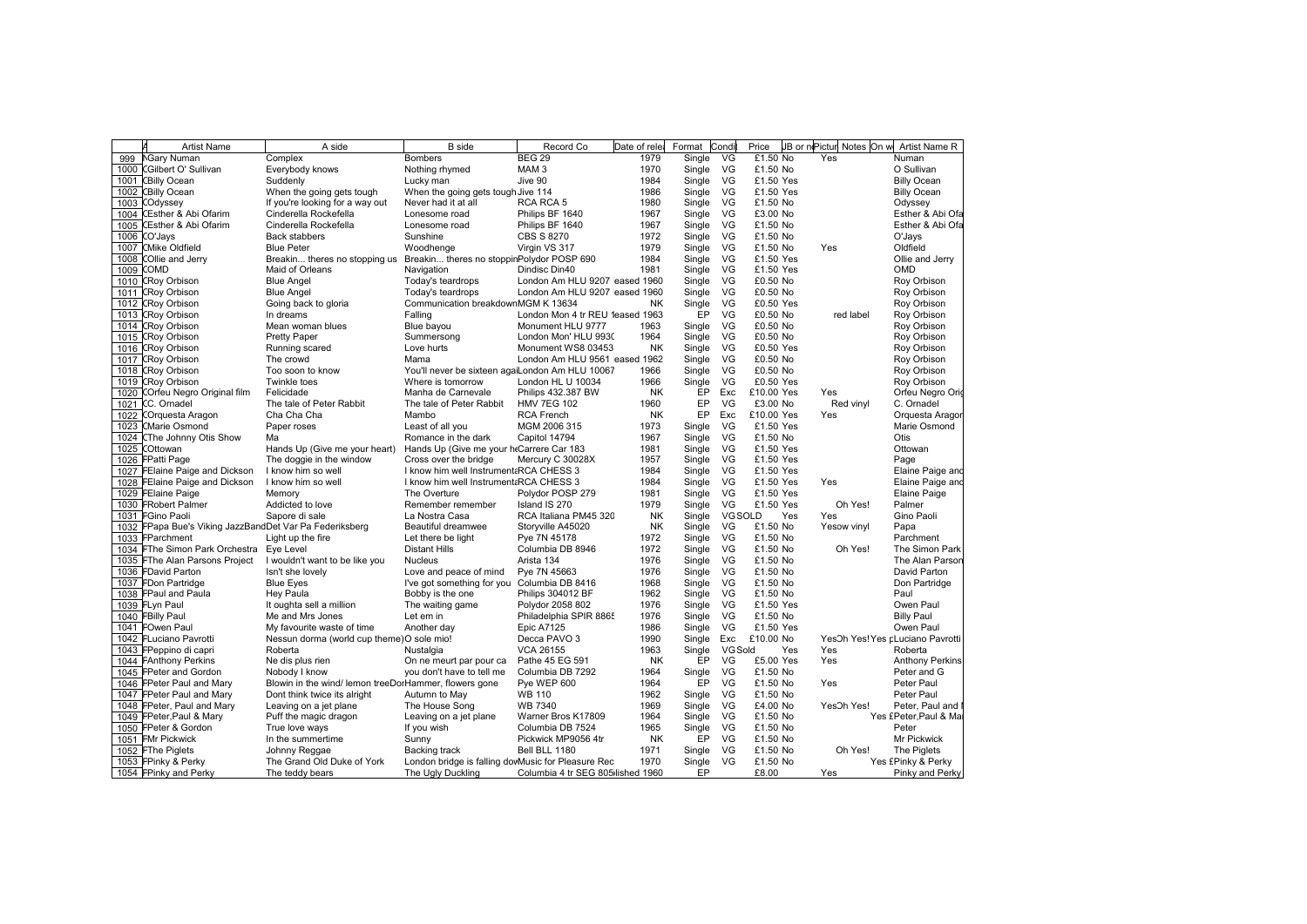|      | <b>Artist Name</b>                                 | A side                                                | <b>B</b> side                                      | Record Co                         | Date of rele | Format | Condi          | Price      | JB or nePictur Notes On w | Artist Name R                    |
|------|----------------------------------------------------|-------------------------------------------------------|----------------------------------------------------|-----------------------------------|--------------|--------|----------------|------------|---------------------------|----------------------------------|
| 999  | <b>NGary Numan</b>                                 | Complex                                               | <b>Bombers</b>                                     | <b>BEG 29</b>                     | 1979         | Single | VG             | £1.50 No   | Yes                       | Numan                            |
| 1000 | <b>CGilbert O' Sullivan</b>                        | Everybody knows                                       | Nothing rhymed                                     | MAM <sub>3</sub>                  | 1970         | Single | VG             | £1.50 No   |                           | O Sullivan                       |
|      | 1001 CBilly Ocean                                  | Suddenly                                              | Lucky man                                          | Jive 90                           | 1984         | Single | VG             | £1.50 Yes  |                           | <b>Billy Ocean</b>               |
| 1002 | <b>CBilly Ocean</b>                                | When the going gets tough                             | When the going gets tough Jive 114                 |                                   | 1986         | Single | VG             | £1.50 Yes  |                           | <b>Billy Ocean</b>               |
| 1003 | COdyssey                                           | If you're looking for a way out                       | Never had it at all                                | RCA RCA 5                         | 1980         | Single | VG             | £1.50 No   |                           | Odyssey                          |
| 1004 | <b>CEsther &amp; Abi Ofarim</b>                    | Cinderella Rockefella                                 | Lonesome road                                      | Philips BF 1640                   | 1967         | Single | <b>VG</b>      | £3.00 No   |                           | Esther & Abi Ofa                 |
| 1005 | CEsther & Abi Ofarim                               | Cinderella Rockefella                                 | Lonesome road                                      | Philips BF 1640                   | 1967         | Single | VG             | £1.50 No   |                           | Esther & Abi Ofa                 |
| 1006 | CO'Jays                                            | <b>Back stabbers</b>                                  | Sunshine                                           | <b>CBS S 8270</b>                 | 1972         | Single | VG             | £1.50 No   |                           | O'Jays                           |
| 1007 | <b>CMike Oldfield</b>                              | <b>Blue Peter</b>                                     | Woodhenge                                          | Virgin VS 317                     | 1979         | Single | VG             | £1.50 No   | Yes                       | Oldfield                         |
| 1008 | COllie and Jerry                                   | Breakin theres no stopping us                         | Breakin theres no stoppinPolydor POSP 690          |                                   | 1984         | Single | VG             | £1.50 Yes  |                           | Ollie and Jerry                  |
| 1009 | COMD                                               | Maid of Orleans                                       | Navigation                                         | Dindisc Din40                     | 1981         | Single | VG             | £1.50 Yes  |                           | OMD                              |
| 1010 | <b>CRoy Orbison</b>                                | <b>Blue Angel</b>                                     | Today's teardrops                                  | London Am HLU 9207 eased 1960     |              | Single | VG             | £0.50 No   |                           | Roy Orbison                      |
|      | 1011 CRoy Orbison                                  | <b>Blue Angel</b>                                     | Today's teardrops                                  | London Am HLU 9207 eased 1960     |              | Single | VG             | £0.50 No   |                           | Roy Orbison                      |
| 1012 | <b>CRoy Orbison</b>                                | Going back to gloria                                  | Communication breakdownMGM K 13634                 |                                   | <b>NK</b>    | Single | VG             | £0.50 Yes  |                           | Roy Orbison                      |
| 1013 | <b>CRoy Orbison</b>                                | In dreams                                             | Falling                                            | London Mon 4 tr REU 1eased 1963   |              | EP     | VG             | £0.50 No   | red label                 | Roy Orbison                      |
|      | 1014 CRoy Orbison                                  | Mean woman blues                                      | Blue bayou                                         | Monument HLU 9777                 | 1963         | Single | VG             | £0.50 No   |                           | Roy Orbison                      |
| 1015 | <b>CRoy Orbison</b>                                | <b>Pretty Paper</b>                                   | Summersong                                         | London Mon' HLU 9930              | 1964         | Single | VG             | £0.50 No   |                           | Roy Orbison                      |
| 1016 | <b>CRoy Orbison</b>                                | Running scared                                        | Love hurts                                         | Monument WS8 03453                | <b>NK</b>    | Single | <b>VG</b>      | £0.50 Yes  |                           | Roy Orbison                      |
|      | 1017 CRoy Orbison                                  | The crowd                                             | Mama                                               | London Am HLU 9561 eased 1962     |              | Single | VG             | £0.50 No   |                           | Roy Orbison                      |
| 1018 | <b>CRoy Orbison</b>                                | Too soon to know                                      | You'll never be sixteen agaiLondon Am HLU 10067    |                                   | 1966         | Single | VG             | £0.50 No   |                           | Roy Orbison                      |
| 1019 | <b>CRoy Orbison</b>                                | Twinkle toes                                          | Where is tomorrow                                  | London HL U 10034                 | 1966         | Single | VG             | £0.50 Yes  |                           | Roy Orbison                      |
| 1020 | COrfeu Negro Original film                         | Felicidade                                            | Manha de Carnevale                                 | Philips 432.387 BW                | <b>NK</b>    | EP     | Exc            | £10.00 Yes | Yes                       | Orfeu Negro Orio                 |
|      | 1021 CC. Ornadel                                   | The tale of Peter Rabbit                              | The tale of Peter Rabbit                           | <b>HMV 7EG 102</b>                | 1960         | EP     | VG             | £3.00 No   | Red vinyl                 | C. Ornadel                       |
| 1022 | COrquesta Aragon                                   | Cha Cha Cha                                           | Mambo                                              | <b>RCA French</b>                 | <b>NK</b>    | EP     | Exc            | £10.00 Yes | Yes                       | Orquesta Aragor                  |
| 1023 | <b>CMarie Osmond</b>                               | Paper roses                                           | Least of all you                                   | MGM 2006 315                      | 1973         | Single | VG             | £1.50 Yes  |                           | Marie Osmond                     |
| 1024 | CThe Johnny Otis Show                              | Ma                                                    | Romance in the dark                                | Capitol 14794                     | 1967         | Single | VG             | £1.50 No   |                           | Otis                             |
| 1025 | COttowan                                           | Hands Up (Give me your heart)                         | Hands Up (Give me your htCarrere Car 183           |                                   | 1981         | Single | VG             | £1.50 Yes  |                           | Ottowan                          |
|      | 1026 FPatti Page                                   | The doggie in the window                              | Cross over the bridge                              | Mercury C 30028X                  | 1957         | Single | VG             | £1.50 Yes  |                           | Page                             |
| 1027 | FElaine Paige and Dickson                          | I know him so well                                    | I know him well Instrument &RCA CHESS 3            |                                   | 1984         | Single | <b>VG</b>      | £1.50 Yes  |                           | Elaine Paige and                 |
| 1028 | FElaine Paige and Dickson                          | I know him so well                                    | I know him well Instrument &RCA CHESS 3            |                                   | 1984         | Single | VG             | £1.50 Yes  | Yes                       | Elaine Paige and                 |
|      | 1029 FElaine Paige                                 | Memory                                                | The Overture                                       | Polydor POSP 279                  | 1981         | Single | VG             | £1.50 Yes  |                           | Elaine Paige                     |
|      | 1030 FRobert Palmer                                | Addicted to love                                      | Remember remember                                  | Island IS 270                     | 1979         | Single | VG             | £1.50 Yes  | Oh Yes!                   | Palmer                           |
|      | 1031 FGino Paoli                                   | Sapore di sale                                        | La Nostra Casa                                     | RCA Italiana PM45 320             | ΝK           | Single | VGSOLD         | Yes        | Yes                       | Gino Paoli                       |
| 1032 | FPapa Bue's Viking JazzBandDet Var Pa Federiksberg |                                                       | Beautiful dreamwee                                 | Storyville A45020                 | NK           | Single | <b>VG</b>      | £1.50 No   | Yesow vinyl               | Papa                             |
|      | 1033 FParchment                                    | Light up the fire                                     | Let there be light                                 | Pye 7N 45178                      | 1972         | Single | <b>VG</b>      | £1.50 No   |                           | Parchment                        |
|      | 1034 FThe Simon Park Orchestra                     | Eye Level                                             | Distant Hills                                      | Columbia DB 8946                  | 1972         | Single | <b>VG</b>      | £1.50 No   | Oh Yes!                   | The Simon Park                   |
| 1035 | FThe Alan Parsons Project                          | I wouldn't want to be like you                        | <b>Nucleus</b>                                     | Arista 134                        | 1976         | Single | VG             | £1.50 No   |                           | The Alan Parson                  |
|      | 1036 FDavid Parton                                 | Isn't she lovely                                      | Love and peace of mind                             | Pye 7N 45663                      | 1976         | Single | VG             | £1.50 No   |                           | David Parton                     |
|      | 1037 FDon Partridge                                | <b>Blue Eyes</b>                                      | I've got something for you                         | Columbia DB 8416                  | 1968         | Single | <b>VG</b>      | £1.50 No   |                           | Don Partridge                    |
|      | 1038 FPaul and Paula                               | Hey Paula                                             | Bobby is the one                                   | <b>Philips 304012 BF</b>          | 1962         | Single | <b>VG</b>      | £1.50 No   |                           | Paul                             |
|      | 1039 FLyn Paul                                     | It oughta sell a million                              | The waiting game                                   | Polydor 2058 802                  | 1976         | Single | VG             | £1.50 Yes  |                           | Owen Paul                        |
|      | 1040 FBilly Paul                                   | Me and Mrs Jones                                      | Let em in                                          | Philadelphia SPIR 8865            | 1976         | Single | VG             | £1.50 No   |                           | <b>Billy Paul</b>                |
|      | 1041 FOwen Paul                                    | My favourite waste of time                            | Another day                                        | <b>Epic A7125</b>                 | 1986         | Single | VG             | £1.50 Yes  |                           | Owen Paul                        |
|      | 1042 FLuciano Pavrotti                             | Nessun dorma (world cup theme) O sole mio!            |                                                    | Decca PAVO 3                      | 1990         | Single | Exc            | £10.00 No  |                           | YesOh Yes! Yes pLuciano Pavrotti |
|      | 1043 FPeppino di capri                             | Roberta                                               | Nustalgia                                          | <b>VCA 26155</b>                  | 1963         | Single | <b>VG Sold</b> | Yes        | Yes                       | Roberta                          |
|      | 1044 FAnthony Perkins                              | Ne dis plus rien                                      | On ne meurt par pour ca                            | Pathe 45 EG 591                   | ΝK           | EP     | VG             | £5.00 Yes  | Yes                       | Anthony Perkins                  |
|      | 1045 FPeter and Gordon                             | Nobody I know                                         | you don't have to tell me                          | Columbia DB 7292                  | 1964         | Single | VG             | £1.50 No   |                           | Peter and G                      |
|      | 1046 FPeter Paul and Mary                          | Blowin in the wind/ lemon treeDorHammer, flowers gone |                                                    | Pye WEP 600                       | 1964         | EP     | VG             | £1.50 No   | Yes                       | Peter Paul                       |
|      | 1047 FPeter Paul and Mary                          | Dont think twice its alright                          | Autumn to May                                      | <b>WB 110</b>                     | 1962         | Single | VG             | £1.50 No   |                           | Peter Paul                       |
|      | 1048 FPeter, Paul and Mary                         | Leaving on a jet plane                                | The House Song                                     | <b>WB 7340</b>                    | 1969         | Single | VG             | £4.00 No   | YesOh Yes!                | Peter, Paul and                  |
|      | 1049 FPeter, Paul & Mary                           | Puff the magic dragon                                 | Leaving on a jet plane                             | Warner Bros K17809                | 1964         | Single | VG             | £1.50 No   |                           | Yes £Peter, Paul & Ma            |
|      | 1050 FPeter & Gordon                               | True love ways                                        | If you wish                                        | Columbia DB 7524                  | 1965         | Single | VG             | £1.50 No   |                           | Peter                            |
|      | 1051 FMr Pickwick                                  | In the summertime                                     | Sunny                                              | Pickwick MP9056 4tr               | <b>NK</b>    | EP     | VG             | £1.50 No   |                           | Mr Pickwick                      |
|      | 1052 FThe Piglets                                  | Johnny Reggae                                         | Backing track                                      | Bell BLL 1180                     | 1971         | Single | VG             | £1.50 No   | Oh Yes!                   | The Piglets                      |
|      | 1053 FPinky & Perky                                | The Grand Old Duke of York                            | London bridge is falling dovMusic for Pleasure Rec |                                   | 1970         | Single | VG             | £1.50 No   |                           | Yes £Pinky & Perky               |
|      | 1054 FPinky and Perky                              | The teddy bears                                       | The Ugly Duckling                                  | Columbia 4 tr SEG 805 lished 1960 |              | EP     |                | £8.00      | Yes                       | Pinky and Perky                  |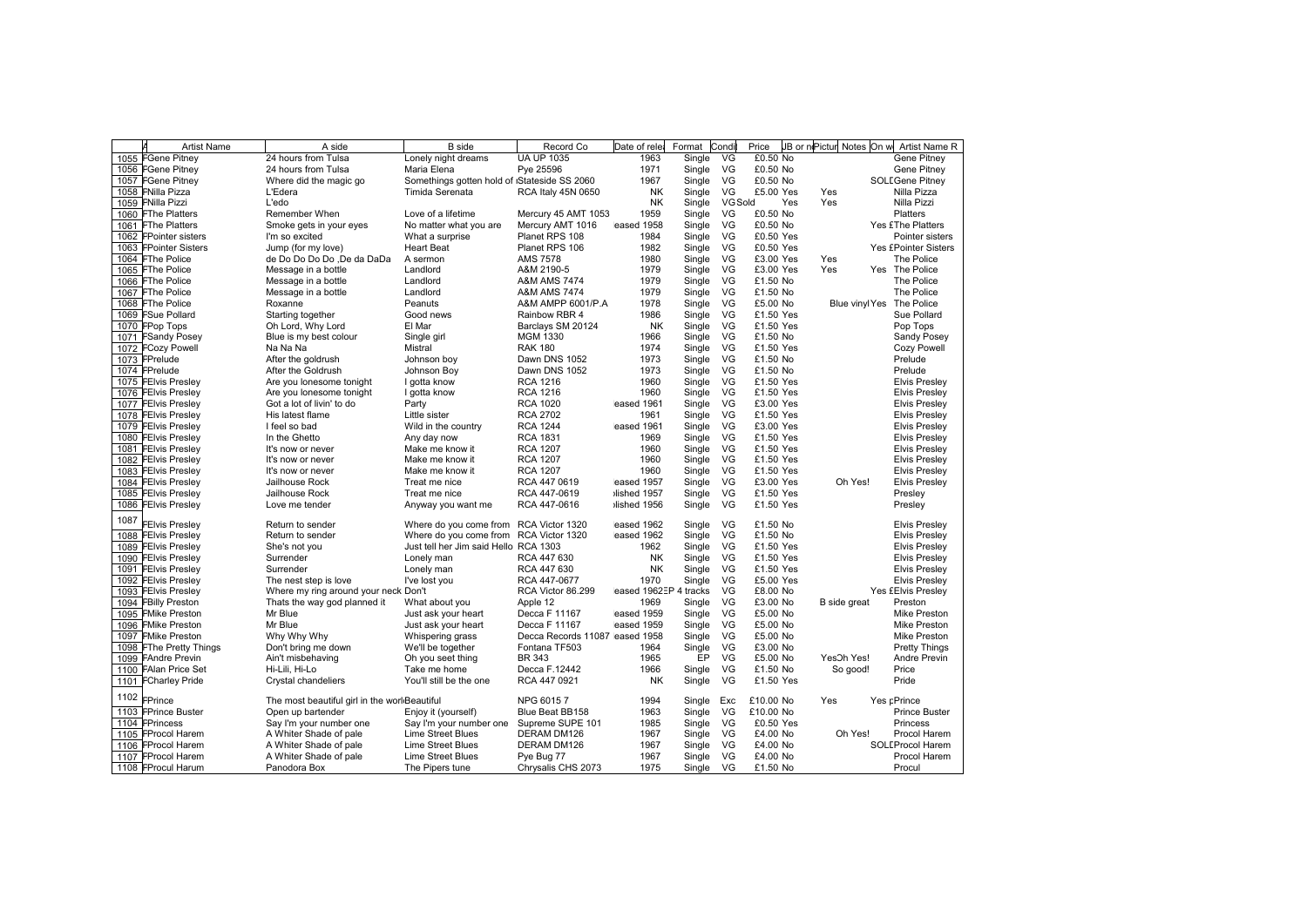|      | <b>Artist Name</b>                         | A side                                        | <b>B</b> side                                      | Record Co                      | Date of rele          | Format | Condi          | Price     |     | JB or niPictur Notes On w | Artist Name R               |
|------|--------------------------------------------|-----------------------------------------------|----------------------------------------------------|--------------------------------|-----------------------|--------|----------------|-----------|-----|---------------------------|-----------------------------|
|      | 1055 FGene Pitney                          | 24 hours from Tulsa                           | Lonely night dreams                                | <b>UA UP 1035</b>              | 1963                  | Single | VG             | £0.50 No  |     |                           | Gene Pitnev                 |
|      | 1056 FGene Pitney                          | 24 hours from Tulsa                           | Maria Elena                                        | Pve 25596                      | 1971                  | Single | VG             | £0.50 No  |     |                           | Gene Pitnev                 |
|      | 1057 FGene Pitney                          | Where did the magic go                        | Somethings gotten hold of <i>Stateside</i> SS 2060 |                                | 1967                  | Single | VG             | £0.50 No  |     |                           | <b>SOLEGene Pitney</b>      |
|      | 1058 FNilla Pizza                          | L'Edera                                       | Timida Serenata                                    | RCA Italy 45N 0650             | <b>NK</b>             | Single | VG             | £5.00 Yes |     | Yes                       | Nilla Pizza                 |
|      | 1059 FNilla Pizzi                          | L'edo                                         |                                                    |                                | <b>NK</b>             | Single | <b>VG Sold</b> |           | Yes | Yes                       | Nilla Pizzi                 |
|      | 1060 FThe Platters                         | Remember When                                 | Love of a lifetime                                 | Mercury 45 AMT 1053            | 1959                  | Single | VG             | £0.50 No  |     |                           | <b>Platters</b>             |
|      | 1061 FThe Platters                         | Smoke gets in your eyes                       | No matter what you are                             | Mercury AMT 1016               | eased 1958            | Single | VG             | £0.50 No  |     |                           | Yes £The Platters           |
|      | 1062 FPointer sisters                      | I'm so excited                                | What a surprise                                    | Planet RPS 108                 | 1984                  | Single | VG             | £0.50 Yes |     |                           | Pointer sisters             |
|      | 1063 FPointer Sisters                      | Jump (for my love)                            | <b>Heart Beat</b>                                  | Planet RPS 106                 | 1982                  | Single | VG             | £0.50 Yes |     |                           | <b>Yes £Pointer Sisters</b> |
|      | 1064 FThe Police                           | de Do Do Do Do .De da DaDa                    | A sermon                                           | <b>AMS 7578</b>                | 1980                  | Single | VG             | £3.00 Yes |     | Yes                       | The Police                  |
|      | 1065 FThe Police                           | Message in a bottle                           | Landlord                                           | A&M 2190-5                     | 1979                  | Single | VG             | £3.00 Yes |     | Yes                       | Yes The Police              |
|      | 1066 FThe Police                           | Message in a bottle                           | Landlord                                           | <b>A&amp;M AMS 7474</b>        | 1979                  | Single | VG             | £1.50 No  |     |                           | The Police                  |
|      | 1067 FThe Police                           | Message in a bottle                           | Landlord                                           | <b>A&amp;M AMS 7474</b>        | 1979                  | Single | VG             | £1.50 No  |     |                           | The Police                  |
|      | 1068 FThe Police                           | Roxanne                                       | Peanuts                                            | A&M AMPP 6001/P.A              | 1978                  | Single | VG             | £5.00 No  |     | Blue vinyl Yes            | The Police                  |
|      | 1069 FSue Pollard                          | Starting together                             | Good news                                          | Rainbow RBR 4                  | 1986                  | Single | VG             | £1.50 Yes |     |                           | Sue Pollard                 |
|      | 1070 FPop Tops                             | Oh Lord, Why Lord                             | El Mar                                             | Barclays SM 20124              | NK                    | Single | VG             | £1.50 Yes |     |                           | Pop Tops                    |
| 1071 | <b>FSandy Posey</b>                        | Blue is my best colour                        | Single girl                                        | <b>MGM 1330</b>                | 1966                  | Single | VG             | £1.50 No  |     |                           | Sandy Posey                 |
|      | 1072 FCozy Powell                          | Na Na Na                                      | Mistral                                            | <b>RAK 180</b>                 | 1974                  | Single | VG             | £1.50 Yes |     |                           | Cozy Powell                 |
|      | 1073 FPrelude                              | After the goldrush                            | Johnson boy                                        | Dawn DNS 1052                  | 1973                  | Single | VG             | £1.50 No  |     |                           | Prelude                     |
|      | 1074 FPrelude                              | After the Goldrush                            | Johnson Boy                                        | Dawn DNS 1052                  | 1973                  | Single | VG             | £1.50 No  |     |                           | Prelude                     |
|      | 1075 FEIvis Presley                        | Are you lonesome tonight                      | I gotta know                                       | <b>RCA 1216</b>                | 1960                  | Single | VG             | £1.50 Yes |     |                           | <b>Elvis Presley</b>        |
|      | 1076 FEIvis Presley                        | Are you lonesome tonight                      | I gotta know                                       | <b>RCA 1216</b>                | 1960                  | Single | VG             | £1.50 Yes |     |                           | <b>Elvis Presley</b>        |
|      | 1077 FEIvis Presley                        | Got a lot of livin' to do                     | Party                                              | <b>RCA 1020</b>                | eased 1961            | Single | VG             | £3.00 Yes |     |                           | <b>Elvis Presley</b>        |
|      | 1078 FEIvis Presley                        | His latest flame                              | Little sister                                      | <b>RCA 2702</b>                | 1961                  | Single | VG             | £1.50 Yes |     |                           | <b>Elvis Presley</b>        |
|      | 1079 FEIvis Presley                        | I feel so bad                                 | Wild in the country                                | <b>RCA 1244</b>                | eased 1961            | Single | VG             | £3.00 Yes |     |                           | <b>Elvis Presley</b>        |
|      | 1080 FEIvis Presley                        | In the Ghetto                                 | Any day now                                        | <b>RCA 1831</b>                | 1969                  | Single | VG             | £1.50 Yes |     |                           | <b>Elvis Presley</b>        |
|      | 1081 FEIvis Presley                        | It's now or never                             | Make me know it                                    | <b>RCA 1207</b>                | 1960                  | Single | VG             | £1.50 Yes |     |                           | <b>Elvis Presley</b>        |
|      | 1082 FEIvis Presley                        | It's now or never                             | Make me know it                                    | <b>RCA 1207</b>                | 1960                  | Single | VG             | £1.50 Yes |     |                           | <b>Elvis Presley</b>        |
|      | 1083 FEIvis Presley                        | It's now or never                             | Make me know it                                    | <b>RCA 1207</b>                | 1960                  | Single | VG             | £1.50 Yes |     |                           | <b>Elvis Presley</b>        |
|      | 1084 FEIvis Preslev                        | Jailhouse Rock                                | Treat me nice                                      | RCA 447 0619                   | eased 1957            | Single | VG             | £3.00 Yes |     | Oh Yes!                   | <b>Elvis Presley</b>        |
|      |                                            | Jailhouse Rock                                | Treat me nice                                      | RCA 447-0619                   | Ished 1957            | Single | VG             | £1.50 Yes |     |                           |                             |
|      | 1085 FEIvis Presley<br>1086 FEIvis Presley | Love me tender                                | Anyway you want me                                 | RCA 447-0616                   | lished 1956           | Single | VG             | £1.50 Yes |     |                           | Presley<br>Presley          |
|      |                                            |                                               |                                                    |                                |                       |        |                |           |     |                           |                             |
| 1087 | <b>FEIvis Presley</b>                      | Return to sender                              | Where do you come from RCA Victor 1320             |                                | eased 1962            | Single | VG             | £1.50 No  |     |                           | <b>Elvis Presley</b>        |
|      | 1088 FEIvis Presley                        | Return to sender                              | Where do you come from                             | RCA Victor 1320                | eased 1962            | Single | VG             | £1.50 No  |     |                           | <b>Elvis Presley</b>        |
|      | 1089 FEIvis Presley                        | She's not you                                 | Just tell her Jim said Hello RCA 1303              |                                | 1962                  | Single | VG             | £1.50 Yes |     |                           | <b>Elvis Presley</b>        |
|      | 1090 FEIvis Presley                        | Surrender                                     | Lonely man                                         | RCA 447 630                    | <b>NK</b>             | Single | VG             | £1.50 Yes |     |                           | <b>Elvis Presley</b>        |
|      | 1091 FEIvis Presley                        | Surrender                                     | Lonely man                                         | RCA 447 630                    | <b>NK</b>             | Single | VG             | £1.50 Yes |     |                           | <b>Elvis Presley</b>        |
|      | 1092 FEIvis Presley                        | The nest step is love                         | I've lost you                                      | RCA 447-0677                   | 1970                  | Single | VG             | £5.00 Yes |     |                           | <b>Elvis Presley</b>        |
|      | 1093 FEIvis Presley                        | Where my ring around your neck Don't          |                                                    | RCA Victor 86.299              | eased 1962EP 4 tracks |        | VG             | £8.00 No  |     |                           | Yes £Elvis Presley          |
|      | 1094 FBilly Preston                        | Thats the way god planned it                  | What about you                                     | Apple 12                       | 1969                  | Single | VG             | £3.00 No  |     | B side great              | Preston                     |
|      | 1095 FMike Preston                         | Mr Blue                                       | Just ask your heart                                | Decca F 11167                  | eased 1959            | Single | VG             | £5.00 No  |     |                           | Mike Preston                |
|      | 1096 FMike Preston                         | Mr Blue                                       | Just ask your heart                                | Decca F 11167                  | eased 1959            | Single | VG             | £5.00 No  |     |                           | Mike Preston                |
|      | 1097 FMike Preston                         | Why Why Why                                   | Whispering grass                                   | Decca Records 11087 eased 1958 |                       | Single | VG             | £5.00 No  |     |                           | Mike Preston                |
|      | 1098 FThe Pretty Things                    | Don't bring me down                           | We'll be together                                  | Fontana TF503                  | 1964                  | Single | VG             | £3.00 No  |     |                           | <b>Pretty Things</b>        |
|      | 1099 FAndre Previn                         | Ain't misbehaving                             | Oh you seet thing                                  | <b>BR 343</b>                  | 1965                  | EP     | VG             | £5.00 No  |     | YesOh Yes!                | Andre Previn                |
|      | 1100 FAlan Price Set                       | Hi-Lili, Hi-Lo                                | Take me home                                       | Decca F.12442                  | 1966                  | Single | VG             | £1.50 No  |     | So good!                  | Price                       |
|      | 1101 FCharley Pride                        | Crystal chandeliers                           | You'll still be the one                            | RCA 447 0921                   | <b>NK</b>             | Single | VG             | £1.50 Yes |     |                           | Pride                       |
| 1102 | FPrince                                    | The most beautiful girl in the worl Beautiful |                                                    | NPG 60157                      | 1994                  | Single | Exc            | £10.00 No |     | Yes                       | Yes pPrince                 |
|      | 1103 FPrince Buster                        | Open up bartender                             | Enjoy it (yourself)                                | Blue Beat BB158                | 1963                  | Single | VG             | £10.00 No |     |                           | <b>Prince Buster</b>        |
|      | 1104 FPrincess                             | Say I'm your number one                       | Say I'm your number one                            | Supreme SUPE 101               | 1985                  | Single | VG             | £0.50 Yes |     |                           | <b>Princess</b>             |
|      | 1105 FProcol Harem                         | A Whiter Shade of pale                        | <b>Lime Street Blues</b>                           | DERAM DM126                    | 1967                  | Single | VG             | £4.00 No  |     | Oh Yes!                   | Procol Harem                |
|      | 1106 FProcol Harem                         | A Whiter Shade of pale                        | Lime Street Blues                                  | DERAM DM126                    | 1967                  | Single | VG             | £4.00 No  |     |                           | SOLEProcol Harem            |
|      | 1107 FProcol Harem                         | A Whiter Shade of pale                        | Lime Street Blues                                  | Pye Bug 77                     | 1967                  | Single | VG             | £4.00 No  |     |                           | Procol Harem                |
|      | 1108 FProcul Harum                         | Panodora Box                                  | The Pipers tune                                    | Chrysalis CHS 2073             | 1975                  | Single | VG             | £1.50 No  |     |                           | Procul                      |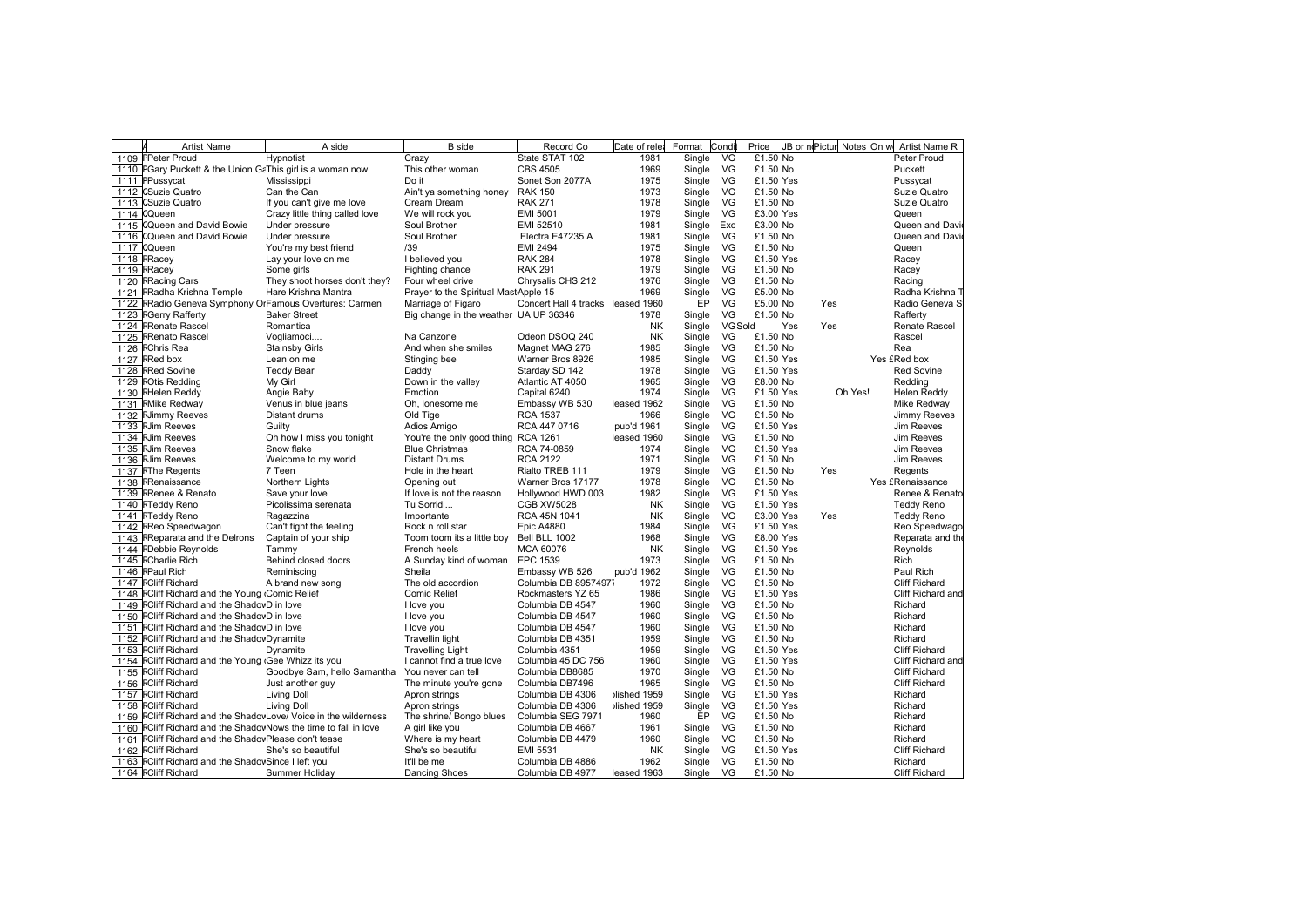|             | <b>Artist Name</b>                                              | A side                                                          | <b>B</b> side                         | Record Co                        | Date of rele | Format | Condi          | Price     | JB or niPictur | Notes On w Artist Name R |
|-------------|-----------------------------------------------------------------|-----------------------------------------------------------------|---------------------------------------|----------------------------------|--------------|--------|----------------|-----------|----------------|--------------------------|
|             | 1109 FPeter Proud                                               | Hypnotist                                                       | Crazy                                 | State STAT 102                   | 1981         | Single | VG             | £1.50 No  |                | Peter Proud              |
|             | 1110 FGary Puckett & the Union GaThis girl is a woman now       |                                                                 | This other woman                      | <b>CBS 4505</b>                  | 1969         | Single | VG             | £1.50 No  |                | Puckett                  |
|             | 1111 FPussycat                                                  | Mississippi                                                     | Do it                                 | Sonet Son 2077A                  | 1975         | Single | VG             | £1.50 Yes |                | Pussycat                 |
|             | 1112 (Suzie Quatro                                              | Can the Can                                                     | Ain't ya something honey              | <b>RAK 150</b>                   | 1973         | Single | VG             | £1.50 No  |                | Suzie Quatro             |
|             | 1113 CSuzie Quatro                                              | If you can't give me love                                       | Cream Dream                           | <b>RAK 271</b>                   | 1978         | Single | VG             | £1.50 No  |                | Suzie Quatro             |
|             | 1114 CQueen                                                     | Crazy little thing called love                                  | We will rock you                      | <b>EMI 5001</b>                  | 1979         | Single | VG             | £3.00 Yes |                | Queen                    |
|             | 1115 CQueen and David Bowie                                     | Under pressure                                                  | Soul Brother                          | EMI 52510                        | 1981         | Single | Exc            | £3.00 No  |                | Queen and Davi           |
|             | 1116 CQueen and David Bowie                                     | Under pressure                                                  | Soul Brother                          | Electra E47235 A                 | 1981         | Single | VG             | £1.50 No  |                | Queen and Davi           |
|             | 1117 CQueen                                                     | You're my best friend                                           | /39                                   | <b>EMI 2494</b>                  | 1975         | Single | VG             | £1.50 No  |                | Queen                    |
| 1118 FRacey |                                                                 | Lay your love on me                                             | I believed you                        | <b>RAK 284</b>                   | 1978         | Single | VG             | £1.50 Yes |                | Racey                    |
|             | 1119 FRacey                                                     | Some girls                                                      | Fighting chance                       | <b>RAK 291</b>                   | 1979         | Single | VG             | £1.50 No  |                | Racey                    |
|             | 1120 FRacing Cars                                               | They shoot horses don't they?                                   | Four wheel drive                      | Chrysalis CHS 212                | 1976         | Single | VG             | £1.50 No  |                | Racing                   |
|             | 1121 FRadha Krishna Temple                                      | Hare Krishna Mantra                                             | Prayer to the Spiritual MastApple 15  |                                  | 1969         | Single | VG             | £5.00 No  |                | Radha Krishna            |
|             | 1122 FRadio Geneva Symphony OrFamous Overtures: Carmen          |                                                                 | Marriage of Figaro                    | Concert Hall 4 tracks eased 1960 |              | EP     | VG             | £5.00 No  | Yes            | Radio Geneva S           |
|             | 1123 FGerry Rafferty                                            | <b>Baker Street</b>                                             | Big change in the weather UA UP 36346 |                                  | 1978         | Single | VG             | £1.50 No  |                | Rafferty                 |
|             | 1124 FRenate Rascel                                             | Romantica                                                       |                                       |                                  | <b>NK</b>    | Single | <b>VG Sold</b> | Yes       | Yes            | Renate Rascel            |
|             | 1125 FRenato Rascel                                             | Vogliamoci                                                      | Na Canzone                            | Odeon DSOQ 240                   | NK           | Single | VG             | £1.50 No  |                | Rascel                   |
|             | 1126 FChris Rea                                                 | <b>Stainsby Girls</b>                                           | And when she smiles                   | Magnet MAG 276                   | 1985         | Single | VG             | £1.50 No  |                | Rea                      |
|             | 1127 FRed box                                                   | Lean on me                                                      | Stinging bee                          | Warner Bros 8926                 | 1985         | Single | VG             | £1.50 Yes |                | Yes £Red box             |
|             | 1128 FRed Sovine                                                | <b>Teddy Bear</b>                                               | Daddy                                 | Starday SD 142                   | 1978         | Single | VG             | £1.50 Yes |                | Red Sovine               |
|             | 1129 FOtis Redding                                              | My Girl                                                         | Down in the valley                    | Atlantic AT 4050                 | 1965         | Single | VG             | £8.00 No  |                | Redding                  |
|             | 1130 FHelen Reddy                                               | Angie Baby                                                      | Emotion                               | Capital 6240                     | 1974         | Single | VG             | £1.50 Yes | Oh Yes!        | Helen Reddy              |
|             | 1131 FMike Redway                                               | Venus in blue jeans                                             | Oh, lonesome me                       | Embassy WB 530                   | eased 1962   | Single | VG             | £1.50 No  |                | Mike Redway              |
|             | 1132 FJimmy Reeves                                              | Distant drums                                                   | Old Tige                              | <b>RCA 1537</b>                  | 1966         | Single | VG             | £1.50 No  |                | Jimmy Reeves             |
|             | 1133 FJim Reeves                                                | Guilty                                                          | Adios Amigo                           | RCA 447 0716                     | pub'd 1961   | Single | VG             | £1.50 Yes |                | Jim Reeves               |
|             | 1134 FJim Reeves                                                |                                                                 | You're the only good thing RCA 1261   |                                  | eased 1960   | Single | VG             | £1.50 No  |                | <b>Jim Reeves</b>        |
|             | 1135 FJim Reeves                                                | Oh how I miss you tonight<br>Snow flake                         | <b>Blue Christmas</b>                 | RCA 74-0859                      | 1974         | Single | VG             | £1.50 Yes |                | <b>Jim Reeves</b>        |
|             |                                                                 |                                                                 |                                       |                                  | 1971         |        | VG             |           |                |                          |
|             | 1136 FJim Reeves                                                | Welcome to my world                                             | <b>Distant Drums</b>                  | <b>RCA 2122</b>                  |              | Single |                | £1.50 No  |                | Jim Reeves               |
|             | 1137 FThe Regents                                               | 7 Teen                                                          | Hole in the heart                     | Rialto TREB 111                  | 1979         | Single | VG             | £1.50 No  | Yes            | Regents                  |
|             | 1138 FRenaissance                                               | Northern Lights                                                 | Opening out                           | Warner Bros 17177                | 1978         | Single | VG             | £1.50 No  |                | Yes £Renaissance         |
|             | 1139 FRenee & Renato                                            | Save your love                                                  | If love is not the reason             | Hollywood HWD 003                | 1982         | Single | VG             | £1.50 Yes |                | Renee & Renato           |
|             | 1140 FTeddy Reno                                                | Picolissima serenata                                            | Tu Sorridi                            | <b>CGB XW5028</b>                | <b>NK</b>    | Single | VG             | £1.50 Yes |                | <b>Teddy Reno</b>        |
|             | 1141 FTeddy Reno                                                | Ragazzina                                                       | Importante                            | RCA 45N 1041                     | <b>NK</b>    | Single | VG             | £3.00 Yes | Yes            | Teddy Reno               |
|             | 1142 FReo Speedwagon                                            | Can't fight the feeling                                         | Rock n roll star                      | <b>Epic A4880</b>                | 1984         | Single | VG             | £1.50 Yes |                | Reo Speedwago            |
|             | 1143 FReparata and the Delrons                                  | Captain of your ship                                            | Toom toom its a little boy            | Bell BLL 1002                    | 1968         | Single | VG             | £8.00 Yes |                | Reparata and the         |
|             | 1144 FDebbie Reynolds                                           | Tammy                                                           | French heels                          | MCA 60076                        | NK           | Single | VG             | £1.50 Yes |                | Reynolds                 |
|             | 1145 FCharlie Rich                                              | Behind closed doors                                             | A Sunday kind of woman                | <b>EPC 1539</b>                  | 1973         | Single | VG             | £1.50 No  |                | <b>Rich</b>              |
|             | 1146 FPaul Rich                                                 | Reminiscing                                                     | Sheila                                | Embassy WB 526                   | pub'd 1962   | Single | VG             | £1.50 No  |                | Paul Rich                |
|             | 1147 FCliff Richard                                             | A brand new song                                                | The old accordion                     | Columbia DB 89574977             | 1972         | Single | VG             | £1.50 No  |                | <b>Cliff Richard</b>     |
|             | 1148 FCliff Richard and the Young Comic Relief                  |                                                                 | Comic Relief                          | Rockmasters YZ 65                | 1986         | Single | VG             | £1.50 Yes |                | Cliff Richard and        |
|             | 1149 FCliff Richard and the ShadovD in love                     |                                                                 | I love you                            | Columbia DB 4547                 | 1960         | Single | VG             | £1.50 No  |                | Richard                  |
|             | 1150 FCIIff Richard and the ShadovD in love                     |                                                                 | I love you                            | Columbia DB 4547                 | 1960         | Single | VG             | £1.50 No  |                | Richard                  |
|             | 1151 FCliff Richard and the ShadovD in love                     |                                                                 | I love you                            | Columbia DB 4547                 | 1960         | Single | VG             | £1.50 No  |                | Richard                  |
|             | 1152 FCIIff Richard and the ShadovDynamite                      |                                                                 | <b>Travellin light</b>                | Columbia DB 4351                 | 1959         | Single | VG             | £1.50 No  |                | Richard                  |
|             | 1153 FCliff Richard                                             | Dynamite                                                        | <b>Travelling Light</b>               | Columbia 4351                    | 1959         | Single | VG             | £1.50 Yes |                | <b>Cliff Richard</b>     |
|             | 1154 FCliff Richard and the Young Gee Whizz its you             |                                                                 | I cannot find a true love             | Columbia 45 DC 756               | 1960         | Single | VG             | £1.50 Yes |                | Cliff Richard and        |
|             | 1155 FCliff Richard                                             | Goodbye Sam, hello Samantha                                     | You never can tell                    | Columbia DB8685                  | 1970         | Single | VG             | £1.50 No  |                | <b>Cliff Richard</b>     |
|             | 1156 FCliff Richard                                             | Just another guy                                                | The minute you're gone                | Columbia DB7496                  | 1965         | Single | VG             | £1.50 No  |                | <b>Cliff Richard</b>     |
|             | 1157 FCliff Richard                                             | <b>Living Doll</b>                                              | Apron strings                         | Columbia DB 4306                 | lished 1959  | Single | VG             | £1.50 Yes |                | Richard                  |
|             | 1158 FCliff Richard                                             | <b>Living Doll</b>                                              | Apron strings                         | Columbia DB 4306                 | lished 1959  | Single | VG             | £1.50 Yes |                | Richard                  |
|             |                                                                 | 1159 FCliff Richard and the ShadovLove/ Voice in the wilderness | The shrine/ Bongo blues               | Columbia SEG 7971                | 1960         | EP     | VG             | £1.50 No  |                | Richard                  |
|             | 1160 FCliff Richard and the ShadovNows the time to fall in love |                                                                 | A girl like you                       | Columbia DB 4667                 | 1961         | Single | VG             | £1.50 No  |                | Richard                  |
|             | 1161 FCliff Richard and the ShadovPlease don't tease            |                                                                 | Where is my heart                     | Columbia DB 4479                 | 1960         | Single | VG             | £1.50 No  |                | Richard                  |
|             | 1162 FCliff Richard                                             | She's so beautiful                                              | She's so beautiful                    | EMI 5531                         | NK           | Single | VG             | £1.50 Yes |                | <b>Cliff Richard</b>     |
|             | 1163 FCIIff Richard and the ShadovSince I left you              |                                                                 | It'll be me                           | Columbia DB 4886                 | 1962         | Single | VG             | £1.50 No  |                | Richard                  |
|             | 1164 FCliff Richard                                             | Summer Holiday                                                  | Dancing Shoes                         | Columbia DB 4977                 | eased 1963   | Single | VG             | £1.50 No  |                | <b>Cliff Richard</b>     |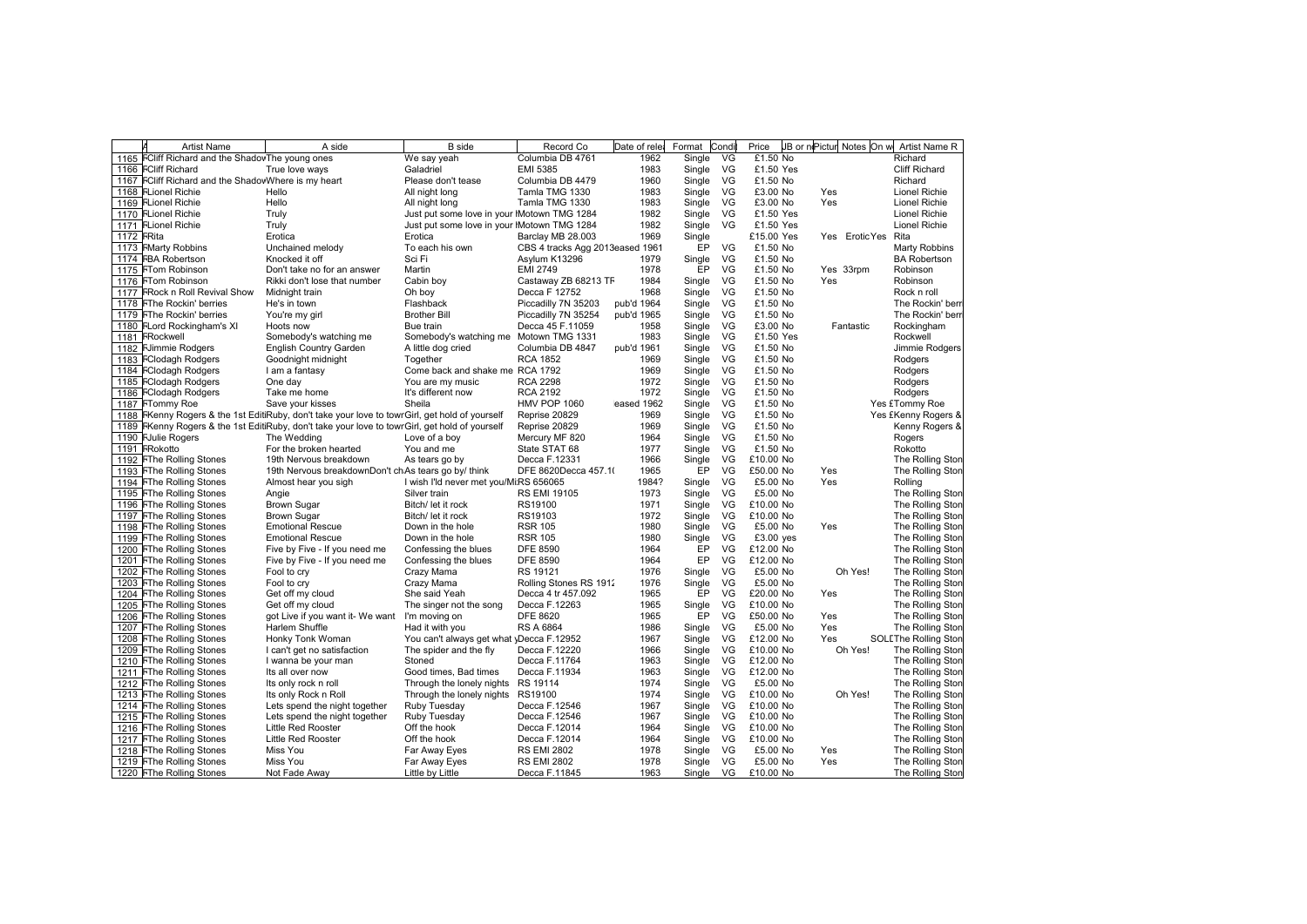|            | <b>Artist Name</b>                                  | A side                                                                                          | <b>B</b> side                               | Record Co                       | Date of rele | Format | Condi | Price       |     |                    | JB or nPictur Notes On w Artist Name R |
|------------|-----------------------------------------------------|-------------------------------------------------------------------------------------------------|---------------------------------------------|---------------------------------|--------------|--------|-------|-------------|-----|--------------------|----------------------------------------|
|            | 1165 FCliff Richard and the ShadovThe young ones    |                                                                                                 | We say yeah                                 | Columbia DB 4761                | 1962         | Single | VG    | £1.50 No    |     |                    | Richard                                |
|            | 1166 FCliff Richard                                 | True love ways                                                                                  | Galadriel                                   | <b>EMI 5385</b>                 | 1983         | Single | VG    | £1.50 Yes   |     |                    | Cliff Richard                          |
|            | 1167 FCIIff Richard and the ShadovWhere is my heart |                                                                                                 | Please don't tease                          | Columbia DB 4479                | 1960         | Single | VG    | £1.50 No    |     |                    | Richard                                |
|            | 1168 FLionel Richie                                 | Hello                                                                                           | All night long                              | Tamla TMG 1330                  | 1983         | Single | VG    | £3.00 No    | Yes |                    | Lionel Richie                          |
|            | 1169 FLionel Richie                                 | Hello                                                                                           | All night long                              | Tamla TMG 1330                  | 1983         | Single | VG    | £3.00 No    | Yes |                    | <b>Lionel Richie</b>                   |
|            | 1170 FLionel Richie                                 | Truly                                                                                           | Just put some love in your IMotown TMG 1284 |                                 | 1982         | Single | VG    | £1.50 Yes   |     |                    | <b>Lionel Richie</b>                   |
|            | 1171 FLionel Richie                                 | Truly                                                                                           | Just put some love in your IMotown TMG 1284 |                                 | 1982         | Single | VG    | £1.50 Yes   |     |                    | <b>Lionel Richie</b>                   |
| 1172 FRita |                                                     | Erotica                                                                                         | Erotica                                     | Barclay MB 28.003               | 1969         | Single |       | £15.00 Yes  |     | Yes EroticYes Rita |                                        |
|            | 1173 FMarty Robbins                                 | Unchained melody                                                                                | To each his own                             | CBS 4 tracks Agg 2013eased 1961 |              | EP     | VG    | £1.50 No    |     |                    | Marty Robbins                          |
|            | 1174 FBA Robertson                                  | Knocked it off                                                                                  | Sci Fi                                      | Asylum K13296                   | 1979         | Single | VG    | £1.50 No    |     |                    | <b>BA Robertson</b>                    |
|            | 1175 FTom Robinson                                  | Don't take no for an answer                                                                     | Martin                                      | <b>EMI 2749</b>                 | 1978         | EP     | VG    | £1.50 No    |     | Yes 33rpm          | Robinson                               |
|            | 1176 FTom Robinson                                  | Rikki don't lose that number                                                                    | Cabin boy                                   | Castaway ZB 68213 TF            | 1984         | Single | VG    | £1.50 No    | Yes |                    | Robinson                               |
|            | 1177 FRock n Roll Revival Show                      | Midnight train                                                                                  | Oh boy                                      | Decca F 12752                   | 1968         | Single | VG    | £1.50 No    |     |                    | Rock n roll                            |
|            | 1178 FThe Rockin' berries                           | He's in town                                                                                    | Flashback                                   | Piccadilly 7N 35203             | pub'd 1964   | Single | VG    | £1.50 No    |     |                    | The Rockin' berr                       |
|            | 1179 FThe Rockin' berries                           | You're my girl                                                                                  | <b>Brother Bill</b>                         | Piccadilly 7N 35254             | pub'd 1965   | Single | VG    | £1.50 No    |     |                    | The Rockin' berr                       |
|            | 1180 FLord Rockingham's XI                          | Hoots now                                                                                       | Bue train                                   | Decca 45 F.11059                | 1958         | Single | VG    | £3.00 No    |     | Fantastic          | Rockingham                             |
|            | 1181 FRockwell                                      | Somebody's watching me                                                                          | Somebody's watching me Motown TMG 1331      |                                 | 1983         | Single | VG    | £1.50 Yes   |     |                    | Rockwell                               |
|            | 1182 FJimmie Rodgers                                | <b>English Country Garden</b>                                                                   | A little dog cried                          | Columbia DB 4847                | pub'd 1961   | Single | VG    | £1.50 No    |     |                    | Jimmie Rodgers                         |
|            | 1183 FClodagh Rodgers                               | Goodnight midnight                                                                              | Together                                    | <b>RCA 1852</b>                 | 1969         | Single | VG    | £1.50 No    |     |                    | Rodgers                                |
|            | 1184 FClodagh Rodgers                               | I am a fantasy                                                                                  | Come back and shake me RCA 1792             |                                 | 1969         | Single | VG    | £1.50 No    |     |                    | Rodgers                                |
|            | 1185 FClodagh Rodgers                               | One day                                                                                         | You are my music                            | <b>RCA 2298</b>                 | 1972         | Single | VG    | £1.50 No    |     |                    | Rodgers                                |
|            | 1186 FClodagh Rodgers                               | Take me home                                                                                    | It's different now                          | <b>RCA 2192</b>                 | 1972         |        | VG    | £1.50 No    |     |                    |                                        |
|            |                                                     |                                                                                                 | Sheila                                      |                                 |              | Single |       |             |     |                    | Rodgers                                |
|            | 1187 FTommy Roe                                     | Save your kisses                                                                                |                                             | <b>HMV POP 1060</b>             | eased 1962   | Single | VG    | £1.50 No    |     |                    | Yes £Tommy Roe                         |
|            |                                                     | 1188 FKenny Rogers & the 1st EditiRuby, don't take your love to towr Girl, get hold of yourself |                                             | Reprise 20829                   | 1969         | Single | VG    | £1.50 No    |     |                    | Yes £Kenny Rogers &                    |
| 1189       |                                                     | FKenny Rogers & the 1st EditiRuby, don't take your love to towr Girl, get hold of yourself      |                                             | Reprise 20829                   | 1969         | Single | VG    | £1.50 No    |     |                    | Kenny Rogers &                         |
|            | 1190 FJulie Rogers                                  | The Wedding                                                                                     | Love of a boy                               | Mercury MF 820                  | 1964         | Single | VG    | £1.50 No    |     |                    | Rogers                                 |
|            | 1191 FRokotto                                       | For the broken hearted                                                                          | You and me                                  | State STAT 68                   | 1977         | Single | VG    | £1.50 No    |     |                    | Rokotto                                |
|            | 1192 FThe Rolling Stones                            | 19th Nervous breakdown                                                                          | As tears go by                              | Decca F.12331                   | 1966         | Single | VG    | £10.00 No   |     |                    | The Rolling Ston                       |
|            | 1193 FThe Rolling Stones                            | 19th Nervous breakdownDon't ch As tears go by/ think                                            |                                             | DFE 8620Decca 457.1(            | 1965         | EP     | VG    | £50.00 No   | Yes |                    | The Rolling Ston                       |
|            | 1194 FThe Rolling Stones                            | Almost hear you sigh                                                                            | I wish I'ld never met you/Mi:RS 656065      |                                 | 1984?        | Single | VG    | £5.00 No    | Yes |                    | Rolling                                |
|            | 1195 FThe Rolling Stones                            | Angie                                                                                           | Silver train                                | <b>RS EMI 19105</b>             | 1973         | Single | VG    | £5.00 No    |     |                    | The Rolling Ston                       |
|            | 1196 FThe Rolling Stones                            | <b>Brown Sugar</b>                                                                              | Bitch/ let it rock                          | RS19100                         | 1971         | Single | VG.   | £10.00 No   |     |                    | The Rolling Ston                       |
|            | 1197 FThe Rolling Stones                            | <b>Brown Sugar</b>                                                                              | Bitch/ let it rock                          | RS19103                         | 1972         | Single | VG.   | £10.00 No   |     |                    | The Rolling Ston                       |
|            | 1198 FThe Rolling Stones                            | <b>Emotional Rescue</b>                                                                         | Down in the hole                            | <b>RSR 105</b>                  | 1980         | Single | VG    | £5.00 No    | Yes |                    | The Rolling Ston                       |
|            | 1199 FThe Rolling Stones                            | <b>Emotional Rescue</b>                                                                         | Down in the hole                            | <b>RSR 105</b>                  | 1980         | Single | VG    | $£3.00$ yes |     |                    | The Rolling Ston                       |
|            | 1200 FThe Rolling Stones                            | Five by Five - If you need me                                                                   | Confessing the blues                        | <b>DFE 8590</b>                 | 1964         | EP     | VG    | £12.00 No   |     |                    | The Rolling Ston                       |
|            | 1201 FThe Rolling Stones                            | Five by Five - If you need me                                                                   | Confessing the blues                        | <b>DFE 8590</b>                 | 1964         | EP     | VG.   | £12.00 No   |     |                    | The Rolling Ston                       |
|            | 1202 FThe Rolling Stones                            | Fool to cry                                                                                     | Crazy Mama                                  | RS 19121                        | 1976         | Single | VG    | £5.00 No    |     | Oh Yes!            | The Rolling Ston                       |
|            | 1203 FThe Rolling Stones                            | Fool to cry                                                                                     | Crazy Mama                                  | Rolling Stones RS 1912          | 1976         | Single | VG    | £5.00 No    |     |                    | The Rolling Ston                       |
|            | 1204 FThe Rolling Stones                            | Get off my cloud                                                                                | She said Yeah                               | Decca 4 tr 457.092              | 1965         | EP     | VG    | £20.00 No   | Yes |                    | The Rolling Ston                       |
|            | 1205 FThe Rolling Stones                            | Get off my cloud                                                                                | The singer not the song                     | Decca F.12263                   | 1965         | Single | VG.   | £10.00 No   |     |                    | The Rolling Ston                       |
|            | 1206 FThe Rolling Stones                            | got Live if you want it-We want                                                                 | I'm moving on                               | <b>DFE 8620</b>                 | 1965         | EP     | VG    | £50.00 No   | Yes |                    | The Rolling Ston                       |
|            | 1207 FThe Rolling Stones                            | Harlem Shuffle                                                                                  | Had it with you                             | <b>RS A 6864</b>                | 1986         | Single | VG    | £5.00 No    | Yes |                    | The Rolling Ston                       |
| 1208       | <b>FThe Rolling Stones</b>                          | Honky Tonk Woman                                                                                | You can't always get what yDecca F.12952    |                                 | 1967         | Single | VG    | £12.00 No   | Yes |                    | <b>SOLEThe Rolling Ston</b>            |
|            | 1209 FThe Rolling Stones                            | I can't get no satisfaction                                                                     | The spider and the fly                      | Decca F.12220                   | 1966         | Single | VG    | £10.00 No   |     | Oh Yes!            | The Rolling Ston                       |
|            | 1210 FThe Rolling Stones                            | I wanna be your man                                                                             | Stoned                                      | Decca F.11764                   | 1963         | Single | VG.   | £12.00 No   |     |                    | The Rolling Ston                       |
|            | 1211 FThe Rolling Stones                            | Its all over now                                                                                | Good times, Bad times                       | Decca F.11934                   | 1963         | Single | VG    | £12.00 No   |     |                    | The Rolling Ston                       |
|            | 1212 FThe Rolling Stones                            | Its only rock n roll                                                                            | Through the lonely nights RS 19114          |                                 | 1974         | Single | VG    | £5.00 No    |     |                    | The Rolling Ston                       |
|            | 1213 FThe Rolling Stones                            | Its only Rock n Roll                                                                            | Through the lonely nights RS19100           |                                 | 1974         |        | VG    | £10.00 No   |     | Oh Yes!            | The Rolling Ston                       |
|            |                                                     |                                                                                                 |                                             |                                 |              | Single |       |             |     |                    |                                        |
|            | 1214 FThe Rolling Stones                            | Lets spend the night together                                                                   | Ruby Tuesday                                | Decca F.12546                   | 1967         | Single | VG    | £10.00 No   |     |                    | The Rolling Ston                       |
|            | 1215 FThe Rolling Stones                            | Lets spend the night together                                                                   | Ruby Tuesday                                | Decca F.12546                   | 1967         | Single | VG    | £10.00 No   |     |                    | The Rolling Ston                       |
|            | 1216 FThe Rolling Stones                            | <b>Little Red Rooster</b>                                                                       | Off the hook                                | Decca F.12014                   | 1964         | Single | VG    | £10.00 No   |     |                    | The Rolling Ston                       |
|            | 1217 FThe Rolling Stones                            | Little Red Rooster                                                                              | Off the hook                                | Decca F.12014                   | 1964         | Single | VG    | £10.00 No   |     |                    | The Rolling Ston                       |
|            | 1218 FThe Rolling Stones                            | Miss You                                                                                        | Far Away Eyes                               | <b>RS EMI 2802</b>              | 1978         | Single | VG    | £5.00 No    | Yes |                    | The Rolling Ston                       |
|            | 1219 FThe Rolling Stones                            | Miss You                                                                                        | Far Away Eyes                               | <b>RS EMI 2802</b>              | 1978         | Single | VG    | £5.00 No    | Yes |                    | The Rolling Ston                       |
|            | 1220 FThe Rolling Stones                            | Not Fade Away                                                                                   | Little by Little                            | Decca F.11845                   | 1963         | Single | VG    | £10.00 No   |     |                    | The Rolling Ston                       |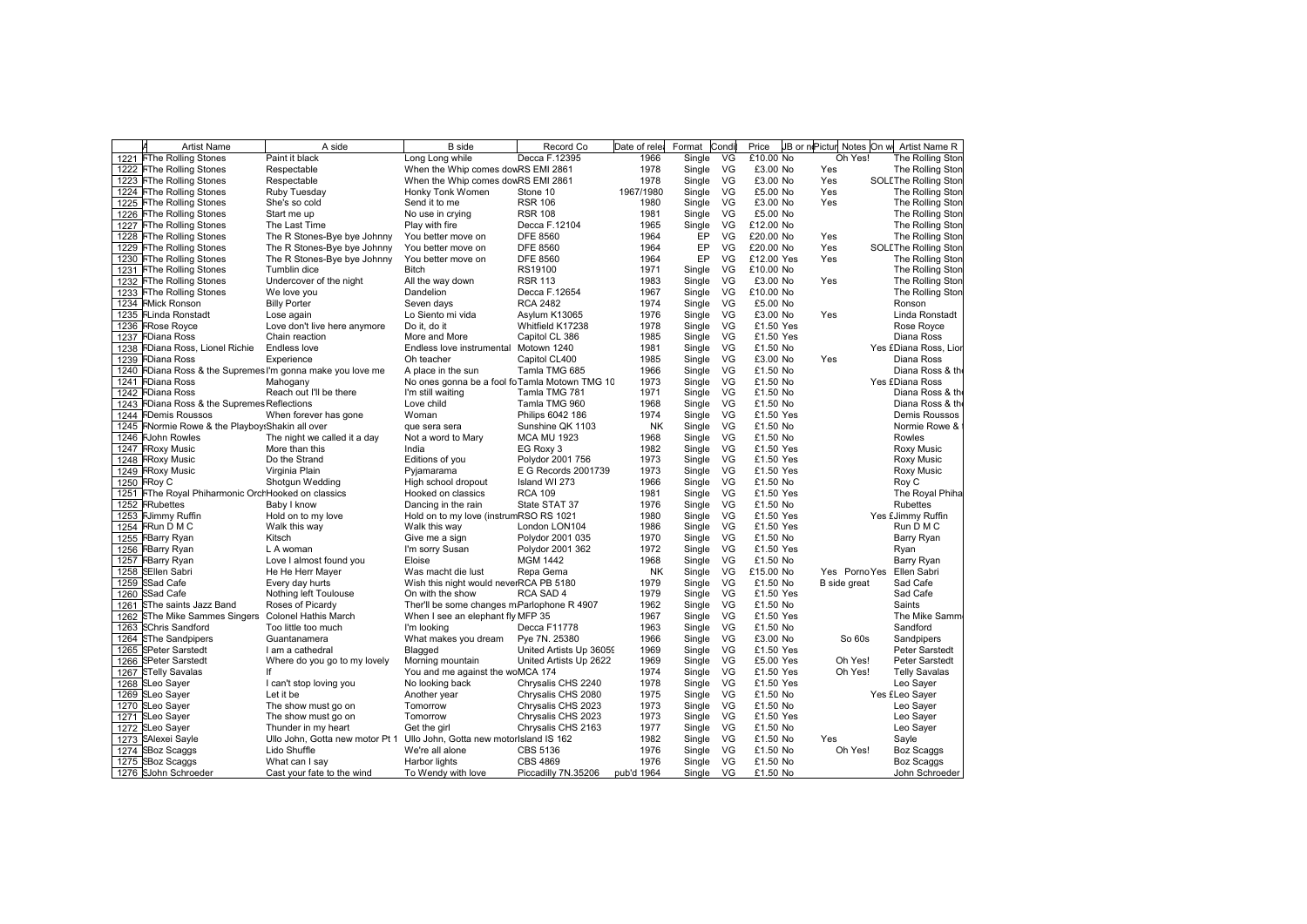| <b>Artist Name</b>                                 | A side                                                     | <b>B</b> side                                 | Record Co                                | Date of relea | Format           | Condi | Price      | JB or niPictur Notes On w | Artist Name R               |
|----------------------------------------------------|------------------------------------------------------------|-----------------------------------------------|------------------------------------------|---------------|------------------|-------|------------|---------------------------|-----------------------------|
| 1221 FThe Rolling Stones                           | Paint it black                                             | Long Long while                               | Decca F.12395                            | 1966          | Single           | VG    | £10.00 No  | Oh Yes!                   | The Rolling Ston            |
| 1222 FThe Rolling Stones                           | Respectable                                                | When the Whip comes dowRS EMI 2861            |                                          | 1978          | Single           | VG    | £3.00 No   | Yes                       | The Rolling Ston            |
| 1223 FThe Rolling Stones                           | Respectable                                                | When the Whip comes dowRS EMI 2861            |                                          | 1978          | Single VG        |       | £3.00 No   | Yes                       | <b>SOLEThe Rolling Ston</b> |
| 1224 FThe Rolling Stones                           | Ruby Tuesday                                               | Honky Tonk Women                              | Stone 10                                 | 1967/1980     | Single           | VG    | £5.00 No   | Yes                       | The Rolling Ston            |
| 1225 FThe Rolling Stones                           | She's so cold                                              | Send it to me                                 | <b>RSR 106</b>                           | 1980          | Single           | VG    | £3.00 No   | Yes                       | The Rolling Ston            |
| 1226 FThe Rolling Stones                           | Start me up                                                | No use in crying                              | <b>RSR 108</b>                           | 1981          | Single           | VG    | £5.00 No   |                           | The Rolling Ston            |
| 1227 FThe Rolling Stones                           | The Last Time                                              | Play with fire                                | Decca F.12104                            | 1965          | Single           | VG    | £12.00 No  |                           | The Rolling Ston            |
| 1228 FThe Rolling Stones                           | The R Stones-Bye bye Johnny                                | You better move on                            | <b>DFE 8560</b>                          | 1964          | EP               | VG    | £20.00 No  | Yes                       | The Rolling Ston            |
| 1229 FThe Rolling Stones                           | The R Stones-Bye bye Johnny                                | You better move on                            | <b>DFE 8560</b>                          | 1964          | EP               | VG    | £20.00 No  | Yes                       | <b>SOLEThe Rolling Ston</b> |
| 1230 FThe Rolling Stones                           | The R Stones-Bye bye Johnny                                | You better move on                            | <b>DFE 8560</b>                          | 1964          | EP               | VG    | £12.00 Yes | Yes                       | The Rolling Ston            |
| 1231 FThe Rolling Stones                           | Tumblin dice                                               | <b>Bitch</b>                                  | RS19100                                  | 1971          | Single           | VG    | £10.00 No  |                           | The Rolling Ston            |
| 1232 FThe Rolling Stones                           | Undercover of the night                                    | All the way down                              | <b>RSR 113</b>                           | 1983          | Single           | VG    | £3.00 No   | Yes                       | The Rolling Ston            |
| 1233 FThe Rolling Stones                           | We love you                                                | Dandelion                                     | Decca F.12654                            | 1967          | Single           | VG    | £10.00 No  |                           | The Rolling Ston            |
| 1234 FMick Ronson                                  | <b>Billy Porter</b>                                        | Seven days                                    | <b>RCA 2482</b>                          | 1974          | Single           | VG    | £5.00 No   |                           | Ronson                      |
| 1235 FLinda Ronstadt                               | Lose again                                                 | Lo Siento mi vida                             | Asylum K13065                            | 1976          | Single           | VG    | £3.00 No   | Yes                       | Linda Ronstadt              |
| 1236 FRose Royce                                   | Love don't live here anymore                               | Do it. do it                                  | Whitfield K17238                         | 1978          | Single           | VG    | £1.50 Yes  |                           | Rose Royce                  |
| 1237 FDiana Ross                                   | Chain reaction                                             | More and More                                 | Capitol CL 386                           | 1985          | Single           | VG    | £1.50 Yes  |                           | Diana Ross                  |
| 1238 FDiana Ross, Lionel Richie                    | Endless love                                               | Endless love instrumental Motown 1240         |                                          | 1981          | Single           | VG    | £1.50 No   |                           | Yes £Diana Ross, Lior       |
| 1239 FDiana Ross                                   | Experience                                                 | Oh teacher                                    | Capitol CL400                            | 1985          | Single           | VG    | £3.00 No   | Yes                       | Diana Ross                  |
|                                                    | 1240 FDiana Ross & the Supremes I'm gonna make you love me | A place in the sun                            | Tamla TMG 685                            | 1966          | Single           | VG    | £1.50 No   |                           | Diana Ross & the            |
| 1241 FDiana Ross                                   | Mahogany                                                   | No ones gonna be a fool foTamla Motown TMG 10 |                                          | 1973          | Single           | VG    | £1.50 No   |                           | Yes £Diana Ross             |
| 1242 FDiana Ross                                   | Reach out I'll be there                                    | I'm still waiting                             | Tamla TMG 781                            | 1971          | Single           | VG    | £1.50 No   |                           | Diana Ross & th             |
| 1243 FDiana Ross & the Supremes Reflections        |                                                            | Love child                                    | Tamla TMG 960                            | 1968          | Single           | VG    | £1.50 No   |                           | Diana Ross & the            |
| 1244 FDemis Roussos                                | When forever has gone                                      | Woman                                         | Philips 6042 186                         | 1974          | Single           | VG    | £1.50 Yes  |                           | Demis Roussos               |
| 1245 FNormie Rowe & the Playboy: Shakin all over   |                                                            | que sera sera                                 | Sunshine QK 1103                         | NK            | Single           | VG    | £1.50 No   |                           | Normie Rowe &               |
| 1246 FJohn Rowles                                  | The night we called it a day                               | Not a word to Mary                            | <b>MCA MU 1923</b>                       | 1968          | Single           | VG    | £1.50 No   |                           | Rowles                      |
| 1247 FRoxy Music                                   | More than this                                             | India                                         | EG Roxy 3                                | 1982          | Single           | VG    | £1.50 Yes  |                           | Roxy Music                  |
| 1248 FRoxy Music                                   | Do the Strand                                              | Editions of you                               | Polydor 2001 756                         | 1973          | Single           | VG    | £1.50 Yes  |                           | <b>Roxy Music</b>           |
| 1249 FRoxy Music                                   | Virginia Plain                                             | Pyjamarama                                    | E G Records 2001739                      | 1973          | Single           | VG    | £1.50 Yes  |                           | Roxy Music                  |
| 1250 FRoy C                                        | Shotgun Wedding                                            | High school dropout                           | Island WI 273                            | 1966          | Single           | VG    | £1.50 No   |                           | Roy C                       |
| 1251 FThe Royal Phiharmonic OrchHooked on classics |                                                            | Hooked on classics                            | <b>RCA 109</b>                           | 1981          | Single           | VG    | £1.50 Yes  |                           | The Royal Phiha             |
| 1252 FRubettes                                     | Baby I know                                                | Dancing in the rain                           | State STAT 37                            | 1976          | Single           | VG    | £1.50 No   |                           | Rubettes                    |
| 1253 FJimmy Ruffin                                 | Hold on to my love                                         | Hold on to my love (instrumRSO RS 1021        |                                          | 1980          | Single           | VG    | £1.50 Yes  |                           | Yes £Jimmy Ruffin           |
| 1254 FRun D M C                                    | Walk this way                                              | Walk this way                                 | London LON104                            | 1986          | Single           | VG    | £1.50 Yes  |                           | Run D M C                   |
| 1255 FBarry Ryan                                   | Kitsch                                                     | Give me a sign                                | Polydor 2001 035                         | 1970          | Single           | VG    | £1.50 No   |                           | Barry Ryan                  |
| 1256 FBarry Ryan                                   | L A woman                                                  | I'm sorry Susan                               | Polydor 2001 362                         | 1972          | Single           | VG    | £1.50 Yes  |                           | Ryan                        |
| 1257 FBarry Ryan                                   | Love I almost found you                                    | Eloise                                        | MGM 1442                                 | 1968          | Single           | VG    | £1.50 No   |                           | Barry Ryan                  |
| 1258 SEllen Sabri                                  | He He Herr Mayer                                           | Was macht die lust                            | Repa Gema                                | NK            | Single           | VG    | £15.00 No  | Yes PornoYes              | Ellen Sabri                 |
| 1259 SSad Cafe                                     | Every day hurts                                            | Wish this night would neverRCA PB 5180        |                                          | 1979          | Single           | VG    | £1.50 No   | B side great              | Sad Cafe                    |
| 1260 SSad Cafe                                     | Nothing left Toulouse                                      | On with the show                              | RCA SAD 4                                | 1979          | Single           | VG    | £1.50 Yes  |                           | Sad Cafe                    |
| 1261 SThe saints Jazz Band                         | Roses of Picardy                                           | Ther'll be some changes m:Parlophone R 4907   |                                          | 1962          | Single           | VG    | £1.50 No   |                           | Saints                      |
| 1262 SThe Mike Sammes Singers                      | <b>Colonel Hathis March</b>                                | When I see an elephant fly MFP 35             |                                          | 1967          | Single           | VG    | £1.50 Yes  |                           | The Mike Samm               |
| 1263 SChris Sandford                               | Too little too much                                        | I'm looking                                   | Decca F11778                             | 1963          | Single           | VG    | £1.50 No   |                           | Sandford                    |
| 1264 SThe Sandpipers                               | Guantanamera                                               | What makes you dream                          | Pye 7N. 25380                            | 1966          | Single           | VG    | £3.00 No   | So 60s                    | Sandpipers                  |
| 1265 SPeter Sarstedt                               | I am a cathedral                                           | Blagged                                       | United Artists Up 36059                  | 1969          | Single           | VG    | £1.50 Yes  |                           | Peter Sarstedt              |
| 1266 SPeter Sarstedt                               | Where do you go to my lovely                               | Morning mountain                              | United Artists Up 2622                   | 1969          | Single           | VG    | £5.00 Yes  | Oh Yes!                   | <b>Peter Sarstedt</b>       |
| 1267 STelly Savalas                                | lf                                                         | You and me against the woMCA 174              |                                          | 1974          | Single           | VG    | £1.50 Yes  | Oh Yes!                   | <b>Telly Savalas</b>        |
| 1268 SLeo Sayer                                    | I can't stop loving you                                    | No looking back                               | Chrysalis CHS 2240                       | 1978          | Single           | VG    | £1.50 Yes  |                           | Leo Sayer                   |
| 1269 SLeo Sayer                                    | Let it be                                                  | Another year                                  | Chrysalis CHS 2080                       | 1975          | Single           | VG    | £1.50 No   |                           | Yes £Leo Sayer              |
| 1270 SLeo Sayer                                    |                                                            | Tomorrow                                      |                                          | 1973          |                  | VG    | £1.50 No   |                           | Leo Sayer                   |
|                                                    | The show must go on<br>The show must go on                 | Tomorrow                                      | Chrysalis CHS 2023<br>Chrysalis CHS 2023 | 1973          | Single           | VG    | £1.50 Yes  |                           | Leo Sayer                   |
| 1271 SLeo Sayer<br>1272 SLeo Sayer                 | Thunder in my heart                                        | Get the girl                                  | Chrysalis CHS 2163                       | 1977          | Single<br>Single | VG    | £1.50 No   |                           | Leo Sayer                   |
|                                                    |                                                            |                                               |                                          |               |                  |       |            |                           |                             |
| 1273 SAlexei Sayle                                 | Ullo John, Gotta new motor Pt 1                            | Ullo John, Gotta new motorIsland IS 162       |                                          | 1982          | Single           | VG    | £1.50 No   | Yes                       | Sayle                       |
| 1274 SBoz Scaggs                                   | Lido Shuffle                                               | We're all alone                               | CBS 5136                                 | 1976          | Single           | VG    | £1.50 No   | Oh Yes!                   | <b>Boz Scaggs</b>           |
| 1275 SBoz Scaggs                                   | What can I say                                             | Harbor lights                                 | CBS 4869                                 | 1976          | Single VG        |       | £1.50 No   |                           | <b>Boz Scaggs</b>           |
| 1276 SJohn Schroeder                               | Cast your fate to the wind                                 | To Wendy with love                            | Piccadilly 7N.35206                      | pub'd 1964    | Single VG        |       | £1.50 No   |                           | John Schroeder              |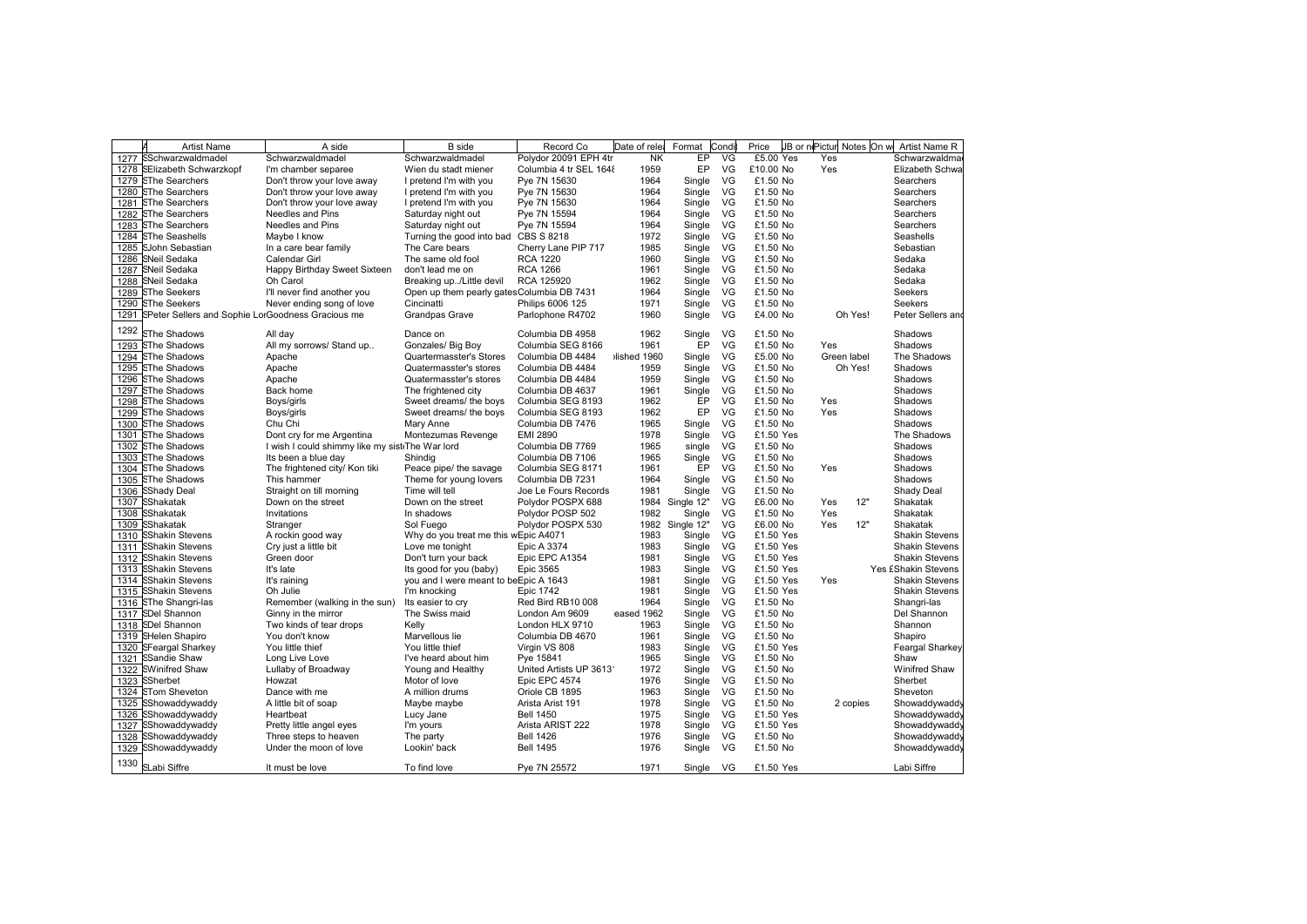|      | <b>Artist Name</b>                                     | A side                                          | <b>B</b> side                              | Record Co              | Date of rele | Format     | Condi     | Price     | JB or nePictur Notes On w |          | Artist Name R         |
|------|--------------------------------------------------------|-------------------------------------------------|--------------------------------------------|------------------------|--------------|------------|-----------|-----------|---------------------------|----------|-----------------------|
| 1277 | SSchwarzwaldmadel                                      | Schwarzwaldmadel                                | Schwarzwaldmadel                           | Polydor 20091 EPH 4tr  | <b>NK</b>    | EP         | VG        | £5.00 Yes | Yes                       |          | Schwarzwaldma         |
|      | 1278 SElizabeth Schwarzkopf                            | I'm chamber separee                             | Wien du stadt miener                       | Columbia 4 tr SEL 1648 | 1959         | EP         | VG.       | £10.00 No | Yes                       |          | Elizabeth Schwa       |
|      | 1279 SThe Searchers                                    | Don't throw your love away                      | I pretend I'm with you                     | Pye 7N 15630           | 1964         | Single     | VG        | £1.50 No  |                           |          | Searchers             |
| 1280 | <b>SThe Searchers</b>                                  | Don't throw your love away                      | I pretend I'm with you                     | Pye 7N 15630           | 1964         | Single     | VG        | £1.50 No  |                           |          | Searchers             |
|      | 1281 SThe Searchers                                    | Don't throw your love away                      | I pretend I'm with you                     | Pye 7N 15630           | 1964         | Single     | VG        | £1.50 No  |                           |          | Searchers             |
| 1282 | <b>SThe Searchers</b>                                  | Needles and Pins                                | Saturday night out                         | Pye 7N 15594           | 1964         | Single     | VG        | £1.50 No  |                           |          | Searchers             |
| 1283 | <b>SThe Searchers</b>                                  | Needles and Pins                                | Saturday night out                         | Pye 7N 15594           | 1964         | Single     | VG        | £1.50 No  |                           |          | Searchers             |
|      | 1284 SThe Seashells                                    | Maybe I know                                    | Turning the good into bad CBS S 8218       |                        | 1972         | Single     | VG        | £1.50 No  |                           |          | Seashells             |
| 1285 | SJohn Sebastian                                        | In a care bear family                           | The Care bears                             | Cherry Lane PIP 717    | 1985         | Single     | VG        | £1.50 No  |                           |          | Sebastian             |
| 1286 | <b>SNeil Sedaka</b>                                    | Calendar Girl                                   | The same old fool                          | <b>RCA 1220</b>        | 1960         | Single     | VG        | £1.50 No  |                           |          | Sedaka                |
|      | 1287 SNeil Sedaka                                      | Happy Birthday Sweet Sixteen                    | don't lead me on                           | <b>RCA 1266</b>        | 1961         | Single     | <b>VG</b> | £1.50 No  |                           |          | Sedaka                |
|      | 1288 SNeil Sedaka                                      | Oh Carol                                        | Breaking up/Little devil                   | RCA 125920             | 1962         | Single     | VG        | £1.50 No  |                           |          | Sedaka                |
|      | 1289 SThe Seekers                                      | I'll never find another you                     | Open up them pearly gates Columbia DB 7431 |                        | 1964         | Single     | VG        | £1.50 No  |                           |          | Seekers               |
|      | 1290 SThe Seekers                                      | Never ending song of love                       | Cincinatti                                 | Philips 6006 125       | 1971         | Single     | VG        | £1.50 No  |                           |          | Seekers               |
|      | 1291 SPeter Sellers and Sophie LorGoodness Gracious me |                                                 |                                            |                        | 1960         |            | VG        | £4.00 No  |                           | Oh Yes!  | Peter Sellers and     |
|      |                                                        |                                                 | Grandpas Grave                             | Parlophone R4702       |              | Single     |           |           |                           |          |                       |
| 1292 | <b>SThe Shadows</b>                                    | All day                                         | Dance on                                   | Columbia DB 4958       | 1962         | Single     | VG        | £1.50 No  |                           |          | Shadows               |
| 1293 | <b>SThe Shadows</b>                                    | All my sorrows/ Stand up                        | Gonzales/ Big Boy                          | Columbia SEG 8166      | 1961         | EP         | VG        | £1.50 No  | Yes                       |          | Shadows               |
|      | 1294 SThe Shadows                                      | Apache                                          | Quartermasster's Stores                    | Columbia DB 4484       | lished 1960  | Single     | VG        | £5.00 No  | Green label               |          | The Shadows           |
|      | 1295 SThe Shadows                                      | Apache                                          | Quatermasster's stores                     | Columbia DB 4484       | 1959         | Single     | VG        | £1.50 No  |                           | Oh Yes!  | Shadows               |
| 1296 | <b>SThe Shadows</b>                                    | Apache                                          | Quatermasster's stores                     | Columbia DB 4484       | 1959         | Single     | VG        | £1.50 No  |                           |          | Shadows               |
|      | 1297 SThe Shadows                                      | Back home                                       | The frightened city                        | Columbia DB 4637       | 1961         | Single     | VG        | £1.50 No  |                           |          | Shadows               |
| 1298 | <b>SThe Shadows</b>                                    | Boys/girls                                      | Sweet dreams/ the boys                     | Columbia SEG 8193      | 1962         | EP         | VG        | £1.50 No  | Yes                       |          | Shadows               |
| 1299 | <b>SThe Shadows</b>                                    | Boys/girls                                      | Sweet dreams/ the boys                     | Columbia SEG 8193      | 1962         | EP         | VG        | £1.50 No  | Yes                       |          | Shadows               |
|      | 1300 SThe Shadows                                      | Chu Chi                                         | Mary Anne                                  | Columbia DB 7476       | 1965         | Single     | VG        | £1.50 No  |                           |          | Shadows               |
| 1301 | <b>SThe Shadows</b>                                    | Dont cry for me Argentina                       | Montezumas Revenge                         | <b>EMI 2890</b>        | 1978         | Single     | VG        | £1.50 Yes |                           |          | The Shadows           |
| 1302 | <b>SThe Shadows</b>                                    | I wish I could shimmy like my sist The War lord |                                            | Columbia DB 7769       | 1965         | single     | VG        | £1.50 No  |                           |          | Shadows               |
|      | 1303 SThe Shadows                                      | Its been a blue day                             | Shindig                                    | Columbia DB 7106       | 1965         | Single     | VG        | £1.50 No  |                           |          | Shadows               |
|      | 1304 SThe Shadows                                      | The frightened city/ Kon tiki                   | Peace pipe/ the savage                     | Columbia SEG 8171      | 1961         | EP         | VG        | £1.50 No  | Yes                       |          | Shadows               |
| 1305 | <b>SThe Shadows</b>                                    | This hammer                                     | Theme for young lovers                     | Columbia DB 7231       | 1964         | Single     | VG        | £1.50 No  |                           |          | Shadows               |
|      |                                                        | Straight on till morning                        | Time will tell                             | Joe Le Fours Records   | 1981         | Single     | VG        | £1.50 No  |                           |          | Shady Deal            |
| 1306 | <b>SShady Deal</b>                                     |                                                 |                                            |                        |              |            | VG        |           |                           | 12"      |                       |
| 1307 | SShakatak                                              | Down on the street                              | Down on the street                         | Polydor POSPX 688      | 1984         | Single 12" |           | £6.00 No  | Yes                       |          | Shakatak              |
| 1308 | SShakatak                                              | Invitations                                     | In shadows                                 | Polydor POSP 502       | 1982         | Single     | VG        | £1.50 No  | Yes                       |          | Shakatak              |
| 1309 | SShakatak                                              | Stranger                                        | Sol Fuego                                  | Polydor POSPX 530      | 1982         | Single 12" | VG        | £6.00 No  | Yes                       | 12"      | Shakatak              |
|      | 1310 SShakin Stevens                                   | A rockin good way                               | Why do you treat me this wEpic A4071       |                        | 1983         | Single     | VG        | £1.50 Yes |                           |          | Shakin Stevens        |
| 1311 | <b>Shakin Stevens</b>                                  | Cry just a little bit                           | Love me tonight                            | <b>Epic A 3374</b>     | 1983         | Single     | VG        | £1.50 Yes |                           |          | Shakin Stevens        |
| 1312 | <b>Shakin Stevens</b>                                  | Green door                                      | Don't turn your back                       | Epic EPC A1354         | 1981         | Single     | VG        | £1.50 Yes |                           |          | <b>Shakin Stevens</b> |
| 1313 | <b>SShakin Stevens</b>                                 | It's late                                       | Its good for you (baby)                    | Epic 3565              | 1983         | Single     | VG        | £1.50 Yes |                           |          | Yes £Shakin Stevens   |
|      | 1314 SShakin Stevens                                   | It's raining                                    | you and I were meant to beEpic A 1643      |                        | 1981         | Single     | VG        | £1.50 Yes | Yes                       |          | <b>Shakin Stevens</b> |
| 1315 | <b>SShakin Stevens</b>                                 | Oh Julie                                        | I'm knocking                               | <b>Epic 1742</b>       | 1981         | Single     | VG        | £1.50 Yes |                           |          | Shakin Stevens        |
|      | 1316 SThe Shangri-las                                  | Remember (walking in the sun)                   | Its easier to cry                          | Red Bird RB10 008      | 1964         | Single     | VG        | £1.50 No  |                           |          | Shangri-las           |
|      | 1317 SDel Shannon                                      | Ginny in the mirror                             | The Swiss maid                             | London Am 9609         | eased 1962   | Single     | VG        | £1.50 No  |                           |          | Del Shannon           |
|      | 1318 SDel Shannon                                      | Two kinds of tear drops                         | Kelly                                      | London HLX 9710        | 1963         | Single     | VG        | £1.50 No  |                           |          | Shannon               |
|      | 1319 SHelen Shapiro                                    | You don't know                                  | Marvellous lie                             | Columbia DB 4670       | 1961         | Single     | VG        | £1.50 No  |                           |          | Shapiro               |
|      | 1320 SFeargal Sharkey                                  | You little thief                                | You little thief                           | Virgin VS 808          | 1983         | Single     | VG        | £1.50 Yes |                           |          | Feargal Sharkey       |
| 1321 | <b>SSandie Shaw</b>                                    | Long Live Love                                  | I've heard about him                       | Pye 15841              | 1965         | Single     | VG        | £1.50 No  |                           |          | Shaw                  |
| 1322 | <b>SWinifred Shaw</b>                                  | Lullaby of Broadway                             | Young and Healthy                          | United Artists UP 3613 | 1972         | Single     | VG        | £1.50 No  |                           |          | <b>Winifred Shaw</b>  |
| 1323 | SSherbet                                               | Howzat                                          | Motor of love                              | Epic EPC 4574          | 1976         | Single     | VG        | £1.50 No  |                           |          | Sherbet               |
| 1324 | <b>STom Sheveton</b>                                   | Dance with me                                   | A million drums                            | Oriole CB 1895         | 1963         | Single     | VG        | £1.50 No  |                           |          | Sheveton              |
| 1325 | SShowaddywaddy                                         | A little bit of soap                            | Maybe maybe                                | Arista Arist 191       | 1978         | Single     | VG        | £1.50 No  |                           | 2 copies | Showaddywaddy         |
| 1326 | SShowaddywaddy                                         | Heartbeat                                       | Lucy Jane                                  | <b>Bell 1450</b>       | 1975         | Single     | VG        | £1.50 Yes |                           |          | Showaddywaddy         |
| 1327 | SShowaddywaddy                                         | Pretty little angel eyes                        | I'm yours                                  | Arista ARIST 222       | 1978         | Single     | VG        | £1.50 Yes |                           |          | Showaddywaddy         |
| 1328 | SShowaddywaddy                                         | Three steps to heaven                           | The party                                  | <b>Bell 1426</b>       | 1976         | Single     | VG        | £1.50 No  |                           |          | Showaddywaddy         |
| 1329 | SShowaddywaddy                                         | Under the moon of love                          | Lookin' back                               | <b>Bell 1495</b>       | 1976         |            | VG        | £1.50 No  |                           |          | Showaddywaddy         |
|      |                                                        |                                                 |                                            |                        |              | Single     |           |           |                           |          |                       |
|      | 1330 SLabi Siffre                                      | It must be love                                 | To find love                               | Pye 7N 25572           | 1971         | Single VG  |           | £1.50 Yes |                           |          | Labi Siffre           |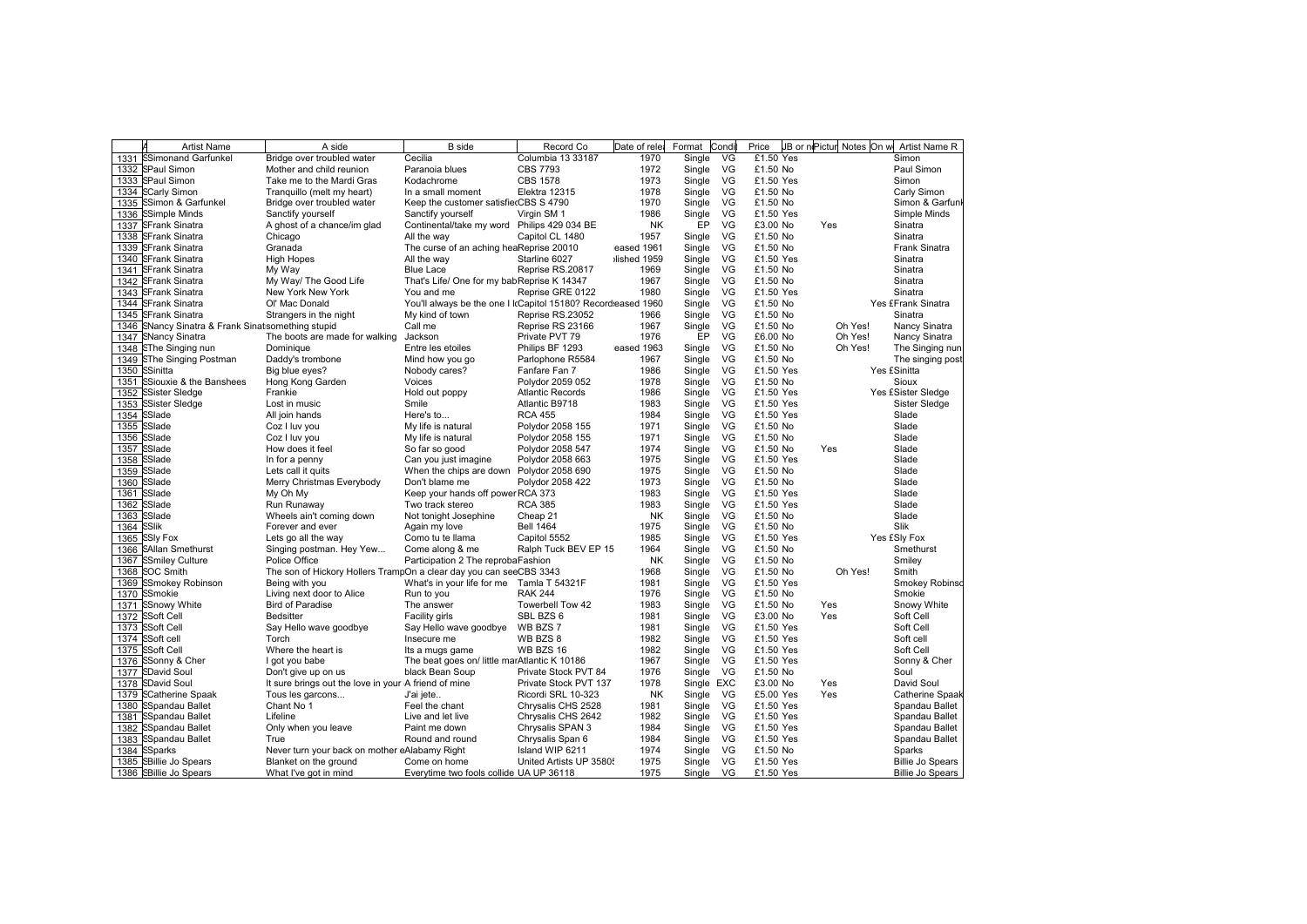|      | <b>Artist Name</b>                           | A side                                                             | <b>B</b> side                                                | Record Co               | Date of rele | Format     | Condi | Price     | JB or nePictur Notes On w | Artist Name R           |
|------|----------------------------------------------|--------------------------------------------------------------------|--------------------------------------------------------------|-------------------------|--------------|------------|-------|-----------|---------------------------|-------------------------|
| 1331 | <b>SSimonand Garfunkel</b>                   | Bridge over troubled water                                         | Cecilia                                                      | Columbia 13 33187       | 1970         | Single     | VG    | £1.50 Yes |                           | Simon                   |
| 1332 | <b>SPaul Simon</b>                           | Mother and child reunion                                           | Paranoia blues                                               | <b>CBS 7793</b>         | 1972         | Single     | VG    | £1.50 No  |                           | Paul Simon              |
| 1333 | <b>SPaul Simon</b>                           | Take me to the Mardi Gras                                          | Kodachrome                                                   | <b>CBS 1578</b>         | 1973         | Single     | VG    | £1.50 Yes |                           | Simon                   |
| 1334 | <b>SCarly Simon</b>                          | Tranquillo (melt my heart)                                         | In a small moment                                            | Elektra 12315           | 1978         | Single     | VG    | £1.50 No  |                           | Carly Simon             |
| 1335 | SSimon & Garfunkel                           | Bridge over troubled water                                         | Keep the customer satisfierCBS S 4790                        |                         | 1970         | Single     | VG    | £1.50 No  |                           | Simon & Garfunl         |
| 1336 | <b>SSimple Minds</b>                         | Sanctify yourself                                                  | Sanctify yourself                                            | Virgin SM 1             | 1986         | Single     | VG    | £1.50 Yes |                           | Simple Minds            |
| 1337 | <b>SFrank Sinatra</b>                        | A ghost of a chance/im glad                                        | Continental/take my word Philips 429 034 BE                  |                         | <b>NK</b>    | EP         | VG    | £3.00 No  | Yes                       | Sinatra                 |
| 1338 | <b>SFrank Sinatra</b>                        | Chicago                                                            | All the way                                                  | Capitol CL 1480         | 1957         | Single     | VG    | £1.50 No  |                           | Sinatra                 |
| 1339 | <b>SFrank Sinatra</b>                        | Granada                                                            | The curse of an aching heaReprise 20010                      |                         | eased 1961   | Single     | VG    | £1.50 No  |                           | Frank Sinatra           |
| 1340 | <b>SFrank Sinatra</b>                        | <b>High Hopes</b>                                                  | All the way                                                  | Starline 6027           | lished 1959  | Single     | VG    | £1.50 Yes |                           | Sinatra                 |
| 1341 | <b>SFrank Sinatra</b>                        | My Way                                                             | <b>Blue Lace</b>                                             | Reprise RS.20817        | 1969         | Single     | VG    | £1.50 No  |                           | Sinatra                 |
| 1342 | <b>SFrank Sinatra</b>                        | My Way/ The Good Life                                              | That's Life/ One for my babReprise K 14347                   |                         | 1967         | Single     | VG    | £1.50 No  |                           | Sinatra                 |
| 1343 | <b>SFrank Sinatra</b>                        | New York New York                                                  | You and me                                                   | Reprise GRE 0122        | 1980         | Single     | VG    | £1.50 Yes |                           | Sinatra                 |
| 1344 | SFrank Sinatra                               | Ol' Mac Donald                                                     | You'll always be the one I IcCapitol 15180? Recordeased 1960 |                         |              | Single     | VG    | £1.50 No  |                           | Yes £Frank Sinatra      |
| 1345 | <b>SFrank Sinatra</b>                        | Strangers in the night                                             | My kind of town                                              | Reprise RS.23052        | 1966         | Single     | VG    | £1.50 No  |                           | Sinatra                 |
| 1346 | SNancy Sinatra & Frank Sinatsomething stupid |                                                                    | Call me                                                      | Reprise RS 23166        | 1967         | Single     | VG    | £1.50 No  | Oh Yes!                   | Nancy Sinatra           |
| 1347 | <b>SNancy Sinatra</b>                        | The boots are made for walking                                     | Jackson                                                      | Private PVT 79          | 1976         | EP         | VG    | £6.00 No  | Oh Yes!                   | Nancy Sinatra           |
| 1348 | <b>SThe Singing nun</b>                      | Dominique                                                          | Entre les etoiles                                            | Philips BF 1293         | eased 1963   | Single     | VG    | £1.50 No  | Oh Yes!                   | The Singing nun         |
| 1349 | <b>SThe Singing Postman</b>                  | Daddy's trombone                                                   | Mind how you go                                              | Parlophone R5584        | 1967         | Single     | VG    | £1.50 No  |                           | The singing post        |
| 1350 | SSinitta                                     | Big blue eyes?                                                     | Nobody cares?                                                | Fanfare Fan 7           | 1986         | Single     | VG    | £1.50 Yes |                           | Yes £Sinitta            |
| 1351 | SSiouxie & the Banshees                      | Hong Kong Garden                                                   | Voices                                                       | Polydor 2059 052        | 1978         | Single     | VG    | £1.50 No  |                           | Sioux                   |
| 1352 | SSister Sledae                               | Frankie                                                            | Hold out poppy                                               | <b>Atlantic Records</b> | 1986         | Single     | VG    | £1.50 Yes |                           | Yes £Sister Sledge      |
| 1353 | SSister Sledge                               | Lost in music                                                      | Smile                                                        | Atlantic B9718          | 1983         | Single     | VG    | £1.50 Yes |                           | Sister Sledge           |
| 1354 | SSlade                                       | All join hands                                                     | Here's to                                                    | <b>RCA 455</b>          | 1984         | Single     | VG    | £1.50 Yes |                           | Slade                   |
| 1355 | SSlade                                       | Coz I luv you                                                      | My life is natural                                           | Polydor 2058 155        | 1971         | Single     | VG    | £1.50 No  |                           | Slade                   |
| 1356 | SSlade                                       | Coz I luv you                                                      | My life is natural                                           | Polydor 2058 155        | 1971         | Single     | VG    | £1.50 No  |                           | Slade                   |
| 1357 | SSlade                                       | How does it feel                                                   | So far so good                                               | Polydor 2058 547        | 1974         | Single     | VG    | £1.50 No  | Yes                       | Slade                   |
| 1358 | SSlade                                       | In for a penny                                                     | Can you just imagine                                         | Polydor 2058 663        | 1975         | Single     | VG    | £1.50 Yes |                           | Slade                   |
| 1359 | SSlade                                       | Lets call it quits                                                 | When the chips are down Polydor 2058 690                     |                         | 1975         | Single     | VG    | £1.50 No  |                           | Slade                   |
| 1360 | SSlade                                       | Merry Christmas Everybody                                          | Don't blame me                                               | Polydor 2058 422        | 1973         | Single     | VG    | £1.50 No  |                           | Slade                   |
| 1361 | SSlade                                       | My Oh My                                                           | Keep your hands off power RCA 373                            |                         | 1983         | Single     | VG    | £1.50 Yes |                           | Slade                   |
| 1362 | SSlade                                       | Run Runaway                                                        | Two track stereo                                             | <b>RCA 385</b>          | 1983         | Single     | VG    | £1.50 Yes |                           | Slade                   |
| 1363 | SSlade                                       | Wheels ain't coming down                                           | Not tonight Josephine                                        | Cheap 21                | <b>NK</b>    | Single     | VG    | £1.50 No  |                           | Slade                   |
| 1364 | SSlik                                        | Forever and ever                                                   | Again my love                                                | <b>Bell 1464</b>        | 1975         | Single     | VG    | £1.50 No  |                           | Slik                    |
| 1365 | <b>SSIy Fox</b>                              | Lets go all the way                                                | Como tu te llama                                             | Capitol 5552            | 1985         | Single     | VG    | £1.50 Yes |                           | Yes £Sly Fox            |
| 1366 | <b>SAllan Smethurst</b>                      | Singing postman. Hey Yew                                           | Come along & me                                              | Ralph Tuck BEV EP 15    | 1964         | Single     | VG    | £1.50 No  |                           | Smethurst               |
| 1367 | <b>SSmiley Culture</b>                       | Police Office                                                      | Participation 2 The reprobaFashion                           |                         | <b>NK</b>    | Single     | VG    | £1.50 No  |                           | Smiley                  |
| 1368 | <b>SOC Smith</b>                             | The son of Hickory Hollers TrampOn a clear day you can seeCBS 3343 |                                                              |                         | 1968         | Single     | VG    | £1.50 No  | Oh Yes!                   | Smith                   |
| 1369 | SSmokey Robinson                             | Being with you                                                     | What's in your life for me Tamla T 54321F                    |                         | 1981         | Single     | VG    | £1.50 Yes |                           | Smokey Robinso          |
| 1370 | SSmokie                                      | Living next door to Alice                                          | Run to you                                                   | <b>RAK 244</b>          | 1976         | Single     | VG    | £1.50 No  |                           | Smokie                  |
| 1371 | <b>SSnowy White</b>                          | <b>Bird of Paradise</b>                                            | The answer                                                   | Towerbell Tow 42        | 1983         | Single     | VG    | £1.50 No  | Yes                       | Snowy White             |
| 1372 | <b>SSoft Cell</b>                            | <b>Bedsitter</b>                                                   | Facility girls                                               | SBL BZS 6               | 1981         | Single     | VG    | £3.00 No  | Yes                       | Soft Cell               |
| 1373 | <b>SSoft Cell</b>                            | Say Hello wave goodbye                                             | Say Hello wave goodbye                                       | WB BZS 7                | 1981         | Single     | VG    | £1.50 Yes |                           | Soft Cell               |
| 1374 | SSoft cell                                   | Torch                                                              | Insecure me                                                  | WB BZS 8                | 1982         | Single     | VG    | £1.50 Yes |                           | Soft cell               |
| 1375 | <b>SSoft Cell</b>                            | Where the heart is                                                 | Its a mugs game                                              | WB BZS 16               | 1982         | Single     | VG    | £1.50 Yes |                           | Soft Cell               |
| 1376 | SSonny & Cher                                | I got you babe                                                     | The beat goes on/ little marAtlantic K 10186                 |                         | 1967         | Single     | VG    | £1.50 Yes |                           | Sonny & Cher            |
| 1377 | <b>SDavid Soul</b>                           | Don't give up on us                                                | black Bean Soup                                              | Private Stock PVT 84    | 1976         | Single     | VG    | £1.50 No  |                           | Soul                    |
| 1378 | <b>SDavid Soul</b>                           | It sure brings out the love in your A friend of mine               |                                                              | Private Stock PVT 137   | 1978         | Single EXC |       | £3.00 No  | Yes                       | David Soul              |
| 1379 | <b>SCatherine Spaak</b>                      | Tous les garcons                                                   | J'ai jete                                                    | Ricordi SRL 10-323      | <b>NK</b>    | Single     | VG    | £5.00 Yes | Yes                       | Catherine Spaak         |
| 1380 | SSpandau Ballet                              | Chant No 1                                                         | Feel the chant                                               | Chrysalis CHS 2528      | 1981         | Single     | VG    | £1.50 Yes |                           | Spandau Ballet          |
| 1381 | SSpandau Ballet                              | Lifeline                                                           | Live and let live                                            | Chrysalis CHS 2642      | 1982         | Single     | VG    | £1.50 Yes |                           | Spandau Ballet          |
| 1382 | SSpandau Ballet                              | Only when you leave                                                | Paint me down                                                | Chrysalis SPAN 3        | 1984         | Single     | VG.   | £1.50 Yes |                           | Spandau Ballet          |
| 1383 | SSpandau Ballet                              | True                                                               | Round and round                                              | Chrysalis Span 6        | 1984         | Single     | VG    | £1.50 Yes |                           | Spandau Ballet          |
| 1384 | SSparks                                      | Never turn your back on mother eAlabamy Right                      |                                                              | Island WIP 6211         | 1974         | Single     | VG    | £1.50 No  |                           | Sparks                  |
|      | 1385 SBillie Jo Spears                       | Blanket on the ground                                              | Come on home                                                 | United Artists UP 3580! | 1975         | Single     | VG    | £1.50 Yes |                           | <b>Billie Jo Spears</b> |
|      | 1386 SBillie Jo Spears                       | What I've got in mind                                              | Everytime two fools collide UA UP 36118                      |                         | 1975         | Single     | VG    | £1.50 Yes |                           | Billie Jo Spears        |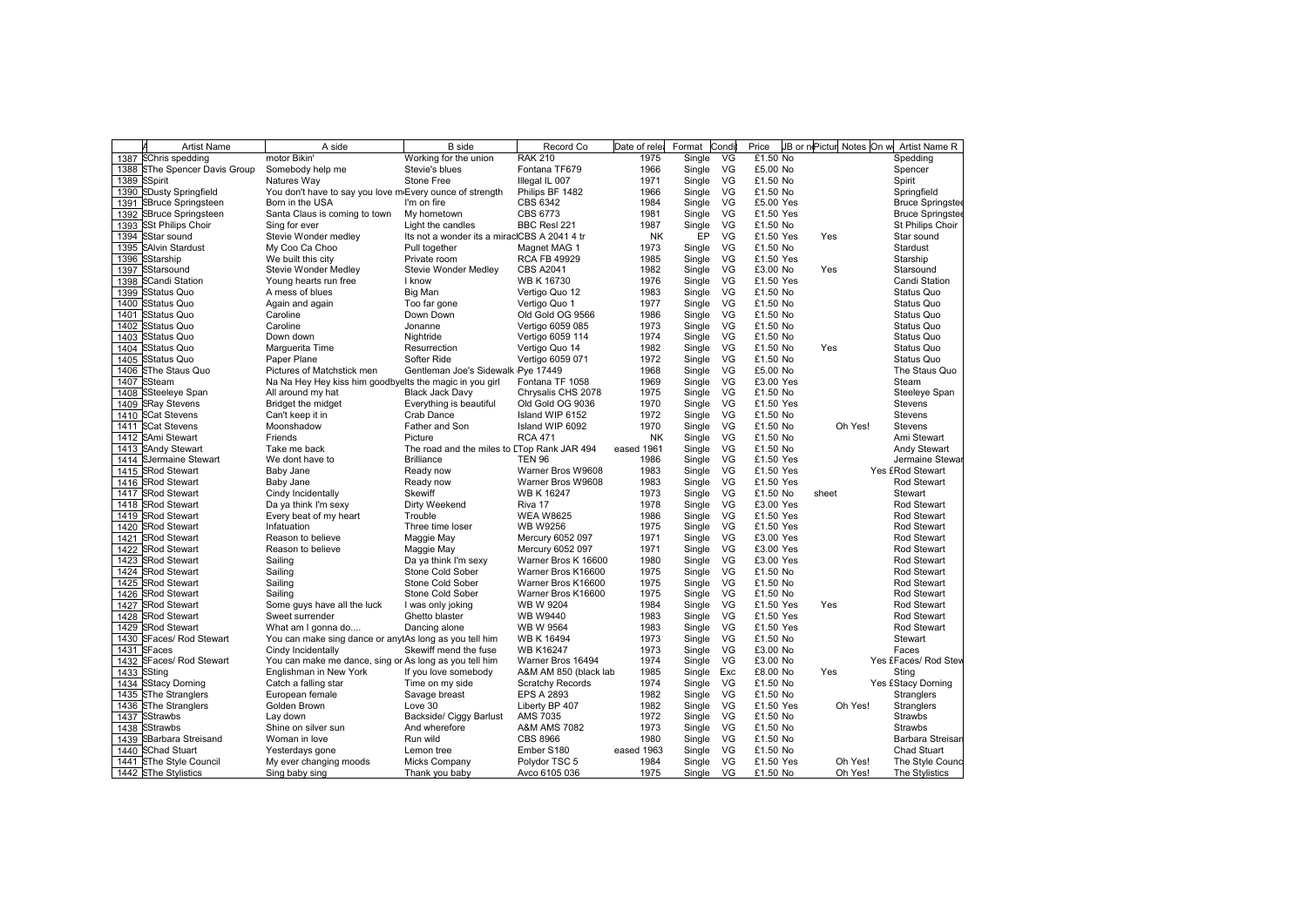|      | <b>Artist Name</b>              | A side                                                   | <b>B</b> side                                | Record Co               | Date of rele | Format | Cond | Price     | JB or nePictur Notes On w | Artist Name R           |
|------|---------------------------------|----------------------------------------------------------|----------------------------------------------|-------------------------|--------------|--------|------|-----------|---------------------------|-------------------------|
| 1387 | <b>SChris spedding</b>          | motor Bikin                                              | Working for the union                        | <b>RAK 210</b>          | 1975         | Single | VG   | £1.50 No  |                           | Spedding                |
| 1388 | <b>SThe Spencer Davis Group</b> | Somebody help me                                         | Stevie's blues                               | Fontana TF679           | 1966         | Single | VG   | £5.00 No  |                           | Spencer                 |
| 1389 | <b>SSpirit</b>                  | Natures Wav                                              | Stone Free                                   | Illegal IL 007          | 1971         | Single | VG   | £1.50 No  |                           | Spirit                  |
| 1390 | <b>SDusty Springfield</b>       | You don't have to say you love m Every ounce of strength |                                              | Philips BF 1482         | 1966         | Single | VG   | £1.50 No  |                           | Springfield             |
| 1391 | <b>SBruce Springsteen</b>       | Born in the USA                                          | I'm on fire                                  | CBS 6342                | 1984         | Single | VG   | £5.00 Yes |                           | <b>Bruce Springstee</b> |
| 1392 | SBruce Springsteen              | Santa Claus is coming to town                            | My hometown                                  | CBS 6773                | 1981         | Single | VG   | £1.50 Yes |                           | <b>Bruce Springstee</b> |
| 1393 | <b>SSt Philips Choir</b>        | Sing for ever                                            | Light the candles                            | BBC Resl 221            | 1987         | Single | VG   | £1.50 No  |                           | St Philips Choir        |
| 1394 | SStar sound                     | Stevie Wonder medley                                     | Its not a wonder its a miraclCBS A 2041 4 tr |                         | <b>NK</b>    | EP     | VG   | £1.50 Yes | Yes                       | Star sound              |
| 1395 | <b>SAlvin Stardust</b>          | My Coo Ca Choo                                           | Pull together                                | Magnet MAG 1            | 1973         | Single | VG   | £1.50 No  |                           | Stardust                |
| 1396 | SStarship                       | We built this city                                       | Private room                                 | <b>RCA FB 49929</b>     | 1985         | Single | VG   | £1.50 Yes |                           | Starship                |
| 1397 | SStarsound                      | Stevie Wonder Medley                                     | Stevie Wonder Medley                         | <b>CBS A2041</b>        | 1982         | Single | VG   | £3.00 No  | Yes                       | Starsound               |
| 1398 | <b>SCandi Station</b>           | Young hearts run free                                    | I know                                       | WB K 16730              | 1976         | Single | VG   | £1.50 Yes |                           | Candi Station           |
| 1399 | SStatus Quo                     | A mess of blues                                          | Big Man                                      | Vertigo Quo 12          | 1983         | Single | VG   | £1.50 No  |                           | Status Quo              |
| 1400 | <b>SStatus Quo</b>              | Again and again                                          | Too far gone                                 | Vertigo Quo 1           | 1977         | Single | VG   | £1.50 No  |                           | Status Quo              |
| 1401 | <b>SStatus Quo</b>              | Caroline                                                 | Down Down                                    | Old Gold OG 9566        | 1986         | Single | VG   | £1.50 No  |                           | Status Quo              |
| 1402 | <b>SStatus Quo</b>              | Caroline                                                 | Jonanne                                      | Vertigo 6059 085        | 1973         | Single | VG   | £1.50 No  |                           | Status Quo              |
| 1403 | <b>SStatus Quo</b>              | Down down                                                | Nightride                                    | Vertigo 6059 114        | 1974         | Single | VG   | £1.50 No  |                           | Status Quo              |
| 1404 | <b>SStatus Quo</b>              | Marguerita Time                                          | Resurrection                                 | Vertigo Quo 14          | 1982         | Single | VG   | £1.50 No  | Yes                       | Status Quo              |
| 1405 | <b>SStatus Quo</b>              | Paper Plane                                              | Softer Ride                                  | Vertigo 6059 071        | 1972         | Single | VG   | £1.50 No  |                           | Status Quo              |
| 1406 | <b>SThe Staus Quo</b>           | Pictures of Matchstick men                               | Gentleman Joe's Sidewalk Pye 17449           |                         | 1968         | Single | VG   | £5.00 No  |                           | The Staus Quo           |
| 1407 | SSteam                          | Na Na Hey Hey kiss him goodbyelts the magic in you girl  |                                              | Fontana TF 1058         | 1969         | Single | VG   | £3.00 Yes |                           | Steam                   |
| 1408 | <b>SSteeleye Span</b>           | All around my hat                                        | <b>Black Jack Davy</b>                       | Chrysalis CHS 2078      | 1975         | Single | VG   | £1.50 No  |                           | Steeleye Span           |
| 1409 | <b>SRay Stevens</b>             | Bridget the midget                                       | Everything is beautiful                      | Old Gold OG 9036        | 1970         | Single | VG   | £1.50 Yes |                           | Stevens                 |
| 1410 | <b>SCat Stevens</b>             | Can't keep it in                                         | Crab Dance                                   | Island WIP 6152         | 1972         | Single | VG   | £1.50 No  |                           | Stevens                 |
|      | 1411 SCat Stevens               | Moonshadow                                               | Father and Son                               | Island WIP 6092         | 1970         | Single | VG   | £1.50 No  | Oh Yes!                   | <b>Stevens</b>          |
| 1412 | <b>SAmi Stewart</b>             | Friends                                                  | Picture                                      | <b>RCA 471</b>          | <b>NK</b>    | Single | VG   | £1.50 No  |                           | Ami Stewart             |
|      | 1413 SAndy Stewart              | Take me back                                             | The road and the miles to ETop Rank JAR 494  |                         | eased 1961   | Single | VG   | £1.50 No  |                           | <b>Andy Stewart</b>     |
|      | 1414 SJermaine Stewart          | We dont have to                                          | <b>Brilliance</b>                            | <b>TEN 96</b>           | 1986         | Single | VG   | £1.50 Yes |                           | Jermaine Stewar         |
| 1415 | <b>SRod Stewart</b>             | Baby Jane                                                | Ready now                                    | Warner Bros W9608       | 1983         | Single | VG   | £1.50 Yes |                           | Yes £Rod Stewart        |
| 1416 | <b>SRod Stewart</b>             | Baby Jane                                                | Ready now                                    | Warner Bros W9608       | 1983         | Single | VG   | £1.50 Yes |                           | Rod Stewart             |
| 1417 | <b>SRod Stewart</b>             | Cindy Incidentally                                       | <b>Skewiff</b>                               | <b>WB K 16247</b>       | 1973         | Single | VG   | £1.50 No  | sheet                     | Stewart                 |
|      | 1418 SRod Stewart               | Da ya think I'm sexy                                     | Dirty Weekend                                | Riva 17                 | 1978         | Single | VG   | £3.00 Yes |                           | <b>Rod Stewart</b>      |
| 1419 | <b>SRod Stewart</b>             | Every beat of my heart                                   | Trouble                                      | <b>WEA W8625</b>        | 1986         | Single | VG   | £1.50 Yes |                           | <b>Rod Stewart</b>      |
| 1420 | <b>SRod Stewart</b>             | Infatuation                                              | Three time loser                             | <b>WB W9256</b>         | 1975         | Single | VG   | £1.50 Yes |                           | Rod Stewart             |
|      | 1421 SRod Stewart               | Reason to believe                                        | Maggie May                                   | Mercury 6052 097        | 1971         | Single | VG   | £3.00 Yes |                           | Rod Stewart             |
| 1422 | <b>SRod Stewart</b>             | Reason to believe                                        | Maggie May                                   | Mercury 6052 097        | 1971         | Single | VG   | £3.00 Yes |                           | <b>Rod Stewart</b>      |
| 1423 | <b>SRod Stewart</b>             | Sailing                                                  | Da ya think I'm sexy                         | Warner Bros K 16600     | 1980         | Single | VG   | £3.00 Yes |                           | Rod Stewart             |
| 1424 | <b>SRod Stewart</b>             | Sailing                                                  | Stone Cold Sober                             | Warner Bros K16600      | 1975         | Single | VG   | £1.50 No  |                           | Rod Stewart             |
| 1425 | <b>SRod Stewart</b>             | Sailing                                                  | Stone Cold Sober                             | Warner Bros K16600      | 1975         | Single | VG   | £1.50 No  |                           | Rod Stewart             |
| 1426 | <b>SRod Stewart</b>             | Sailing                                                  | Stone Cold Sober                             | Warner Bros K16600      | 1975         | Single | VG   | £1.50 No  |                           | <b>Rod Stewart</b>      |
| 1427 | <b>SRod Stewart</b>             | Some guys have all the luck                              | I was only joking                            | <b>WB W 9204</b>        | 1984         | Single | VG   | £1.50 Yes | Yes                       | <b>Rod Stewart</b>      |
| 1428 | <b>SRod Stewart</b>             | Sweet surrender                                          | Ghetto blaster                               | <b>WB W9440</b>         | 1983         | Single | VG   | £1.50 Yes |                           | <b>Rod Stewart</b>      |
| 1429 | <b>SRod Stewart</b>             | What am I gonna do                                       | Dancing alone                                | <b>WB W 9564</b>        | 1983         | Single | VG   | £1.50 Yes |                           | Rod Stewart             |
| 1430 | <b>SFaces/ Rod Stewart</b>      | You can make sing dance or anytAs long as you tell him   |                                              | <b>WB K 16494</b>       | 1973         | Single | VG   | £1.50 No  |                           | Stewart                 |
| 1431 | SFaces                          | Cindy Incidentally                                       | Skewiff mend the fuse                        | <b>WB K16247</b>        | 1973         | Single | VG   | £3.00 No  |                           | Faces                   |
| 1432 | <b>SFaces/ Rod Stewart</b>      | You can make me dance, sing or As long as you tell him   |                                              | Warner Bros 16494       | 1974         | Single | VG   | £3.00 No  |                           | Yes £Faces/ Rod Stev    |
| 1433 | SSting                          | Englishman in New York                                   | If you love somebody                         | A&M AM 850 (black lab   | 1985         | Single | Exc  | £8.00 No  | Yes                       | Sting                   |
| 1434 | <b>SStacy Dorning</b>           | Catch a falling star                                     | Time on my side                              | <b>Scratchy Records</b> | 1974         | Single | VG   | £1.50 No  |                           | Yes £Stacy Dorning      |
| 1435 | <b>SThe Stranglers</b>          | European female                                          | Savage breast                                | <b>EPS A 2893</b>       | 1982         | Single | VG   | £1.50 No  |                           | <b>Stranglers</b>       |
| 1436 | <b>SThe Stranglers</b>          | Golden Brown                                             | Love 30                                      | Liberty BP 407          | 1982         | Single | VG   | £1.50 Yes | Oh Yes!                   | Stranglers              |
| 1437 | SStrawbs                        | Lay down                                                 | Backside/ Ciggy Barlust                      | <b>AMS 7035</b>         | 1972         | Single | VG   | £1.50 No  |                           | <b>Strawbs</b>          |
| 1438 | SStrawbs                        | Shine on silver sun                                      | And wherefore                                | <b>A&amp;M AMS 7082</b> | 1973         | Single | VG   | £1.50 No  |                           | <b>Strawbs</b>          |
| 1439 | SBarbara Streisand              | Woman in love                                            | Run wild                                     | <b>CBS 8966</b>         | 1980         | Single | VG   | £1.50 No  |                           | Barbara Streisan        |
| 1440 | <b>SChad Stuart</b>             | Yesterdays gone                                          | Lemon tree                                   | Ember S180              | eased 1963   | Single | VG   | £1.50 No  |                           | <b>Chad Stuart</b>      |
|      | 1441 SThe Style Council         | My ever changing moods                                   | Micks Company                                | Polydor TSC 5           | 1984         | Single | VG   | £1.50 Yes | Oh Yes!                   | The Style Cound         |
|      | 1442 SThe Stylistics            | Sing baby sing                                           | Thank you baby                               | Avco 6105 036           | 1975         | Single | VG   | £1.50 No  | Oh Yes!                   | The Stylistics          |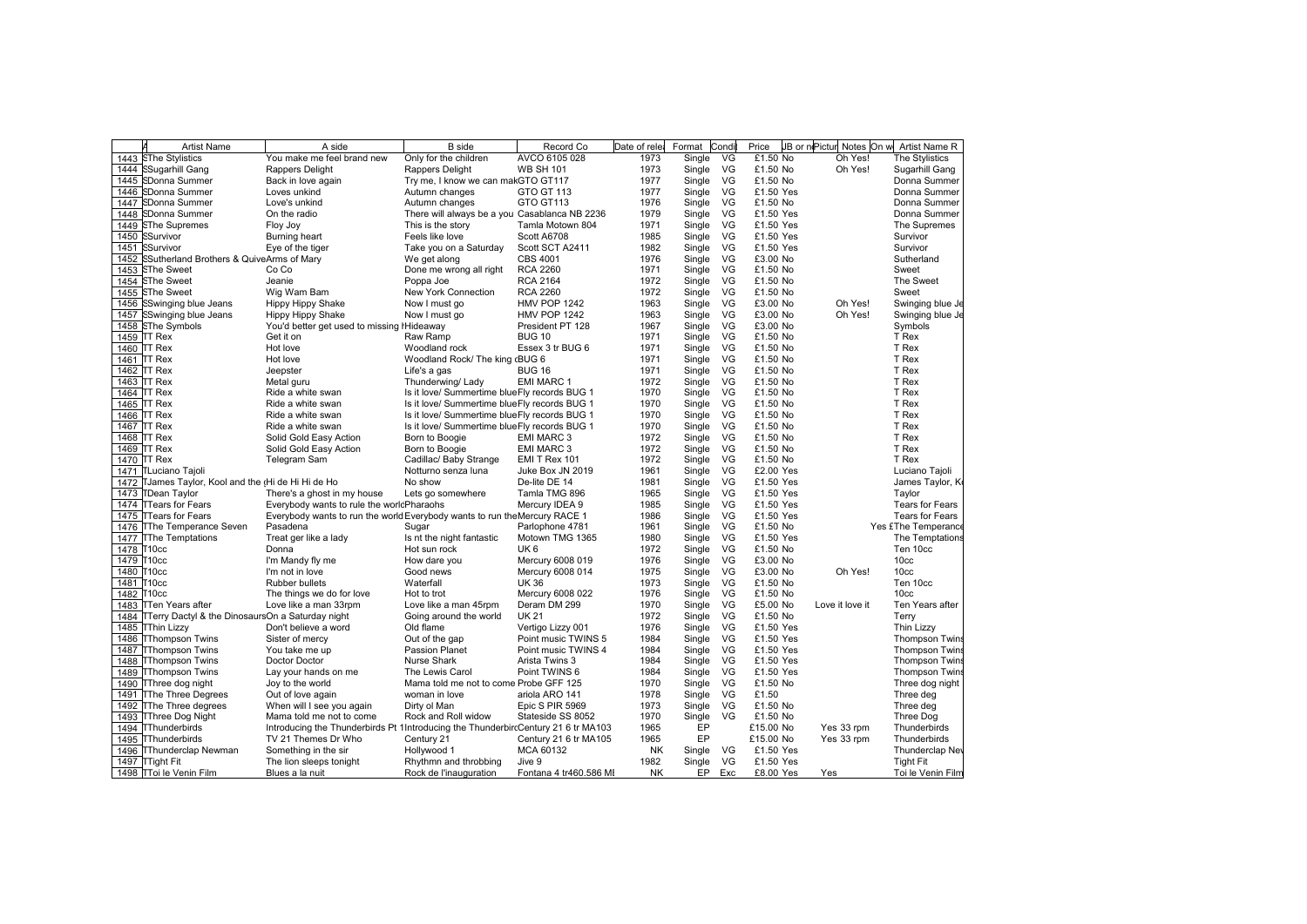|            | Artist Name                                           | A side                                                                            | <b>B</b> side                                 | Record Co                                | Date of rele | Format | Condi | Price                  |                 | JB or nePictur Notes On w Artist Name R |
|------------|-------------------------------------------------------|-----------------------------------------------------------------------------------|-----------------------------------------------|------------------------------------------|--------------|--------|-------|------------------------|-----------------|-----------------------------------------|
|            | 1443 SThe Stylistics                                  | You make me feel brand new                                                        | Only for the children                         | AVCO 6105 028                            | 1973         | Single | VG    | £1.50 No               | Oh Yes!         | The Stylistics                          |
|            | 1444 SSugarhill Gang                                  | Rappers Delight                                                                   | Rappers Delight                               | <b>WB SH 101</b>                         | 1973         | Single | VG    | £1.50 No               | Oh Yes!         | Sugarhill Gang                          |
|            | 1445 SDonna Summer                                    | Back in love again                                                                | Try me, I know we can makGTO GT117            |                                          | 1977         | Single | VG    | £1.50 No               |                 | Donna Summer                            |
|            | 1446 SDonna Summer                                    | Loves unkind                                                                      | Autumn changes                                | GTO GT 113                               | 1977         | Single | VG    | £1.50 Yes              |                 | Donna Summer                            |
|            | 1447 SDonna Summer                                    | Love's unkind                                                                     | Autumn changes                                | GTO GT113                                | 1976         | Single | VG    | £1.50 No               |                 | Donna Summer                            |
|            | 1448 SDonna Summer                                    | On the radio                                                                      | There will always be a you Casablanca NB 2236 |                                          | 1979         | Single | VG    | £1.50 Yes              |                 | Donna Summer                            |
|            | 1449 SThe Supremes                                    | Floy Joy                                                                          | This is the story                             | Tamla Motown 804                         | 1971         | Single | VG    | £1.50 Yes              |                 | The Supremes                            |
|            | 1450 SSurvivor                                        | Burning heart                                                                     | Feels like love                               | Scott A6708                              | 1985         | Single | VG    | £1.50 Yes              |                 | Survivor                                |
|            | 1451 SSurvivor                                        | Eye of the tiger                                                                  | Take you on a Saturday                        | Scott SCT A2411                          | 1982         | Single | VG    | £1.50 Yes              |                 | Survivor                                |
|            | 1452 SSutherland Brothers & QuiveArms of Mary         |                                                                                   | We get along                                  | CBS 4001                                 | 1976         | Single | VG    | £3.00 No               |                 | Sutherland                              |
| 1453       | <b>SThe Sweet</b>                                     | Co Co                                                                             | Done me wrong all right                       | <b>RCA 2260</b>                          | 1971         | Single | VG    | £1.50 No               |                 | Sweet                                   |
|            | 1454 SThe Sweet                                       | Jeanie                                                                            | Poppa Joe                                     | <b>RCA 2164</b>                          | 1972         | Single | VG    | £1.50 No               |                 | The Sweet                               |
|            | 1455 SThe Sweet                                       | Wig Wam Bam                                                                       | New York Connection                           | <b>RCA 2260</b>                          | 1972         | Single | VG    | £1.50 No               |                 | Sweet                                   |
|            | 1456 SSwinging blue Jeans                             | Hippy Hippy Shake                                                                 | Now I must go                                 | <b>HMV POP 1242</b>                      | 1963         | Single | VG    | £3.00 No               | Oh Yes!         | Swinging blue Je                        |
|            | 1457 SSwinging blue Jeans                             | Hippy Hippy Shake                                                                 | Now I must go                                 | <b>HMV POP 1242</b>                      | 1963         | Single | VG    | £3.00 No               | Oh Yes!         | Swinging blue Je                        |
|            | 1458 SThe Symbols                                     | You'd better get used to missing Hideaway                                         |                                               | President PT 128                         | 1967         | Single | VG    | £3.00 No               |                 | Symbols                                 |
|            | 1459 TT Rex                                           | Get it on                                                                         | Raw Ramp                                      | <b>BUG 10</b>                            | 1971         | Single | VG    | £1.50 No               |                 | T Rex                                   |
|            | 1460 TT Rex                                           | Hot love                                                                          | Woodland rock                                 | Essex 3 tr BUG 6                         | 1971         | Single | VG    | £1.50 No               |                 | T Rex                                   |
|            | 1461 TT Rex                                           | Hot love                                                                          | Woodland Rock/ The king cBUG 6                |                                          | 1971         | Single | VG    | £1.50 No               |                 | T Rex                                   |
|            | 1462 TT Rex                                           | Jeepster                                                                          | Life's a gas                                  | <b>BUG 16</b>                            | 1971         | Single | VG    | £1.50 No               |                 | T Rex                                   |
|            | 1463 TT Rex                                           | Metal guru                                                                        | Thunderwing/Lady                              | <b>EMI MARC 1</b>                        | 1972         | Single | VG    | £1.50 No               |                 | T Rex                                   |
|            | 1464 TT Rex                                           | Ride a white swan                                                                 | Is it love/ Summertime blueFly records BUG 1  |                                          | 1970         | Single | VG    | £1.50 No               |                 | T Rex                                   |
|            | 1465 TT Rex                                           | Ride a white swan                                                                 | Is it love/ Summertime blueFly records BUG 1  |                                          | 1970         | Single | VG    | £1.50 No               |                 | T Rex                                   |
|            | 1466 TT Rex                                           | Ride a white swan                                                                 | Is it love/ Summertime blueFly records BUG 1  |                                          | 1970         | Single | VG    | £1.50 No               |                 | T Rex                                   |
|            | 1467 TT Rex                                           | Ride a white swan                                                                 | Is it love/ Summertime blueFly records BUG 1  |                                          | 1970         | Single | VG    | £1.50 No               |                 | T Rex                                   |
|            | 1468 TT Rex                                           | Solid Gold Easy Action                                                            | Born to Boogie                                | <b>EMI MARC 3</b>                        | 1972         | Single | VG    | £1.50 No               |                 | T Rex                                   |
|            | 1469 TT Rex                                           | Solid Gold Easy Action                                                            | Born to Boogie                                | <b>EMI MARC 3</b>                        | 1972         | Single | VG    | £1.50 No               |                 | T Rex                                   |
|            | 1470 TT Rex                                           | Telegram Sam                                                                      | Cadillac/ Baby Strange                        | EMI T Rex 101                            | 1972         | Single | VG    | £1.50 No               |                 | T Rex                                   |
|            | 1471 TLuciano Tajoli                                  |                                                                                   | Notturno senza luna                           | Juke Box JN 2019                         | 1961         | Single | VG    | £2.00 Yes              |                 | Luciano Tajoli                          |
|            | 1472 TJames Taylor, Kool and the (Hi de Hi Hi de Ho   |                                                                                   | No show                                       | De-lite DE 14                            | 1981         | Single | VG    | £1.50 Yes              |                 | James Taylor, K                         |
|            | 1473 TDean Taylor                                     | There's a ghost in my house                                                       | Lets go somewhere                             | Tamla TMG 896                            | 1965         | Single | VG    | £1.50 Yes              |                 | Taylor                                  |
|            | 1474 TTears for Fears                                 | Everybody wants to rule the worlcPharaohs                                         |                                               | Mercury IDEA 9                           | 1985         | Single | VG    | £1.50 Yes              |                 | <b>Tears for Fears</b>                  |
|            | 1475 TTears for Fears                                 | Everybody wants to run the world Everybody wants to run the Mercury RACE 1        |                                               |                                          | 1986         | Single | VG    | £1.50 Yes              |                 | Tears for Fears                         |
|            | 1476 TThe Temperance Seven                            | Pasadena                                                                          | Sugar                                         | Parlophone 4781                          | 1961         | Single | VG    | £1.50 No               |                 | Yes £The Temperance                     |
|            | 1477 The Temptations                                  | Treat ger like a lady                                                             | Is nt the night fantastic                     | Motown TMG 1365                          | 1980         | Single | VG    | £1.50 Yes              |                 | The Temptations                         |
| 1478 T10cc |                                                       | Donna                                                                             | Hot sun rock                                  | UK 6                                     | 1972         | Single | VG    | £1.50 No               |                 | Ten 10cc                                |
| 1479 T10cc |                                                       | I'm Mandy fly me                                                                  | How dare you                                  | Mercury 6008 019                         | 1976         | Single | VG    | £3.00 No               |                 | 10 <sub>cc</sub>                        |
| 1480 T10cc |                                                       | I'm not in love                                                                   | Good news                                     | Mercury 6008 014                         | 1975         | Single | VG    | £3.00 No               | Oh Yes!         | 10 <sub>cc</sub>                        |
| 1481 T10cc |                                                       | <b>Rubber bullets</b>                                                             | Waterfall                                     | <b>UK36</b>                              | 1973         | Single | VG    | £1.50 No               |                 | Ten 10cc                                |
| 1482 T10cc |                                                       | The things we do for love                                                         | Hot to trot                                   | Mercury 6008 022                         | 1976         | Single | VG    | £1.50 No               |                 | 10 <sub>cc</sub>                        |
|            | 1483 TTen Years after                                 | Love like a man 33rpm                                                             | Love like a man 45rpm                         | Deram DM 299                             | 1970         | Single | VG    | £5.00 No               | Love it love it | Ten Years after                         |
|            | 1484 TTerry Dactyl & the DinosaursOn a Saturday night |                                                                                   | Going around the world                        | <b>UK 21</b>                             | 1972         | Single | VG    | £1.50 No               |                 | Terry                                   |
|            | 1485 TThin Lizzy                                      | Don't believe a word                                                              | Old flame                                     |                                          | 1976         | Single | VG    | £1.50 Yes              |                 | Thin Lizzy                              |
|            | 1486 TThompson Twins                                  | Sister of mercy                                                                   |                                               | Vertigo Lizzy 001<br>Point music TWINS 5 | 1984         | Single | VG    | £1.50 Yes              |                 | <b>Thompson Twins</b>                   |
|            | 1487 TThompson Twins                                  | You take me up                                                                    | Out of the gap<br><b>Passion Planet</b>       | Point music TWINS 4                      | 1984         | Single | VG    | £1.50 Yes              |                 | <b>Thompson Twins</b>                   |
|            |                                                       |                                                                                   | <b>Nurse Shark</b>                            |                                          | 1984         |        | VG    |                        |                 |                                         |
|            | 1488 TThompson Twins                                  | Doctor Doctor                                                                     |                                               | Arista Twins 3<br>Point TWINS 6          | 1984         | Single | VG    | £1.50 Yes<br>£1.50 Yes |                 | <b>Thompson Twins</b>                   |
|            | 1489 TThompson Twins                                  | Lay your hands on me                                                              | The Lewis Carol                               |                                          |              | Single |       |                        |                 | <b>Thompson Twins</b>                   |
|            | 1490 TThree dog night                                 | Joy to the world                                                                  | Mama told me not to come Probe GFF 125        |                                          | 1970         | Single | VG    | £1.50 No               |                 | Three dog night                         |
|            | 1491 The Three Degrees                                | Out of love again                                                                 | woman in love                                 | ariola ARO 141                           | 1978         | Single | VG    | £1.50                  |                 | Three deg                               |
|            | 1492 TThe Three degrees                               | When will I see you again                                                         | Dirty ol Man                                  | Epic S PIR 5969                          | 1973         | Single | VG    | £1.50 No               |                 | Three deg                               |
|            | 1493 TThree Dog Night                                 | Mama told me not to come                                                          | Rock and Roll widow                           | Stateside SS 8052                        | 1970         | Single | VG    | £1.50 No               |                 | Three Dog                               |
|            | 1494 TThunderbirds                                    | Introducing the Thunderbirds Pt 1Introducing the ThunderbircCentury 21 6 tr MA103 |                                               |                                          | 1965         | EP     |       | £15.00 No              | Yes 33 rpm      | Thunderbirds                            |
|            | 1495 TThunderbirds                                    | TV 21 Themes Dr Who                                                               | Century 21                                    | Century 21 6 tr MA105                    | 1965         | EP     |       | £15.00 No              | Yes 33 rpm      | Thunderbirds                            |
|            | 1496 TThunderclap Newman                              | Something in the sir                                                              | Hollywood 1                                   | MCA 60132                                | <b>NK</b>    | Single | VG    | £1.50 Yes              |                 | Thunderclap Nev                         |
|            | 1497 TTight Fit                                       | The lion sleeps tonight                                                           | Rhythmn and throbbing                         | Jive 9                                   | 1982         | Single | VG    | £1.50 Yes              |                 | <b>Tight Fit</b>                        |
|            | 1498 TToi le Venin Film                               | Blues a la nuit                                                                   | Rock de l'inauguration                        | Fontana 4 tr460.586 MI                   | NK           | EP.    | Exc   | £8.00 Yes              | Yes             | Toi le Venin Film                       |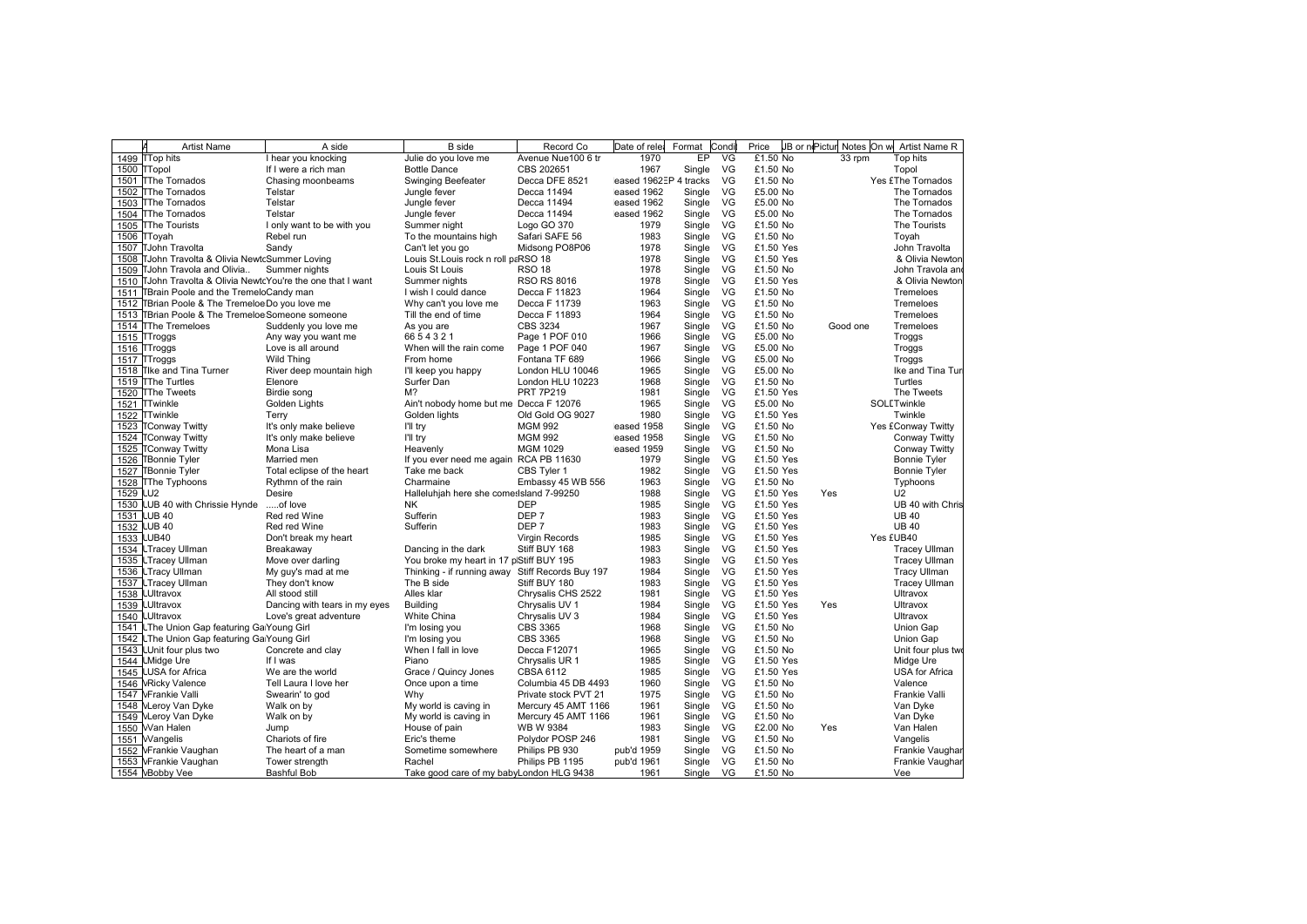|      | <b>Artist Name</b>                                           | A side                               | <b>B</b> side                                    | Record Co                            | Date of rele             | Format           | Condi    | Price                |          | JB or nePictur Notes On w Artist Name R |
|------|--------------------------------------------------------------|--------------------------------------|--------------------------------------------------|--------------------------------------|--------------------------|------------------|----------|----------------------|----------|-----------------------------------------|
|      | 1499 TTop hits                                               | I hear you knocking                  | Julie do you love me                             | Avenue Nue100 6 tr                   | 1970                     | EP               | VG       | £1.50 No             | 33 rpm   | Top hits                                |
|      | 1500 TTopol                                                  | If I were a rich man                 | <b>Bottle Dance</b>                              | CBS 202651                           | 1967                     | Single           | VG       | £1.50 No             |          | Topol                                   |
|      | 1501 TThe Tornados                                           | Chasing moonbeams                    | <b>Swinging Beefeater</b>                        | Decca DFE 8521                       | eased 1962EP 4 tracks    |                  | VG       | £1.50 No             |          | Yes £The Tornados                       |
|      | 1502 TThe Tornados                                           | Telstar                              | Jungle fever                                     | Decca 11494                          | eased 1962               | Single           | VG       | £5.00 No             |          | The Tornados                            |
|      | 1503 TThe Tornados                                           | Telstar                              | Jungle fever                                     | Decca 11494                          | eased 1962               | Single           | VG       | £5.00 No             |          | The Tornados                            |
|      | 1504 TThe Tornados                                           | Telstar                              | Jungle fever                                     | Decca 11494                          | eased 1962               | Single           | VG       | £5.00 No             |          | The Tornados                            |
| 1505 | <b>TThe Tourists</b>                                         | I only want to be with you           | Summer night                                     | Logo GO 370                          | 1979                     | Single           | VG       | £1.50 No             |          | The Tourists                            |
|      | 1506 TToyah                                                  | Rebel run                            | To the mountains high                            | Safari SAFE 56                       | 1983                     | Single           | VG       | £1.50 No             |          | Toyah                                   |
|      | 1507 TJohn Travolta                                          | Sandy                                | Can't let you go                                 | Midsong PO8P06                       | 1978                     | Single           | VG       | £1.50 Yes            |          | John Travolta                           |
| 1508 | TJohn Travolta & Olivia NewtcSummer Loving                   |                                      | Louis St.Louis rock n roll paRSO 18              |                                      | 1978                     | Single           | VG       | £1.50 Yes            |          | & Olivia Newton                         |
| 1509 | TJohn Travola and Olivia                                     | Summer nights                        | Louis St Louis                                   | <b>RSO 18</b>                        | 1978                     | Single           | VG       | £1.50 No             |          | John Travola and                        |
|      | 1510 TJohn Travolta & Olivia NewtcYou're the one that I want |                                      | Summer nights                                    | <b>RSO RS 8016</b>                   | 1978                     | Single           | VG       | £1.50 Yes            |          | & Olivia Newton                         |
|      | 1511 TBrain Poole and the TremeloCandy man                   |                                      | I wish I could dance                             | Decca F 11823                        | 1964                     | Single           | VG       | £1.50 No             |          | Tremeloes                               |
| 1512 | TBrian Poole & The TremeloeDo you love me                    |                                      | Why can't you love me                            | Decca F 11739                        | 1963                     | Single           | VG       | £1.50 No             |          | Tremeloes                               |
| 1513 | TBrian Poole & The Tremeloe Someone someone                  |                                      | Till the end of time                             | Decca F 11893                        | 1964                     | Single           | VG       | £1.50 No             |          | Tremeloes                               |
|      | 1514 The Tremeloes                                           | Suddenly you love me                 | As you are                                       | CBS 3234                             | 1967                     | Single           | VG       | £1.50 No             | Good one | Tremeloes                               |
|      | 1515 TTroggs                                                 | Any way you want me                  | 6654321                                          | Page 1 POF 010                       | 1966                     | Single           | VG       | £5.00 No             |          | Troggs                                  |
|      | 1516 TTroggs                                                 | Love is all around                   | When will the rain come                          | Page 1 POF 040                       | 1967                     | Single           | VG       | £5.00 No             |          | Troggs                                  |
|      | 1517 TTroggs                                                 | Wild Thing                           | From home                                        | Fontana TF 689                       | 1966                     | Single           | VG       | £5.00 No             |          |                                         |
| 1518 | <b>Tike and Tina Turner</b>                                  |                                      |                                                  | London HLU 10046                     | 1965                     |                  | VG       | £5.00 No             |          | Troggs<br>Ike and Tina Tur              |
|      | <b>TThe Turtles</b>                                          | River deep mountain high             | I'll keep you happy<br>Surfer Dan                |                                      | 1968                     | Single           | VG       | £1.50 No             |          | Turtles                                 |
| 1519 |                                                              | Elenore                              | M <sup>2</sup>                                   | London HLU 10223<br><b>PRT 7P219</b> |                          | Single           | VG       |                      |          | The Tweets                              |
|      | 1520 TThe Tweets                                             | Birdie song                          |                                                  |                                      | 1981                     | Single           |          | £1.50 Yes            |          |                                         |
|      | 1521 TTwinkle                                                | Golden Lights                        | Ain't nobody home but me Decca F 12076           |                                      | 1965                     | Single           | VG       | £5.00 No             |          | SOLLTwinkle                             |
| 1522 | <b>TTwinkle</b>                                              | Terry                                | Golden lights                                    | Old Gold OG 9027                     | 1980                     | Single           | VG       | £1.50 Yes            |          | Twinkle                                 |
|      | 1523 TConway Twitty                                          | It's only make believe               | I'll try                                         | <b>MGM 992</b>                       | eased 1958               | Single           | VG       | £1.50 No             |          | Yes £Conway Twitty                      |
|      | 1524 TConway Twitty                                          | It's only make believe               | I'll try                                         | <b>MGM 992</b>                       | eased 1958               | Single           | VG       | £1.50 No             |          | Conway Twitty                           |
|      | 1525 TConway Twitty                                          | Mona Lisa                            | Heavenly                                         | <b>MGM 1029</b>                      | eased 1959               | Single           | VG       | £1.50 No             |          | Conway Twitty                           |
|      | 1526 TBonnie Tyler                                           | Married men                          | If you ever need me again RCA PB 11630           |                                      | 1979                     | Single           | VG       | £1.50 Yes            |          | <b>Bonnie Tyler</b>                     |
| 1527 | <b>TBonnie Tyler</b>                                         | Total eclipse of the heart           | Take me back                                     | CBS Tyler 1                          | 1982                     | Single           | VG       | £1.50 Yes            |          | <b>Bonnie Tyler</b>                     |
| 1528 | <b>The Typhoons</b>                                          | Rythmn of the rain                   | Charmaine                                        | Embassy 45 WB 556                    | 1963                     | Single           | VG       | £1.50 No             |          | Typhoons                                |
| 1529 | LU <sub>2</sub>                                              | Desire                               | Halleluhjah here she comesisland 7-99250         |                                      | 1988                     | Single           | VG       | £1.50 Yes            | Yes      | U2                                      |
|      | 1530 LUB 40 with Chrissie Hynde                              | of love                              | NΚ                                               | <b>DEP</b>                           | 1985                     | Single           | VG       | £1.50 Yes            |          | UB 40 with Chris                        |
|      | 1531 LUB 40                                                  | Red red Wine                         | Sufferin                                         | DEP <sub>7</sub>                     | 1983                     | Single           | VG       | £1.50 Yes            |          | <b>UB40</b>                             |
| 1532 | <b>LUB 40</b>                                                | Red red Wine                         | Sufferin                                         | DEP <sub>7</sub>                     | 1983                     | Single           | VG       | £1.50 Yes            |          | <b>UB40</b>                             |
|      | 1533 LUB40                                                   | Don't break my heart                 |                                                  | Virgin Records                       | 1985                     | Single           | VG       | £1.50 Yes            |          | Yes £UB40                               |
|      | 1534 LTracey Ullman                                          | Breakaway                            | Dancing in the dark                              | Stiff BUY 168                        | 1983                     | Single           | VG       | £1.50 Yes            |          | <b>Tracey Ullman</b>                    |
|      | 1535 LTracey Ullman                                          | Move over darling                    | You broke my heart in 17 plStiff BUY 195         |                                      | 1983                     | Single           | VG       | £1.50 Yes            |          | <b>Tracey Ullman</b>                    |
|      | 1536 LTracy Ullman                                           | My guy's mad at me                   | Thinking - if running away Stiff Records Buy 197 |                                      | 1984                     | Single           | VG       | £1.50 Yes            |          | <b>Tracy Ullman</b>                     |
|      | 1537 LTracey Ullman                                          | They don't know                      | The B side                                       | Stiff BUY 180                        | 1983                     | Single           | VG       | £1.50 Yes            |          | <b>Tracey Ullman</b>                    |
| 1538 | <b>LUItravox</b>                                             | All stood still                      | Alles klar                                       | Chrysalis CHS 2522                   | 1981                     | Single           | VG       | £1.50 Yes            |          | Ultravox                                |
|      | 1539 LUItravox                                               | Dancing with tears in my eyes        | <b>Building</b>                                  | Chrysalis UV 1                       | 1984                     | Single           | VG       | £1.50 Yes            | Yes      | Ultravox                                |
|      | 1540 LUItravox                                               | Love's great adventure               | White China                                      | Chrysalis UV 3                       | 1984                     | Single           | VG       | £1.50 Yes            |          | Ultravox                                |
|      | 1541 LThe Union Gap featuring Ga Young Girl                  |                                      | I'm losing you                                   | <b>CBS 3365</b>                      | 1968                     | Single           | VG       | £1.50 No             |          | Union Gap                               |
| 1542 | LThe Union Gap featuring Ga Young Girl                       |                                      | I'm losing you                                   | <b>CBS 3365</b>                      | 1968                     | Single           | VG       | £1.50 No             |          | Union Gap                               |
|      | 1543 LUnit four plus two                                     | Concrete and clay                    | When I fall in love                              | Decca F12071                         | 1965                     | Single           | VG       | £1.50 No             |          | Unit four plus two                      |
|      | 1544 LMidge Ure                                              | If I was                             | Piano                                            | Chrysalis UR 1                       | 1985                     | Single           | VG       | £1.50 Yes            |          | Midge Ure                               |
| 1545 | <b>LUSA</b> for Africa                                       | We are the world                     | Grace / Quincy Jones                             | CBSA 6112                            | 1985                     | Single           | VG       | £1.50 Yes            |          | USA for Africa                          |
|      | 1546 NRicky Valence                                          | Tell Laura I love her                | Once upon a time                                 | Columbia 45 DB 4493                  | 1960                     | Single           | VG       | £1.50 No             |          | Valence                                 |
|      | 1547 NFrankie Valli                                          | Swearin' to god                      | Why                                              | Private stock PVT 21                 | 1975                     | Single           | VG       | £1.50 No             |          | Frankie Valli                           |
|      | 1548 <b>MLeroy Van Dyke</b>                                  | Walk on by                           | My world is caving in                            | Mercury 45 AMT 1166                  | 1961                     | Single           | VG       | £1.50 No             |          | Van Dyke                                |
|      | 1549 NLeroy Van Dyke                                         | Walk on by                           | My world is caving in                            | Mercury 45 AMT 1166                  | 1961                     | Single           | VG       | £1.50 No             |          | Van Dyke                                |
|      | 1550 Wan Halen                                               | Jump                                 | House of pain                                    | WB W 9384                            | 1983                     | Single           | VG       | £2.00 No             | Yes      | Van Halen                               |
|      | 1551 Wangelis                                                | Chariots of fire                     | Eric's theme                                     | Polydor POSP 246                     | 1981                     | Single           | VG       | £1.50 No             |          | Vangelis                                |
|      |                                                              |                                      |                                                  |                                      |                          |                  |          |                      |          |                                         |
|      |                                                              |                                      |                                                  |                                      |                          |                  |          |                      |          |                                         |
|      | 1552 VFrankie Vaughan<br>1553 NFrankie Vaughan               | The heart of a man<br>Tower strength | Sometime somewhere<br>Rachel                     | Philips PB 930<br>Philips PB 1195    | pub'd 1959<br>pub'd 1961 | Single<br>Single | VG<br>VG | £1.50 No<br>£1.50 No |          | Frankie Vaughar<br>Frankie Vaughar      |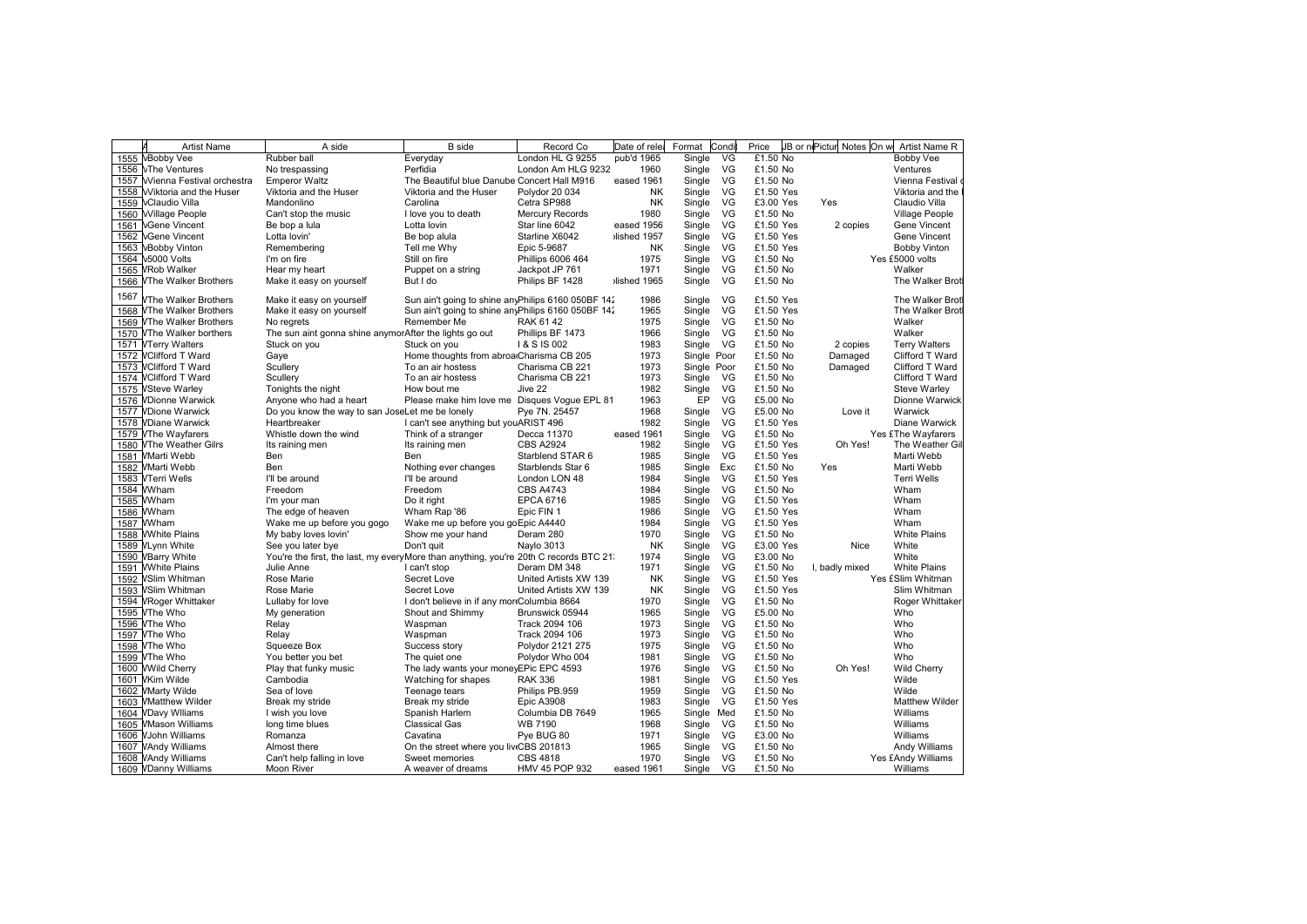|      | <b>Artist Name</b>               | A side                                                                                 | <b>B</b> side                                       | Record Co              | Date of rele | Format      | Condi     | Price     | JB or nePictur Notes On w | Artist Name R         |
|------|----------------------------------|----------------------------------------------------------------------------------------|-----------------------------------------------------|------------------------|--------------|-------------|-----------|-----------|---------------------------|-----------------------|
|      | 1555 \Bobby Vee                  | Rubber ball                                                                            | Evervdav                                            | London HL G 9255       | pub'd 1965   | Single      | VG        | £1.50 No  |                           | <b>Bobby Vee</b>      |
|      | 1556 \The Ventures               | No trespassing                                                                         | Perfidia                                            | London Am HLG 9232     | 1960         | Single      | VG        | £1.50 No  |                           | Ventures              |
| 1557 | <b>Wienna Festival orchestra</b> | <b>Emperor Waltz</b>                                                                   | The Beautiful blue Danube Concert Hall M916         |                        | eased 1961   | Single      | VG        | £1.50 No  |                           | Vienna Festival       |
| 1558 | <b>Wiktoria and the Huser</b>    | Viktoria and the Huser                                                                 | Viktoria and the Huser                              | Polydor 20 034         | <b>NK</b>    | Single      | VG        | £1.50 Yes |                           | Viktoria and the      |
| 1559 | <b>\Claudio Villa</b>            | Mandonlino                                                                             | Carolina                                            | Cetra SP988            | <b>NK</b>    | Single      | VG        | £3.00 Yes | Yes                       | Claudio Villa         |
|      | 1560 Village People              | Can't stop the music                                                                   | I love you to death                                 | <b>Mercury Records</b> | 1980         | Single      | VG        | £1.50 No  |                           | Village People        |
| 1561 | <b><i>NGene Vincent</i></b>      | Be bop a lula                                                                          | Lotta lovin                                         | Star line 6042         | eased 1956   | Single      | VG        | £1.50 Yes | 2 copies                  | Gene Vincent          |
| 1562 | <b><i>NGene Vincent</i></b>      | Lotta lovin'                                                                           | Be bop alula                                        | Starline X6042         | lished 1957  | Single      | VG        | £1.50 Yes |                           | Gene Vincent          |
| 1563 | <b>\Bobby Vinton</b>             | Remembering                                                                            | Tell me Why                                         | Epic 5-9687            | <b>NK</b>    | Single      | <b>VG</b> | £1.50 Yes |                           | <b>Bobby Vinton</b>   |
|      | 1564 \5000 Volts                 | I'm on fire                                                                            | Still on fire                                       | Phillips 6006 464      | 1975         | Single      | VG        | £1.50 No  |                           | Yes £5000 volts       |
|      | 1565 VRob Walker                 | Hear my heart                                                                          | Puppet on a string                                  | Jackpot JP 761         | 1971         | Single      | VG        | £1.50 No  |                           | Walker                |
|      | 1566 VThe Walker Brothers        | Make it easy on yourself                                                               | But I do                                            | Philips BF 1428        | ilished 1965 | Single      | VG        | £1.50 No  |                           | The Walker Brot       |
|      |                                  |                                                                                        |                                                     |                        |              |             |           |           |                           |                       |
| 1567 | VThe Walker Brothers             | Make it easy on yourself                                                               | Sun ain't going to shine anyPhilips 6160 050BF 142  |                        | 1986         | Single      | VG        | £1.50 Yes |                           | The Walker Brot       |
| 1568 | <b>VThe Walker Brothers</b>      | Make it easy on yourself                                                               | Sun ain't going to shine any Philips 6160 050BF 142 |                        | 1965         | Single      | - VG      | £1.50 Yes |                           | The Walker Brot       |
|      | 1569 VThe Walker Brothers        | No regrets                                                                             | Remember Me                                         | RAK 6142               | 1975         | Single      | VG        | £1.50 No  |                           | Walker                |
|      | 1570 VThe Walker borthers        | The sun aint gonna shine anymorAfter the lights go out                                 |                                                     | Phillips BF 1473       | 1966         | Single      | VG        | £1.50 No  |                           | Walker                |
|      | 1571 VTerry Walters              | Stuck on you                                                                           | Stuck on you                                        | 1 & S IS 002           | 1983         | Single      | VG        | £1.50 No  | 2 copies                  | <b>Terry Walters</b>  |
|      | 1572 VClifford T Ward            | Gaye                                                                                   | Home thoughts from abroa Charisma CB 205            |                        | 1973         | Single Poor |           | £1.50 No  | Damaged                   | Clifford T Ward       |
|      | 1573 VClifford T Ward            | Scullery                                                                               | To an air hostess                                   | Charisma CB 221        | 1973         | Single Poor |           | £1.50 No  | Damaged                   | Clifford T Ward       |
|      | 1574 NClifford T Ward            | Scullery                                                                               | To an air hostess                                   | Charisma CB 221        | 1973         | Single      | VG        | £1.50 No  |                           | Clifford T Ward       |
|      | 1575 VSteve Warley               | Tonights the night                                                                     | How bout me                                         | Jive 22                | 1982         | Single      | VG        | £1.50 No  |                           | Steve Warley          |
|      | 1576 VDionne Warwick             | Anyone who had a heart                                                                 |                                                     |                        | 1963         | EP          | VG        | £5.00 No  |                           | Dionne Warwick        |
|      | <b>VDione Warwick</b>            |                                                                                        | Please make him love me Disques Vogue EPL 81        | Pye 7N. 25457          | 1968         |             | VG        | £5.00 No  |                           | Warwick               |
| 1577 |                                  | Do you know the way to san JoseLet me be lonely                                        |                                                     |                        | 1982         | Single      | VG        |           | Love it                   |                       |
|      | 1578 VDiane Warwick              | Heartbreaker                                                                           | I can't see anything but youARIST 496               |                        |              | Single      |           | £1.50 Yes |                           | Diane Warwick         |
|      | 1579 VThe Wayfarers              | Whistle down the wind                                                                  | Think of a stranger                                 | Decca 11370            | eased 1961   | Single      | VG        | £1.50 No  |                           | Yes £The Wayfarers    |
|      | 1580 VThe Weather Gilrs          | Its raining men                                                                        | Its raining men                                     | <b>CBS A2924</b>       | 1982         | Single      | - VG      | £1.50 Yes | Oh Yes!                   | The Weather Gil       |
|      | 1581 Warti Webb                  | Ben                                                                                    | Ben                                                 | Starblend STAR 6       | 1985         | Single      | VG        | £1.50 Yes |                           | Marti Webb            |
|      | 1582 WMarti Webb                 | Ben                                                                                    | Nothing ever changes                                | Starblends Star 6      | 1985         | Single      | Exc       | £1.50 No  | Yes                       | Marti Webb            |
|      | 1583 VTerri Wells                | I'll be around                                                                         | I'll be around                                      | London LON 48          | 1984         | Single      | VG        | £1.50 Yes |                           | <b>Terri Wells</b>    |
|      | 1584 WWham                       | Freedom                                                                                | Freedom                                             | <b>CBS A4743</b>       | 1984         | Single      | VG        | £1.50 No  |                           | Wham                  |
|      | 1585 WWham                       | I'm your man                                                                           | Do it right                                         | <b>EPCA 6716</b>       | 1985         | Single      | VG        | £1.50 Yes |                           | Wham                  |
|      | 1586 WWham                       | The edge of heaven                                                                     | Wham Rap '86                                        | Epic FIN 1             | 1986         | Single      | VG        | £1.50 Yes |                           | Wham                  |
|      | 1587 WWham                       | Wake me up before you gogo                                                             | Wake me up before you goEpic A4440                  |                        | 1984         | Single      | VG        | £1.50 Yes |                           | Wham                  |
|      | 1588 WWhite Plains               | My baby loves lovin'                                                                   | Show me your hand                                   | Deram 280              | 1970         | Single      | VG        | £1.50 No  |                           | <b>White Plains</b>   |
|      | 1589 VLynn White                 | See you later bye                                                                      | Don't quit                                          | Naylo 3013             | <b>NK</b>    | Single      | VG        | £3.00 Yes | Nice                      | White                 |
|      | 1590 VBarry White                | You're the first, the last, my every More than anything, you're 20th C records BTC 21: |                                                     |                        | 1974         | Single      | VG        | £3.00 No  |                           | White                 |
|      | 1591 WWhite Plains               | Julie Anne                                                                             | I can't stop                                        | Deram DM 348           | 1971         | Single      | VG        | £1.50 No  | I. badly mixed            | <b>White Plains</b>   |
|      | 1592 VSlim Whitman               | Rose Marie                                                                             | Secret Love                                         | United Artists XW 139  | NK           | Single      | VG        | £1.50 Yes |                           | Yes £Slim Whitman     |
| 1593 | <b>VSlim Whitman</b>             | Rose Marie                                                                             | Secret Love                                         | United Artists XW 139  | <b>NK</b>    | Single      | VG        | £1.50 Yes |                           | Slim Whitman          |
|      | 1594 VRoger Whittaker            | Lullaby for love                                                                       | I don't believe in if any mor Columbia 8664         |                        | 1970         | Single      | VG        | £1.50 No  |                           | Roger Whittaker       |
|      | 1595 VThe Who                    | My generation                                                                          | Shout and Shimmy                                    | Brunswick 05944        | 1965         | Single      | VG        | £5.00 No  |                           | Who                   |
|      | 1596 VThe Who                    | Relay                                                                                  | Waspman                                             | Track 2094 106         | 1973         | Single      | VG        | £1.50 No  |                           | Who                   |
| 1597 | VThe Who                         | Relay                                                                                  | Waspman                                             | Track 2094 106         | 1973         | Single      | VG        | £1.50 No  |                           | Who                   |
|      | 1598 VThe Who                    | Squeeze Box                                                                            | Success story                                       | Polydor 2121 275       | 1975         | Single      | VG        | £1.50 No  |                           | Who                   |
|      | 1599 VThe Who                    | You better you bet                                                                     | The quiet one                                       | Polydor Who 004        | 1981         | Single      | VG        | £1.50 No  |                           | Who                   |
|      |                                  |                                                                                        | The lady wants your moneyEPic EPC 4593              |                        | 1976         | Single      | VG        | £1.50 No  | Oh Yes!                   | <b>Wild Cherry</b>    |
|      | 1600 WWild Cherry                | Play that funky music<br>Cambodia                                                      |                                                     |                        | 1981         |             | VG        |           |                           | Wilde                 |
|      | 1601 WKim Wilde                  |                                                                                        | Watching for shapes                                 | <b>RAK 336</b>         |              | Single      |           | £1.50 Yes |                           |                       |
|      | 1602 WMarty Wilde                | Sea of love                                                                            | Teenage tears                                       | Philips PB.959         | 1959         | Single      | VG        | £1.50 No  |                           | Wilde                 |
|      | 1603 WMatthew Wilder             | Break my stride                                                                        | Break my stride                                     | <b>Epic A3908</b>      | 1983         | Single      | VG        | £1.50 Yes |                           | <b>Matthew Wilder</b> |
|      | 1604 VDavy Wiliams               | I wish you love                                                                        | Spanish Harlem                                      | Columbia DB 7649       | 1965         | Single Med  |           | £1.50 No  |                           | Williams              |
|      | 1605 WMason Williams             | long time blues                                                                        | Classical Gas                                       | <b>WB 7190</b>         | 1968         | Single      | <b>VG</b> | £1.50 No  |                           | Williams              |
|      | 1606 VJohn Williams              | Romanza                                                                                | Cavatina                                            | Pye BUG 80             | 1971         | Single      | <b>VG</b> | £3.00 No  |                           | Williams              |
|      | 1607 VAndy Williams              | Almost there                                                                           | On the street where you liv CBS 201813              |                        | 1965         | Single      | - VG      | £1.50 No  |                           | Andy Williams         |
|      | 1608 VAndy Williams              | Can't help falling in love                                                             | Sweet memories                                      | <b>CBS 4818</b>        | 1970         | Single      | VG        | £1.50 No  |                           | Yes £Andy Williams    |
|      | 1609 VDanny Williams             | Moon River                                                                             | A weaver of dreams                                  | HMV 45 POP 932         | eased 1961   | Single      | VG        | £1.50 No  |                           | Williams              |